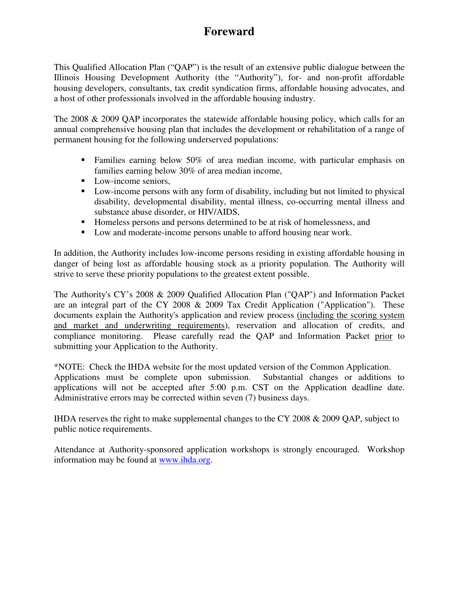# **Foreward**

This Qualified Allocation Plan ("QAP") is the result of an extensive public dialogue between the Illinois Housing Development Authority (the "Authority"), for- and non-profit affordable housing developers, consultants, tax credit syndication firms, affordable housing advocates, and a host of other professionals involved in the affordable housing industry.

The 2008 & 2009 QAP incorporates the statewide affordable housing policy, which calls for an annual comprehensive housing plan that includes the development or rehabilitation of a range of permanent housing for the following underserved populations:

- **Families earning below 50% of area median income, with particular emphasis on** families earning below 30% of area median income,
- **Low-income seniors,**
- Low-income persons with any form of disability, including but not limited to physical disability, developmental disability, mental illness, co-occurring mental illness and substance abuse disorder, or HIV/AIDS,
- Homeless persons and persons determined to be at risk of homelessness, and
- Low and moderate-income persons unable to afford housing near work.

In addition, the Authority includes low-income persons residing in existing affordable housing in danger of being lost as affordable housing stock as a priority population. The Authority will strive to serve these priority populations to the greatest extent possible.

The Authority's CY's 2008 & 2009 Qualified Allocation Plan ("QAP") and Information Packet are an integral part of the CY 2008 & 2009 Tax Credit Application ("Application"). These documents explain the Authority's application and review process (including the scoring system and market and underwriting requirements), reservation and allocation of credits, and compliance monitoring. Please carefully read the QAP and Information Packet prior to submitting your Application to the Authority.

\*NOTE: Check the IHDA website for the most updated version of the Common Application. Applications must be complete upon submission. Substantial changes or additions to applications will not be accepted after 5:00 p.m. CST on the Application deadline date. Administrative errors may be corrected within seven (7) business days.

IHDA reserves the right to make supplemental changes to the CY 2008 & 2009 QAP, subject to public notice requirements.

Attendance at Authority-sponsored application workshops is strongly encouraged. Workshop information may be found at www.ihda.org.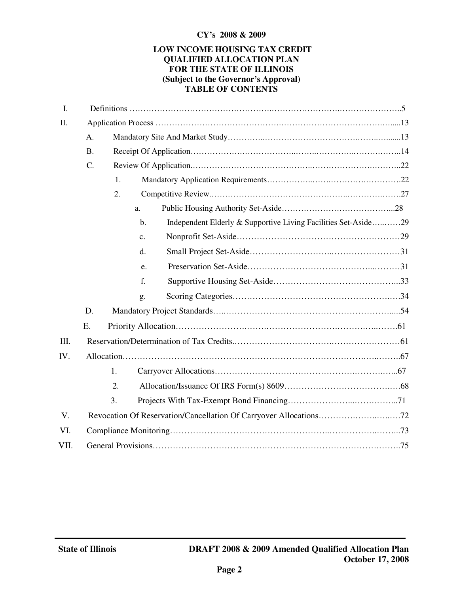#### **CY's 2008 & 2009**

#### **LOW INCOME HOUSING TAX CREDIT QUALIFIED ALLOCATION PLAN FOR THE STATE OF ILLINOIS (Subject to the Governor's Approval) TABLE OF CONTENTS**

| $\overline{I}$ . |           |    |                |                                                                |  |
|------------------|-----------|----|----------------|----------------------------------------------------------------|--|
| Π.               |           |    |                |                                                                |  |
|                  | A.        |    |                |                                                                |  |
|                  | <b>B.</b> |    |                |                                                                |  |
|                  | C.<br>1.  |    |                |                                                                |  |
|                  |           |    |                |                                                                |  |
|                  |           | 2. |                |                                                                |  |
|                  |           |    | a.             |                                                                |  |
|                  |           |    | $\mathbf{b}$ . | Independent Elderly & Supportive Living Facilities Set-Aside29 |  |
|                  |           |    | $\mathbf{c}$ . |                                                                |  |
|                  |           |    | $\mathbf{d}$ . |                                                                |  |
|                  |           |    | e.             |                                                                |  |
|                  |           |    | f.             |                                                                |  |
|                  |           |    | g.             |                                                                |  |
|                  | D.        |    |                |                                                                |  |
|                  | Ε.        |    |                |                                                                |  |
| III.             |           |    |                |                                                                |  |
| IV.              |           |    |                |                                                                |  |
|                  |           | 1. |                |                                                                |  |
|                  |           | 2. |                |                                                                |  |
|                  |           | 3. |                |                                                                |  |
| V.               |           |    |                |                                                                |  |
| VI.              |           |    |                |                                                                |  |
| VII.             |           |    |                |                                                                |  |
|                  |           |    |                |                                                                |  |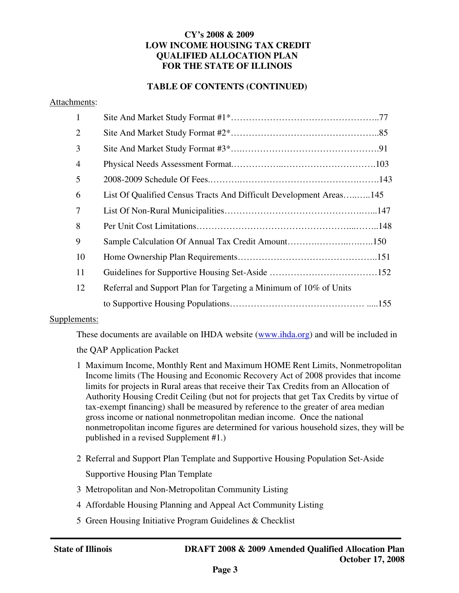### **CY's 2008 & 2009 LOW INCOME HOUSING TAX CREDIT QUALIFIED ALLOCATION PLAN FOR THE STATE OF ILLINOIS**

### **TABLE OF CONTENTS (CONTINUED)**

#### Attachments:

| $\mathbf{1}$   |                                                                    |
|----------------|--------------------------------------------------------------------|
| $\overline{2}$ |                                                                    |
| 3              |                                                                    |
| 4              |                                                                    |
| 5              |                                                                    |
| 6              | List Of Qualified Census Tracts And Difficult Development Areas145 |
| 7              |                                                                    |
| 8              |                                                                    |
| 9              | Sample Calculation Of Annual Tax Credit Amount150                  |
| 10             |                                                                    |
| 11             |                                                                    |
| 12             | Referral and Support Plan for Targeting a Minimum of 10% of Units  |
|                |                                                                    |

#### Supplements:

These documents are available on IHDA website (www.ihda.org) and will be included in

the QAP Application Packet

- 1 Maximum Income, Monthly Rent and Maximum HOME Rent Limits, Nonmetropolitan Income limits (The Housing and Economic Recovery Act of 2008 provides that income limits for projects in Rural areas that receive their Tax Credits from an Allocation of Authority Housing Credit Ceiling (but not for projects that get Tax Credits by virtue of tax-exempt financing) shall be measured by reference to the greater of area median gross income or national nonmetropolitan median income. Once the national nonmetropolitan income figures are determined for various household sizes, they will be published in a revised Supplement #1.)
- 2 Referral and Support Plan Template and Supportive Housing Population Set-Aside Supportive Housing Plan Template
- 3 Metropolitan and Non-Metropolitan Community Listing
- 4 Affordable Housing Planning and Appeal Act Community Listing
- 5 Green Housing Initiative Program Guidelines & Checklist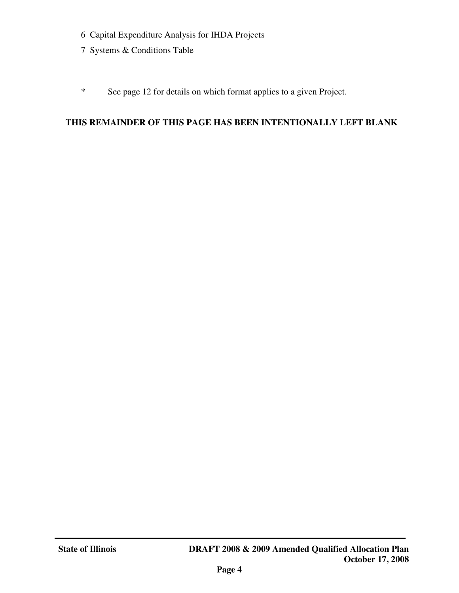- 6 Capital Expenditure Analysis for IHDA Projects
- 7 Systems & Conditions Table
- \* See page 12 for details on which format applies to a given Project.

# **THIS REMAINDER OF THIS PAGE HAS BEEN INTENTIONALLY LEFT BLANK**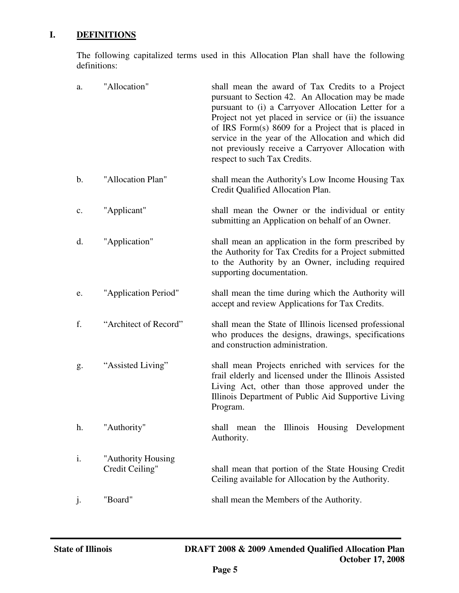# **I. DEFINITIONS**

The following capitalized terms used in this Allocation Plan shall have the following definitions:

| a.             | "Allocation"                          | shall mean the award of Tax Credits to a Project<br>pursuant to Section 42. An Allocation may be made<br>pursuant to (i) a Carryover Allocation Letter for a<br>Project not yet placed in service or (ii) the issuance<br>of IRS Form(s) 8609 for a Project that is placed in<br>service in the year of the Allocation and which did<br>not previously receive a Carryover Allocation with<br>respect to such Tax Credits. |  |  |
|----------------|---------------------------------------|----------------------------------------------------------------------------------------------------------------------------------------------------------------------------------------------------------------------------------------------------------------------------------------------------------------------------------------------------------------------------------------------------------------------------|--|--|
| b.             | "Allocation Plan"                     | shall mean the Authority's Low Income Housing Tax<br>Credit Qualified Allocation Plan.                                                                                                                                                                                                                                                                                                                                     |  |  |
| $\mathbf{c}$ . | "Applicant"                           | shall mean the Owner or the individual or entity<br>submitting an Application on behalf of an Owner.                                                                                                                                                                                                                                                                                                                       |  |  |
| d.             | "Application"                         | shall mean an application in the form prescribed by<br>the Authority for Tax Credits for a Project submitted<br>to the Authority by an Owner, including required<br>supporting documentation.                                                                                                                                                                                                                              |  |  |
| e.             | "Application Period"                  | shall mean the time during which the Authority will<br>accept and review Applications for Tax Credits.                                                                                                                                                                                                                                                                                                                     |  |  |
| f.             | "Architect of Record"                 | shall mean the State of Illinois licensed professional<br>who produces the designs, drawings, specifications<br>and construction administration.                                                                                                                                                                                                                                                                           |  |  |
| g.             | "Assisted Living"                     | shall mean Projects enriched with services for the<br>frail elderly and licensed under the Illinois Assisted<br>Living Act, other than those approved under the<br>Illinois Department of Public Aid Supportive Living<br>Program.                                                                                                                                                                                         |  |  |
| h.             | "Authority"                           | the Illinois Housing Development<br>shall<br>mean<br>Authority.                                                                                                                                                                                                                                                                                                                                                            |  |  |
| i.             | "Authority Housing<br>Credit Ceiling" | shall mean that portion of the State Housing Credit<br>Ceiling available for Allocation by the Authority.                                                                                                                                                                                                                                                                                                                  |  |  |
| j.             | "Board"                               | shall mean the Members of the Authority.                                                                                                                                                                                                                                                                                                                                                                                   |  |  |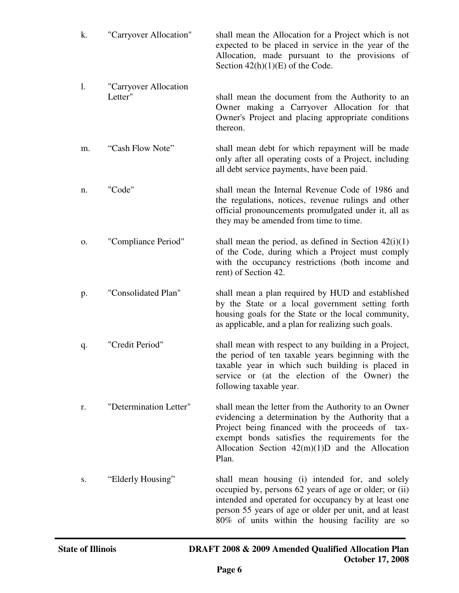| k. | "Carryover Allocation"           | shall mean the Allocation for a Project which is not<br>expected to be placed in service in the year of the<br>Allocation, made pursuant to the provisions of<br>Section $42(h)(1)(E)$ of the Code.                                                                             |
|----|----------------------------------|---------------------------------------------------------------------------------------------------------------------------------------------------------------------------------------------------------------------------------------------------------------------------------|
| 1. | "Carryover Allocation<br>Letter" | shall mean the document from the Authority to an<br>Owner making a Carryover Allocation for that<br>Owner's Project and placing appropriate conditions<br>thereon.                                                                                                              |
| m. | "Cash Flow Note"                 | shall mean debt for which repayment will be made<br>only after all operating costs of a Project, including<br>all debt service payments, have been paid.                                                                                                                        |
| n. | "Code"                           | shall mean the Internal Revenue Code of 1986 and<br>the regulations, notices, revenue rulings and other<br>official pronouncements promulgated under it, all as<br>they may be amended from time to time.                                                                       |
| 0. | "Compliance Period"              | shall mean the period, as defined in Section $42(i)(1)$<br>of the Code, during which a Project must comply<br>with the occupancy restrictions (both income and<br>rent) of Section 42.                                                                                          |
| p. | "Consolidated Plan"              | shall mean a plan required by HUD and established<br>by the State or a local government setting forth<br>housing goals for the State or the local community,<br>as applicable, and a plan for realizing such goals.                                                             |
| q. | "Credit Period"                  | shall mean with respect to any building in a Project,<br>the period of ten taxable years beginning with the<br>taxable year in which such building is placed in<br>service or (at the election of the Owner) the<br>following taxable year.                                     |
| r. | "Determination Letter"           | shall mean the letter from the Authority to an Owner<br>evidencing a determination by the Authority that a<br>Project being financed with the proceeds of tax-<br>exempt bonds satisfies the requirements for the<br>Allocation Section $42(m)(1)D$ and the Allocation<br>Plan. |
| S. | "Elderly Housing"                | shall mean housing (i) intended for, and solely<br>occupied by, persons 62 years of age or older; or (ii)<br>intended and operated for occupancy by at least one<br>person 55 years of age or older per unit, and at least<br>80% of units within the housing facility are so   |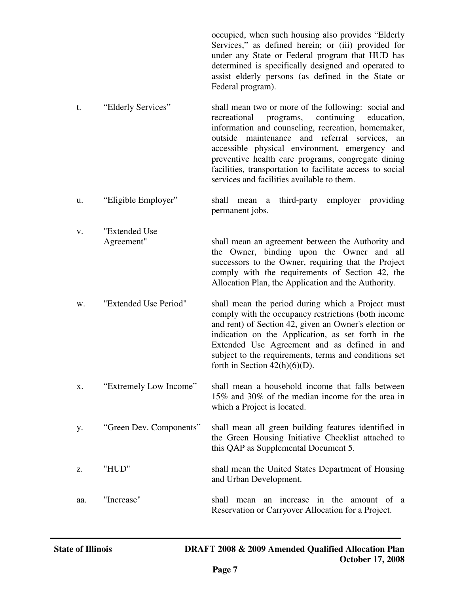occupied, when such housing also provides "Elderly Services," as defined herein; or (iii) provided for under any State or Federal program that HUD has determined is specifically designed and operated to assist elderly persons (as defined in the State or Federal program).

- t. "Elderly Services" shall mean two or more of the following: social and recreational programs, continuing education, information and counseling, recreation, homemaker, outside maintenance and referral services, an accessible physical environment, emergency and preventive health care programs, congregate dining facilities, transportation to facilitate access to social services and facilities available to them.
- u. "Eligible Employer" shall mean a third-party employer providing permanent jobs.

 v. "Extended Use Agreement" shall mean an agreement between the Authority and the Owner, binding upon the Owner and all successors to the Owner, requiring that the Project comply with the requirements of Section 42, the Allocation Plan, the Application and the Authority.

w. "Extended Use Period" shall mean the period during which a Project must comply with the occupancy restrictions (both income and rent) of Section 42, given an Owner's election or indication on the Application, as set forth in the Extended Use Agreement and as defined in and subject to the requirements, terms and conditions set forth in Section  $42(h)(6)(D)$ .

x. "Extremely Low Income" shall mean a household income that falls between 15% and 30% of the median income for the area in which a Project is located.

y. "Green Dev. Components" shall mean all green building features identified in the Green Housing Initiative Checklist attached to this QAP as Supplemental Document 5.

z. "HUD" shall mean the United States Department of Housing and Urban Development.

aa. "Increase" shall mean an increase in the amount of a Reservation or Carryover Allocation for a Project.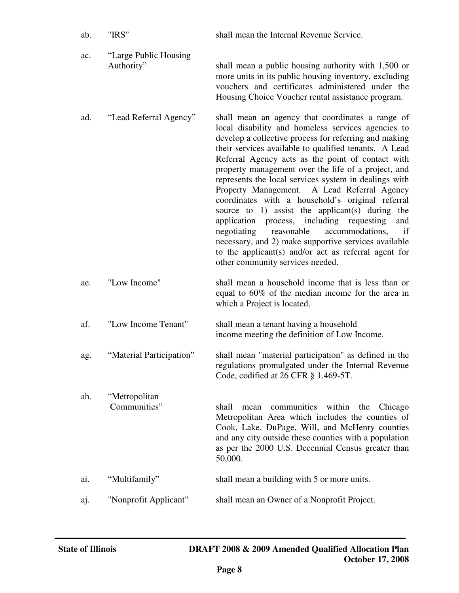| ab. | "IRS"                                | shall mean the Internal Revenue Service.                                                                                                                                                                                                                                                                                                                                                                                                                                                                                                                                                                                                                                                                                                                                                                          |
|-----|--------------------------------------|-------------------------------------------------------------------------------------------------------------------------------------------------------------------------------------------------------------------------------------------------------------------------------------------------------------------------------------------------------------------------------------------------------------------------------------------------------------------------------------------------------------------------------------------------------------------------------------------------------------------------------------------------------------------------------------------------------------------------------------------------------------------------------------------------------------------|
| ac. | "Large Public Housing"<br>Authority" | shall mean a public housing authority with 1,500 or<br>more units in its public housing inventory, excluding<br>vouchers and certificates administered under the<br>Housing Choice Voucher rental assistance program.                                                                                                                                                                                                                                                                                                                                                                                                                                                                                                                                                                                             |
| ad. | "Lead Referral Agency"               | shall mean an agency that coordinates a range of<br>local disability and homeless services agencies to<br>develop a collective process for referring and making<br>their services available to qualified tenants. A Lead<br>Referral Agency acts as the point of contact with<br>property management over the life of a project, and<br>represents the local services system in dealings with<br>Property Management. A Lead Referral Agency<br>coordinates with a household's original referral<br>source to 1) assist the applicant(s) during the<br>application process, including requesting<br>and<br>reasonable<br>negotiating<br>accommodations,<br>if<br>necessary, and 2) make supportive services available<br>to the applicant(s) and/or act as referral agent for<br>other community services needed. |
| ae. | "Low Income"                         | shall mean a household income that is less than or<br>equal to 60% of the median income for the area in<br>which a Project is located.                                                                                                                                                                                                                                                                                                                                                                                                                                                                                                                                                                                                                                                                            |
| af. | "Low Income Tenant"                  | shall mean a tenant having a household<br>income meeting the definition of Low Income.                                                                                                                                                                                                                                                                                                                                                                                                                                                                                                                                                                                                                                                                                                                            |
| ag. | "Material Participation"             | shall mean "material participation" as defined in the<br>regulations promulgated under the Internal Revenue<br>Code, codified at 26 CFR § 1.469-5T.                                                                                                                                                                                                                                                                                                                                                                                                                                                                                                                                                                                                                                                               |
| ah. | "Metropolitan<br>Communities"        | communities within the<br>shall<br>Chicago<br>mean<br>Metropolitan Area which includes the counties of<br>Cook, Lake, DuPage, Will, and McHenry counties<br>and any city outside these counties with a population<br>as per the 2000 U.S. Decennial Census greater than<br>50,000.                                                                                                                                                                                                                                                                                                                                                                                                                                                                                                                                |
| ai. | "Multifamily"                        | shall mean a building with 5 or more units.                                                                                                                                                                                                                                                                                                                                                                                                                                                                                                                                                                                                                                                                                                                                                                       |
| aj. | "Nonprofit Applicant"                | shall mean an Owner of a Nonprofit Project.                                                                                                                                                                                                                                                                                                                                                                                                                                                                                                                                                                                                                                                                                                                                                                       |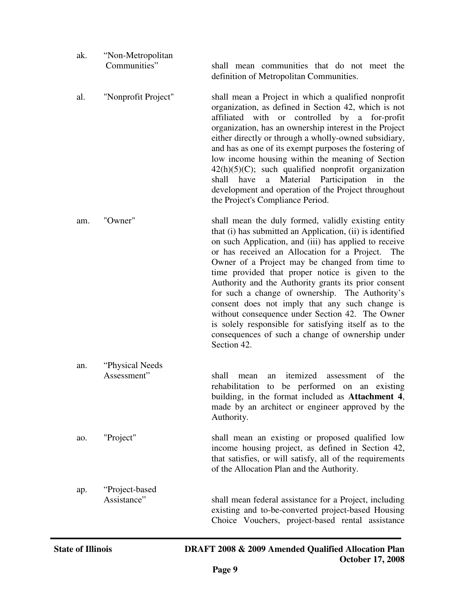| ak. | "Non-Metropolitan              |                                                                                                                                                                                                                                                                                                                                                                                                                                                                                                                                                                                                                                                                                 |
|-----|--------------------------------|---------------------------------------------------------------------------------------------------------------------------------------------------------------------------------------------------------------------------------------------------------------------------------------------------------------------------------------------------------------------------------------------------------------------------------------------------------------------------------------------------------------------------------------------------------------------------------------------------------------------------------------------------------------------------------|
|     | Communities"                   | shall mean communities that do not meet the<br>definition of Metropolitan Communities.                                                                                                                                                                                                                                                                                                                                                                                                                                                                                                                                                                                          |
| al. | "Nonprofit Project"            | shall mean a Project in which a qualified nonprofit<br>organization, as defined in Section 42, which is not<br>affiliated with or controlled by a for-profit<br>organization, has an ownership interest in the Project<br>either directly or through a wholly-owned subsidiary,<br>and has as one of its exempt purposes the fostering of<br>low income housing within the meaning of Section<br>$42(h)(5)(C)$ ; such qualified nonprofit organization<br>a Material Participation in<br>shall have<br>the<br>development and operation of the Project throughout<br>the Project's Compliance Period.                                                                           |
| am. | "Owner"                        | shall mean the duly formed, validly existing entity<br>that (i) has submitted an Application, (ii) is identified<br>on such Application, and (iii) has applied to receive<br>or has received an Allocation for a Project. The<br>Owner of a Project may be changed from time to<br>time provided that proper notice is given to the<br>Authority and the Authority grants its prior consent<br>for such a change of ownership. The Authority's<br>consent does not imply that any such change is<br>without consequence under Section 42. The Owner<br>is solely responsible for satisfying itself as to the<br>consequences of such a change of ownership under<br>Section 42. |
| an. | "Physical Needs<br>Assessment" | itemized<br>shall<br>of<br>the<br>assessment<br>mean<br>an<br>rehabilitation to be performed on an existing<br>building, in the format included as Attachment 4,<br>made by an architect or engineer approved by the<br>Authority.                                                                                                                                                                                                                                                                                                                                                                                                                                              |
| ao. | "Project"                      | shall mean an existing or proposed qualified low<br>income housing project, as defined in Section 42,<br>that satisfies, or will satisfy, all of the requirements<br>of the Allocation Plan and the Authority.                                                                                                                                                                                                                                                                                                                                                                                                                                                                  |
| ap. | "Project-based<br>Assistance"  | shall mean federal assistance for a Project, including<br>existing and to-be-converted project-based Housing<br>Choice Vouchers, project-based rental assistance                                                                                                                                                                                                                                                                                                                                                                                                                                                                                                                |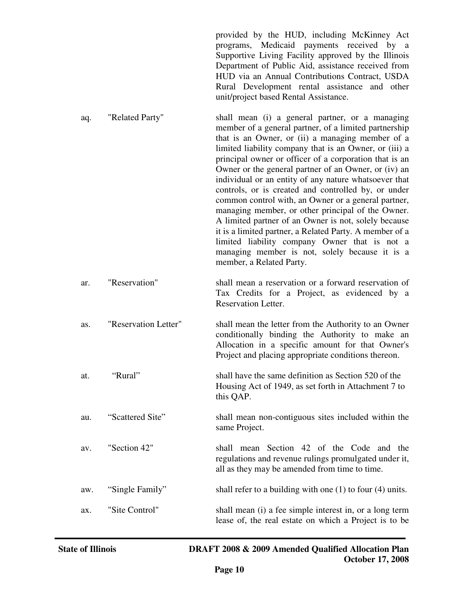provided by the HUD, including McKinney Act programs, Medicaid payments received by a Supportive Living Facility approved by the Illinois Department of Public Aid, assistance received from HUD via an Annual Contributions Contract, USDA Rural Development rental assistance and other unit/project based Rental Assistance.

- aq. "Related Party" shall mean (i) a general partner, or a managing member of a general partner, of a limited partnership that is an Owner, or (ii) a managing member of a limited liability company that is an Owner, or (iii) a principal owner or officer of a corporation that is an Owner or the general partner of an Owner, or (iv) an individual or an entity of any nature whatsoever that controls, or is created and controlled by, or under common control with, an Owner or a general partner, managing member, or other principal of the Owner. A limited partner of an Owner is not, solely because it is a limited partner, a Related Party. A member of a limited liability company Owner that is not a managing member is not, solely because it is a member, a Related Party.
- ar. "Reservation" shall mean a reservation or a forward reservation of Tax Credits for a Project, as evidenced by a Reservation Letter.
- as. "Reservation Letter" shall mean the letter from the Authority to an Owner conditionally binding the Authority to make an Allocation in a specific amount for that Owner's Project and placing appropriate conditions thereon.
- at. "Rural" shall have the same definition as Section 520 of the Housing Act of 1949, as set forth in Attachment 7 to this QAP.
- au. "Scattered Site" shall mean non-contiguous sites included within the same Project.
- av. "Section 42" shall mean Section 42 of the Code and the regulations and revenue rulings promulgated under it, all as they may be amended from time to time.
- aw. "Single Family" shall refer to a building with one (1) to four (4) units.
- ax. "Site Control" shall mean (i) a fee simple interest in, or a long term lease of, the real estate on which a Project is to be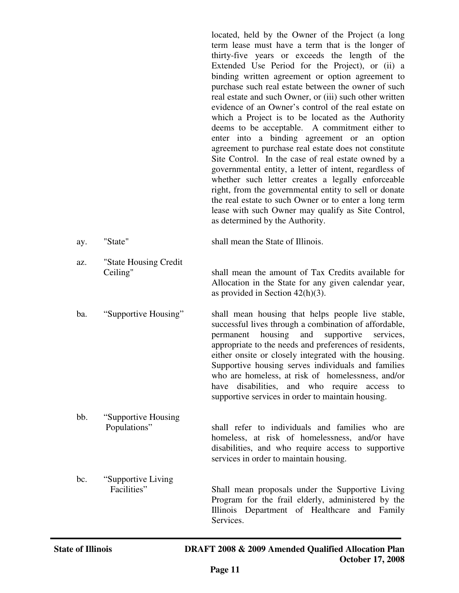located, held by the Owner of the Project (a long term lease must have a term that is the longer of thirty-five years or exceeds the length of the Extended Use Period for the Project), or (ii) a binding written agreement or option agreement to purchase such real estate between the owner of such real estate and such Owner, or (iii) such other written evidence of an Owner's control of the real estate on which a Project is to be located as the Authority deems to be acceptable. A commitment either to enter into a binding agreement or an option agreement to purchase real estate does not constitute Site Control. In the case of real estate owned by a governmental entity, a letter of intent, regardless of whether such letter creates a legally enforceable right, from the governmental entity to sell or donate the real estate to such Owner or to enter a long term lease with such Owner may qualify as Site Control, as determined by the Authority.

- ay. "State" shall mean the State of Illinois.
- az. "State Housing Credit Ceiling" shall mean the amount of Tax Credits available for Allocation in the State for any given calendar year, as provided in Section 42(h)(3).
- ba. "Supportive Housing" shall mean housing that helps people live stable, successful lives through a combination of affordable, permanent housing and supportive services, appropriate to the needs and preferences of residents, either onsite or closely integrated with the housing. Supportive housing serves individuals and families who are homeless, at risk of homelessness, and/or have disabilities, and who require access to supportive services in order to maintain housing.
- bb. "Supportive Housing Populations" shall refer to individuals and families who are homeless, at risk of homelessness, and/or have disabilities, and who require access to supportive services in order to maintain housing.
- bc. "Supportive Living Facilities" Shall mean proposals under the Supportive Living Program for the frail elderly, administered by the Illinois Department of Healthcare and Family Services.

j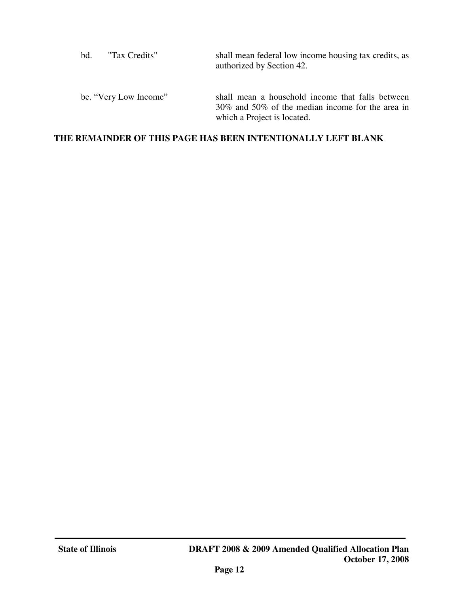| "Tax Credits"         | shall mean federal low income housing tax credits, as                                                                               |
|-----------------------|-------------------------------------------------------------------------------------------------------------------------------------|
| bd.                   | authorized by Section 42.                                                                                                           |
| be. "Very Low Income" | shall mean a household income that falls between<br>30% and 50% of the median income for the area in<br>which a Project is located. |

# **THE REMAINDER OF THIS PAGE HAS BEEN INTENTIONALLY LEFT BLANK**

j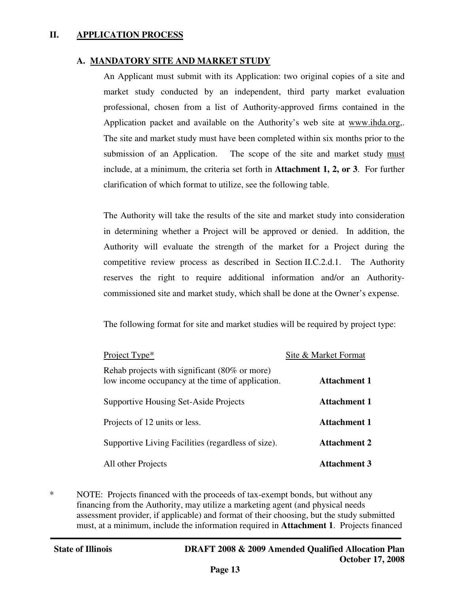#### **II. APPLICATION PROCESS**

### **A. MANDATORY SITE AND MARKET STUDY**

An Applicant must submit with its Application: two original copies of a site and market study conducted by an independent, third party market evaluation professional, chosen from a list of Authority-approved firms contained in the Application packet and available on the Authority's web site at www.ihda.org,. The site and market study must have been completed within six months prior to the submission of an Application. The scope of the site and market study must include, at a minimum, the criteria set forth in **Attachment 1, 2, or 3**. For further clarification of which format to utilize, see the following table.

The Authority will take the results of the site and market study into consideration in determining whether a Project will be approved or denied. In addition, the Authority will evaluate the strength of the market for a Project during the competitive review process as described in Section II.C.2.d.1. The Authority reserves the right to require additional information and/or an Authoritycommissioned site and market study, which shall be done at the Owner's expense.

The following format for site and market studies will be required by project type:

| Project Type*                                                                                     | Site & Market Format |
|---------------------------------------------------------------------------------------------------|----------------------|
| Rehab projects with significant (80% or more)<br>low income occupancy at the time of application. | <b>Attachment 1</b>  |
| Supportive Housing Set-Aside Projects                                                             | <b>Attachment 1</b>  |
| Projects of 12 units or less.                                                                     | <b>Attachment 1</b>  |
| Supportive Living Facilities (regardless of size).                                                | <b>Attachment 2</b>  |
| All other Projects                                                                                | <b>Attachment 3</b>  |

\* NOTE: Projects financed with the proceeds of tax-exempt bonds, but without any financing from the Authority, may utilize a marketing agent (and physical needs assessment provider, if applicable) and format of their choosing, but the study submitted must, at a minimum, include the information required in **Attachment 1**. Projects financed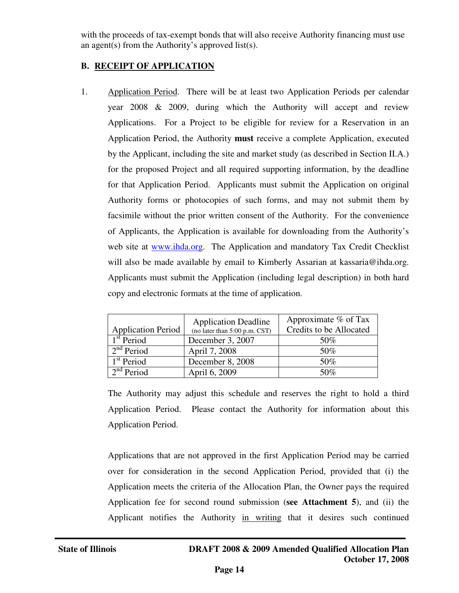with the proceeds of tax-exempt bonds that will also receive Authority financing must use an agent(s) from the Authority's approved list(s).

# **B. RECEIPT OF APPLICATION**

1. Application Period. There will be at least two Application Periods per calendar year 2008 & 2009, during which the Authority will accept and review Applications. For a Project to be eligible for review for a Reservation in an Application Period, the Authority **must** receive a complete Application, executed by the Applicant, including the site and market study (as described in Section II.A.) for the proposed Project and all required supporting information, by the deadline for that Application Period. Applicants must submit the Application on original Authority forms or photocopies of such forms, and may not submit them by facsimile without the prior written consent of the Authority. For the convenience of Applicants, the Application is available for downloading from the Authority's web site at www.ihda.org. The Application and mandatory Tax Credit Checklist will also be made available by email to Kimberly Assarian at kassaria@ihda.org. Applicants must submit the Application (including legal description) in both hard copy and electronic formats at the time of application.

| <b>Application Period</b> | <b>Application Deadline</b><br>(no later than 5:00 p.m. CST) | Approximate % of Tax<br>Credits to be Allocated |
|---------------------------|--------------------------------------------------------------|-------------------------------------------------|
| 1 <sup>st</sup> Period    | December 3, 2007                                             | 50%                                             |
| $2nd$ Period              | April 7, 2008                                                | 50%                                             |
| 1 <sup>st</sup> Period    | December 8, 2008                                             | 50%                                             |
| 2 <sup>nd</sup> Period    | April 6, 2009                                                | 50\%                                            |

The Authority may adjust this schedule and reserves the right to hold a third Application Period. Please contact the Authority for information about this Application Period.

Applications that are not approved in the first Application Period may be carried over for consideration in the second Application Period, provided that (i) the Application meets the criteria of the Allocation Plan, the Owner pays the required Application fee for second round submission (**see Attachment 5**), and (ii) the Applicant notifies the Authority in writing that it desires such continued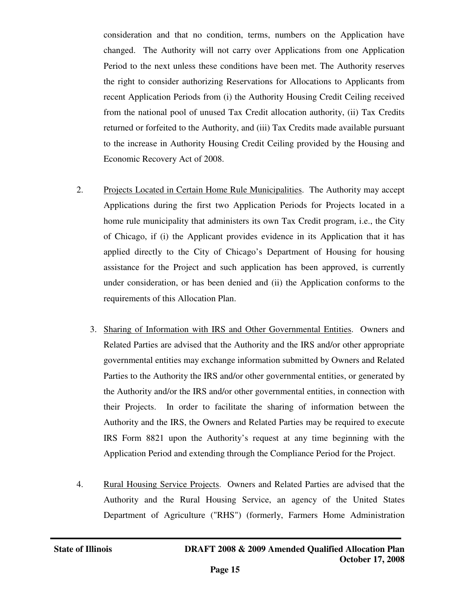consideration and that no condition, terms, numbers on the Application have changed. The Authority will not carry over Applications from one Application Period to the next unless these conditions have been met. The Authority reserves the right to consider authorizing Reservations for Allocations to Applicants from recent Application Periods from (i) the Authority Housing Credit Ceiling received from the national pool of unused Tax Credit allocation authority, (ii) Tax Credits returned or forfeited to the Authority, and (iii) Tax Credits made available pursuant to the increase in Authority Housing Credit Ceiling provided by the Housing and Economic Recovery Act of 2008.

- 2. Projects Located in Certain Home Rule Municipalities. The Authority may accept Applications during the first two Application Periods for Projects located in a home rule municipality that administers its own Tax Credit program, i.e., the City of Chicago, if (i) the Applicant provides evidence in its Application that it has applied directly to the City of Chicago's Department of Housing for housing assistance for the Project and such application has been approved, is currently under consideration, or has been denied and (ii) the Application conforms to the requirements of this Allocation Plan.
	- 3. Sharing of Information with IRS and Other Governmental Entities. Owners and Related Parties are advised that the Authority and the IRS and/or other appropriate governmental entities may exchange information submitted by Owners and Related Parties to the Authority the IRS and/or other governmental entities, or generated by the Authority and/or the IRS and/or other governmental entities, in connection with their Projects. In order to facilitate the sharing of information between the Authority and the IRS, the Owners and Related Parties may be required to execute IRS Form 8821 upon the Authority's request at any time beginning with the Application Period and extending through the Compliance Period for the Project.
- 4. Rural Housing Service Projects. Owners and Related Parties are advised that the Authority and the Rural Housing Service, an agency of the United States Department of Agriculture ("RHS") (formerly, Farmers Home Administration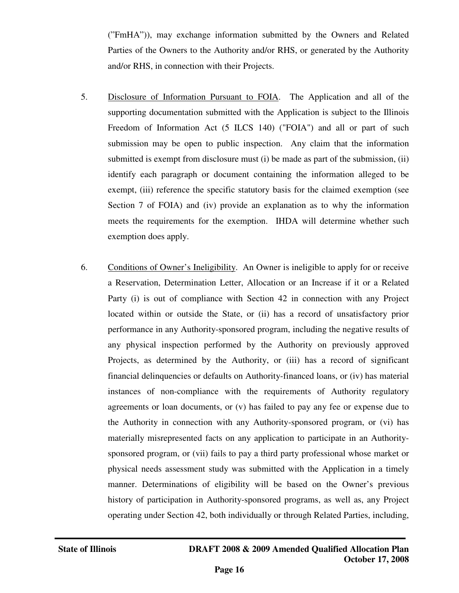("FmHA")), may exchange information submitted by the Owners and Related Parties of the Owners to the Authority and/or RHS, or generated by the Authority and/or RHS, in connection with their Projects.

- 5. Disclosure of Information Pursuant to FOIA. The Application and all of the supporting documentation submitted with the Application is subject to the Illinois Freedom of Information Act (5 ILCS 140) ("FOIA") and all or part of such submission may be open to public inspection. Any claim that the information submitted is exempt from disclosure must (i) be made as part of the submission, (ii) identify each paragraph or document containing the information alleged to be exempt, (iii) reference the specific statutory basis for the claimed exemption (see Section 7 of FOIA) and (iv) provide an explanation as to why the information meets the requirements for the exemption. IHDA will determine whether such exemption does apply.
- 6. Conditions of Owner's Ineligibility. An Owner is ineligible to apply for or receive a Reservation, Determination Letter, Allocation or an Increase if it or a Related Party (i) is out of compliance with Section 42 in connection with any Project located within or outside the State, or (ii) has a record of unsatisfactory prior performance in any Authority-sponsored program, including the negative results of any physical inspection performed by the Authority on previously approved Projects, as determined by the Authority, or (iii) has a record of significant financial delinquencies or defaults on Authority-financed loans, or (iv) has material instances of non-compliance with the requirements of Authority regulatory agreements or loan documents, or (v) has failed to pay any fee or expense due to the Authority in connection with any Authority-sponsored program, or (vi) has materially misrepresented facts on any application to participate in an Authoritysponsored program, or (vii) fails to pay a third party professional whose market or physical needs assessment study was submitted with the Application in a timely manner. Determinations of eligibility will be based on the Owner's previous history of participation in Authority-sponsored programs, as well as, any Project operating under Section 42, both individually or through Related Parties, including,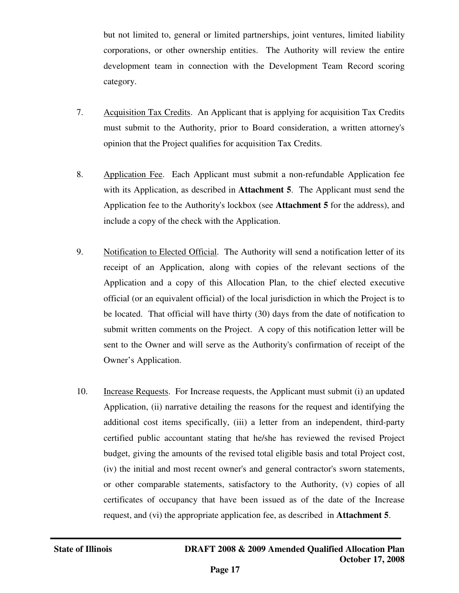but not limited to, general or limited partnerships, joint ventures, limited liability corporations, or other ownership entities. The Authority will review the entire development team in connection with the Development Team Record scoring category.

- 7. Acquisition Tax Credits. An Applicant that is applying for acquisition Tax Credits must submit to the Authority, prior to Board consideration, a written attorney's opinion that the Project qualifies for acquisition Tax Credits.
- 8. Application Fee. Each Applicant must submit a non-refundable Application fee with its Application, as described in **Attachment 5**. The Applicant must send the Application fee to the Authority's lockbox (see **Attachment 5** for the address), and include a copy of the check with the Application.
- 9. Notification to Elected Official. The Authority will send a notification letter of its receipt of an Application, along with copies of the relevant sections of the Application and a copy of this Allocation Plan, to the chief elected executive official (or an equivalent official) of the local jurisdiction in which the Project is to be located. That official will have thirty (30) days from the date of notification to submit written comments on the Project. A copy of this notification letter will be sent to the Owner and will serve as the Authority's confirmation of receipt of the Owner's Application.
- 10. Increase Requests. For Increase requests, the Applicant must submit (i) an updated Application, (ii) narrative detailing the reasons for the request and identifying the additional cost items specifically, (iii) a letter from an independent, third-party certified public accountant stating that he/she has reviewed the revised Project budget, giving the amounts of the revised total eligible basis and total Project cost, (iv) the initial and most recent owner's and general contractor's sworn statements, or other comparable statements, satisfactory to the Authority, (v) copies of all certificates of occupancy that have been issued as of the date of the Increase request, and (vi) the appropriate application fee, as described in **Attachment 5**.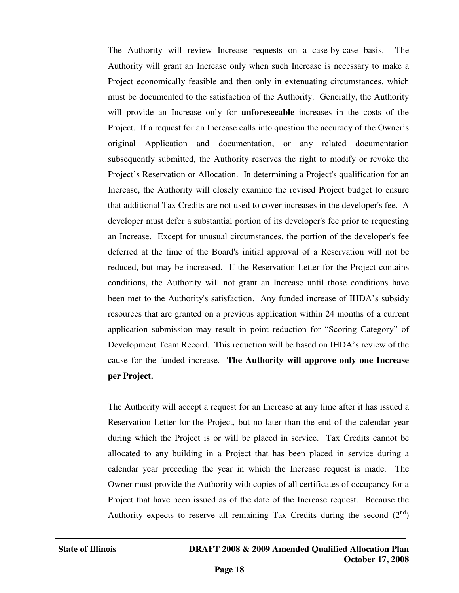The Authority will review Increase requests on a case-by-case basis. The Authority will grant an Increase only when such Increase is necessary to make a Project economically feasible and then only in extenuating circumstances, which must be documented to the satisfaction of the Authority. Generally, the Authority will provide an Increase only for **unforeseeable** increases in the costs of the Project. If a request for an Increase calls into question the accuracy of the Owner's original Application and documentation, or any related documentation subsequently submitted, the Authority reserves the right to modify or revoke the Project's Reservation or Allocation. In determining a Project's qualification for an Increase, the Authority will closely examine the revised Project budget to ensure that additional Tax Credits are not used to cover increases in the developer's fee. A developer must defer a substantial portion of its developer's fee prior to requesting an Increase. Except for unusual circumstances, the portion of the developer's fee deferred at the time of the Board's initial approval of a Reservation will not be reduced, but may be increased. If the Reservation Letter for the Project contains conditions, the Authority will not grant an Increase until those conditions have been met to the Authority's satisfaction. Any funded increase of IHDA's subsidy resources that are granted on a previous application within 24 months of a current application submission may result in point reduction for "Scoring Category" of Development Team Record. This reduction will be based on IHDA's review of the cause for the funded increase. **The Authority will approve only one Increase per Project.**

The Authority will accept a request for an Increase at any time after it has issued a Reservation Letter for the Project, but no later than the end of the calendar year during which the Project is or will be placed in service. Tax Credits cannot be allocated to any building in a Project that has been placed in service during a calendar year preceding the year in which the Increase request is made. The Owner must provide the Authority with copies of all certificates of occupancy for a Project that have been issued as of the date of the Increase request. Because the Authority expects to reserve all remaining Tax Credits during the second  $(2^{nd})$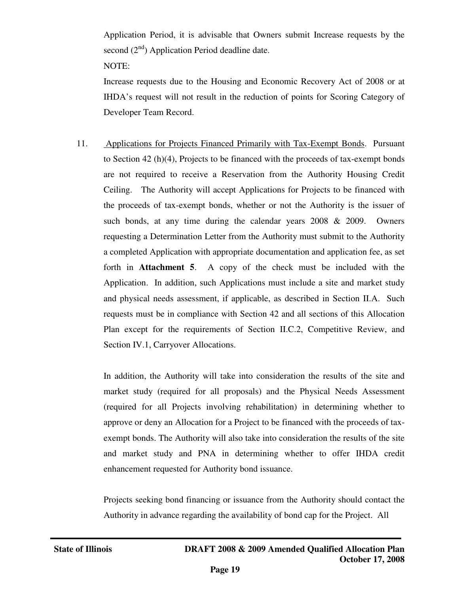Application Period, it is advisable that Owners submit Increase requests by the second  $(2<sup>nd</sup>)$  Application Period deadline date.

NOTE:

Increase requests due to the Housing and Economic Recovery Act of 2008 or at IHDA's request will not result in the reduction of points for Scoring Category of Developer Team Record.

11. Applications for Projects Financed Primarily with Tax-Exempt Bonds. Pursuant to Section 42 (h)(4), Projects to be financed with the proceeds of tax-exempt bonds are not required to receive a Reservation from the Authority Housing Credit Ceiling. The Authority will accept Applications for Projects to be financed with the proceeds of tax-exempt bonds, whether or not the Authority is the issuer of such bonds, at any time during the calendar years 2008 & 2009. Owners requesting a Determination Letter from the Authority must submit to the Authority a completed Application with appropriate documentation and application fee, as set forth in **Attachment 5**. A copy of the check must be included with the Application. In addition, such Applications must include a site and market study and physical needs assessment, if applicable, as described in Section II.A. Such requests must be in compliance with Section 42 and all sections of this Allocation Plan except for the requirements of Section II.C.2, Competitive Review, and Section IV.1, Carryover Allocations.

In addition, the Authority will take into consideration the results of the site and market study (required for all proposals) and the Physical Needs Assessment (required for all Projects involving rehabilitation) in determining whether to approve or deny an Allocation for a Project to be financed with the proceeds of taxexempt bonds. The Authority will also take into consideration the results of the site and market study and PNA in determining whether to offer IHDA credit enhancement requested for Authority bond issuance.

Projects seeking bond financing or issuance from the Authority should contact the Authority in advance regarding the availability of bond cap for the Project. All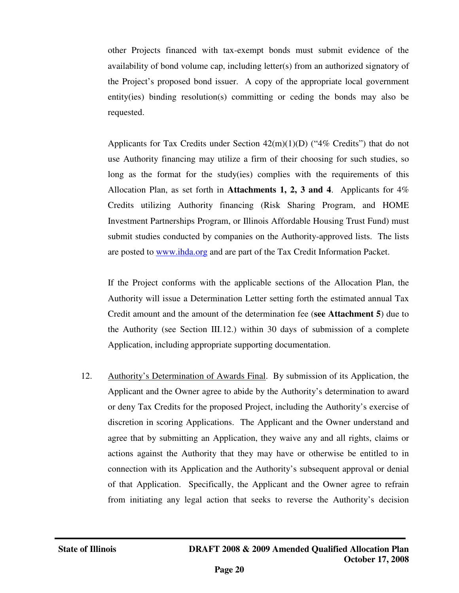other Projects financed with tax-exempt bonds must submit evidence of the availability of bond volume cap, including letter(s) from an authorized signatory of the Project's proposed bond issuer. A copy of the appropriate local government entity(ies) binding resolution(s) committing or ceding the bonds may also be requested.

Applicants for Tax Credits under Section  $42(m)(1)(D)$  ("4% Credits") that do not use Authority financing may utilize a firm of their choosing for such studies, so long as the format for the study(ies) complies with the requirements of this Allocation Plan, as set forth in **Attachments 1, 2, 3 and 4**. Applicants for 4% Credits utilizing Authority financing (Risk Sharing Program, and HOME Investment Partnerships Program, or Illinois Affordable Housing Trust Fund) must submit studies conducted by companies on the Authority-approved lists. The lists are posted to www.ihda.org and are part of the Tax Credit Information Packet.

If the Project conforms with the applicable sections of the Allocation Plan, the Authority will issue a Determination Letter setting forth the estimated annual Tax Credit amount and the amount of the determination fee (**see Attachment 5**) due to the Authority (see Section III.12.) within 30 days of submission of a complete Application, including appropriate supporting documentation.

12. Authority's Determination of Awards Final. By submission of its Application, the Applicant and the Owner agree to abide by the Authority's determination to award or deny Tax Credits for the proposed Project, including the Authority's exercise of discretion in scoring Applications. The Applicant and the Owner understand and agree that by submitting an Application, they waive any and all rights, claims or actions against the Authority that they may have or otherwise be entitled to in connection with its Application and the Authority's subsequent approval or denial of that Application. Specifically, the Applicant and the Owner agree to refrain from initiating any legal action that seeks to reverse the Authority's decision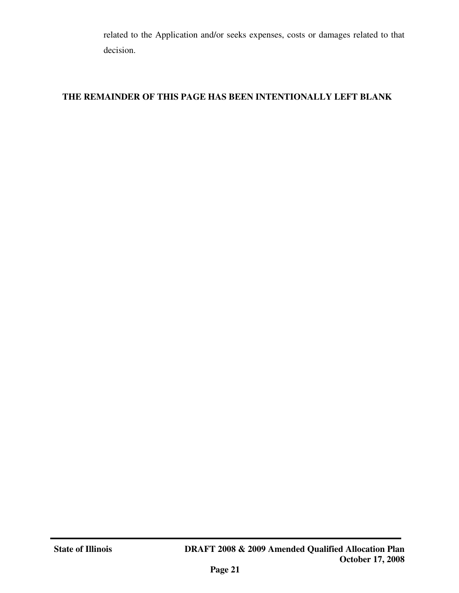related to the Application and/or seeks expenses, costs or damages related to that decision.

# **THE REMAINDER OF THIS PAGE HAS BEEN INTENTIONALLY LEFT BLANK**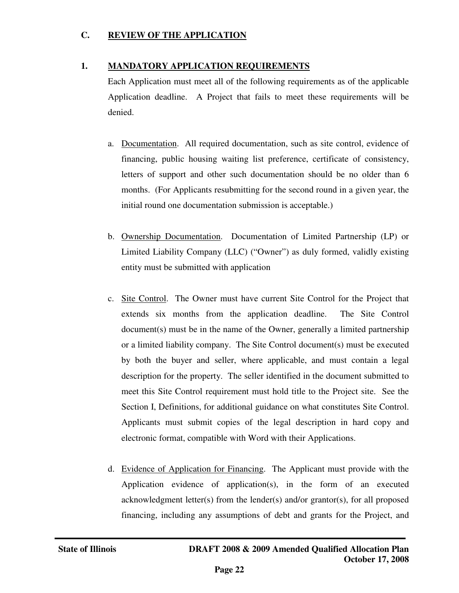### **C. REVIEW OF THE APPLICATION**

### **1. MANDATORY APPLICATION REQUIREMENTS**

Each Application must meet all of the following requirements as of the applicable Application deadline. A Project that fails to meet these requirements will be denied.

- a. Documentation. All required documentation, such as site control, evidence of financing, public housing waiting list preference, certificate of consistency, letters of support and other such documentation should be no older than 6 months. (For Applicants resubmitting for the second round in a given year, the initial round one documentation submission is acceptable.)
- b. Ownership Documentation. Documentation of Limited Partnership (LP) or Limited Liability Company (LLC) ("Owner") as duly formed, validly existing entity must be submitted with application
- c. Site Control. The Owner must have current Site Control for the Project that extends six months from the application deadline. The Site Control document(s) must be in the name of the Owner, generally a limited partnership or a limited liability company. The Site Control document(s) must be executed by both the buyer and seller, where applicable, and must contain a legal description for the property. The seller identified in the document submitted to meet this Site Control requirement must hold title to the Project site. See the Section I, Definitions, for additional guidance on what constitutes Site Control. Applicants must submit copies of the legal description in hard copy and electronic format, compatible with Word with their Applications.
- d. Evidence of Application for Financing. The Applicant must provide with the Application evidence of application(s), in the form of an executed acknowledgment letter(s) from the lender(s) and/or grantor(s), for all proposed financing, including any assumptions of debt and grants for the Project, and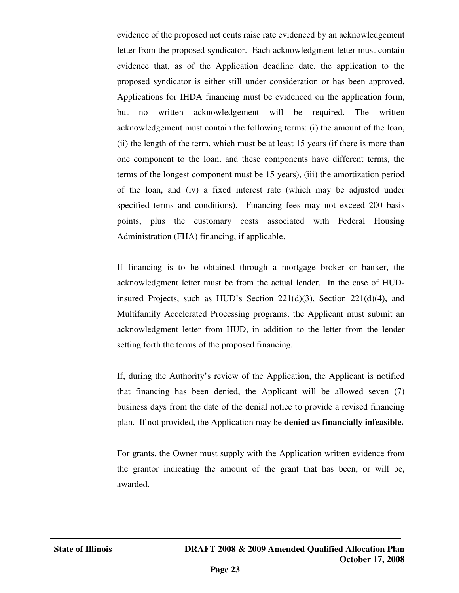evidence of the proposed net cents raise rate evidenced by an acknowledgement letter from the proposed syndicator. Each acknowledgment letter must contain evidence that, as of the Application deadline date, the application to the proposed syndicator is either still under consideration or has been approved. Applications for IHDA financing must be evidenced on the application form, but no written acknowledgement will be required. The written acknowledgement must contain the following terms: (i) the amount of the loan, (ii) the length of the term, which must be at least 15 years (if there is more than one component to the loan, and these components have different terms, the terms of the longest component must be 15 years), (iii) the amortization period of the loan, and (iv) a fixed interest rate (which may be adjusted under specified terms and conditions). Financing fees may not exceed 200 basis points, plus the customary costs associated with Federal Housing Administration (FHA) financing, if applicable.

If financing is to be obtained through a mortgage broker or banker, the acknowledgment letter must be from the actual lender. In the case of HUDinsured Projects, such as HUD's Section  $221(d)(3)$ , Section  $221(d)(4)$ , and Multifamily Accelerated Processing programs, the Applicant must submit an acknowledgment letter from HUD, in addition to the letter from the lender setting forth the terms of the proposed financing.

If, during the Authority's review of the Application, the Applicant is notified that financing has been denied, the Applicant will be allowed seven (7) business days from the date of the denial notice to provide a revised financing plan. If not provided, the Application may be **denied as financially infeasible.** 

For grants, the Owner must supply with the Application written evidence from the grantor indicating the amount of the grant that has been, or will be, awarded.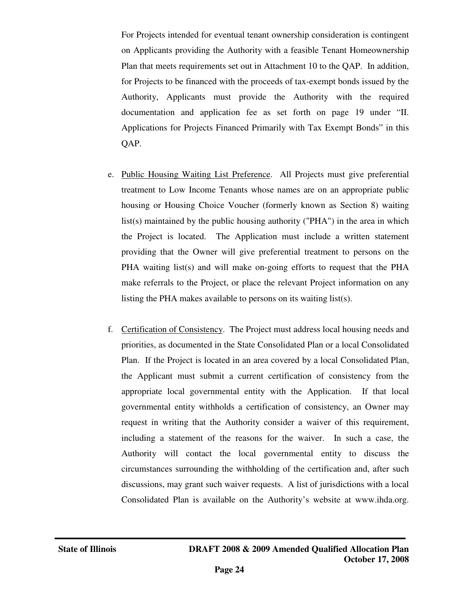For Projects intended for eventual tenant ownership consideration is contingent on Applicants providing the Authority with a feasible Tenant Homeownership Plan that meets requirements set out in Attachment 10 to the QAP. In addition, for Projects to be financed with the proceeds of tax-exempt bonds issued by the Authority, Applicants must provide the Authority with the required documentation and application fee as set forth on page 19 under "II. Applications for Projects Financed Primarily with Tax Exempt Bonds" in this QAP.

- e. Public Housing Waiting List Preference. All Projects must give preferential treatment to Low Income Tenants whose names are on an appropriate public housing or Housing Choice Voucher (formerly known as Section 8) waiting list(s) maintained by the public housing authority ("PHA") in the area in which the Project is located. The Application must include a written statement providing that the Owner will give preferential treatment to persons on the PHA waiting list(s) and will make on-going efforts to request that the PHA make referrals to the Project, or place the relevant Project information on any listing the PHA makes available to persons on its waiting list(s).
- f. Certification of Consistency. The Project must address local housing needs and priorities, as documented in the State Consolidated Plan or a local Consolidated Plan. If the Project is located in an area covered by a local Consolidated Plan, the Applicant must submit a current certification of consistency from the appropriate local governmental entity with the Application. If that local governmental entity withholds a certification of consistency, an Owner may request in writing that the Authority consider a waiver of this requirement, including a statement of the reasons for the waiver. In such a case, the Authority will contact the local governmental entity to discuss the circumstances surrounding the withholding of the certification and, after such discussions, may grant such waiver requests. A list of jurisdictions with a local Consolidated Plan is available on the Authority's website at www.ihda.org.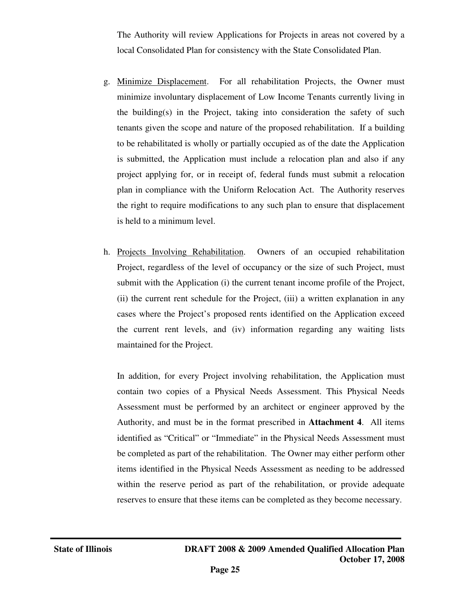The Authority will review Applications for Projects in areas not covered by a local Consolidated Plan for consistency with the State Consolidated Plan.

- g. Minimize Displacement. For all rehabilitation Projects, the Owner must minimize involuntary displacement of Low Income Tenants currently living in the building(s) in the Project, taking into consideration the safety of such tenants given the scope and nature of the proposed rehabilitation. If a building to be rehabilitated is wholly or partially occupied as of the date the Application is submitted, the Application must include a relocation plan and also if any project applying for, or in receipt of, federal funds must submit a relocation plan in compliance with the Uniform Relocation Act. The Authority reserves the right to require modifications to any such plan to ensure that displacement is held to a minimum level.
- h. Projects Involving Rehabilitation. Owners of an occupied rehabilitation Project, regardless of the level of occupancy or the size of such Project, must submit with the Application (i) the current tenant income profile of the Project, (ii) the current rent schedule for the Project, (iii) a written explanation in any cases where the Project's proposed rents identified on the Application exceed the current rent levels, and (iv) information regarding any waiting lists maintained for the Project.

In addition, for every Project involving rehabilitation, the Application must contain two copies of a Physical Needs Assessment. This Physical Needs Assessment must be performed by an architect or engineer approved by the Authority, and must be in the format prescribed in **Attachment 4**. All items identified as "Critical" or "Immediate" in the Physical Needs Assessment must be completed as part of the rehabilitation. The Owner may either perform other items identified in the Physical Needs Assessment as needing to be addressed within the reserve period as part of the rehabilitation, or provide adequate reserves to ensure that these items can be completed as they become necessary.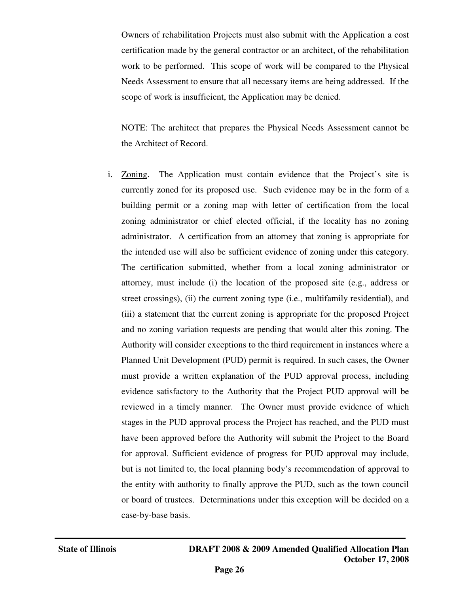Owners of rehabilitation Projects must also submit with the Application a cost certification made by the general contractor or an architect, of the rehabilitation work to be performed. This scope of work will be compared to the Physical Needs Assessment to ensure that all necessary items are being addressed. If the scope of work is insufficient, the Application may be denied.

NOTE: The architect that prepares the Physical Needs Assessment cannot be the Architect of Record.

i. Zoning. The Application must contain evidence that the Project's site is currently zoned for its proposed use. Such evidence may be in the form of a building permit or a zoning map with letter of certification from the local zoning administrator or chief elected official, if the locality has no zoning administrator. A certification from an attorney that zoning is appropriate for the intended use will also be sufficient evidence of zoning under this category. The certification submitted, whether from a local zoning administrator or attorney, must include (i) the location of the proposed site (e.g., address or street crossings), (ii) the current zoning type (i.e., multifamily residential), and (iii) a statement that the current zoning is appropriate for the proposed Project and no zoning variation requests are pending that would alter this zoning. The Authority will consider exceptions to the third requirement in instances where a Planned Unit Development (PUD) permit is required. In such cases, the Owner must provide a written explanation of the PUD approval process, including evidence satisfactory to the Authority that the Project PUD approval will be reviewed in a timely manner. The Owner must provide evidence of which stages in the PUD approval process the Project has reached, and the PUD must have been approved before the Authority will submit the Project to the Board for approval. Sufficient evidence of progress for PUD approval may include, but is not limited to, the local planning body's recommendation of approval to the entity with authority to finally approve the PUD, such as the town council or board of trustees. Determinations under this exception will be decided on a case-by-base basis.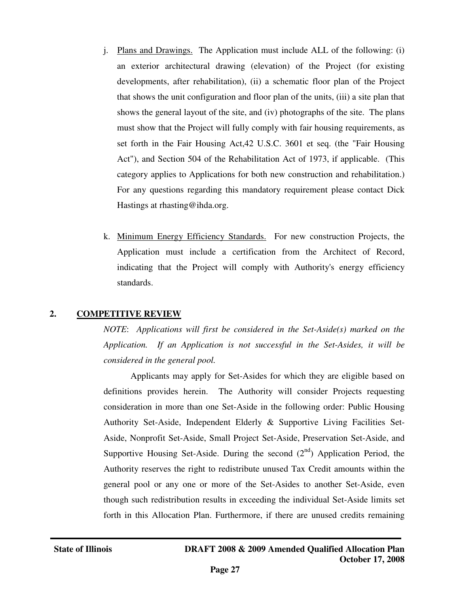- j. Plans and Drawings. The Application must include ALL of the following: (i) an exterior architectural drawing (elevation) of the Project (for existing developments, after rehabilitation), (ii) a schematic floor plan of the Project that shows the unit configuration and floor plan of the units, (iii) a site plan that shows the general layout of the site, and (iv) photographs of the site. The plans must show that the Project will fully comply with fair housing requirements, as set forth in the Fair Housing Act,42 U.S.C. 3601 et seq. (the "Fair Housing Act"), and Section 504 of the Rehabilitation Act of 1973, if applicable. (This category applies to Applications for both new construction and rehabilitation.) For any questions regarding this mandatory requirement please contact Dick Hastings at rhasting@ihda.org.
- k. Minimum Energy Efficiency Standards. For new construction Projects, the Application must include a certification from the Architect of Record, indicating that the Project will comply with Authority's energy efficiency standards.

### **2. COMPETITIVE REVIEW**

*NOTE*: *Applications will first be considered in the Set-Aside(s) marked on the Application. If an Application is not successful in the Set-Asides, it will be considered in the general pool.* 

Applicants may apply for Set-Asides for which they are eligible based on definitions provides herein. The Authority will consider Projects requesting consideration in more than one Set-Aside in the following order: Public Housing Authority Set-Aside, Independent Elderly & Supportive Living Facilities Set-Aside, Nonprofit Set-Aside, Small Project Set-Aside, Preservation Set-Aside, and Supportive Housing Set-Aside. During the second  $(2<sup>nd</sup>)$  Application Period, the Authority reserves the right to redistribute unused Tax Credit amounts within the general pool or any one or more of the Set-Asides to another Set-Aside, even though such redistribution results in exceeding the individual Set-Aside limits set forth in this Allocation Plan. Furthermore, if there are unused credits remaining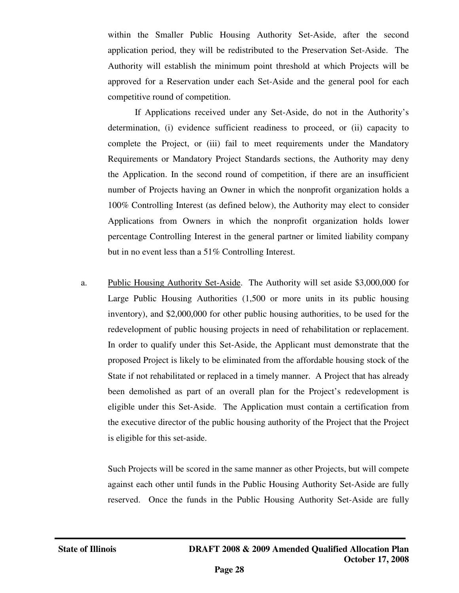within the Smaller Public Housing Authority Set-Aside, after the second application period, they will be redistributed to the Preservation Set-Aside. The Authority will establish the minimum point threshold at which Projects will be approved for a Reservation under each Set-Aside and the general pool for each competitive round of competition.

 If Applications received under any Set-Aside, do not in the Authority's determination, (i) evidence sufficient readiness to proceed, or (ii) capacity to complete the Project, or (iii) fail to meet requirements under the Mandatory Requirements or Mandatory Project Standards sections, the Authority may deny the Application. In the second round of competition, if there are an insufficient number of Projects having an Owner in which the nonprofit organization holds a 100% Controlling Interest (as defined below), the Authority may elect to consider Applications from Owners in which the nonprofit organization holds lower percentage Controlling Interest in the general partner or limited liability company but in no event less than a 51% Controlling Interest.

a. Public Housing Authority Set-Aside. The Authority will set aside \$3,000,000 for Large Public Housing Authorities (1,500 or more units in its public housing inventory), and \$2,000,000 for other public housing authorities, to be used for the redevelopment of public housing projects in need of rehabilitation or replacement. In order to qualify under this Set-Aside, the Applicant must demonstrate that the proposed Project is likely to be eliminated from the affordable housing stock of the State if not rehabilitated or replaced in a timely manner. A Project that has already been demolished as part of an overall plan for the Project's redevelopment is eligible under this Set-Aside. The Application must contain a certification from the executive director of the public housing authority of the Project that the Project is eligible for this set-aside.

 Such Projects will be scored in the same manner as other Projects, but will compete against each other until funds in the Public Housing Authority Set-Aside are fully reserved. Once the funds in the Public Housing Authority Set-Aside are fully

j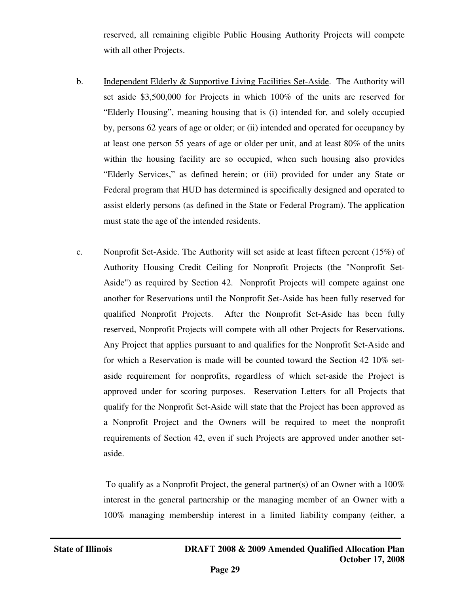reserved, all remaining eligible Public Housing Authority Projects will compete with all other Projects.

- b. Independent Elderly & Supportive Living Facilities Set-Aside. The Authority will set aside \$3,500,000 for Projects in which 100% of the units are reserved for "Elderly Housing", meaning housing that is (i) intended for, and solely occupied by, persons 62 years of age or older; or (ii) intended and operated for occupancy by at least one person 55 years of age or older per unit, and at least 80% of the units within the housing facility are so occupied, when such housing also provides "Elderly Services," as defined herein; or (iii) provided for under any State or Federal program that HUD has determined is specifically designed and operated to assist elderly persons (as defined in the State or Federal Program). The application must state the age of the intended residents.
- c. Nonprofit Set-Aside. The Authority will set aside at least fifteen percent (15%) of Authority Housing Credit Ceiling for Nonprofit Projects (the "Nonprofit Set-Aside") as required by Section 42. Nonprofit Projects will compete against one another for Reservations until the Nonprofit Set-Aside has been fully reserved for qualified Nonprofit Projects. After the Nonprofit Set-Aside has been fully reserved, Nonprofit Projects will compete with all other Projects for Reservations. Any Project that applies pursuant to and qualifies for the Nonprofit Set-Aside and for which a Reservation is made will be counted toward the Section 42 10% setaside requirement for nonprofits, regardless of which set-aside the Project is approved under for scoring purposes. Reservation Letters for all Projects that qualify for the Nonprofit Set-Aside will state that the Project has been approved as a Nonprofit Project and the Owners will be required to meet the nonprofit requirements of Section 42, even if such Projects are approved under another setaside.

To qualify as a Nonprofit Project, the general partner(s) of an Owner with a  $100\%$ interest in the general partnership or the managing member of an Owner with a 100% managing membership interest in a limited liability company (either, a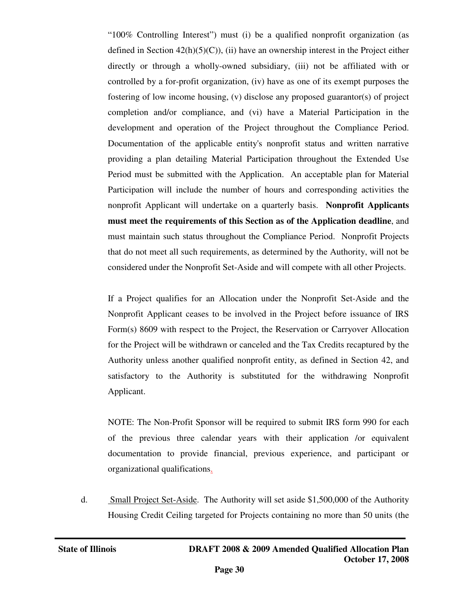"100% Controlling Interest") must (i) be a qualified nonprofit organization (as defined in Section  $42(h)(5)(C)$ , (ii) have an ownership interest in the Project either directly or through a wholly-owned subsidiary, (iii) not be affiliated with or controlled by a for-profit organization, (iv) have as one of its exempt purposes the fostering of low income housing, (v) disclose any proposed guarantor(s) of project completion and/or compliance, and (vi) have a Material Participation in the development and operation of the Project throughout the Compliance Period. Documentation of the applicable entity's nonprofit status and written narrative providing a plan detailing Material Participation throughout the Extended Use Period must be submitted with the Application. An acceptable plan for Material Participation will include the number of hours and corresponding activities the nonprofit Applicant will undertake on a quarterly basis. **Nonprofit Applicants must meet the requirements of this Section as of the Application deadline**, and must maintain such status throughout the Compliance Period. Nonprofit Projects that do not meet all such requirements, as determined by the Authority, will not be considered under the Nonprofit Set-Aside and will compete with all other Projects.

If a Project qualifies for an Allocation under the Nonprofit Set-Aside and the Nonprofit Applicant ceases to be involved in the Project before issuance of IRS Form(s) 8609 with respect to the Project, the Reservation or Carryover Allocation for the Project will be withdrawn or canceled and the Tax Credits recaptured by the Authority unless another qualified nonprofit entity, as defined in Section 42, and satisfactory to the Authority is substituted for the withdrawing Nonprofit Applicant.

NOTE: The Non-Profit Sponsor will be required to submit IRS form 990 for each of the previous three calendar years with their application /or equivalent documentation to provide financial, previous experience, and participant or organizational qualifications.

d. Small Project Set-Aside. The Authority will set aside \$1,500,000 of the Authority Housing Credit Ceiling targeted for Projects containing no more than 50 units (the

j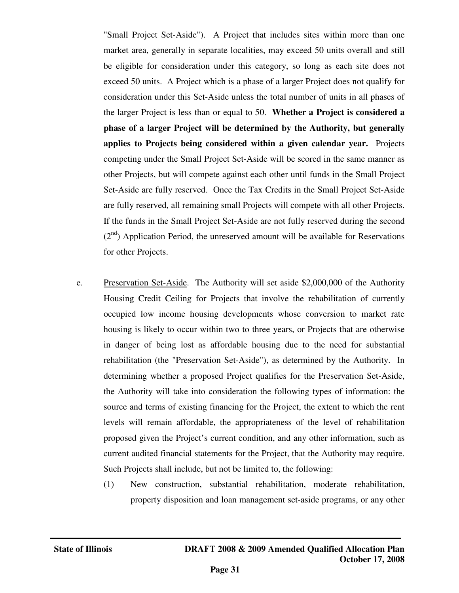"Small Project Set-Aside"). A Project that includes sites within more than one market area, generally in separate localities, may exceed 50 units overall and still be eligible for consideration under this category, so long as each site does not exceed 50 units. A Project which is a phase of a larger Project does not qualify for consideration under this Set-Aside unless the total number of units in all phases of the larger Project is less than or equal to 50. **Whether a Project is considered a phase of a larger Project will be determined by the Authority, but generally applies to Projects being considered within a given calendar year.** Projects competing under the Small Project Set-Aside will be scored in the same manner as other Projects, but will compete against each other until funds in the Small Project Set-Aside are fully reserved. Once the Tax Credits in the Small Project Set-Aside are fully reserved, all remaining small Projects will compete with all other Projects. If the funds in the Small Project Set-Aside are not fully reserved during the second  $(2<sup>nd</sup>)$  Application Period, the unreserved amount will be available for Reservations for other Projects.

- e. Preservation Set-Aside. The Authority will set aside \$2,000,000 of the Authority Housing Credit Ceiling for Projects that involve the rehabilitation of currently occupied low income housing developments whose conversion to market rate housing is likely to occur within two to three years, or Projects that are otherwise in danger of being lost as affordable housing due to the need for substantial rehabilitation (the "Preservation Set-Aside"), as determined by the Authority. In determining whether a proposed Project qualifies for the Preservation Set-Aside, the Authority will take into consideration the following types of information: the source and terms of existing financing for the Project, the extent to which the rent levels will remain affordable, the appropriateness of the level of rehabilitation proposed given the Project's current condition, and any other information, such as current audited financial statements for the Project, that the Authority may require. Such Projects shall include, but not be limited to, the following:
	- (1) New construction, substantial rehabilitation, moderate rehabilitation, property disposition and loan management set-aside programs, or any other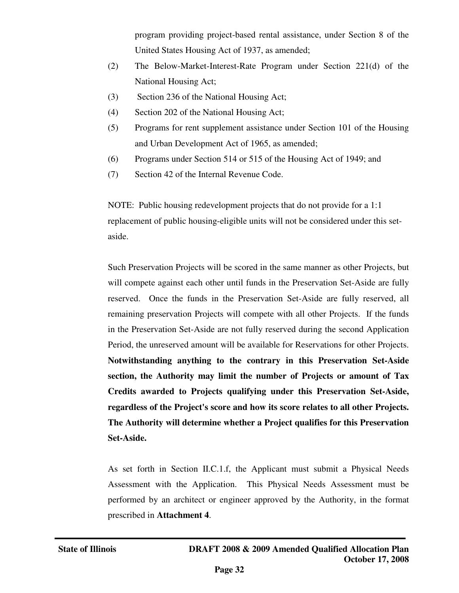program providing project-based rental assistance, under Section 8 of the United States Housing Act of 1937, as amended;

- (2) The Below-Market-Interest-Rate Program under Section 221(d) of the National Housing Act;
- (3) Section 236 of the National Housing Act;
- (4) Section 202 of the National Housing Act;
- (5) Programs for rent supplement assistance under Section 101 of the Housing and Urban Development Act of 1965, as amended;
- (6) Programs under Section 514 or 515 of the Housing Act of 1949; and
- (7) Section 42 of the Internal Revenue Code.

NOTE: Public housing redevelopment projects that do not provide for a 1:1 replacement of public housing-eligible units will not be considered under this setaside.

Such Preservation Projects will be scored in the same manner as other Projects, but will compete against each other until funds in the Preservation Set-Aside are fully reserved. Once the funds in the Preservation Set-Aside are fully reserved, all remaining preservation Projects will compete with all other Projects. If the funds in the Preservation Set-Aside are not fully reserved during the second Application Period, the unreserved amount will be available for Reservations for other Projects. **Notwithstanding anything to the contrary in this Preservation Set-Aside section, the Authority may limit the number of Projects or amount of Tax Credits awarded to Projects qualifying under this Preservation Set-Aside, regardless of the Project's score and how its score relates to all other Projects. The Authority will determine whether a Project qualifies for this Preservation Set-Aside.** 

As set forth in Section II.C.1.f, the Applicant must submit a Physical Needs Assessment with the Application. This Physical Needs Assessment must be performed by an architect or engineer approved by the Authority, in the format prescribed in **Attachment 4**.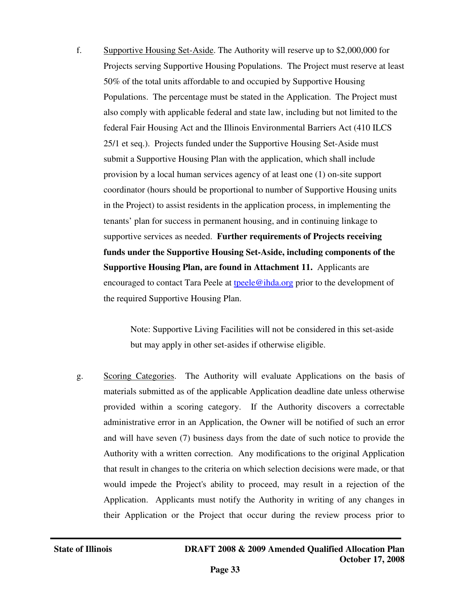f. Supportive Housing Set-Aside. The Authority will reserve up to \$2,000,000 for Projects serving Supportive Housing Populations. The Project must reserve at least 50% of the total units affordable to and occupied by Supportive Housing Populations. The percentage must be stated in the Application. The Project must also comply with applicable federal and state law, including but not limited to the federal Fair Housing Act and the Illinois Environmental Barriers Act (410 ILCS 25/1 et seq.). Projects funded under the Supportive Housing Set-Aside must submit a Supportive Housing Plan with the application, which shall include provision by a local human services agency of at least one (1) on-site support coordinator (hours should be proportional to number of Supportive Housing units in the Project) to assist residents in the application process, in implementing the tenants' plan for success in permanent housing, and in continuing linkage to supportive services as needed. **Further requirements of Projects receiving funds under the Supportive Housing Set-Aside, including components of the Supportive Housing Plan, are found in Attachment 11.** Applicants are encouraged to contact Tara Peele at the development of  $\mathbf{r}$ the required Supportive Housing Plan.

> Note: Supportive Living Facilities will not be considered in this set-aside but may apply in other set-asides if otherwise eligible.

g. Scoring Categories. The Authority will evaluate Applications on the basis of materials submitted as of the applicable Application deadline date unless otherwise provided within a scoring category. If the Authority discovers a correctable administrative error in an Application, the Owner will be notified of such an error and will have seven (7) business days from the date of such notice to provide the Authority with a written correction. Any modifications to the original Application that result in changes to the criteria on which selection decisions were made, or that would impede the Project's ability to proceed, may result in a rejection of the Application. Applicants must notify the Authority in writing of any changes in their Application or the Project that occur during the review process prior to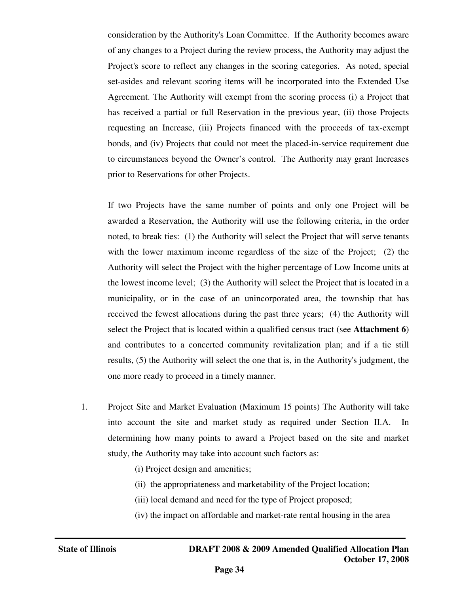consideration by the Authority's Loan Committee. If the Authority becomes aware of any changes to a Project during the review process, the Authority may adjust the Project's score to reflect any changes in the scoring categories. As noted, special set-asides and relevant scoring items will be incorporated into the Extended Use Agreement. The Authority will exempt from the scoring process (i) a Project that has received a partial or full Reservation in the previous year, (ii) those Projects requesting an Increase, (iii) Projects financed with the proceeds of tax-exempt bonds, and (iv) Projects that could not meet the placed-in-service requirement due to circumstances beyond the Owner's control. The Authority may grant Increases prior to Reservations for other Projects.

If two Projects have the same number of points and only one Project will be awarded a Reservation, the Authority will use the following criteria, in the order noted, to break ties: (1) the Authority will select the Project that will serve tenants with the lower maximum income regardless of the size of the Project; (2) the Authority will select the Project with the higher percentage of Low Income units at the lowest income level; (3) the Authority will select the Project that is located in a municipality, or in the case of an unincorporated area, the township that has received the fewest allocations during the past three years; (4) the Authority will select the Project that is located within a qualified census tract (see **Attachment 6**) and contributes to a concerted community revitalization plan; and if a tie still results, (5) the Authority will select the one that is, in the Authority's judgment, the one more ready to proceed in a timely manner.

- 1. Project Site and Market Evaluation (Maximum 15 points) The Authority will take into account the site and market study as required under Section II.A. In determining how many points to award a Project based on the site and market study, the Authority may take into account such factors as:
	- (i) Project design and amenities;
	- (ii) the appropriateness and marketability of the Project location;
	- (iii) local demand and need for the type of Project proposed;
	- (iv) the impact on affordable and market-rate rental housing in the area

j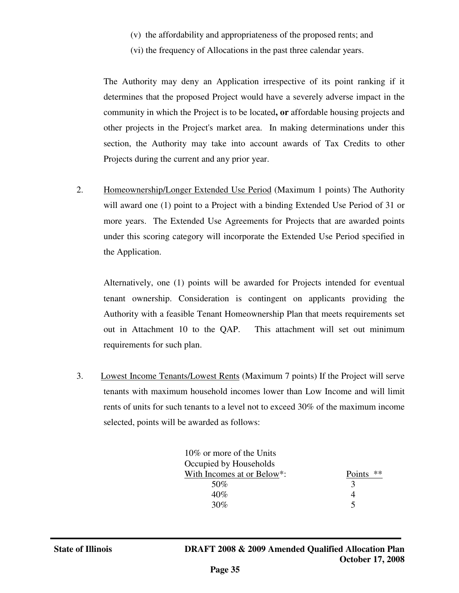- (v) the affordability and appropriateness of the proposed rents; and
- (vi) the frequency of Allocations in the past three calendar years.

The Authority may deny an Application irrespective of its point ranking if it determines that the proposed Project would have a severely adverse impact in the community in which the Project is to be located**, or** affordable housing projects and other projects in the Project's market area. In making determinations under this section, the Authority may take into account awards of Tax Credits to other Projects during the current and any prior year.

2. Homeownership/Longer Extended Use Period (Maximum 1 points) The Authority will award one (1) point to a Project with a binding Extended Use Period of 31 or more years. The Extended Use Agreements for Projects that are awarded points under this scoring category will incorporate the Extended Use Period specified in the Application.

Alternatively, one (1) points will be awarded for Projects intended for eventual tenant ownership. Consideration is contingent on applicants providing the Authority with a feasible Tenant Homeownership Plan that meets requirements set out in Attachment 10 to the QAP. This attachment will set out minimum requirements for such plan.

3. Lowest Income Tenants/Lowest Rents (Maximum 7 points) If the Project will serve tenants with maximum household incomes lower than Low Income and will limit rents of units for such tenants to a level not to exceed 30% of the maximum income selected, points will be awarded as follows:

| 10\% or more of the Units<br>Occupied by Households |              |
|-----------------------------------------------------|--------------|
| With Incomes at or Below*:                          | **<br>Points |
| 50%                                                 |              |
| $40\%$                                              |              |
| 30%                                                 |              |
|                                                     |              |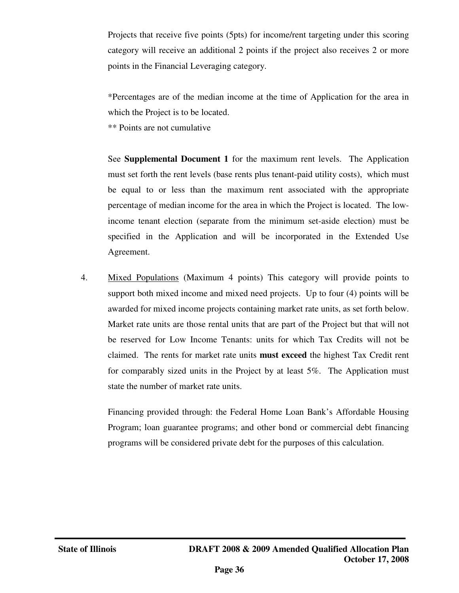Projects that receive five points (5pts) for income/rent targeting under this scoring category will receive an additional 2 points if the project also receives 2 or more points in the Financial Leveraging category.

\*Percentages are of the median income at the time of Application for the area in which the Project is to be located.

\*\* Points are not cumulative

See **Supplemental Document 1** for the maximum rent levels. The Application must set forth the rent levels (base rents plus tenant-paid utility costs), which must be equal to or less than the maximum rent associated with the appropriate percentage of median income for the area in which the Project is located. The lowincome tenant election (separate from the minimum set-aside election) must be specified in the Application and will be incorporated in the Extended Use Agreement.

4. Mixed Populations (Maximum 4 points) This category will provide points to support both mixed income and mixed need projects. Up to four (4) points will be awarded for mixed income projects containing market rate units, as set forth below. Market rate units are those rental units that are part of the Project but that will not be reserved for Low Income Tenants: units for which Tax Credits will not be claimed. The rents for market rate units **must exceed** the highest Tax Credit rent for comparably sized units in the Project by at least 5%. The Application must state the number of market rate units.

Financing provided through: the Federal Home Loan Bank's Affordable Housing Program; loan guarantee programs; and other bond or commercial debt financing programs will be considered private debt for the purposes of this calculation.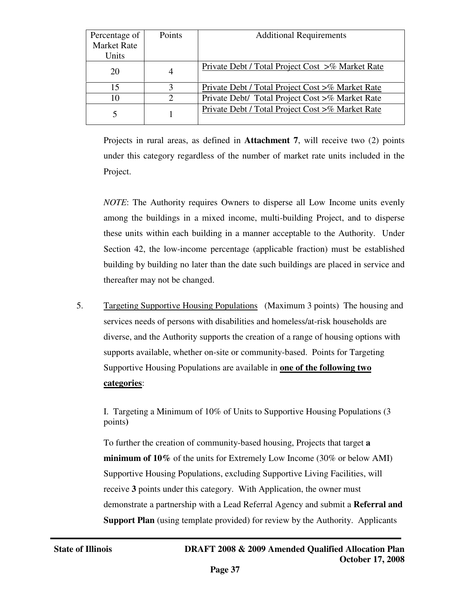| Percentage of      | <b>Points</b> | <b>Additional Requirements</b>                   |
|--------------------|---------------|--------------------------------------------------|
| <b>Market Rate</b> |               |                                                  |
| Units              |               |                                                  |
| 20                 | 4             | Private Debt / Total Project Cost >% Market Rate |
| 15                 | 3             | Private Debt / Total Project Cost >% Market Rate |
| 10                 | $\mathcal{D}$ | Private Debt/ Total Project Cost >% Market Rate  |
|                    |               | Private Debt / Total Project Cost >% Market Rate |

Projects in rural areas, as defined in **Attachment 7**, will receive two (2) points under this category regardless of the number of market rate units included in the Project.

*NOTE*: The Authority requires Owners to disperse all Low Income units evenly among the buildings in a mixed income, multi-building Project, and to disperse these units within each building in a manner acceptable to the Authority. Under Section 42, the low-income percentage (applicable fraction) must be established building by building no later than the date such buildings are placed in service and thereafter may not be changed.

5. Targeting Supportive Housing Populations (Maximum 3 points) The housing and services needs of persons with disabilities and homeless/at-risk households are diverse, and the Authority supports the creation of a range of housing options with supports available, whether on-site or community-based. Points for Targeting Supportive Housing Populations are available in **one of the following two categories**:

I. Targeting a Minimum of 10% of Units to Supportive Housing Populations (3 points**)** 

To further the creation of community-based housing, Projects that target **a minimum of 10%** of the units for Extremely Low Income (30% or below AMI) Supportive Housing Populations, excluding Supportive Living Facilities, will receive **3** points under this category. With Application, the owner must demonstrate a partnership with a Lead Referral Agency and submit a **Referral and Support Plan** (using template provided) for review by the Authority. Applicants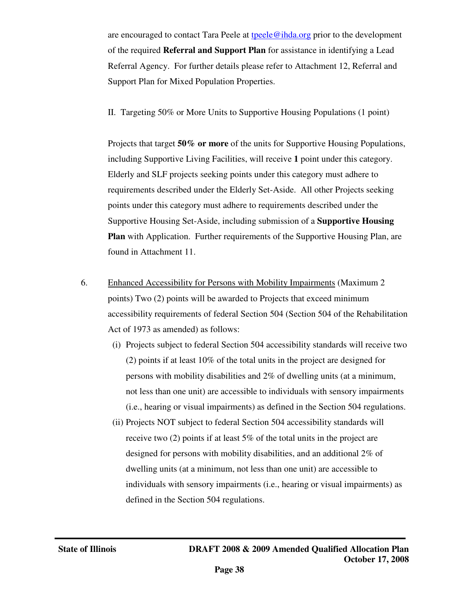are encouraged to contact Tara Peele at tpeele@ihda.org prior to the development of the required **Referral and Support Plan** for assistance in identifying a Lead Referral Agency. For further details please refer to Attachment 12, Referral and Support Plan for Mixed Population Properties.

II. Targeting 50% or More Units to Supportive Housing Populations (1 point)

Projects that target **50% or more** of the units for Supportive Housing Populations, including Supportive Living Facilities, will receive **1** point under this category. Elderly and SLF projects seeking points under this category must adhere to requirements described under the Elderly Set-Aside. All other Projects seeking points under this category must adhere to requirements described under the Supportive Housing Set-Aside, including submission of a **Supportive Housing Plan** with Application. Further requirements of the Supportive Housing Plan, are found in Attachment 11.

- 6. Enhanced Accessibility for Persons with Mobility Impairments (Maximum 2 points) Two (2) points will be awarded to Projects that exceed minimum accessibility requirements of federal Section 504 (Section 504 of the Rehabilitation Act of 1973 as amended) as follows:
	- (i) Projects subject to federal Section 504 accessibility standards will receive two (2) points if at least 10% of the total units in the project are designed for persons with mobility disabilities and 2% of dwelling units (at a minimum, not less than one unit) are accessible to individuals with sensory impairments (i.e., hearing or visual impairments) as defined in the Section 504 regulations.
	- (ii) Projects NOT subject to federal Section 504 accessibility standards will receive two (2) points if at least 5% of the total units in the project are designed for persons with mobility disabilities, and an additional 2% of dwelling units (at a minimum, not less than one unit) are accessible to individuals with sensory impairments (i.e., hearing or visual impairments) as defined in the Section 504 regulations.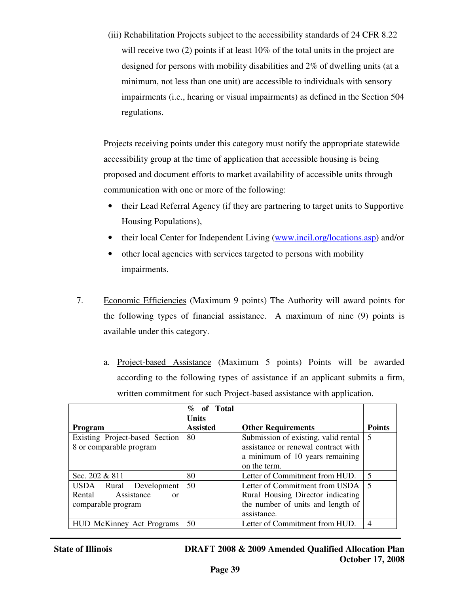(iii) Rehabilitation Projects subject to the accessibility standards of 24 CFR 8.22 will receive two (2) points if at least 10% of the total units in the project are designed for persons with mobility disabilities and 2% of dwelling units (at a minimum, not less than one unit) are accessible to individuals with sensory impairments (i.e., hearing or visual impairments) as defined in the Section 504 regulations.

Projects receiving points under this category must notify the appropriate statewide accessibility group at the time of application that accessible housing is being proposed and document efforts to market availability of accessible units through communication with one or more of the following:

- their Lead Referral Agency (if they are partnering to target units to Supportive Housing Populations),
- their local Center for Independent Living (www.incil.org/locations.asp) and/or
- other local agencies with services targeted to persons with mobility impairments.
- 7. Economic Efficiencies (Maximum 9 points) The Authority will award points for the following types of financial assistance. A maximum of nine (9) points is available under this category.
	- a. Project-based Assistance (Maximum 5 points) Points will be awarded according to the following types of assistance if an applicant submits a firm, written commitment for such Project-based assistance with application.

|                                  | of Total<br>$\%$ |                                      |                |
|----------------------------------|------------------|--------------------------------------|----------------|
|                                  | Units            |                                      |                |
| <b>Program</b>                   | <b>Assisted</b>  | <b>Other Requirements</b>            | <b>Points</b>  |
| Existing Project-based Section   | 80               | Submission of existing, valid rental | .5             |
| 8 or comparable program          |                  | assistance or renewal contract with  |                |
|                                  |                  | a minimum of 10 years remaining      |                |
|                                  |                  | on the term.                         |                |
| Sec. $202 & 811$                 | 80               | Letter of Commitment from HUD.       | $\overline{5}$ |
| USDA Rural Development           | 50               | Letter of Commitment from USDA       | $\overline{5}$ |
| Assistance<br>Rental<br>$\alpha$ |                  | Rural Housing Director indicating    |                |
| comparable program               |                  | the number of units and length of    |                |
|                                  |                  | assistance.                          |                |
| <b>HUD McKinney Act Programs</b> | 50               | Letter of Commitment from HUD.       | $\overline{4}$ |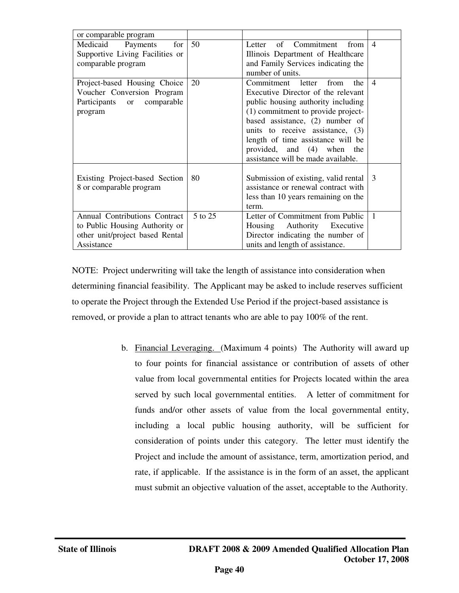| or comparable program                                                                                            |         |                                                                                                                                                                                                                                                                                                                                      |                |
|------------------------------------------------------------------------------------------------------------------|---------|--------------------------------------------------------------------------------------------------------------------------------------------------------------------------------------------------------------------------------------------------------------------------------------------------------------------------------------|----------------|
| Medicaid<br>for<br>Payments<br>Supportive Living Facilities or<br>comparable program                             | 50      | Letter of Commitment from<br>Illinois Department of Healthcare<br>and Family Services indicating the<br>number of units.                                                                                                                                                                                                             | $\overline{4}$ |
| Project-based Housing Choice<br>Voucher Conversion Program<br>Participants or comparable<br>program              | 20      | Commitment letter<br>the<br>from<br>Executive Director of the relevant<br>public housing authority including<br>(1) commitment to provide project-<br>based assistance, (2) number of<br>units to receive assistance, $(3)$<br>length of time assistance will be<br>provided, and (4) when the<br>assistance will be made available. | $\overline{4}$ |
| Existing Project-based Section<br>8 or comparable program                                                        | 80      | Submission of existing, valid rental<br>assistance or renewal contract with<br>less than 10 years remaining on the<br>term.                                                                                                                                                                                                          | $\mathcal{R}$  |
| Annual Contributions Contract<br>to Public Housing Authority or<br>other unit/project based Rental<br>Assistance | 5 to 25 | Letter of Commitment from Public<br>Housing Authority Executive<br>Director indicating the number of<br>units and length of assistance.                                                                                                                                                                                              | $\mathbf{1}$   |

NOTE: Project underwriting will take the length of assistance into consideration when determining financial feasibility. The Applicant may be asked to include reserves sufficient to operate the Project through the Extended Use Period if the project-based assistance is removed, or provide a plan to attract tenants who are able to pay 100% of the rent.

> b. Financial Leveraging. (Maximum 4 points) The Authority will award up to four points for financial assistance or contribution of assets of other value from local governmental entities for Projects located within the area served by such local governmental entities. A letter of commitment for funds and/or other assets of value from the local governmental entity, including a local public housing authority, will be sufficient for consideration of points under this category. The letter must identify the Project and include the amount of assistance, term, amortization period, and rate, if applicable. If the assistance is in the form of an asset, the applicant must submit an objective valuation of the asset, acceptable to the Authority.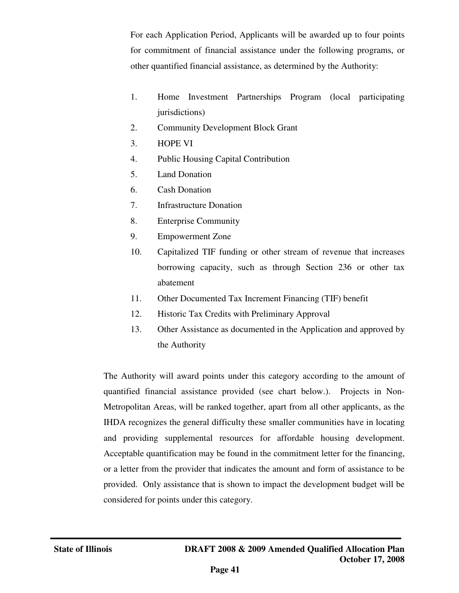For each Application Period, Applicants will be awarded up to four points for commitment of financial assistance under the following programs, or other quantified financial assistance, as determined by the Authority:

- 1. Home Investment Partnerships Program (local participating jurisdictions)
- 2. Community Development Block Grant
- 3. HOPE VI
- 4. Public Housing Capital Contribution
- 5. Land Donation
- 6. Cash Donation
- 7. Infrastructure Donation
- 8. Enterprise Community
- 9. Empowerment Zone
- 10. Capitalized TIF funding or other stream of revenue that increases borrowing capacity, such as through Section 236 or other tax abatement
- 11. Other Documented Tax Increment Financing (TIF) benefit
- 12. Historic Tax Credits with Preliminary Approval
- 13. Other Assistance as documented in the Application and approved by the Authority

The Authority will award points under this category according to the amount of quantified financial assistance provided (see chart below.). Projects in Non-Metropolitan Areas, will be ranked together, apart from all other applicants, as the IHDA recognizes the general difficulty these smaller communities have in locating and providing supplemental resources for affordable housing development. Acceptable quantification may be found in the commitment letter for the financing, or a letter from the provider that indicates the amount and form of assistance to be provided. Only assistance that is shown to impact the development budget will be considered for points under this category.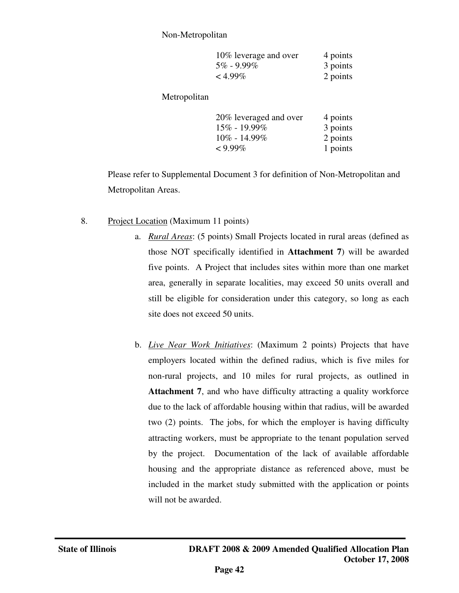#### Non-Metropolitan

| 10% leverage and over | 4 points |
|-----------------------|----------|
| $5\%$ - 9.99%         | 3 points |
| $< 4.99\%$            | 2 points |

Metropolitan

| 20% leveraged and over | 4 points |
|------------------------|----------|
| 15% - 19.99%           | 3 points |
| $10\% - 14.99\%$       | 2 points |
| $< 9.99\%$             | 1 points |

 Please refer to Supplemental Document 3 for definition of Non-Metropolitan and Metropolitan Areas.

- 8. Project Location (Maximum 11 points)
	- a. *Rural Areas*: (5 points) Small Projects located in rural areas (defined as those NOT specifically identified in **Attachment 7**) will be awarded five points. A Project that includes sites within more than one market area, generally in separate localities, may exceed 50 units overall and still be eligible for consideration under this category, so long as each site does not exceed 50 units.
	- b. *Live Near Work Initiatives*: (Maximum 2 points) Projects that have employers located within the defined radius, which is five miles for non-rural projects, and 10 miles for rural projects, as outlined in **Attachment 7**, and who have difficulty attracting a quality workforce due to the lack of affordable housing within that radius, will be awarded two (2) points. The jobs, for which the employer is having difficulty attracting workers, must be appropriate to the tenant population served by the project. Documentation of the lack of available affordable housing and the appropriate distance as referenced above, must be included in the market study submitted with the application or points will not be awarded.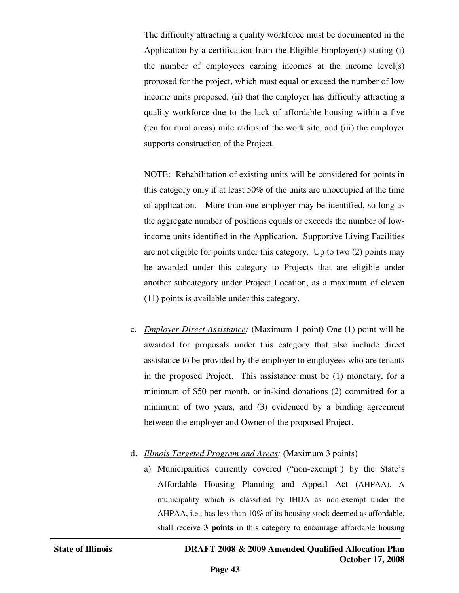The difficulty attracting a quality workforce must be documented in the Application by a certification from the Eligible Employer(s) stating (i) the number of employees earning incomes at the income level(s) proposed for the project, which must equal or exceed the number of low income units proposed, (ii) that the employer has difficulty attracting a quality workforce due to the lack of affordable housing within a five (ten for rural areas) mile radius of the work site, and (iii) the employer supports construction of the Project.

 NOTE: Rehabilitation of existing units will be considered for points in this category only if at least 50% of the units are unoccupied at the time of application. More than one employer may be identified, so long as the aggregate number of positions equals or exceeds the number of lowincome units identified in the Application. Supportive Living Facilities are not eligible for points under this category. Up to two (2) points may be awarded under this category to Projects that are eligible under another subcategory under Project Location, as a maximum of eleven (11) points is available under this category.

- c. *Employer Direct Assistance:* (Maximum 1 point) One (1) point will be awarded for proposals under this category that also include direct assistance to be provided by the employer to employees who are tenants in the proposed Project. This assistance must be (1) monetary, for a minimum of \$50 per month, or in-kind donations (2) committed for a minimum of two years, and (3) evidenced by a binding agreement between the employer and Owner of the proposed Project.
- d. *Illinois Targeted Program and Areas:* (Maximum 3 points)
	- a) Municipalities currently covered ("non-exempt") by the State's Affordable Housing Planning and Appeal Act (AHPAA). A municipality which is classified by IHDA as non-exempt under the AHPAA, i.e., has less than 10% of its housing stock deemed as affordable, shall receive **3 points** in this category to encourage affordable housing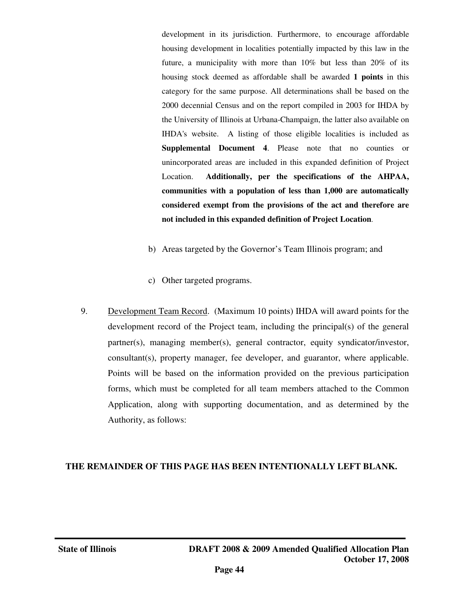development in its jurisdiction. Furthermore, to encourage affordable housing development in localities potentially impacted by this law in the future, a municipality with more than 10% but less than 20% of its housing stock deemed as affordable shall be awarded **1 points** in this category for the same purpose. All determinations shall be based on the 2000 decennial Census and on the report compiled in 2003 for IHDA by the University of Illinois at Urbana-Champaign, the latter also available on IHDA's website. A listing of those eligible localities is included as **Supplemental Document 4**. Please note that no counties or unincorporated areas are included in this expanded definition of Project Location. **Additionally, per the specifications of the AHPAA, communities with a population of less than 1,000 are automatically considered exempt from the provisions of the act and therefore are not included in this expanded definition of Project Location**.

- b) Areas targeted by the Governor's Team Illinois program; and
- c) Other targeted programs.
- 9. Development Team Record. (Maximum 10 points) IHDA will award points for the development record of the Project team, including the principal(s) of the general partner(s), managing member(s), general contractor, equity syndicator/investor, consultant(s), property manager, fee developer, and guarantor, where applicable. Points will be based on the information provided on the previous participation forms, which must be completed for all team members attached to the Common Application, along with supporting documentation, and as determined by the Authority, as follows:

## **THE REMAINDER OF THIS PAGE HAS BEEN INTENTIONALLY LEFT BLANK.**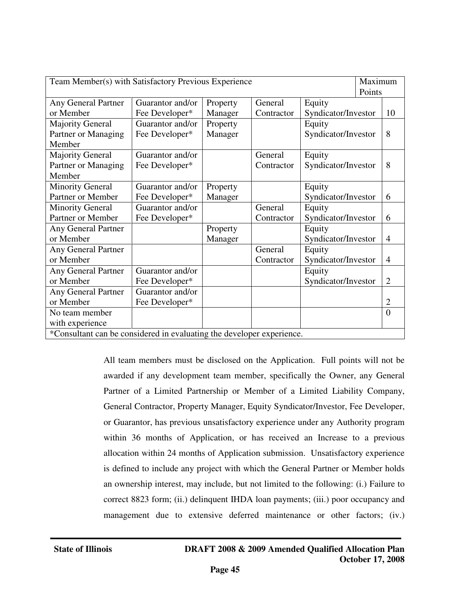| Maximum<br>Team Member(s) with Satisfactory Previous Experience        |                                                   |          |            |                     |  |                |
|------------------------------------------------------------------------|---------------------------------------------------|----------|------------|---------------------|--|----------------|
|                                                                        |                                                   |          | Points     |                     |  |                |
| Any General Partner                                                    | General<br>Equity<br>Guarantor and/or<br>Property |          |            |                     |  |                |
| or Member                                                              | Fee Developer*                                    | Manager  | Contractor | Syndicator/Investor |  | 10             |
| <b>Majority General</b>                                                | Guarantor and/or                                  | Property |            | Equity              |  |                |
| Partner or Managing                                                    | Fee Developer*                                    | Manager  |            | Syndicator/Investor |  | 8              |
| Member                                                                 |                                                   |          |            |                     |  |                |
| <b>Majority General</b>                                                | Guarantor and/or                                  |          | General    | Equity              |  |                |
| Partner or Managing                                                    | Fee Developer*                                    |          | Contractor | Syndicator/Investor |  | 8              |
| Member                                                                 |                                                   |          |            |                     |  |                |
| <b>Minority General</b>                                                | Guarantor and/or                                  | Property |            | Equity              |  |                |
| Partner or Member                                                      | Fee Developer*                                    | Manager  |            | Syndicator/Investor |  | 6              |
| <b>Minority General</b>                                                | Guarantor and/or                                  |          | General    | Equity              |  |                |
| Partner or Member                                                      | Fee Developer*                                    |          | Contractor | Syndicator/Investor |  | 6              |
| Any General Partner                                                    |                                                   | Property |            | Equity              |  |                |
| or Member                                                              |                                                   | Manager  |            | Syndicator/Investor |  | $\overline{4}$ |
| Any General Partner                                                    | General<br>Equity                                 |          |            |                     |  |                |
| or Member                                                              |                                                   |          | Contractor | Syndicator/Investor |  | $\overline{4}$ |
| Any General Partner                                                    | Guarantor and/or                                  |          |            | Equity              |  |                |
| or Member                                                              | Fee Developer*                                    |          |            | Syndicator/Investor |  | $\overline{2}$ |
| <b>Any General Partner</b>                                             | Guarantor and/or                                  |          |            |                     |  |                |
| or Member                                                              | Fee Developer*                                    |          |            |                     |  | $\overline{2}$ |
| No team member                                                         |                                                   |          |            |                     |  | $\theta$       |
| with experience                                                        |                                                   |          |            |                     |  |                |
| $*Concultant$ can be considered in evaluating the developer experience |                                                   |          |            |                     |  |                |

In evaluating the developer experience.

All team members must be disclosed on the Application. Full points will not be awarded if any development team member, specifically the Owner, any General Partner of a Limited Partnership or Member of a Limited Liability Company, General Contractor, Property Manager, Equity Syndicator/Investor, Fee Developer, or Guarantor, has previous unsatisfactory experience under any Authority program within 36 months of Application, or has received an Increase to a previous allocation within 24 months of Application submission. Unsatisfactory experience is defined to include any project with which the General Partner or Member holds an ownership interest, may include, but not limited to the following: (i.) Failure to correct 8823 form; (ii.) delinquent IHDA loan payments; (iii.) poor occupancy and management due to extensive deferred maintenance or other factors; (iv.)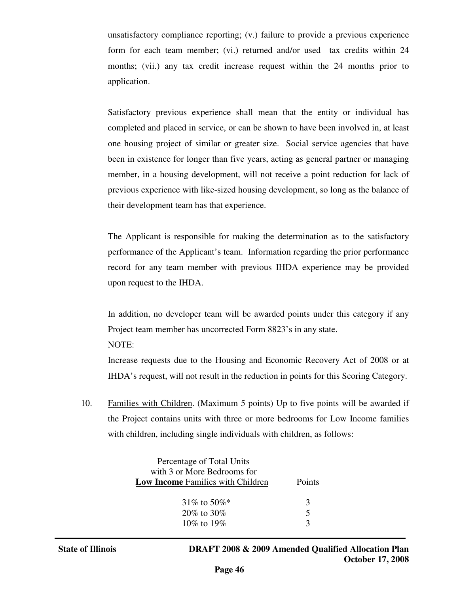unsatisfactory compliance reporting; (v.) failure to provide a previous experience form for each team member; (vi.) returned and/or used tax credits within 24 months; (vii.) any tax credit increase request within the 24 months prior to application.

Satisfactory previous experience shall mean that the entity or individual has completed and placed in service, or can be shown to have been involved in, at least one housing project of similar or greater size. Social service agencies that have been in existence for longer than five years, acting as general partner or managing member, in a housing development, will not receive a point reduction for lack of previous experience with like-sized housing development, so long as the balance of their development team has that experience.

 The Applicant is responsible for making the determination as to the satisfactory performance of the Applicant's team. Information regarding the prior performance record for any team member with previous IHDA experience may be provided upon request to the IHDA.

In addition, no developer team will be awarded points under this category if any Project team member has uncorrected Form 8823's in any state. NOTE:

Increase requests due to the Housing and Economic Recovery Act of 2008 or at IHDA's request, will not result in the reduction in points for this Scoring Category.

10. Families with Children. (Maximum 5 points) Up to five points will be awarded if the Project contains units with three or more bedrooms for Low Income families with children, including single individuals with children, as follows:

| Percentage of Total Units<br>with 3 or More Bedrooms for<br><b>Low Income Families with Children</b> | Points |
|------------------------------------------------------------------------------------------------------|--------|
| 31\% to 50\%                                                                                         | 3      |
| $20\%$ to $30\%$                                                                                     | 5      |
| 10\% to 19\%                                                                                         |        |

j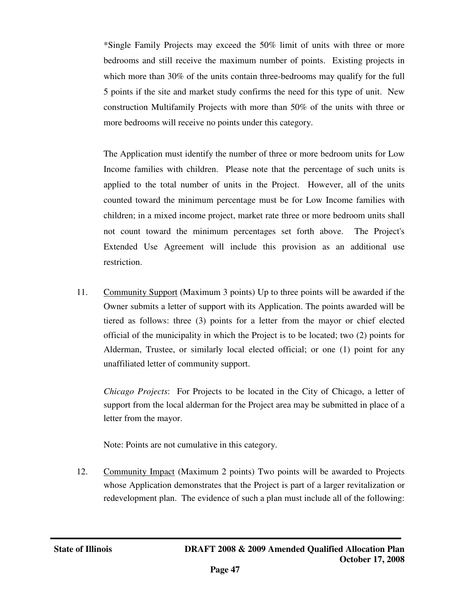\*Single Family Projects may exceed the 50% limit of units with three or more bedrooms and still receive the maximum number of points. Existing projects in which more than 30% of the units contain three-bedrooms may qualify for the full 5 points if the site and market study confirms the need for this type of unit. New construction Multifamily Projects with more than 50% of the units with three or more bedrooms will receive no points under this category.

The Application must identify the number of three or more bedroom units for Low Income families with children. Please note that the percentage of such units is applied to the total number of units in the Project. However, all of the units counted toward the minimum percentage must be for Low Income families with children; in a mixed income project, market rate three or more bedroom units shall not count toward the minimum percentages set forth above. The Project's Extended Use Agreement will include this provision as an additional use restriction.

11. Community Support (Maximum 3 points) Up to three points will be awarded if the Owner submits a letter of support with its Application. The points awarded will be tiered as follows: three (3) points for a letter from the mayor or chief elected official of the municipality in which the Project is to be located; two (2) points for Alderman, Trustee, or similarly local elected official; or one (1) point for any unaffiliated letter of community support.

*Chicago Projects*: For Projects to be located in the City of Chicago, a letter of support from the local alderman for the Project area may be submitted in place of a letter from the mayor.

Note: Points are not cumulative in this category.

12. Community Impact (Maximum 2 points) Two points will be awarded to Projects whose Application demonstrates that the Project is part of a larger revitalization or redevelopment plan. The evidence of such a plan must include all of the following: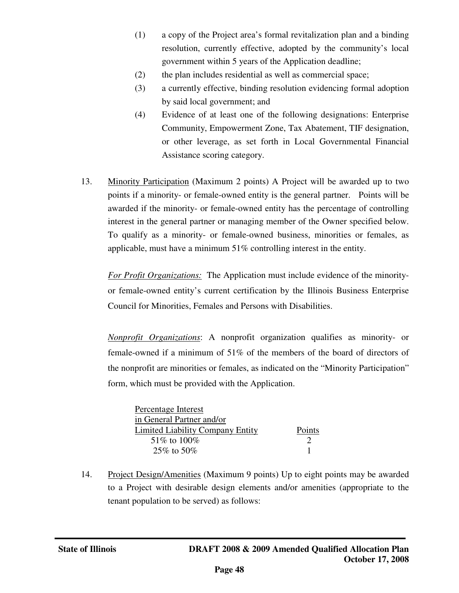- (1) a copy of the Project area's formal revitalization plan and a binding resolution, currently effective, adopted by the community's local government within 5 years of the Application deadline;
- (2) the plan includes residential as well as commercial space;
- (3) a currently effective, binding resolution evidencing formal adoption by said local government; and
- (4) Evidence of at least one of the following designations: Enterprise Community, Empowerment Zone, Tax Abatement, TIF designation, or other leverage, as set forth in Local Governmental Financial Assistance scoring category.
- 13. Minority Participation (Maximum 2 points) A Project will be awarded up to two points if a minority- or female-owned entity is the general partner. Points will be awarded if the minority- or female-owned entity has the percentage of controlling interest in the general partner or managing member of the Owner specified below. To qualify as a minority- or female-owned business, minorities or females, as applicable, must have a minimum 51% controlling interest in the entity.

*For Profit Organizations:* The Application must include evidence of the minorityor female-owned entity's current certification by the Illinois Business Enterprise Council for Minorities, Females and Persons with Disabilities.

*Nonprofit Organizations*: A nonprofit organization qualifies as minority- or female-owned if a minimum of 51% of the members of the board of directors of the nonprofit are minorities or females, as indicated on the "Minority Participation" form, which must be provided with the Application.

| Percentage Interest              |               |
|----------------------------------|---------------|
| in General Partner and/or        |               |
| Limited Liability Company Entity | Points        |
| 51\% to 100\%                    | $\mathcal{D}$ |
| $25\%$ to $50\%$                 |               |

14. Project Design/Amenities (Maximum 9 points) Up to eight points may be awarded to a Project with desirable design elements and/or amenities (appropriate to the tenant population to be served) as follows: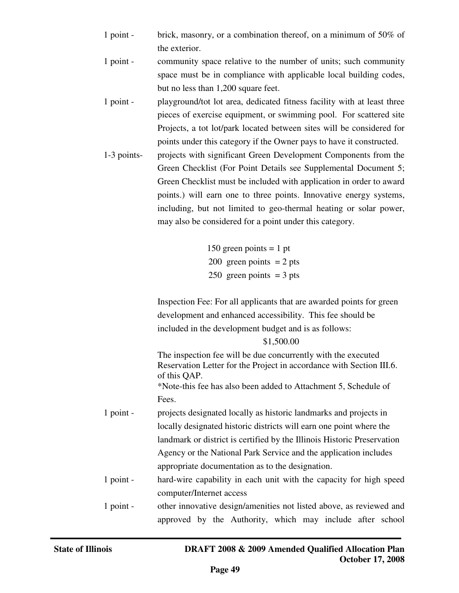- 1 point brick, masonry, or a combination thereof, on a minimum of 50% of the exterior.
- 1 point community space relative to the number of units; such community space must be in compliance with applicable local building codes, but no less than 1,200 square feet.
- 1 point playground/tot lot area, dedicated fitness facility with at least three pieces of exercise equipment, or swimming pool. For scattered site Projects, a tot lot/park located between sites will be considered for points under this category if the Owner pays to have it constructed.
- 1-3 points- projects with significant Green Development Components from the Green Checklist (For Point Details see Supplemental Document 5; Green Checklist must be included with application in order to award points.) will earn one to three points. Innovative energy systems, including, but not limited to geo-thermal heating or solar power, may also be considered for a point under this category.

150 green points  $= 1$  pt 200 green points  $= 2$  pts 250 green points  $=$  3 pts

Inspection Fee: For all applicants that are awarded points for green development and enhanced accessibility. This fee should be included in the development budget and is as follows:

\$1,500.00

The inspection fee will be due concurrently with the executed Reservation Letter for the Project in accordance with Section III.6. of this QAP. \*Note-this fee has also been added to Attachment 5, Schedule of Fees.

- 1 point projects designated locally as historic landmarks and projects in locally designated historic districts will earn one point where the landmark or district is certified by the Illinois Historic Preservation Agency or the National Park Service and the application includes appropriate documentation as to the designation.
- 1 point hard-wire capability in each unit with the capacity for high speed computer/Internet access

1 point - other innovative design/amenities not listed above, as reviewed and approved by the Authority, which may include after school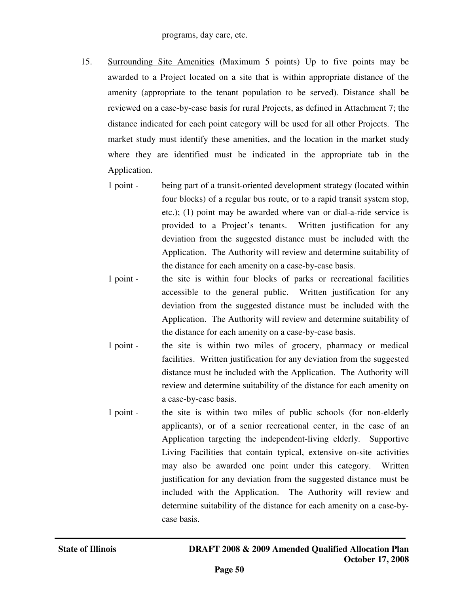- 15. Surrounding Site Amenities (Maximum 5 points) Up to five points may be awarded to a Project located on a site that is within appropriate distance of the amenity (appropriate to the tenant population to be served). Distance shall be reviewed on a case-by-case basis for rural Projects, as defined in Attachment 7; the distance indicated for each point category will be used for all other Projects. The market study must identify these amenities, and the location in the market study where they are identified must be indicated in the appropriate tab in the Application.
	- 1 point being part of a transit-oriented development strategy (located within four blocks) of a regular bus route, or to a rapid transit system stop, etc.); (1) point may be awarded where van or dial-a-ride service is provided to a Project's tenants. Written justification for any deviation from the suggested distance must be included with the Application. The Authority will review and determine suitability of the distance for each amenity on a case-by-case basis.
	- 1 point the site is within four blocks of parks or recreational facilities accessible to the general public. Written justification for any deviation from the suggested distance must be included with the Application. The Authority will review and determine suitability of the distance for each amenity on a case-by-case basis.
	- 1 point the site is within two miles of grocery, pharmacy or medical facilities. Written justification for any deviation from the suggested distance must be included with the Application. The Authority will review and determine suitability of the distance for each amenity on a case-by-case basis.
	- 1 point the site is within two miles of public schools (for non-elderly applicants), or of a senior recreational center, in the case of an Application targeting the independent-living elderly. Supportive Living Facilities that contain typical, extensive on-site activities may also be awarded one point under this category. Written justification for any deviation from the suggested distance must be included with the Application. The Authority will review and determine suitability of the distance for each amenity on a case-bycase basis.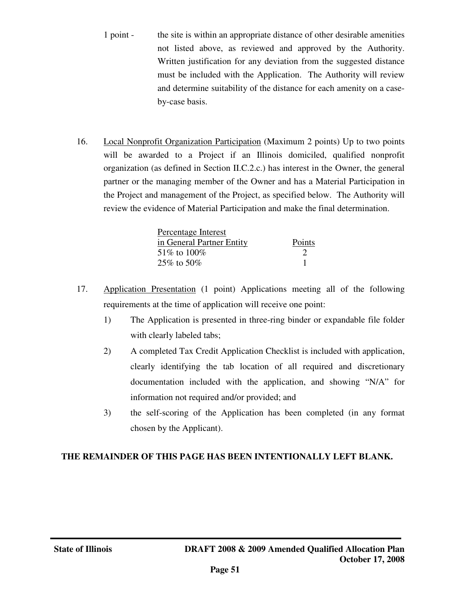- 1 point the site is within an appropriate distance of other desirable amenities not listed above, as reviewed and approved by the Authority. Written justification for any deviation from the suggested distance must be included with the Application. The Authority will review and determine suitability of the distance for each amenity on a caseby-case basis.
- 16. Local Nonprofit Organization Participation (Maximum 2 points) Up to two points will be awarded to a Project if an Illinois domiciled, qualified nonprofit organization (as defined in Section II.C.2.c.) has interest in the Owner, the general partner or the managing member of the Owner and has a Material Participation in the Project and management of the Project, as specified below. The Authority will review the evidence of Material Participation and make the final determination.

| Percentage Interest       |        |
|---------------------------|--------|
| in General Partner Entity | Points |
| 51\% to 100\%             |        |
| 25\% to 50\%              |        |

- 17. Application Presentation (1 point) Applications meeting all of the following requirements at the time of application will receive one point:
	- 1) The Application is presented in three-ring binder or expandable file folder with clearly labeled tabs;
	- 2) A completed Tax Credit Application Checklist is included with application, clearly identifying the tab location of all required and discretionary documentation included with the application, and showing "N/A" for information not required and/or provided; and
	- 3) the self-scoring of the Application has been completed (in any format chosen by the Applicant).

## **THE REMAINDER OF THIS PAGE HAS BEEN INTENTIONALLY LEFT BLANK.**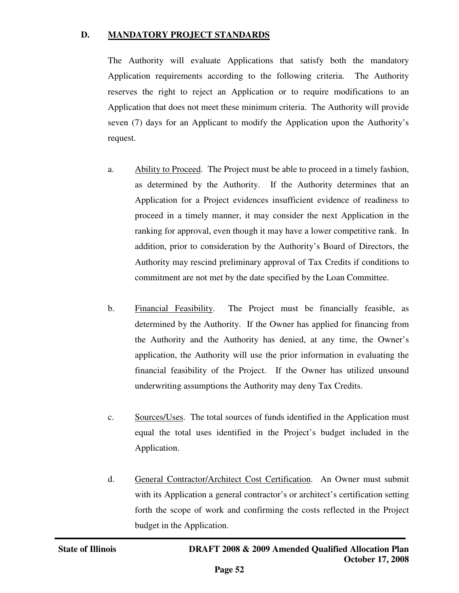#### **D. MANDATORY PROJECT STANDARDS**

The Authority will evaluate Applications that satisfy both the mandatory Application requirements according to the following criteria. The Authority reserves the right to reject an Application or to require modifications to an Application that does not meet these minimum criteria. The Authority will provide seven (7) days for an Applicant to modify the Application upon the Authority's request.

- a. Ability to Proceed. The Project must be able to proceed in a timely fashion, as determined by the Authority. If the Authority determines that an Application for a Project evidences insufficient evidence of readiness to proceed in a timely manner, it may consider the next Application in the ranking for approval, even though it may have a lower competitive rank. In addition, prior to consideration by the Authority's Board of Directors, the Authority may rescind preliminary approval of Tax Credits if conditions to commitment are not met by the date specified by the Loan Committee.
- b. Financial Feasibility. The Project must be financially feasible, as determined by the Authority. If the Owner has applied for financing from the Authority and the Authority has denied, at any time, the Owner's application, the Authority will use the prior information in evaluating the financial feasibility of the Project. If the Owner has utilized unsound underwriting assumptions the Authority may deny Tax Credits.
- c. Sources/Uses. The total sources of funds identified in the Application must equal the total uses identified in the Project's budget included in the Application.
- d. General Contractor/Architect Cost Certification. An Owner must submit with its Application a general contractor's or architect's certification setting forth the scope of work and confirming the costs reflected in the Project budget in the Application.

j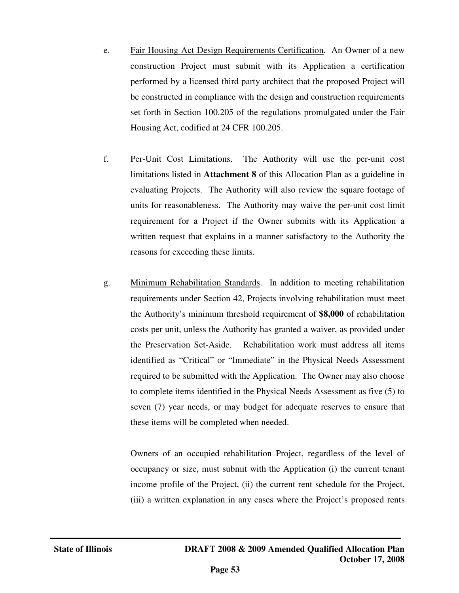- e. Fair Housing Act Design Requirements Certification. An Owner of a new construction Project must submit with its Application a certification performed by a licensed third party architect that the proposed Project will be constructed in compliance with the design and construction requirements set forth in Section 100.205 of the regulations promulgated under the Fair Housing Act, codified at 24 CFR 100.205.
- f. Per-Unit Cost Limitations. The Authority will use the per-unit cost limitations listed in **Attachment 8** of this Allocation Plan as a guideline in evaluating Projects. The Authority will also review the square footage of units for reasonableness. The Authority may waive the per-unit cost limit requirement for a Project if the Owner submits with its Application a written request that explains in a manner satisfactory to the Authority the reasons for exceeding these limits.
- g. Minimum Rehabilitation Standards. In addition to meeting rehabilitation requirements under Section 42, Projects involving rehabilitation must meet the Authority's minimum threshold requirement of **\$8,000** of rehabilitation costs per unit, unless the Authority has granted a waiver, as provided under the Preservation Set-Aside. Rehabilitation work must address all items identified as "Critical" or "Immediate" in the Physical Needs Assessment required to be submitted with the Application. The Owner may also choose to complete items identified in the Physical Needs Assessment as five (5) to seven (7) year needs, or may budget for adequate reserves to ensure that these items will be completed when needed.

Owners of an occupied rehabilitation Project, regardless of the level of occupancy or size, must submit with the Application (i) the current tenant income profile of the Project, (ii) the current rent schedule for the Project, (iii) a written explanation in any cases where the Project's proposed rents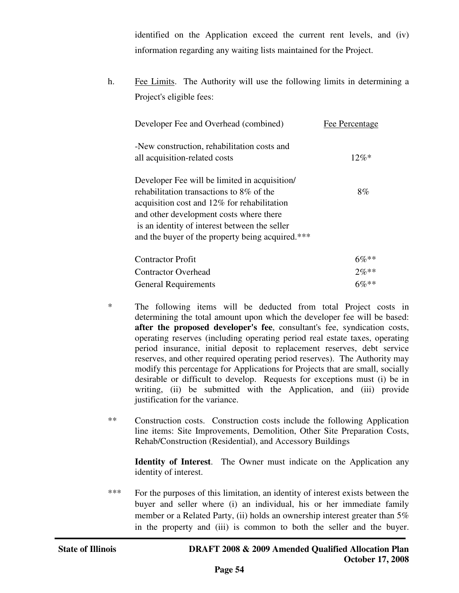identified on the Application exceed the current rent levels, and (iv) information regarding any waiting lists maintained for the Project.

h. Fee Limits. The Authority will use the following limits in determining a Project's eligible fees:

| Developer Fee and Overhead (combined)                                                                                                                                                                                                   | Fee Percentage |
|-----------------------------------------------------------------------------------------------------------------------------------------------------------------------------------------------------------------------------------------|----------------|
| -New construction, rehabilitation costs and<br>all acquisition-related costs                                                                                                                                                            | $12\%*$        |
| Developer Fee will be limited in acquisition                                                                                                                                                                                            |                |
| rehabilitation transactions to 8% of the<br>acquisition cost and 12% for rehabilitation<br>and other development costs where there<br>is an identity of interest between the seller<br>and the buyer of the property being acquired.*** | 8%             |
| <b>Contractor Profit</b>                                                                                                                                                                                                                | $6\%**$        |
| <b>Contractor Overhead</b>                                                                                                                                                                                                              | $2\%**$        |
| <b>General Requirements</b>                                                                                                                                                                                                             | $6\%**$        |

- \* The following items will be deducted from total Project costs in determining the total amount upon which the developer fee will be based: **after the proposed developer's fee**, consultant's fee, syndication costs, operating reserves (including operating period real estate taxes, operating period insurance, initial deposit to replacement reserves, debt service reserves, and other required operating period reserves). The Authority may modify this percentage for Applications for Projects that are small, socially desirable or difficult to develop. Requests for exceptions must (i) be in writing, (ii) be submitted with the Application, and (iii) provide justification for the variance.
- \*\* Construction costs. Construction costs include the following Application line items: Site Improvements, Demolition, Other Site Preparation Costs, Rehab/Construction (Residential), and Accessory Buildings

**Identity of Interest**. The Owner must indicate on the Application any identity of interest.

\*\*\* For the purposes of this limitation, an identity of interest exists between the buyer and seller where (i) an individual, his or her immediate family member or a Related Party, (ii) holds an ownership interest greater than 5% in the property and (iii) is common to both the seller and the buyer.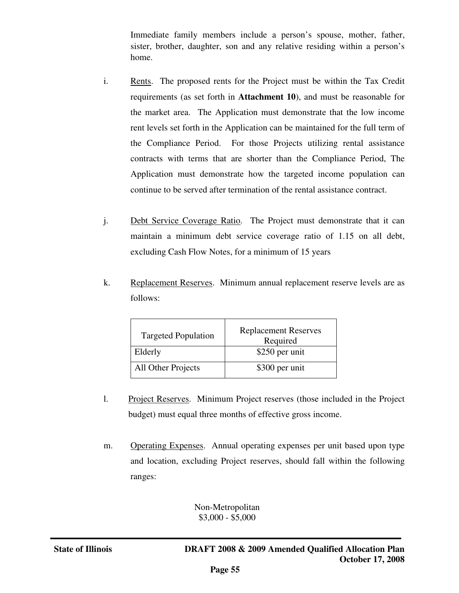Immediate family members include a person's spouse, mother, father, sister, brother, daughter, son and any relative residing within a person's home.

- i. Rents. The proposed rents for the Project must be within the Tax Credit requirements (as set forth in **Attachment 10**), and must be reasonable for the market area. The Application must demonstrate that the low income rent levels set forth in the Application can be maintained for the full term of the Compliance Period. For those Projects utilizing rental assistance contracts with terms that are shorter than the Compliance Period, The Application must demonstrate how the targeted income population can continue to be served after termination of the rental assistance contract.
- j. Debt Service Coverage Ratio. The Project must demonstrate that it can maintain a minimum debt service coverage ratio of 1.15 on all debt, excluding Cash Flow Notes, for a minimum of 15 years
- k. Replacement Reserves. Minimum annual replacement reserve levels are as follows:

| <b>Targeted Population</b> | <b>Replacement Reserves</b><br>Required |  |
|----------------------------|-----------------------------------------|--|
| Elderly                    | \$250 per unit                          |  |
| All Other Projects         | \$300 per unit                          |  |

- l. Project Reserves. Minimum Project reserves (those included in the Project budget) must equal three months of effective gross income.
- m. Operating Expenses. Annual operating expenses per unit based upon type and location, excluding Project reserves, should fall within the following ranges:

Non-Metropolitan \$3,000 - \$5,000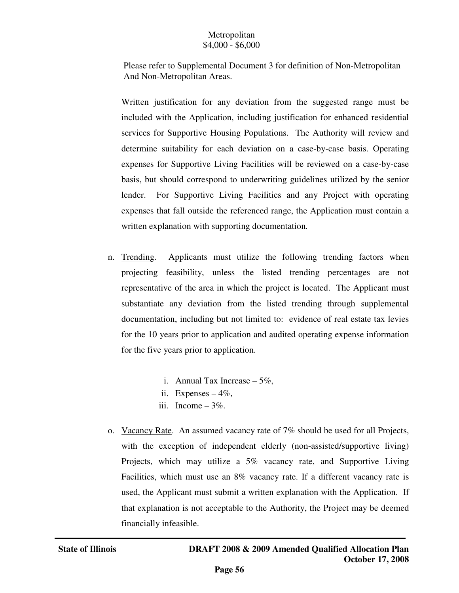## Metropolitan \$4,000 - \$6,000

 Please refer to Supplemental Document 3 for definition of Non-Metropolitan And Non-Metropolitan Areas.

Written justification for any deviation from the suggested range must be included with the Application, including justification for enhanced residential services for Supportive Housing Populations. The Authority will review and determine suitability for each deviation on a case-by-case basis. Operating expenses for Supportive Living Facilities will be reviewed on a case-by-case basis, but should correspond to underwriting guidelines utilized by the senior lender. For Supportive Living Facilities and any Project with operating expenses that fall outside the referenced range, the Application must contain a written explanation with supporting documentation*.* 

- n. Trending. Applicants must utilize the following trending factors when projecting feasibility, unless the listed trending percentages are not representative of the area in which the project is located. The Applicant must substantiate any deviation from the listed trending through supplemental documentation, including but not limited to: evidence of real estate tax levies for the 10 years prior to application and audited operating expense information for the five years prior to application.
	- i. Annual Tax Increase  $-5\%$ ,
	- ii. Expenses  $-4\%$ ,
	- iii. Income  $-3\%$ .
- o. Vacancy Rate. An assumed vacancy rate of 7% should be used for all Projects, with the exception of independent elderly (non-assisted/supportive living) Projects, which may utilize a 5% vacancy rate, and Supportive Living Facilities, which must use an 8% vacancy rate. If a different vacancy rate is used, the Applicant must submit a written explanation with the Application. If that explanation is not acceptable to the Authority, the Project may be deemed financially infeasible.

j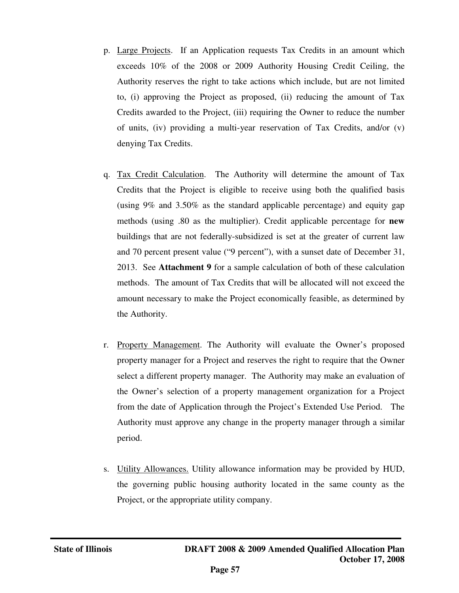- p. Large Projects. If an Application requests Tax Credits in an amount which exceeds 10% of the 2008 or 2009 Authority Housing Credit Ceiling, the Authority reserves the right to take actions which include, but are not limited to, (i) approving the Project as proposed, (ii) reducing the amount of Tax Credits awarded to the Project, (iii) requiring the Owner to reduce the number of units, (iv) providing a multi-year reservation of Tax Credits, and/or (v) denying Tax Credits.
- q. Tax Credit Calculation. The Authority will determine the amount of Tax Credits that the Project is eligible to receive using both the qualified basis (using 9% and 3.50% as the standard applicable percentage) and equity gap methods (using .80 as the multiplier). Credit applicable percentage for **new**  buildings that are not federally-subsidized is set at the greater of current law and 70 percent present value ("9 percent"), with a sunset date of December 31, 2013. See **Attachment 9** for a sample calculation of both of these calculation methods. The amount of Tax Credits that will be allocated will not exceed the amount necessary to make the Project economically feasible, as determined by the Authority.
- r. Property Management. The Authority will evaluate the Owner's proposed property manager for a Project and reserves the right to require that the Owner select a different property manager. The Authority may make an evaluation of the Owner's selection of a property management organization for a Project from the date of Application through the Project's Extended Use Period. The Authority must approve any change in the property manager through a similar period.
- s. Utility Allowances. Utility allowance information may be provided by HUD, the governing public housing authority located in the same county as the Project, or the appropriate utility company.

j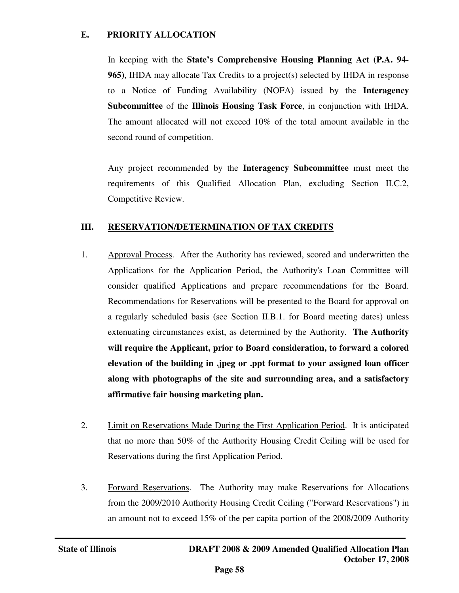## **E. PRIORITY ALLOCATION**

In keeping with the **State's Comprehensive Housing Planning Act (P.A. 94- 965)**, IHDA may allocate Tax Credits to a project(s) selected by IHDA in response to a Notice of Funding Availability (NOFA) issued by the **Interagency Subcommittee** of the **Illinois Housing Task Force**, in conjunction with IHDA. The amount allocated will not exceed 10% of the total amount available in the second round of competition.

Any project recommended by the **Interagency Subcommittee** must meet the requirements of this Qualified Allocation Plan, excluding Section II.C.2, Competitive Review.

## **III. RESERVATION/DETERMINATION OF TAX CREDITS**

- 1. Approval Process. After the Authority has reviewed, scored and underwritten the Applications for the Application Period, the Authority's Loan Committee will consider qualified Applications and prepare recommendations for the Board. Recommendations for Reservations will be presented to the Board for approval on a regularly scheduled basis (see Section II.B.1. for Board meeting dates) unless extenuating circumstances exist, as determined by the Authority. **The Authority will require the Applicant, prior to Board consideration, to forward a colored elevation of the building in .jpeg or .ppt format to your assigned loan officer along with photographs of the site and surrounding area, and a satisfactory affirmative fair housing marketing plan.**
- 2. Limit on Reservations Made During the First Application Period. It is anticipated that no more than 50% of the Authority Housing Credit Ceiling will be used for Reservations during the first Application Period.
- 3. Forward Reservations. The Authority may make Reservations for Allocations from the 2009/2010 Authority Housing Credit Ceiling ("Forward Reservations") in an amount not to exceed 15% of the per capita portion of the 2008/2009 Authority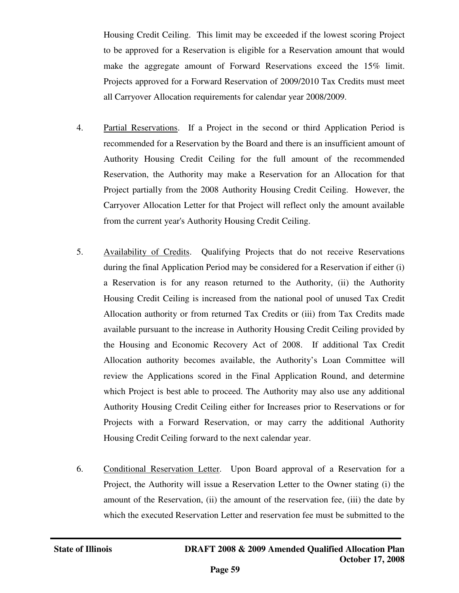Housing Credit Ceiling. This limit may be exceeded if the lowest scoring Project to be approved for a Reservation is eligible for a Reservation amount that would make the aggregate amount of Forward Reservations exceed the 15% limit. Projects approved for a Forward Reservation of 2009/2010 Tax Credits must meet all Carryover Allocation requirements for calendar year 2008/2009.

- 4. Partial Reservations. If a Project in the second or third Application Period is recommended for a Reservation by the Board and there is an insufficient amount of Authority Housing Credit Ceiling for the full amount of the recommended Reservation, the Authority may make a Reservation for an Allocation for that Project partially from the 2008 Authority Housing Credit Ceiling. However, the Carryover Allocation Letter for that Project will reflect only the amount available from the current year's Authority Housing Credit Ceiling.
- 5. Availability of Credits. Qualifying Projects that do not receive Reservations during the final Application Period may be considered for a Reservation if either (i) a Reservation is for any reason returned to the Authority, (ii) the Authority Housing Credit Ceiling is increased from the national pool of unused Tax Credit Allocation authority or from returned Tax Credits or (iii) from Tax Credits made available pursuant to the increase in Authority Housing Credit Ceiling provided by the Housing and Economic Recovery Act of 2008. If additional Tax Credit Allocation authority becomes available, the Authority's Loan Committee will review the Applications scored in the Final Application Round, and determine which Project is best able to proceed. The Authority may also use any additional Authority Housing Credit Ceiling either for Increases prior to Reservations or for Projects with a Forward Reservation, or may carry the additional Authority Housing Credit Ceiling forward to the next calendar year.
- 6. Conditional Reservation Letter. Upon Board approval of a Reservation for a Project, the Authority will issue a Reservation Letter to the Owner stating (i) the amount of the Reservation, (ii) the amount of the reservation fee, (iii) the date by which the executed Reservation Letter and reservation fee must be submitted to the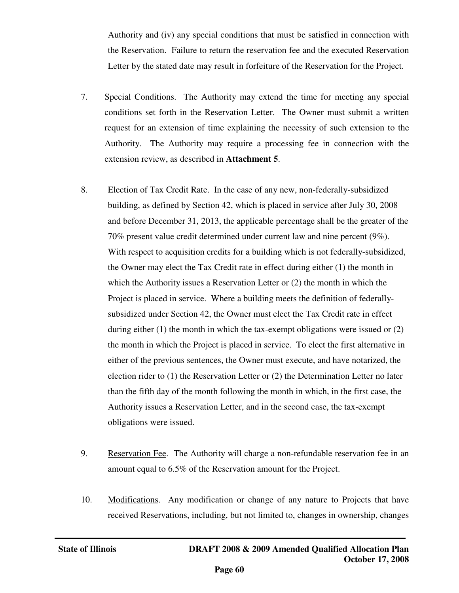Authority and (iv) any special conditions that must be satisfied in connection with the Reservation. Failure to return the reservation fee and the executed Reservation Letter by the stated date may result in forfeiture of the Reservation for the Project.

- 7. Special Conditions. The Authority may extend the time for meeting any special conditions set forth in the Reservation Letter. The Owner must submit a written request for an extension of time explaining the necessity of such extension to the Authority. The Authority may require a processing fee in connection with the extension review, as described in **Attachment 5**.
- 8. Election of Tax Credit Rate. In the case of any new, non-federally-subsidized building, as defined by Section 42, which is placed in service after July 30, 2008 and before December 31, 2013, the applicable percentage shall be the greater of the 70% present value credit determined under current law and nine percent (9%). With respect to acquisition credits for a building which is not federally-subsidized, the Owner may elect the Tax Credit rate in effect during either (1) the month in which the Authority issues a Reservation Letter or (2) the month in which the Project is placed in service. Where a building meets the definition of federallysubsidized under Section 42, the Owner must elect the Tax Credit rate in effect during either (1) the month in which the tax-exempt obligations were issued or (2) the month in which the Project is placed in service. To elect the first alternative in either of the previous sentences, the Owner must execute, and have notarized, the election rider to (1) the Reservation Letter or (2) the Determination Letter no later than the fifth day of the month following the month in which, in the first case, the Authority issues a Reservation Letter, and in the second case, the tax-exempt obligations were issued.
- 9. Reservation Fee. The Authority will charge a non-refundable reservation fee in an amount equal to 6.5% of the Reservation amount for the Project.
- 10. Modifications. Any modification or change of any nature to Projects that have received Reservations, including, but not limited to, changes in ownership, changes

j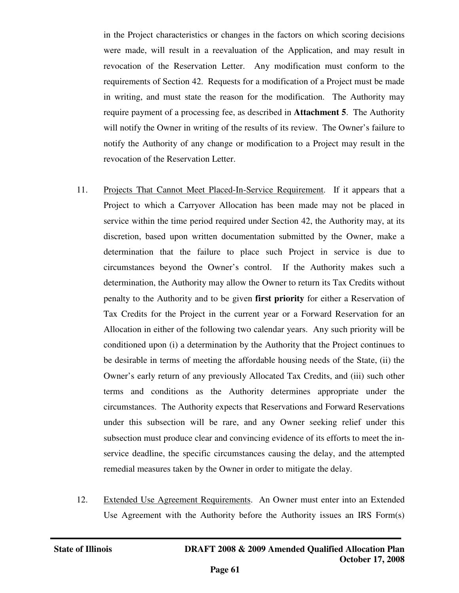in the Project characteristics or changes in the factors on which scoring decisions were made, will result in a reevaluation of the Application, and may result in revocation of the Reservation Letter. Any modification must conform to the requirements of Section 42. Requests for a modification of a Project must be made in writing, and must state the reason for the modification. The Authority may require payment of a processing fee, as described in **Attachment 5**. The Authority will notify the Owner in writing of the results of its review. The Owner's failure to notify the Authority of any change or modification to a Project may result in the revocation of the Reservation Letter.

- 11. Projects That Cannot Meet Placed-In-Service Requirement. If it appears that a Project to which a Carryover Allocation has been made may not be placed in service within the time period required under Section 42, the Authority may, at its discretion, based upon written documentation submitted by the Owner, make a determination that the failure to place such Project in service is due to circumstances beyond the Owner's control. If the Authority makes such a determination, the Authority may allow the Owner to return its Tax Credits without penalty to the Authority and to be given **first priority** for either a Reservation of Tax Credits for the Project in the current year or a Forward Reservation for an Allocation in either of the following two calendar years. Any such priority will be conditioned upon (i) a determination by the Authority that the Project continues to be desirable in terms of meeting the affordable housing needs of the State, (ii) the Owner's early return of any previously Allocated Tax Credits, and (iii) such other terms and conditions as the Authority determines appropriate under the circumstances. The Authority expects that Reservations and Forward Reservations under this subsection will be rare, and any Owner seeking relief under this subsection must produce clear and convincing evidence of its efforts to meet the inservice deadline, the specific circumstances causing the delay, and the attempted remedial measures taken by the Owner in order to mitigate the delay.
- 12. Extended Use Agreement Requirements. An Owner must enter into an Extended Use Agreement with the Authority before the Authority issues an IRS Form(s)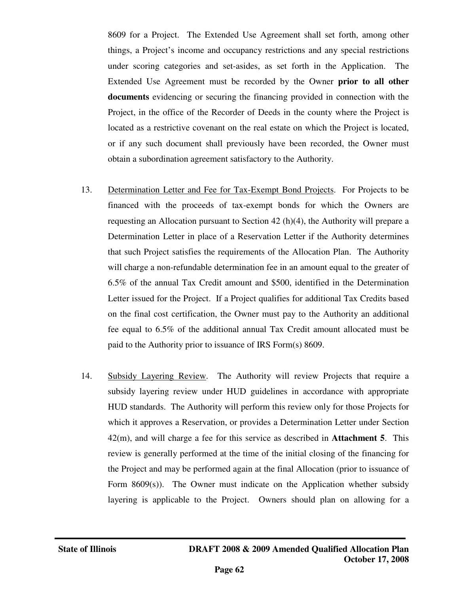8609 for a Project. The Extended Use Agreement shall set forth, among other things, a Project's income and occupancy restrictions and any special restrictions under scoring categories and set-asides, as set forth in the Application. The Extended Use Agreement must be recorded by the Owner **prior to all other documents** evidencing or securing the financing provided in connection with the Project, in the office of the Recorder of Deeds in the county where the Project is located as a restrictive covenant on the real estate on which the Project is located, or if any such document shall previously have been recorded, the Owner must obtain a subordination agreement satisfactory to the Authority.

- 13. Determination Letter and Fee for Tax-Exempt Bond Projects. For Projects to be financed with the proceeds of tax-exempt bonds for which the Owners are requesting an Allocation pursuant to Section 42 (h)(4), the Authority will prepare a Determination Letter in place of a Reservation Letter if the Authority determines that such Project satisfies the requirements of the Allocation Plan. The Authority will charge a non-refundable determination fee in an amount equal to the greater of 6.5% of the annual Tax Credit amount and \$500, identified in the Determination Letter issued for the Project. If a Project qualifies for additional Tax Credits based on the final cost certification, the Owner must pay to the Authority an additional fee equal to 6.5% of the additional annual Tax Credit amount allocated must be paid to the Authority prior to issuance of IRS Form(s) 8609.
- 14. Subsidy Layering Review. The Authority will review Projects that require a subsidy layering review under HUD guidelines in accordance with appropriate HUD standards. The Authority will perform this review only for those Projects for which it approves a Reservation, or provides a Determination Letter under Section 42(m), and will charge a fee for this service as described in **Attachment 5**. This review is generally performed at the time of the initial closing of the financing for the Project and may be performed again at the final Allocation (prior to issuance of Form 8609(s)). The Owner must indicate on the Application whether subsidy layering is applicable to the Project. Owners should plan on allowing for a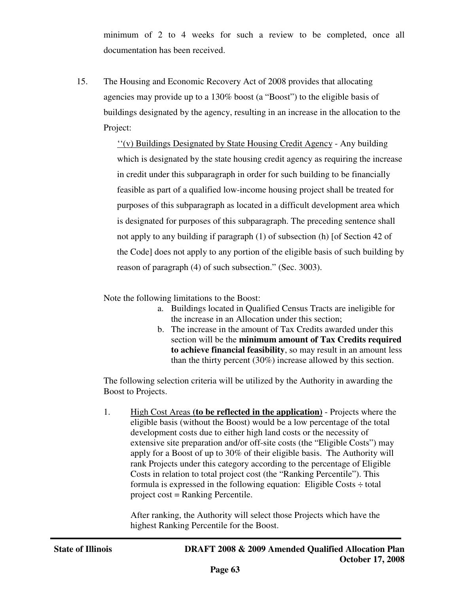minimum of 2 to 4 weeks for such a review to be completed, once all documentation has been received.

15. The Housing and Economic Recovery Act of 2008 provides that allocating agencies may provide up to a 130% boost (a "Boost") to the eligible basis of buildings designated by the agency, resulting in an increase in the allocation to the Project:

> ''(v) Buildings Designated by State Housing Credit Agency - Any building which is designated by the state housing credit agency as requiring the increase in credit under this subparagraph in order for such building to be financially feasible as part of a qualified low-income housing project shall be treated for purposes of this subparagraph as located in a difficult development area which is designated for purposes of this subparagraph. The preceding sentence shall not apply to any building if paragraph (1) of subsection (h) [of Section 42 of the Code] does not apply to any portion of the eligible basis of such building by reason of paragraph (4) of such subsection." (Sec. 3003).

Note the following limitations to the Boost:

- a. Buildings located in Qualified Census Tracts are ineligible for the increase in an Allocation under this section;
- b. The increase in the amount of Tax Credits awarded under this section will be the **minimum amount of Tax Credits required to achieve financial feasibility**, so may result in an amount less than the thirty percent (30%) increase allowed by this section.

The following selection criteria will be utilized by the Authority in awarding the Boost to Projects.

1. High Cost Areas **(to be reflected in the application)** - Projects where the eligible basis (without the Boost) would be a low percentage of the total development costs due to either high land costs or the necessity of extensive site preparation and/or off-site costs (the "Eligible Costs") may apply for a Boost of up to 30% of their eligible basis. The Authority will rank Projects under this category according to the percentage of Eligible Costs in relation to total project cost (the "Ranking Percentile"). This formula is expressed in the following equation: Eligible Costs  $\div$  total project cost = Ranking Percentile.

After ranking, the Authority will select those Projects which have the highest Ranking Percentile for the Boost.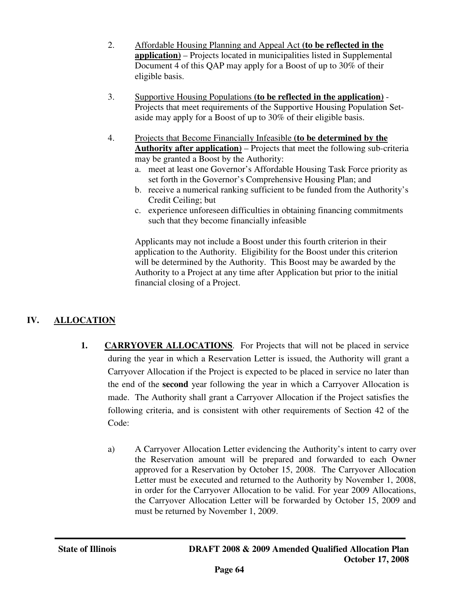- 2. Affordable Housing Planning and Appeal Act **(to be reflected in the application)** – Projects located in municipalities listed in Supplemental Document 4 of this QAP may apply for a Boost of up to 30% of their eligible basis.
- 3. Supportive Housing Populations **(to be reflected in the application)** Projects that meet requirements of the Supportive Housing Population Setaside may apply for a Boost of up to 30% of their eligible basis.
- 4. Projects that Become Financially Infeasible **(to be determined by the Authority after application)** – Projects that meet the following sub-criteria may be granted a Boost by the Authority:
	- a. meet at least one Governor's Affordable Housing Task Force priority as set forth in the Governor's Comprehensive Housing Plan; and
	- b. receive a numerical ranking sufficient to be funded from the Authority's Credit Ceiling; but
	- c. experience unforeseen difficulties in obtaining financing commitments such that they become financially infeasible

Applicants may not include a Boost under this fourth criterion in their application to the Authority. Eligibility for the Boost under this criterion will be determined by the Authority. This Boost may be awarded by the Authority to a Project at any time after Application but prior to the initial financial closing of a Project.

# **IV. ALLOCATION**

- **1. CARRYOVER ALLOCATIONS**. For Projects that will not be placed in service during the year in which a Reservation Letter is issued, the Authority will grant a Carryover Allocation if the Project is expected to be placed in service no later than the end of the **second** year following the year in which a Carryover Allocation is made. The Authority shall grant a Carryover Allocation if the Project satisfies the following criteria, and is consistent with other requirements of Section 42 of the Code:
	- a) A Carryover Allocation Letter evidencing the Authority's intent to carry over the Reservation amount will be prepared and forwarded to each Owner approved for a Reservation by October 15, 2008. The Carryover Allocation Letter must be executed and returned to the Authority by November 1, 2008, in order for the Carryover Allocation to be valid. For year 2009 Allocations, the Carryover Allocation Letter will be forwarded by October 15, 2009 and must be returned by November 1, 2009.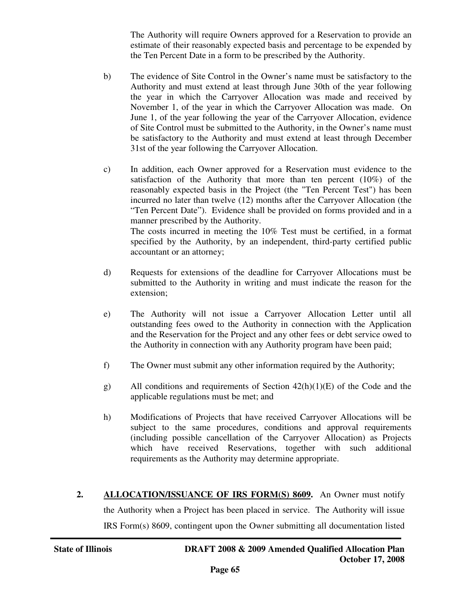The Authority will require Owners approved for a Reservation to provide an estimate of their reasonably expected basis and percentage to be expended by the Ten Percent Date in a form to be prescribed by the Authority.

- b) The evidence of Site Control in the Owner's name must be satisfactory to the Authority and must extend at least through June 30th of the year following the year in which the Carryover Allocation was made and received by November 1, of the year in which the Carryover Allocation was made. On June 1, of the year following the year of the Carryover Allocation, evidence of Site Control must be submitted to the Authority, in the Owner's name must be satisfactory to the Authority and must extend at least through December 31st of the year following the Carryover Allocation.
- c) In addition, each Owner approved for a Reservation must evidence to the satisfaction of the Authority that more than ten percent  $(10\%)$  of the reasonably expected basis in the Project (the "Ten Percent Test") has been incurred no later than twelve (12) months after the Carryover Allocation (the "Ten Percent Date"). Evidence shall be provided on forms provided and in a manner prescribed by the Authority. The costs incurred in meeting the 10% Test must be certified, in a format specified by the Authority, by an independent, third-party certified public accountant or an attorney;
- d) Requests for extensions of the deadline for Carryover Allocations must be submitted to the Authority in writing and must indicate the reason for the extension;
- e) The Authority will not issue a Carryover Allocation Letter until all outstanding fees owed to the Authority in connection with the Application and the Reservation for the Project and any other fees or debt service owed to the Authority in connection with any Authority program have been paid;
- f) The Owner must submit any other information required by the Authority;
- g) All conditions and requirements of Section 42(h)(1)(E) of the Code and the applicable regulations must be met; and
- h) Modifications of Projects that have received Carryover Allocations will be subject to the same procedures, conditions and approval requirements (including possible cancellation of the Carryover Allocation) as Projects which have received Reservations, together with such additional requirements as the Authority may determine appropriate.
- **2. ALLOCATION/ISSUANCE OF IRS FORM(S) 8609.** An Owner must notify the Authority when a Project has been placed in service. The Authority will issue IRS Form(s) 8609, contingent upon the Owner submitting all documentation listed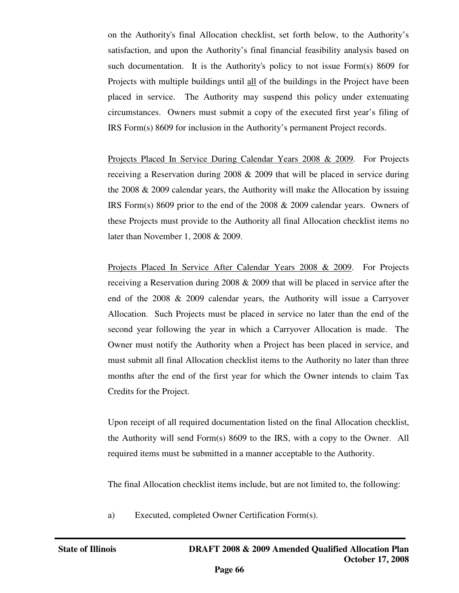on the Authority's final Allocation checklist, set forth below, to the Authority's satisfaction, and upon the Authority's final financial feasibility analysis based on such documentation. It is the Authority's policy to not issue Form(s) 8609 for Projects with multiple buildings until all of the buildings in the Project have been placed in service. The Authority may suspend this policy under extenuating circumstances. Owners must submit a copy of the executed first year's filing of IRS Form(s) 8609 for inclusion in the Authority's permanent Project records.

Projects Placed In Service During Calendar Years 2008 & 2009. For Projects receiving a Reservation during 2008 & 2009 that will be placed in service during the 2008 & 2009 calendar years, the Authority will make the Allocation by issuing IRS Form(s) 8609 prior to the end of the 2008 & 2009 calendar years. Owners of these Projects must provide to the Authority all final Allocation checklist items no later than November 1, 2008 & 2009.

Projects Placed In Service After Calendar Years 2008 & 2009. For Projects receiving a Reservation during 2008 & 2009 that will be placed in service after the end of the 2008 & 2009 calendar years, the Authority will issue a Carryover Allocation. Such Projects must be placed in service no later than the end of the second year following the year in which a Carryover Allocation is made. The Owner must notify the Authority when a Project has been placed in service, and must submit all final Allocation checklist items to the Authority no later than three months after the end of the first year for which the Owner intends to claim Tax Credits for the Project.

Upon receipt of all required documentation listed on the final Allocation checklist, the Authority will send Form(s) 8609 to the IRS, with a copy to the Owner. All required items must be submitted in a manner acceptable to the Authority.

The final Allocation checklist items include, but are not limited to, the following:

a) Executed, completed Owner Certification Form(s).

j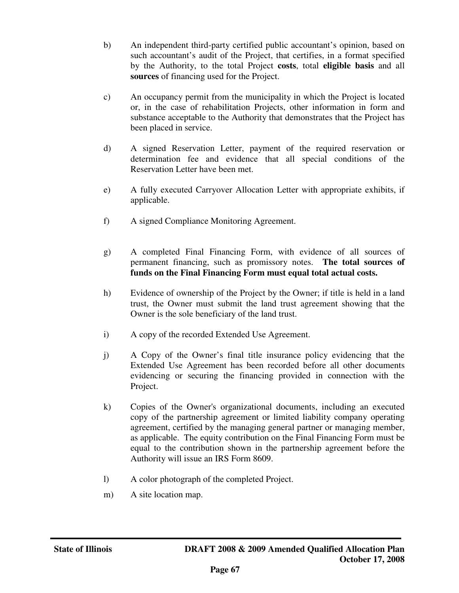- b) An independent third-party certified public accountant's opinion, based on such accountant's audit of the Project, that certifies, in a format specified by the Authority, to the total Project **costs**, total **eligible basis** and all **sources** of financing used for the Project.
- c) An occupancy permit from the municipality in which the Project is located or, in the case of rehabilitation Projects, other information in form and substance acceptable to the Authority that demonstrates that the Project has been placed in service.
- d) A signed Reservation Letter, payment of the required reservation or determination fee and evidence that all special conditions of the Reservation Letter have been met.
- e) A fully executed Carryover Allocation Letter with appropriate exhibits, if applicable.
- f) A signed Compliance Monitoring Agreement.
- g) A completed Final Financing Form, with evidence of all sources of permanent financing, such as promissory notes. **The total sources of funds on the Final Financing Form must equal total actual costs.**
- h) Evidence of ownership of the Project by the Owner; if title is held in a land trust, the Owner must submit the land trust agreement showing that the Owner is the sole beneficiary of the land trust.
- i) A copy of the recorded Extended Use Agreement.
- j) A Copy of the Owner's final title insurance policy evidencing that the Extended Use Agreement has been recorded before all other documents evidencing or securing the financing provided in connection with the Project.
- k) Copies of the Owner's organizational documents, including an executed copy of the partnership agreement or limited liability company operating agreement, certified by the managing general partner or managing member, as applicable. The equity contribution on the Final Financing Form must be equal to the contribution shown in the partnership agreement before the Authority will issue an IRS Form 8609.
- l) A color photograph of the completed Project.
- m) A site location map.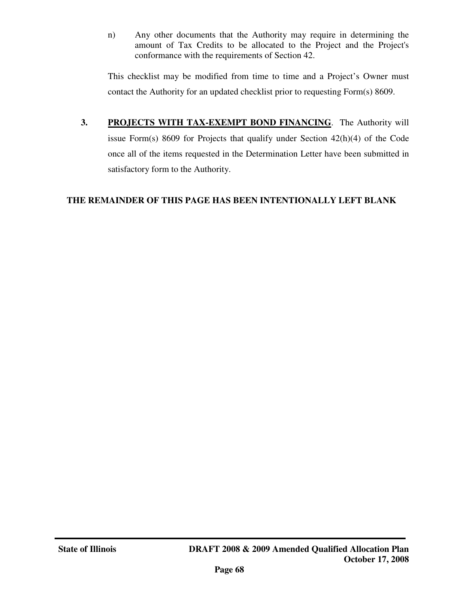n) Any other documents that the Authority may require in determining the amount of Tax Credits to be allocated to the Project and the Project's conformance with the requirements of Section 42.

This checklist may be modified from time to time and a Project's Owner must contact the Authority for an updated checklist prior to requesting Form(s) 8609.

**3. PROJECTS WITH TAX-EXEMPT BOND FINANCING**. The Authority will issue Form(s) 8609 for Projects that qualify under Section 42(h)(4) of the Code once all of the items requested in the Determination Letter have been submitted in satisfactory form to the Authority.

## **THE REMAINDER OF THIS PAGE HAS BEEN INTENTIONALLY LEFT BLANK**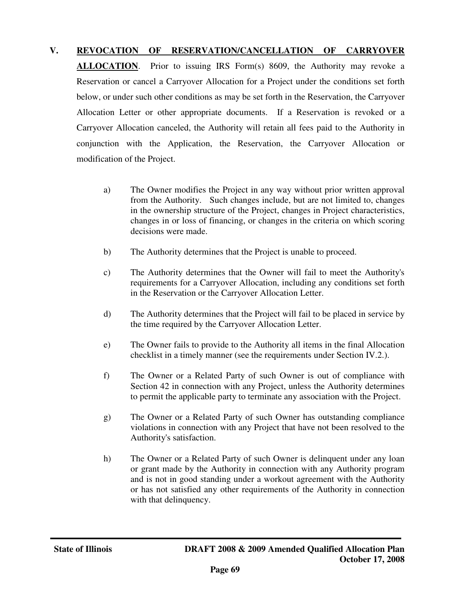## **V. REVOCATION OF RESERVATION/CANCELLATION OF CARRYOVER**

**ALLOCATION.** Prior to issuing IRS Form(s) 8609, the Authority may revoke a Reservation or cancel a Carryover Allocation for a Project under the conditions set forth below, or under such other conditions as may be set forth in the Reservation, the Carryover Allocation Letter or other appropriate documents. If a Reservation is revoked or a Carryover Allocation canceled, the Authority will retain all fees paid to the Authority in conjunction with the Application, the Reservation, the Carryover Allocation or modification of the Project.

- a) The Owner modifies the Project in any way without prior written approval from the Authority. Such changes include, but are not limited to, changes in the ownership structure of the Project, changes in Project characteristics, changes in or loss of financing, or changes in the criteria on which scoring decisions were made.
- b) The Authority determines that the Project is unable to proceed.
- c) The Authority determines that the Owner will fail to meet the Authority's requirements for a Carryover Allocation, including any conditions set forth in the Reservation or the Carryover Allocation Letter.
- d) The Authority determines that the Project will fail to be placed in service by the time required by the Carryover Allocation Letter.
- e) The Owner fails to provide to the Authority all items in the final Allocation checklist in a timely manner (see the requirements under Section IV.2.).
- f) The Owner or a Related Party of such Owner is out of compliance with Section 42 in connection with any Project, unless the Authority determines to permit the applicable party to terminate any association with the Project.
- g) The Owner or a Related Party of such Owner has outstanding compliance violations in connection with any Project that have not been resolved to the Authority's satisfaction.
- h) The Owner or a Related Party of such Owner is delinquent under any loan or grant made by the Authority in connection with any Authority program and is not in good standing under a workout agreement with the Authority or has not satisfied any other requirements of the Authority in connection with that delinquency.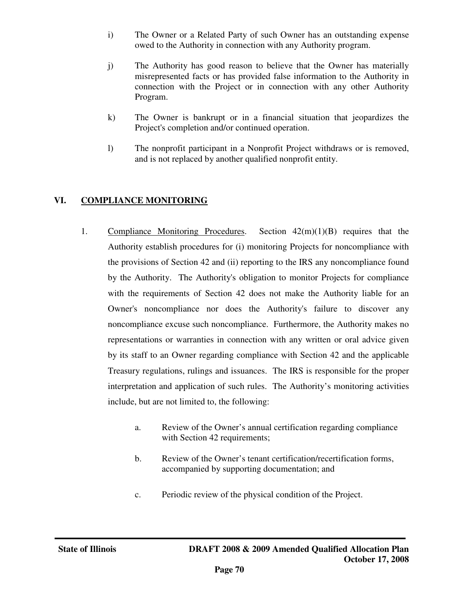- i) The Owner or a Related Party of such Owner has an outstanding expense owed to the Authority in connection with any Authority program.
- j) The Authority has good reason to believe that the Owner has materially misrepresented facts or has provided false information to the Authority in connection with the Project or in connection with any other Authority Program.
- k) The Owner is bankrupt or in a financial situation that jeopardizes the Project's completion and/or continued operation.
- l) The nonprofit participant in a Nonprofit Project withdraws or is removed, and is not replaced by another qualified nonprofit entity.

## **VI. COMPLIANCE MONITORING**

- 1. Compliance Monitoring Procedures. Section  $42(m)(1)(B)$  requires that the Authority establish procedures for (i) monitoring Projects for noncompliance with the provisions of Section 42 and (ii) reporting to the IRS any noncompliance found by the Authority. The Authority's obligation to monitor Projects for compliance with the requirements of Section 42 does not make the Authority liable for an Owner's noncompliance nor does the Authority's failure to discover any noncompliance excuse such noncompliance. Furthermore, the Authority makes no representations or warranties in connection with any written or oral advice given by its staff to an Owner regarding compliance with Section 42 and the applicable Treasury regulations, rulings and issuances. The IRS is responsible for the proper interpretation and application of such rules. The Authority's monitoring activities include, but are not limited to, the following:
	- a. Review of the Owner's annual certification regarding compliance with Section 42 requirements;
	- b. Review of the Owner's tenant certification/recertification forms, accompanied by supporting documentation; and
	- c. Periodic review of the physical condition of the Project.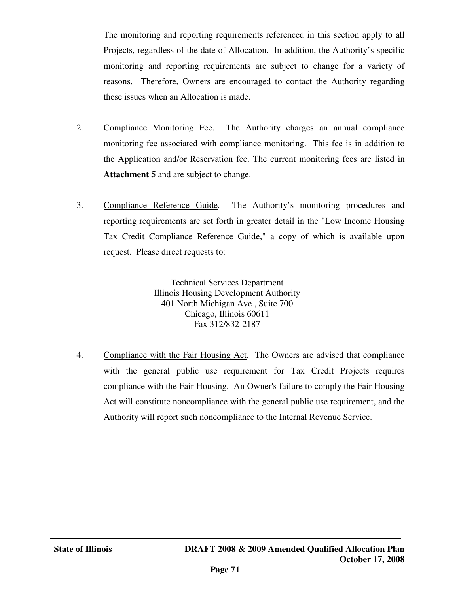The monitoring and reporting requirements referenced in this section apply to all Projects, regardless of the date of Allocation. In addition, the Authority's specific monitoring and reporting requirements are subject to change for a variety of reasons. Therefore, Owners are encouraged to contact the Authority regarding these issues when an Allocation is made.

- 2. Compliance Monitoring Fee. The Authority charges an annual compliance monitoring fee associated with compliance monitoring. This fee is in addition to the Application and/or Reservation fee. The current monitoring fees are listed in **Attachment 5** and are subject to change.
- 3. Compliance Reference Guide. The Authority's monitoring procedures and reporting requirements are set forth in greater detail in the "Low Income Housing Tax Credit Compliance Reference Guide," a copy of which is available upon request. Please direct requests to:

Technical Services Department Illinois Housing Development Authority 401 North Michigan Ave., Suite 700 Chicago, Illinois 60611 Fax 312/832-2187

4. Compliance with the Fair Housing Act. The Owners are advised that compliance with the general public use requirement for Tax Credit Projects requires compliance with the Fair Housing. An Owner's failure to comply the Fair Housing Act will constitute noncompliance with the general public use requirement, and the Authority will report such noncompliance to the Internal Revenue Service.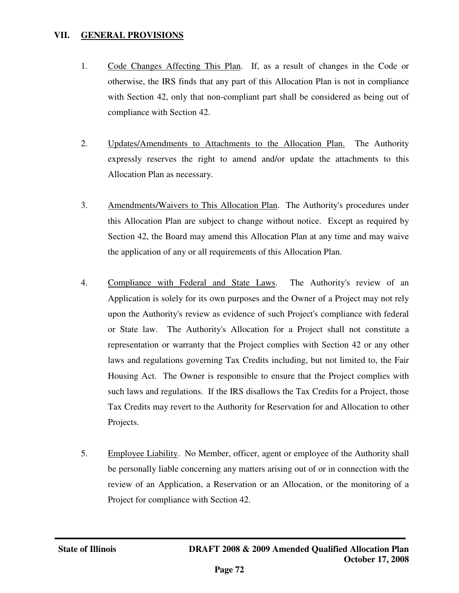## **VII. GENERAL PROVISIONS**

- 1. Code Changes Affecting This Plan. If, as a result of changes in the Code or otherwise, the IRS finds that any part of this Allocation Plan is not in compliance with Section 42, only that non-compliant part shall be considered as being out of compliance with Section 42.
- 2. Updates/Amendments to Attachments to the Allocation Plan. The Authority expressly reserves the right to amend and/or update the attachments to this Allocation Plan as necessary.
- 3. Amendments/Waivers to This Allocation Plan. The Authority's procedures under this Allocation Plan are subject to change without notice. Except as required by Section 42, the Board may amend this Allocation Plan at any time and may waive the application of any or all requirements of this Allocation Plan.
- 4. Compliance with Federal and State Laws. The Authority's review of an Application is solely for its own purposes and the Owner of a Project may not rely upon the Authority's review as evidence of such Project's compliance with federal or State law. The Authority's Allocation for a Project shall not constitute a representation or warranty that the Project complies with Section 42 or any other laws and regulations governing Tax Credits including, but not limited to, the Fair Housing Act. The Owner is responsible to ensure that the Project complies with such laws and regulations. If the IRS disallows the Tax Credits for a Project, those Tax Credits may revert to the Authority for Reservation for and Allocation to other Projects.
- 5. Employee Liability. No Member, officer, agent or employee of the Authority shall be personally liable concerning any matters arising out of or in connection with the review of an Application, a Reservation or an Allocation, or the monitoring of a Project for compliance with Section 42.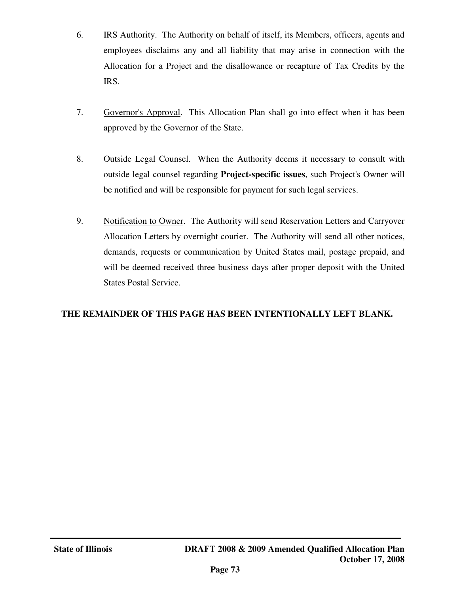- 6. IRS Authority. The Authority on behalf of itself, its Members, officers, agents and employees disclaims any and all liability that may arise in connection with the Allocation for a Project and the disallowance or recapture of Tax Credits by the IRS.
- 7. Governor's Approval. This Allocation Plan shall go into effect when it has been approved by the Governor of the State.
- 8. Outside Legal Counsel. When the Authority deems it necessary to consult with outside legal counsel regarding **Project-specific issues**, such Project's Owner will be notified and will be responsible for payment for such legal services.
- 9. Notification to Owner. The Authority will send Reservation Letters and Carryover Allocation Letters by overnight courier. The Authority will send all other notices, demands, requests or communication by United States mail, postage prepaid, and will be deemed received three business days after proper deposit with the United States Postal Service.

# **THE REMAINDER OF THIS PAGE HAS BEEN INTENTIONALLY LEFT BLANK.**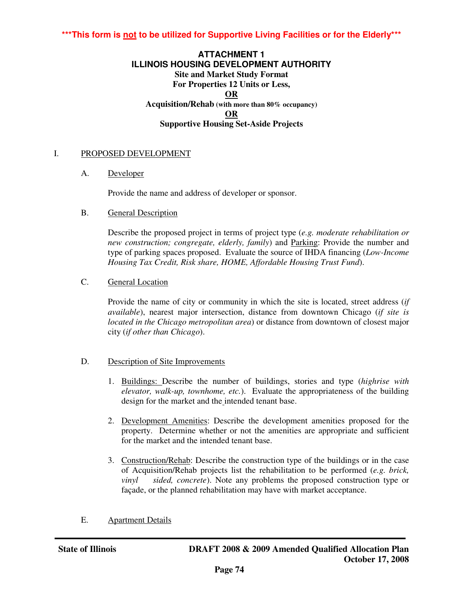## **\*\*\*This form is not to be utilized for Supportive Living Facilities or for the Elderly\*\*\***

#### **ATTACHMENT 1 ILLINOIS HOUSING DEVELOPMENT AUTHORITY Site and Market Study Format For Properties 12 Units or Less, OR Acquisition/Rehab (with more than 80% occupancy) OR Supportive Housing Set-Aside Projects**

#### I. PROPOSED DEVELOPMENT

A. Developer

Provide the name and address of developer or sponsor.

B. General Description

Describe the proposed project in terms of project type (*e.g. moderate rehabilitation or new construction; congregate, elderly, family*) and **Parking: Provide the number and** type of parking spaces proposed. Evaluate the source of IHDA financing (*Low-Income Housing Tax Credit, Risk share, HOME, Affordable Housing Trust Fund*).

C. General Location

Provide the name of city or community in which the site is located, street address (*if available*), nearest major intersection, distance from downtown Chicago (*if site is located in the Chicago metropolitan area*) or distance from downtown of closest major city (*if other than Chicago*).

- D. Description of Site Improvements
	- 1. Buildings: Describe the number of buildings, stories and type (*highrise with elevator, walk-up, townhome, etc.*). Evaluate the appropriateness of the building design for the market and the intended tenant base.
	- 2. Development Amenities: Describe the development amenities proposed for the property. Determine whether or not the amenities are appropriate and sufficient for the market and the intended tenant base.
	- 3. Construction/Rehab: Describe the construction type of the buildings or in the case of Acquisition/Rehab projects list the rehabilitation to be performed (*e.g. brick, vinyl sided, concrete*). Note any problems the proposed construction type or façade, or the planned rehabilitation may have with market acceptance.
- E. Apartment Details

j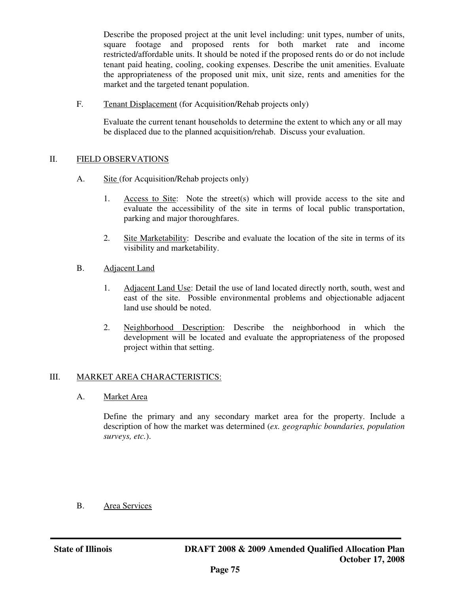Describe the proposed project at the unit level including: unit types, number of units, square footage and proposed rents for both market rate and income restricted/affordable units. It should be noted if the proposed rents do or do not include tenant paid heating, cooling, cooking expenses. Describe the unit amenities. Evaluate the appropriateness of the proposed unit mix, unit size, rents and amenities for the market and the targeted tenant population.

F. Tenant Displacement (for Acquisition/Rehab projects only)

Evaluate the current tenant households to determine the extent to which any or all may be displaced due to the planned acquisition/rehab. Discuss your evaluation.

#### II. FIELD OBSERVATIONS

- A. Site (for Acquisition/Rehab projects only)
	- 1. Access to Site: Note the street(s) which will provide access to the site and evaluate the accessibility of the site in terms of local public transportation, parking and major thoroughfares.
	- 2. Site Marketability: Describe and evaluate the location of the site in terms of its visibility and marketability.
- B. Adjacent Land
	- 1. Adjacent Land Use: Detail the use of land located directly north, south, west and east of the site. Possible environmental problems and objectionable adjacent land use should be noted.
	- 2. Neighborhood Description: Describe the neighborhood in which the development will be located and evaluate the appropriateness of the proposed project within that setting.

## III. MARKET AREA CHARACTERISTICS:

A. Market Area

Define the primary and any secondary market area for the property. Include a description of how the market was determined (*ex. geographic boundaries, population surveys, etc.*).

B. Area Services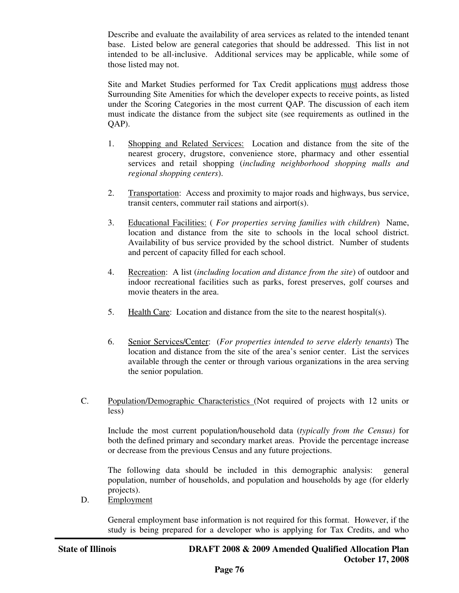Describe and evaluate the availability of area services as related to the intended tenant base. Listed below are general categories that should be addressed. This list in not intended to be all-inclusive. Additional services may be applicable, while some of those listed may not.

Site and Market Studies performed for Tax Credit applications must address those Surrounding Site Amenities for which the developer expects to receive points, as listed under the Scoring Categories in the most current QAP. The discussion of each item must indicate the distance from the subject site (see requirements as outlined in the QAP).

- 1. Shopping and Related Services: Location and distance from the site of the nearest grocery, drugstore, convenience store, pharmacy and other essential services and retail shopping (*including neighborhood shopping malls and regional shopping centers*).
- 2. Transportation: Access and proximity to major roads and highways, bus service, transit centers, commuter rail stations and airport(s).
- 3. Educational Facilities: ( *For properties serving families with children*) Name, location and distance from the site to schools in the local school district. Availability of bus service provided by the school district. Number of students and percent of capacity filled for each school.
- 4. Recreation: A list (*including location and distance from the site*) of outdoor and indoor recreational facilities such as parks, forest preserves, golf courses and movie theaters in the area.
- 5. Health Care: Location and distance from the site to the nearest hospital(s).
- 6. Senior Services/Center: (*For properties intended to serve elderly tenants*) The location and distance from the site of the area's senior center. List the services available through the center or through various organizations in the area serving the senior population.
- C. Population/Demographic Characteristics (Not required of projects with 12 units or less)

Include the most current population/household data (*typically from the Census)* for both the defined primary and secondary market areas. Provide the percentage increase or decrease from the previous Census and any future projections.

The following data should be included in this demographic analysis: general population, number of households, and population and households by age (for elderly projects).

D. Employment

General employment base information is not required for this format. However, if the study is being prepared for a developer who is applying for Tax Credits, and who

j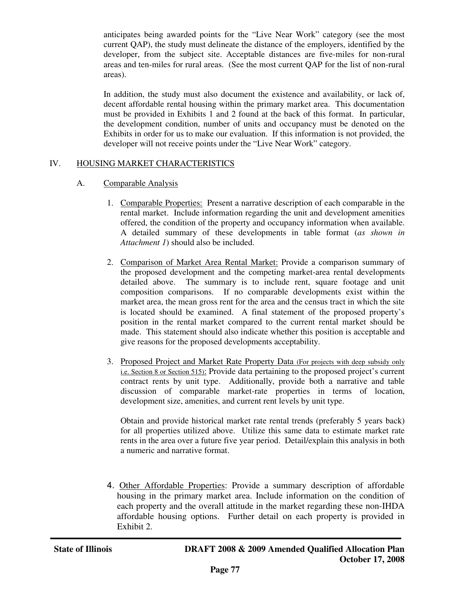anticipates being awarded points for the "Live Near Work" category (see the most current QAP), the study must delineate the distance of the employers, identified by the developer, from the subject site. Acceptable distances are five-miles for non-rural areas and ten-miles for rural areas. (See the most current QAP for the list of non-rural areas).

In addition, the study must also document the existence and availability, or lack of, decent affordable rental housing within the primary market area. This documentation must be provided in Exhibits 1 and 2 found at the back of this format. In particular, the development condition, number of units and occupancy must be denoted on the Exhibits in order for us to make our evaluation. If this information is not provided, the developer will not receive points under the "Live Near Work" category.

#### IV. HOUSING MARKET CHARACTERISTICS

#### A. Comparable Analysis

- 1. Comparable Properties: Present a narrative description of each comparable in the rental market. Include information regarding the unit and development amenities offered, the condition of the property and occupancy information when available. A detailed summary of these developments in table format (*as shown in Attachment 1*) should also be included.
- 2. Comparison of Market Area Rental Market: Provide a comparison summary of the proposed development and the competing market-area rental developments detailed above. The summary is to include rent, square footage and unit composition comparisons. If no comparable developments exist within the market area, the mean gross rent for the area and the census tract in which the site is located should be examined. A final statement of the proposed property's position in the rental market compared to the current rental market should be made. This statement should also indicate whether this position is acceptable and give reasons for the proposed developments acceptability.
- 3. Proposed Project and Market Rate Property Data (For projects with deep subsidy only i.e. Section 8 or Section 515): Provide data pertaining to the proposed project's current contract rents by unit type. Additionally, provide both a narrative and table discussion of comparable market-rate properties in terms of location, development size, amenities, and current rent levels by unit type.

Obtain and provide historical market rate rental trends (preferably 5 years back) for all properties utilized above. Utilize this same data to estimate market rate rents in the area over a future five year period. Detail/explain this analysis in both a numeric and narrative format.

4. Other Affordable Properties: Provide a summary description of affordable housing in the primary market area. Include information on the condition of each property and the overall attitude in the market regarding these non-IHDA affordable housing options. Further detail on each property is provided in Exhibit 2.

j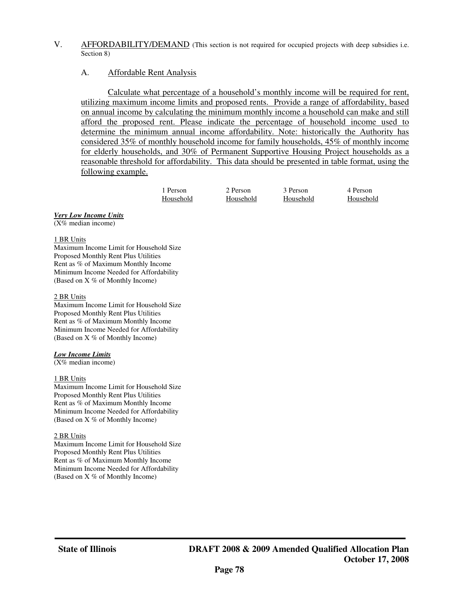#### V. AFFORDABILITY/DEMAND (This section is not required for occupied projects with deep subsidies i.e. Section 8)

#### A. Affordable Rent Analysis

 Calculate what percentage of a household's monthly income will be required for rent, utilizing maximum income limits and proposed rents. Provide a range of affordability, based on annual income by calculating the minimum monthly income a household can make and still afford the proposed rent. Please indicate the percentage of household income used to determine the minimum annual income affordability. Note: historically the Authority has considered 35% of monthly household income for family households, 45% of monthly income for elderly households, and 30% of Permanent Supportive Housing Project households as a reasonable threshold for affordability. This data should be presented in table format, using the following example.

| Person    | 2 Person  | 3 Person  | 4 Person  |
|-----------|-----------|-----------|-----------|
| Household | Household | Household | Household |

#### *Very Low Income Units*

(X% median income)

#### 1 BR Units

Maximum Income Limit for Household Size Proposed Monthly Rent Plus Utilities Rent as % of Maximum Monthly Income Minimum Income Needed for Affordability (Based on X % of Monthly Income)

#### 2 BR Units

Maximum Income Limit for Household Size Proposed Monthly Rent Plus Utilities Rent as % of Maximum Monthly Income Minimum Income Needed for Affordability (Based on X % of Monthly Income)

#### *Low Income Limits*

 $(X%$  median income)

#### 1 BR Units

Maximum Income Limit for Household Size Proposed Monthly Rent Plus Utilities Rent as % of Maximum Monthly Income Minimum Income Needed for Affordability (Based on X % of Monthly Income)

#### 2 BR Units

Maximum Income Limit for Household Size Proposed Monthly Rent Plus Utilities Rent as % of Maximum Monthly Income Minimum Income Needed for Affordability (Based on X % of Monthly Income)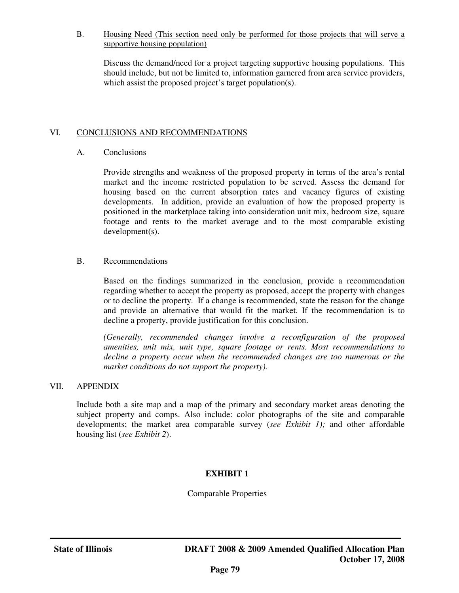#### B. Housing Need (This section need only be performed for those projects that will serve a supportive housing population)

Discuss the demand/need for a project targeting supportive housing populations. This should include, but not be limited to, information garnered from area service providers, which assist the proposed project's target population(s).

#### VI. CONCLUSIONS AND RECOMMENDATIONS

#### A. Conclusions

Provide strengths and weakness of the proposed property in terms of the area's rental market and the income restricted population to be served. Assess the demand for housing based on the current absorption rates and vacancy figures of existing developments. In addition, provide an evaluation of how the proposed property is positioned in the marketplace taking into consideration unit mix, bedroom size, square footage and rents to the market average and to the most comparable existing development(s).

#### B. Recommendations

Based on the findings summarized in the conclusion, provide a recommendation regarding whether to accept the property as proposed, accept the property with changes or to decline the property. If a change is recommended, state the reason for the change and provide an alternative that would fit the market. If the recommendation is to decline a property, provide justification for this conclusion.

*(Generally, recommended changes involve a reconfiguration of the proposed amenities, unit mix, unit type, square footage or rents. Most recommendations to decline a property occur when the recommended changes are too numerous or the market conditions do not support the property).*

#### VII. APPENDIX

Include both a site map and a map of the primary and secondary market areas denoting the subject property and comps. Also include: color photographs of the site and comparable developments; the market area comparable survey (*see Exhibit 1);* and other affordable housing list (*see Exhibit 2*).

## **EXHIBIT 1**

Comparable Properties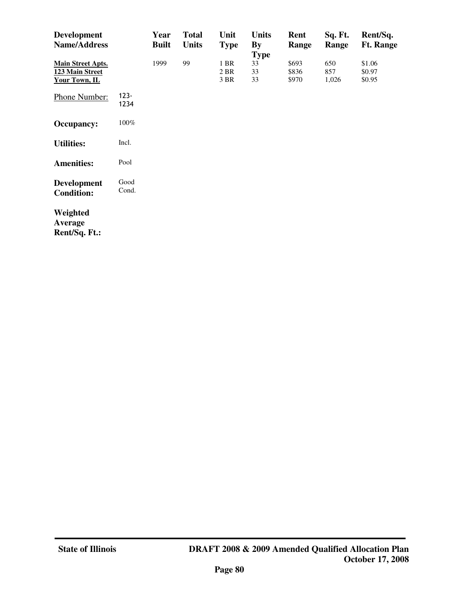| <b>Development</b><br><b>Name/Address</b>                    |                 | Year<br><b>Built</b> | <b>Total</b><br><b>Units</b> | Unit<br><b>Type</b>  | <b>Units</b><br>$\mathbf{By}$<br><b>Type</b> | Rent<br>Range           | Sq. Ft.<br>Range    | Rent/Sq.<br><b>Ft. Range</b> |
|--------------------------------------------------------------|-----------------|----------------------|------------------------------|----------------------|----------------------------------------------|-------------------------|---------------------|------------------------------|
| <b>Main Street Apts.</b><br>123 Main Street<br>Your Town, IL |                 | 1999                 | 99                           | 1 BR<br>2 BR<br>3 BR | 33<br>33<br>33                               | \$693<br>\$836<br>\$970 | 650<br>857<br>1,026 | \$1.06<br>\$0.97<br>\$0.95   |
| Phone Number:                                                | $123 -$<br>1234 |                      |                              |                      |                                              |                         |                     |                              |
| <b>Occupancy:</b>                                            | 100%            |                      |                              |                      |                                              |                         |                     |                              |
| <b>Utilities:</b>                                            | Incl.           |                      |                              |                      |                                              |                         |                     |                              |
| <b>Amenities:</b>                                            | Pool            |                      |                              |                      |                                              |                         |                     |                              |
| <b>Development</b><br><b>Condition:</b>                      | Good<br>Cond.   |                      |                              |                      |                                              |                         |                     |                              |
| Weighted<br>Average<br>Rent/Sq. Ft.:                         |                 |                      |                              |                      |                                              |                         |                     |                              |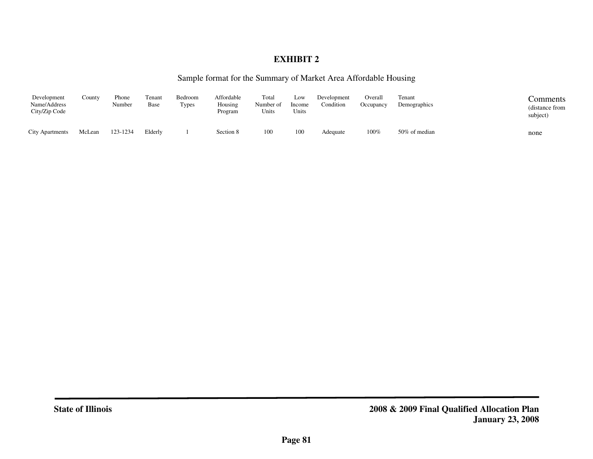# **EXHIBIT 2**

#### Sample format for the Summary of Market Area Affordable Housing

| Development<br>Name/Address<br>City/Zip Code | County | Phone<br>Number | Tenant<br><b>Base</b> | Bedroom<br>Types | Affordable<br>Housing<br>Program | Total<br>Number of<br>Units | Low<br>Income<br>Units | Development<br>Condition | Overall<br>Occupancy | Tenant<br>Demographics | Comments<br>(distance from<br>subject) |
|----------------------------------------------|--------|-----------------|-----------------------|------------------|----------------------------------|-----------------------------|------------------------|--------------------------|----------------------|------------------------|----------------------------------------|
| <b>City Apartments</b>                       | McLean | 123-1234        | Elderly               |                  | Section 8                        | 100                         | 100                    | Adequate                 | 100%                 | 50% of median          | none                                   |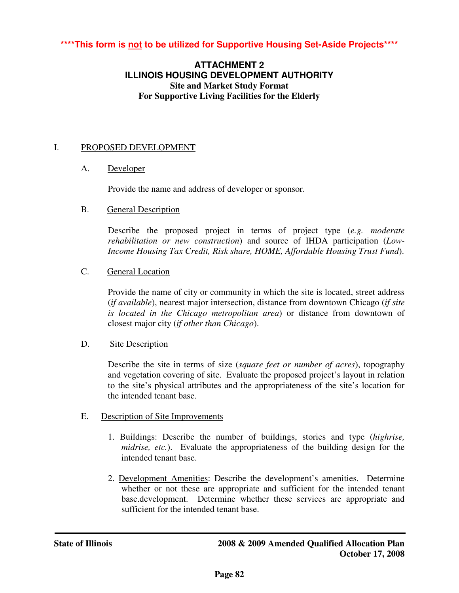# **\*\*\*\*This form is not to be utilized for Supportive Housing Set-Aside Projects\*\*\*\***

## **ATTACHMENT 2 ILLINOIS HOUSING DEVELOPMENT AUTHORITY Site and Market Study Format For Supportive Living Facilities for the Elderly**

#### I. PROPOSED DEVELOPMENT

#### A. Developer

Provide the name and address of developer or sponsor.

#### B. General Description

Describe the proposed project in terms of project type (*e.g. moderate rehabilitation or new construction*) and source of IHDA participation (*Low-Income Housing Tax Credit, Risk share, HOME, Affordable Housing Trust Fund*).

#### C. General Location

Provide the name of city or community in which the site is located, street address (*if available*), nearest major intersection, distance from downtown Chicago (*if site is located in the Chicago metropolitan area*) or distance from downtown of closest major city (*if other than Chicago*).

#### D. Site Description

Describe the site in terms of size (*square feet or number of acres*), topography and vegetation covering of site. Evaluate the proposed project's layout in relation to the site's physical attributes and the appropriateness of the site's location for the intended tenant base.

## E. Description of Site Improvements

- 1. Buildings: Describe the number of buildings, stories and type (*highrise, midrise, etc.*). Evaluate the appropriateness of the building design for the intended tenant base.
- 2. Development Amenities: Describe the development's amenities. Determine whether or not these are appropriate and sufficient for the intended tenant base.development. Determine whether these services are appropriate and sufficient for the intended tenant base.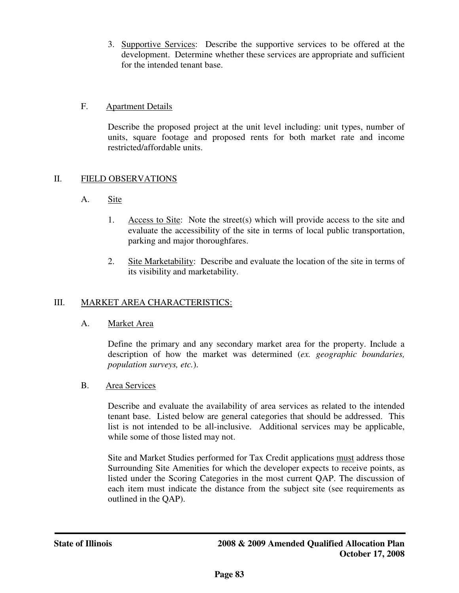3. Supportive Services: Describe the supportive services to be offered at the development. Determine whether these services are appropriate and sufficient for the intended tenant base.

## F. Apartment Details

Describe the proposed project at the unit level including: unit types, number of units, square footage and proposed rents for both market rate and income restricted/affordable units.

## II. FIELD OBSERVATIONS

- A. Site
	- 1. Access to Site: Note the street(s) which will provide access to the site and evaluate the accessibility of the site in terms of local public transportation, parking and major thoroughfares.
	- 2. Site Marketability: Describe and evaluate the location of the site in terms of its visibility and marketability.

# III. MARKET AREA CHARACTERISTICS:

A. Market Area

Define the primary and any secondary market area for the property. Include a description of how the market was determined (*ex. geographic boundaries, population surveys, etc.*).

B. Area Services

Describe and evaluate the availability of area services as related to the intended tenant base. Listed below are general categories that should be addressed. This list is not intended to be all-inclusive. Additional services may be applicable, while some of those listed may not.

Site and Market Studies performed for Tax Credit applications must address those Surrounding Site Amenities for which the developer expects to receive points, as listed under the Scoring Categories in the most current QAP. The discussion of each item must indicate the distance from the subject site (see requirements as outlined in the QAP).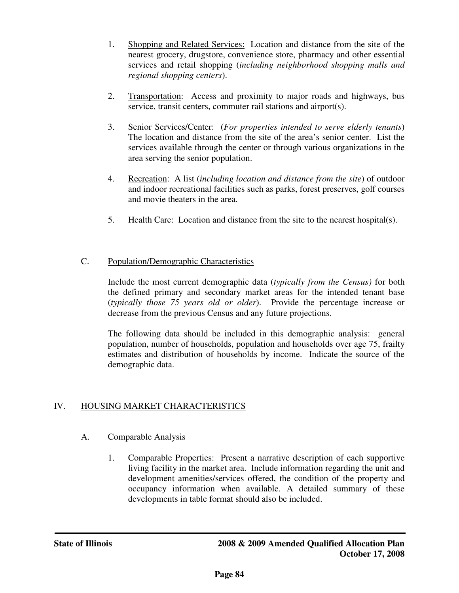- 1. Shopping and Related Services: Location and distance from the site of the nearest grocery, drugstore, convenience store, pharmacy and other essential services and retail shopping (*including neighborhood shopping malls and regional shopping centers*).
- 2. Transportation: Access and proximity to major roads and highways, bus service, transit centers, commuter rail stations and airport(s).
- 3. Senior Services/Center: (*For properties intended to serve elderly tenants*) The location and distance from the site of the area's senior center. List the services available through the center or through various organizations in the area serving the senior population.
- 4. Recreation: A list (*including location and distance from the site*) of outdoor and indoor recreational facilities such as parks, forest preserves, golf courses and movie theaters in the area.
- 5. Health Care: Location and distance from the site to the nearest hospital(s).

# C. Population/Demographic Characteristics

Include the most current demographic data (*typically from the Census)* for both the defined primary and secondary market areas for the intended tenant base (*typically those 75 years old or older*). Provide the percentage increase or decrease from the previous Census and any future projections.

The following data should be included in this demographic analysis: general population, number of households, population and households over age 75, frailty estimates and distribution of households by income. Indicate the source of the demographic data.

# IV. HOUSING MARKET CHARACTERISTICS

## A. Comparable Analysis

1. Comparable Properties: Present a narrative description of each supportive living facility in the market area. Include information regarding the unit and development amenities/services offered, the condition of the property and occupancy information when available. A detailed summary of these developments in table format should also be included.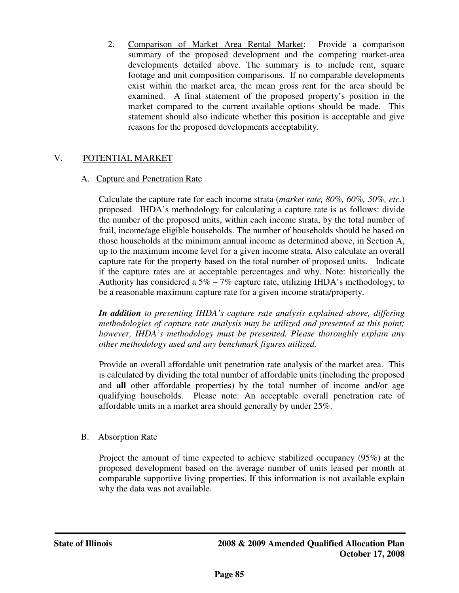2. Comparison of Market Area Rental Market: Provide a comparison summary of the proposed development and the competing market-area developments detailed above. The summary is to include rent, square footage and unit composition comparisons. If no comparable developments exist within the market area, the mean gross rent for the area should be examined. A final statement of the proposed property's position in the market compared to the current available options should be made. This statement should also indicate whether this position is acceptable and give reasons for the proposed developments acceptability.

## V. POTENTIAL MARKET

## A. Capture and Penetration Rate

Calculate the capture rate for each income strata (*market rate, 80%, 60%, 50%, etc.*) proposed. IHDA's methodology for calculating a capture rate is as follows: divide the number of the proposed units, within each income strata, by the total number of frail, income/age eligible households. The number of households should be based on those households at the minimum annual income as determined above, in Section A, up to the maximum income level for a given income strata. Also calculate an overall capture rate for the property based on the total number of proposed units. Indicate if the capture rates are at acceptable percentages and why. Note: historically the Authority has considered a  $5\% - 7\%$  capture rate, utilizing IHDA's methodology, to be a reasonable maximum capture rate for a given income strata/property.

*In addition to presenting IHDA's capture rate analysis explained above, differing methodologies of capture rate analysis may be utilized and presented at this point; however, IHDA's methodology must be presented. Please thoroughly explain any other methodology used and any benchmark figures utilized.* 

Provide an overall affordable unit penetration rate analysis of the market area. This is calculated by dividing the total number of affordable units (including the proposed and **all** other affordable properties) by the total number of income and/or age qualifying households. Please note: An acceptable overall penetration rate of affordable units in a market area should generally by under 25%.

# B. Absorption Rate

Project the amount of time expected to achieve stabilized occupancy (95%) at the proposed development based on the average number of units leased per month at comparable supportive living properties. If this information is not available explain why the data was not available.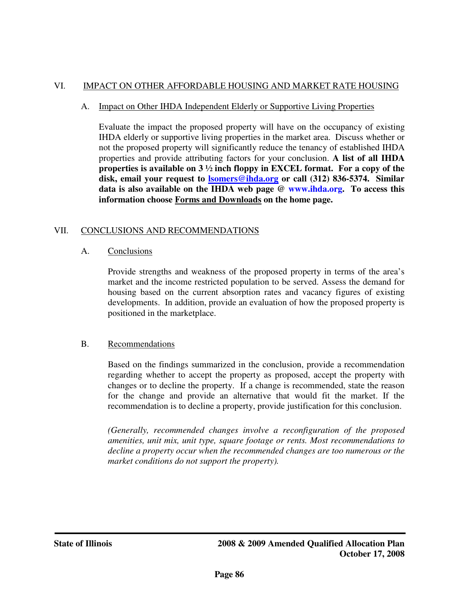#### VI. IMPACT ON OTHER AFFORDABLE HOUSING AND MARKET RATE HOUSING

#### A. Impact on Other IHDA Independent Elderly or Supportive Living Properties

Evaluate the impact the proposed property will have on the occupancy of existing IHDA elderly or supportive living properties in the market area. Discuss whether or not the proposed property will significantly reduce the tenancy of established IHDA properties and provide attributing factors for your conclusion. **A list of all IHDA properties is available on 3 ½ inch floppy in EXCEL format. For a copy of the disk, email your request to lsomers@ihda.org or call (312) 836-5374. Similar data is also available on the IHDA web page @ www.ihda.org. To access this information choose Forms and Downloads on the home page.** 

#### VII. CONCLUSIONS AND RECOMMENDATIONS

#### A. Conclusions

Provide strengths and weakness of the proposed property in terms of the area's market and the income restricted population to be served. Assess the demand for housing based on the current absorption rates and vacancy figures of existing developments. In addition, provide an evaluation of how the proposed property is positioned in the marketplace.

## B. Recommendations

Based on the findings summarized in the conclusion, provide a recommendation regarding whether to accept the property as proposed, accept the property with changes or to decline the property. If a change is recommended, state the reason for the change and provide an alternative that would fit the market. If the recommendation is to decline a property, provide justification for this conclusion.

*(Generally, recommended changes involve a reconfiguration of the proposed amenities, unit mix, unit type, square footage or rents. Most recommendations to decline a property occur when the recommended changes are too numerous or the market conditions do not support the property).*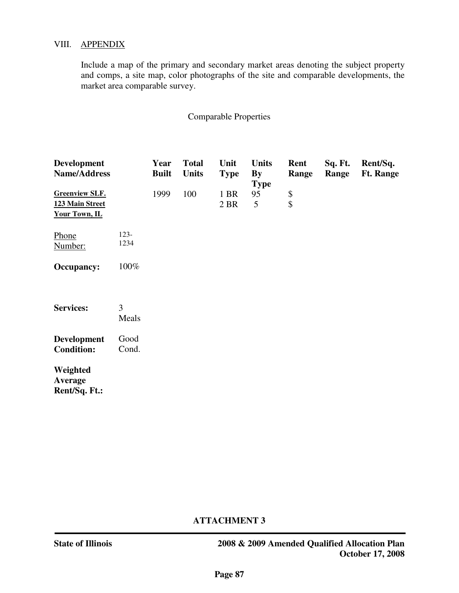#### VIII. APPENDIX

Include a map of the primary and secondary market areas denoting the subject property and comps, a site map, color photographs of the site and comparable developments, the market area comparable survey.

#### Comparable Properties

| <b>Development</b><br>Name/Address                        |                 | Year<br><b>Built</b> | <b>Total</b><br><b>Units</b> | Unit<br><b>Type</b> | <b>Units</b><br>By<br><b>Type</b> | Rent<br>Range             | Sq. Ft.<br>Range | Rent/Sq.<br><b>Ft. Range</b> |
|-----------------------------------------------------------|-----------------|----------------------|------------------------------|---------------------|-----------------------------------|---------------------------|------------------|------------------------------|
| <b>Greenview SLF.</b><br>123 Main Street<br>Your Town, IL |                 | 1999                 | 100                          | 1 BR<br>2 BR        | 95<br>5                           | \$<br>$\hat{\mathcal{L}}$ |                  |                              |
| Phone<br>Number:                                          | $123 -$<br>1234 |                      |                              |                     |                                   |                           |                  |                              |
| <b>Occupancy:</b>                                         | 100%            |                      |                              |                     |                                   |                           |                  |                              |
| <b>Services:</b>                                          | 3<br>Meals      |                      |                              |                     |                                   |                           |                  |                              |
| <b>Development</b><br><b>Condition:</b>                   | Good<br>Cond.   |                      |                              |                     |                                   |                           |                  |                              |
| Weighted<br>Average<br>Rent/Sq. Ft.:                      |                 |                      |                              |                     |                                   |                           |                  |                              |

#### **ATTACHMENT 3**

**State of Illinois 2008 & 2009 Amended Qualified Allocation Plan October 17, 2008**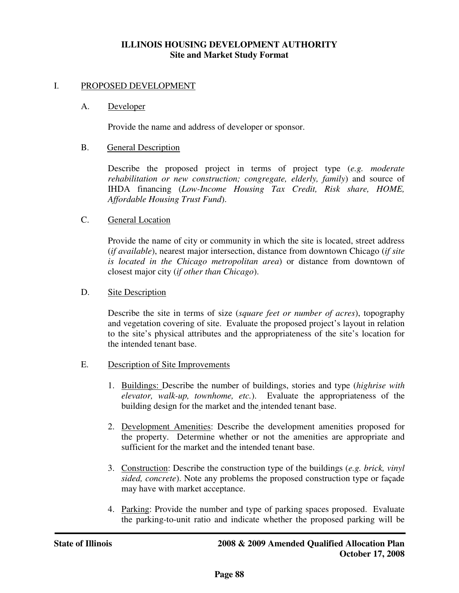#### **ILLINOIS HOUSING DEVELOPMENT AUTHORITY Site and Market Study Format**

#### I. PROPOSED DEVELOPMENT

#### A. Developer

Provide the name and address of developer or sponsor.

#### B. General Description

Describe the proposed project in terms of project type (*e.g. moderate rehabilitation or new construction; congregate, elderly, family*) and source of IHDA financing (*Low-Income Housing Tax Credit, Risk share, HOME, Affordable Housing Trust Fund*).

#### C. General Location

Provide the name of city or community in which the site is located, street address (*if available*), nearest major intersection, distance from downtown Chicago (*if site is located in the Chicago metropolitan area*) or distance from downtown of closest major city (*if other than Chicago*).

#### D. Site Description

Describe the site in terms of size (*square feet or number of acres*), topography and vegetation covering of site. Evaluate the proposed project's layout in relation to the site's physical attributes and the appropriateness of the site's location for the intended tenant base.

#### E. Description of Site Improvements

- 1. Buildings: Describe the number of buildings, stories and type (*highrise with elevator, walk-up, townhome, etc.*). Evaluate the appropriateness of the building design for the market and the intended tenant base.
- 2. Development Amenities: Describe the development amenities proposed for the property. Determine whether or not the amenities are appropriate and sufficient for the market and the intended tenant base.
- 3. Construction: Describe the construction type of the buildings (*e.g. brick, vinyl sided, concrete*). Note any problems the proposed construction type or façade may have with market acceptance.
- 4. Parking: Provide the number and type of parking spaces proposed. Evaluate the parking-to-unit ratio and indicate whether the proposed parking will be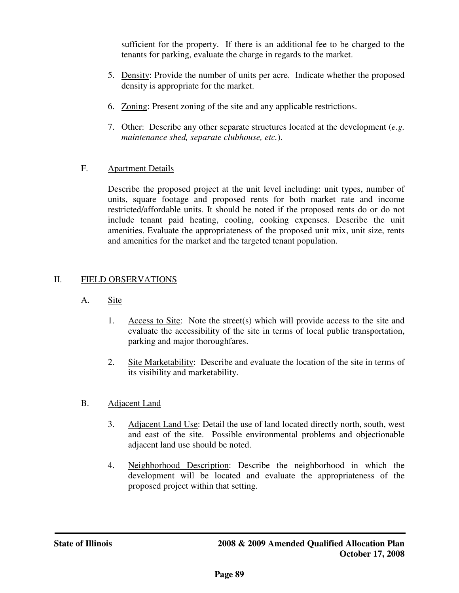sufficient for the property. If there is an additional fee to be charged to the tenants for parking, evaluate the charge in regards to the market.

- 5. Density: Provide the number of units per acre. Indicate whether the proposed density is appropriate for the market.
- 6. Zoning: Present zoning of the site and any applicable restrictions.
- 7. Other: Describe any other separate structures located at the development (*e.g. maintenance shed, separate clubhouse, etc.*).

## F. Apartment Details

Describe the proposed project at the unit level including: unit types, number of units, square footage and proposed rents for both market rate and income restricted/affordable units. It should be noted if the proposed rents do or do not include tenant paid heating, cooling, cooking expenses. Describe the unit amenities. Evaluate the appropriateness of the proposed unit mix, unit size, rents and amenities for the market and the targeted tenant population.

## II. FIELD OBSERVATIONS

- A. Site
	- 1. Access to Site: Note the street(s) which will provide access to the site and evaluate the accessibility of the site in terms of local public transportation, parking and major thoroughfares.
	- 2. Site Marketability: Describe and evaluate the location of the site in terms of its visibility and marketability.
- B. Adjacent Land
	- 3. Adjacent Land Use: Detail the use of land located directly north, south, west and east of the site. Possible environmental problems and objectionable adjacent land use should be noted.
	- 4. Neighborhood Description: Describe the neighborhood in which the development will be located and evaluate the appropriateness of the proposed project within that setting.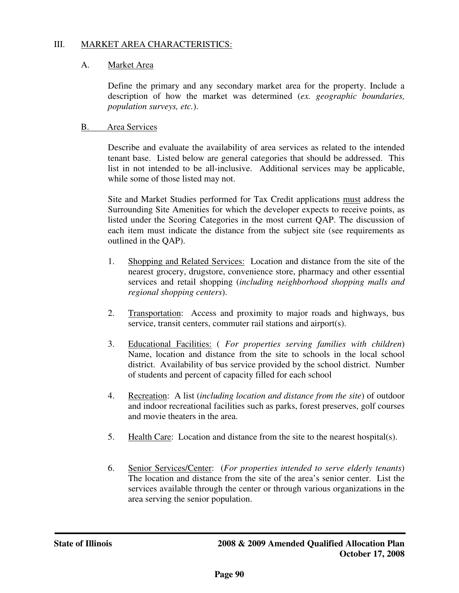## III. MARKET AREA CHARACTERISTICS:

## A. Market Area

Define the primary and any secondary market area for the property. Include a description of how the market was determined (*ex. geographic boundaries, population surveys, etc.*).

## B. Area Services

Describe and evaluate the availability of area services as related to the intended tenant base. Listed below are general categories that should be addressed. This list in not intended to be all-inclusive. Additional services may be applicable, while some of those listed may not.

Site and Market Studies performed for Tax Credit applications must address the Surrounding Site Amenities for which the developer expects to receive points, as listed under the Scoring Categories in the most current QAP. The discussion of each item must indicate the distance from the subject site (see requirements as outlined in the QAP).

- 1. Shopping and Related Services: Location and distance from the site of the nearest grocery, drugstore, convenience store, pharmacy and other essential services and retail shopping (*including neighborhood shopping malls and regional shopping centers*).
- 2. Transportation: Access and proximity to major roads and highways, bus service, transit centers, commuter rail stations and airport(s).
- 3. Educational Facilities: ( *For properties serving families with children*) Name, location and distance from the site to schools in the local school district. Availability of bus service provided by the school district. Number of students and percent of capacity filled for each school
- 4. Recreation: A list (*including location and distance from the site*) of outdoor and indoor recreational facilities such as parks, forest preserves, golf courses and movie theaters in the area.
- 5. Health Care: Location and distance from the site to the nearest hospital(s).
- 6. Senior Services/Center: (*For properties intended to serve elderly tenants*) The location and distance from the site of the area's senior center. List the services available through the center or through various organizations in the area serving the senior population.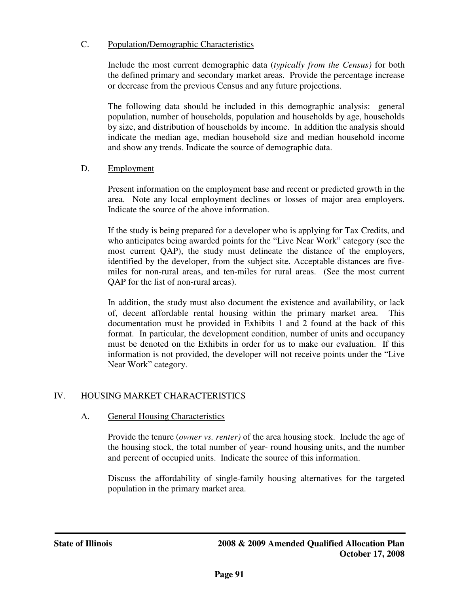## C. Population/Demographic Characteristics

Include the most current demographic data (*typically from the Census)* for both the defined primary and secondary market areas. Provide the percentage increase or decrease from the previous Census and any future projections.

The following data should be included in this demographic analysis: general population, number of households, population and households by age, households by size, and distribution of households by income. In addition the analysis should indicate the median age, median household size and median household income and show any trends. Indicate the source of demographic data.

## D. Employment

Present information on the employment base and recent or predicted growth in the area. Note any local employment declines or losses of major area employers. Indicate the source of the above information.

If the study is being prepared for a developer who is applying for Tax Credits, and who anticipates being awarded points for the "Live Near Work" category (see the most current QAP), the study must delineate the distance of the employers, identified by the developer, from the subject site. Acceptable distances are fivemiles for non-rural areas, and ten-miles for rural areas. (See the most current QAP for the list of non-rural areas).

In addition, the study must also document the existence and availability, or lack of, decent affordable rental housing within the primary market area. This documentation must be provided in Exhibits 1 and 2 found at the back of this format. In particular, the development condition, number of units and occupancy must be denoted on the Exhibits in order for us to make our evaluation. If this information is not provided, the developer will not receive points under the "Live Near Work" category.

# IV. HOUSING MARKET CHARACTERISTICS

## A. General Housing Characteristics

Provide the tenure (*owner vs. renter)* of the area housing stock. Include the age of the housing stock, the total number of year- round housing units, and the number and percent of occupied units. Indicate the source of this information.

Discuss the affordability of single-family housing alternatives for the targeted population in the primary market area.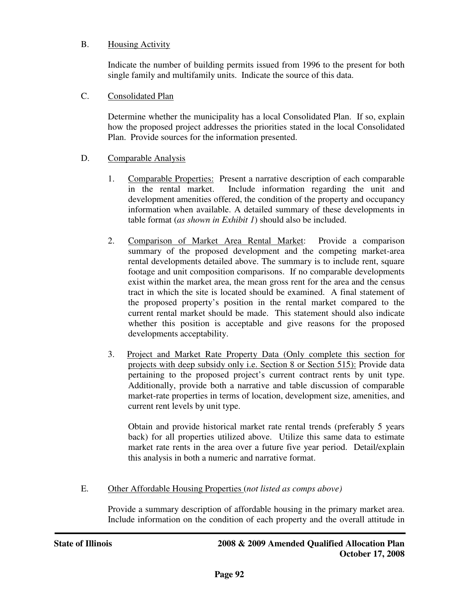## B. Housing Activity

Indicate the number of building permits issued from 1996 to the present for both single family and multifamily units. Indicate the source of this data.

## C. Consolidated Plan

Determine whether the municipality has a local Consolidated Plan. If so, explain how the proposed project addresses the priorities stated in the local Consolidated Plan. Provide sources for the information presented.

## D. Comparable Analysis

- 1. Comparable Properties: Present a narrative description of each comparable in the rental market. Include information regarding the unit and development amenities offered, the condition of the property and occupancy information when available. A detailed summary of these developments in table format (*as shown in Exhibit 1*) should also be included.
- 2. Comparison of Market Area Rental Market: Provide a comparison summary of the proposed development and the competing market-area rental developments detailed above. The summary is to include rent, square footage and unit composition comparisons. If no comparable developments exist within the market area, the mean gross rent for the area and the census tract in which the site is located should be examined. A final statement of the proposed property's position in the rental market compared to the current rental market should be made. This statement should also indicate whether this position is acceptable and give reasons for the proposed developments acceptability.
- 3. Project and Market Rate Property Data (Only complete this section for projects with deep subsidy only i.e. Section 8 or Section 515): Provide data pertaining to the proposed project's current contract rents by unit type. Additionally, provide both a narrative and table discussion of comparable market-rate properties in terms of location, development size, amenities, and current rent levels by unit type.

Obtain and provide historical market rate rental trends (preferably 5 years back) for all properties utilized above. Utilize this same data to estimate market rate rents in the area over a future five year period. Detail/explain this analysis in both a numeric and narrative format.

## E. Other Affordable Housing Properties (*not listed as comps above)*

Provide a summary description of affordable housing in the primary market area. Include information on the condition of each property and the overall attitude in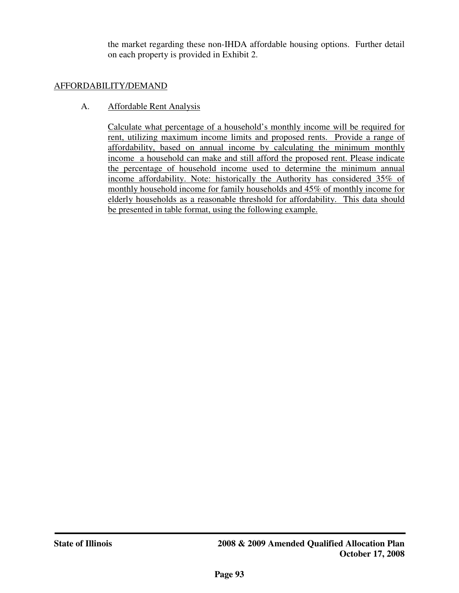the market regarding these non-IHDA affordable housing options. Further detail on each property is provided in Exhibit 2.

## AFFORDABILITY/DEMAND

#### A. Affordable Rent Analysis

Calculate what percentage of a household's monthly income will be required for rent, utilizing maximum income limits and proposed rents. Provide a range of affordability, based on annual income by calculating the minimum monthly income a household can make and still afford the proposed rent. Please indicate the percentage of household income used to determine the minimum annual income affordability. Note: historically the Authority has considered 35% of monthly household income for family households and 45% of monthly income for elderly households as a reasonable threshold for affordability. This data should be presented in table format, using the following example.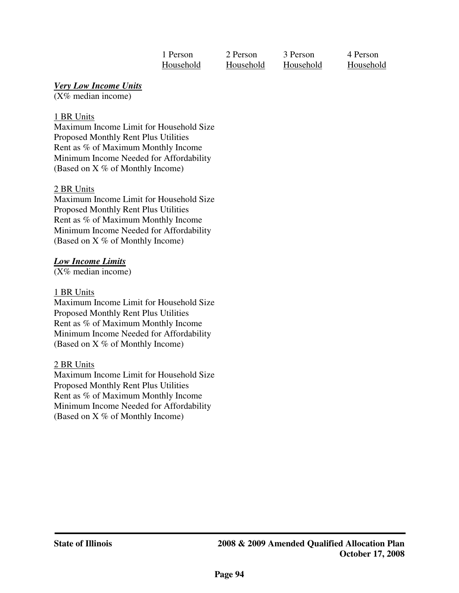| 1 Person  | 2 Person  | 3 Person  | 4 Person |
|-----------|-----------|-----------|----------|
| Household | Household | Household | Househol |

Household Household Household Household

## *Very Low Income Units*

(X% median income)

## 1 BR Units

Maximum Income Limit for Household Size Proposed Monthly Rent Plus Utilities Rent as % of Maximum Monthly Income Minimum Income Needed for Affordability (Based on X % of Monthly Income)

## 2 BR Units

Maximum Income Limit for Household Size Proposed Monthly Rent Plus Utilities Rent as % of Maximum Monthly Income Minimum Income Needed for Affordability (Based on X % of Monthly Income)

# *Low Income Limits*

(X% median income)

## 1 BR Units

Maximum Income Limit for Household Size Proposed Monthly Rent Plus Utilities Rent as % of Maximum Monthly Income Minimum Income Needed for Affordability (Based on X % of Monthly Income)

## 2 BR Units

Maximum Income Limit for Household Size Proposed Monthly Rent Plus Utilities Rent as % of Maximum Monthly Income Minimum Income Needed for Affordability (Based on X % of Monthly Income)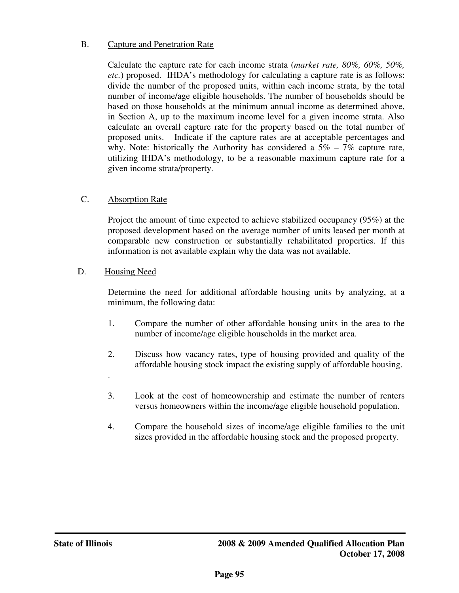## B. Capture and Penetration Rate

Calculate the capture rate for each income strata (*market rate, 80%, 60%, 50%, etc.*) proposed. IHDA's methodology for calculating a capture rate is as follows: divide the number of the proposed units, within each income strata, by the total number of income/age eligible households. The number of households should be based on those households at the minimum annual income as determined above, in Section A, up to the maximum income level for a given income strata. Also calculate an overall capture rate for the property based on the total number of proposed units. Indicate if the capture rates are at acceptable percentages and why. Note: historically the Authority has considered a  $5\% - 7\%$  capture rate, utilizing IHDA's methodology, to be a reasonable maximum capture rate for a given income strata/property.

## C. Absorption Rate

Project the amount of time expected to achieve stabilized occupancy (95%) at the proposed development based on the average number of units leased per month at comparable new construction or substantially rehabilitated properties. If this information is not available explain why the data was not available.

## D. Housing Need

.

Determine the need for additional affordable housing units by analyzing, at a minimum, the following data:

- 1. Compare the number of other affordable housing units in the area to the number of income/age eligible households in the market area.
- 2. Discuss how vacancy rates, type of housing provided and quality of the affordable housing stock impact the existing supply of affordable housing.
- 3. Look at the cost of homeownership and estimate the number of renters versus homeowners within the income/age eligible household population.
- 4. Compare the household sizes of income/age eligible families to the unit sizes provided in the affordable housing stock and the proposed property.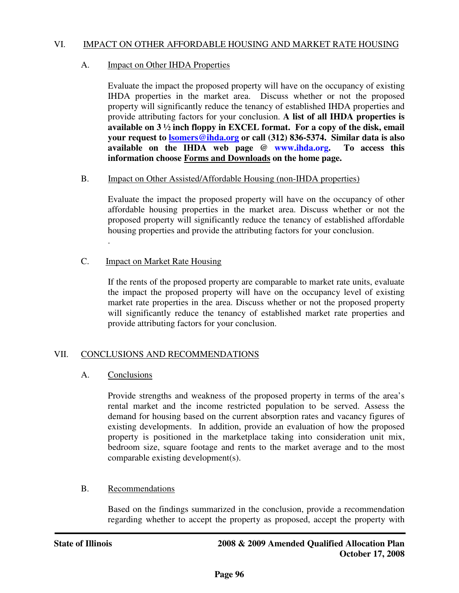#### VI. IMPACT ON OTHER AFFORDABLE HOUSING AND MARKET RATE HOUSING

#### A. **Impact on Other IHDA Properties**

Evaluate the impact the proposed property will have on the occupancy of existing IHDA properties in the market area. Discuss whether or not the proposed property will significantly reduce the tenancy of established IHDA properties and provide attributing factors for your conclusion. **A list of all IHDA properties is available on 3 ½ inch floppy in EXCEL format. For a copy of the disk, email your request to lsomers@ihda.org or call (312) 836-5374. Similar data is also available on the IHDA web page @ www.ihda.org. To access this information choose Forms and Downloads on the home page.** 

#### B. Impact on Other Assisted/Affordable Housing (non-IHDA properties)

Evaluate the impact the proposed property will have on the occupancy of other affordable housing properties in the market area. Discuss whether or not the proposed property will significantly reduce the tenancy of established affordable housing properties and provide the attributing factors for your conclusion. .

C. Impact on Market Rate Housing

If the rents of the proposed property are comparable to market rate units, evaluate the impact the proposed property will have on the occupancy level of existing market rate properties in the area. Discuss whether or not the proposed property will significantly reduce the tenancy of established market rate properties and provide attributing factors for your conclusion.

## VII. CONCLUSIONS AND RECOMMENDATIONS

## A. Conclusions

Provide strengths and weakness of the proposed property in terms of the area's rental market and the income restricted population to be served. Assess the demand for housing based on the current absorption rates and vacancy figures of existing developments. In addition, provide an evaluation of how the proposed property is positioned in the marketplace taking into consideration unit mix, bedroom size, square footage and rents to the market average and to the most comparable existing development(s).

## B. Recommendations

Based on the findings summarized in the conclusion, provide a recommendation regarding whether to accept the property as proposed, accept the property with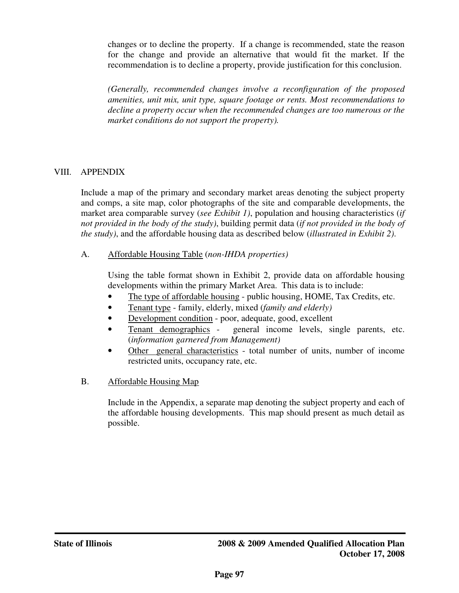changes or to decline the property. If a change is recommended, state the reason for the change and provide an alternative that would fit the market. If the recommendation is to decline a property, provide justification for this conclusion.

*(Generally, recommended changes involve a reconfiguration of the proposed amenities, unit mix, unit type, square footage or rents. Most recommendations to decline a property occur when the recommended changes are too numerous or the market conditions do not support the property).*

## VIII. APPENDIX

Include a map of the primary and secondary market areas denoting the subject property and comps, a site map, color photographs of the site and comparable developments, the market area comparable survey (*see Exhibit 1)*, population and housing characteristics (*if not provided in the body of the study)*, building permit data (*if not provided in the body of the study)*, and the affordable housing data as described below (*illustrated in Exhibit 2)*.

A. Affordable Housing Table (*non-IHDA properties)*

Using the table format shown in Exhibit 2, provide data on affordable housing developments within the primary Market Area. This data is to include:

- The type of affordable housing public housing, HOME, Tax Credits, etc.
- Tenant type family, elderly, mixed (*family and elderly)*
- Development condition poor, adequate, good, excellent
- Tenant demographics general income levels, single parents, etc. (*information garnered from Management)*
- Other general characteristics total number of units, number of income restricted units, occupancy rate, etc.
- B. Affordable Housing Map

 Include in the Appendix, a separate map denoting the subject property and each of the affordable housing developments. This map should present as much detail as possible.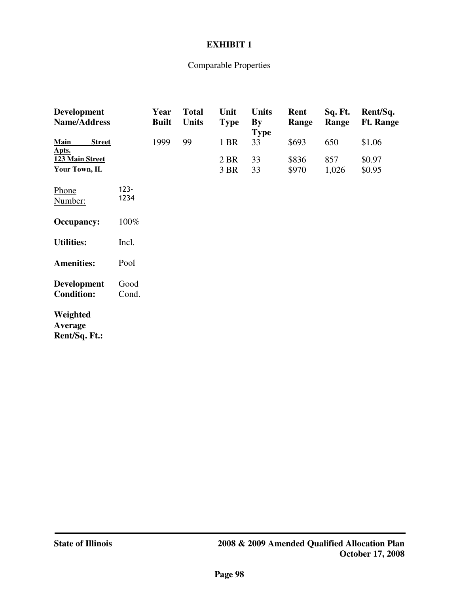## **EXHIBIT 1**

# Comparable Properties

| <b>Development</b><br><b>Name/Address</b> |                 | Year<br><b>Built</b> | <b>Total</b><br>Units | Unit<br><b>Type</b> | <b>Units</b><br>By<br><b>Type</b> | Rent<br>Range  | Sq. Ft.<br>Range | Rent/Sq.<br><b>Ft. Range</b> |
|-------------------------------------------|-----------------|----------------------|-----------------------|---------------------|-----------------------------------|----------------|------------------|------------------------------|
| Main<br><b>Street</b><br>Apts.            |                 | 1999                 | 99                    | 1 BR                | 33                                | \$693          | 650              | \$1.06                       |
| 123 Main Street<br>Your Town, IL          |                 |                      |                       | 2 BR<br>3 BR        | 33<br>33                          | \$836<br>\$970 | 857<br>1,026     | \$0.97<br>\$0.95             |
| Phone<br>Number:                          | $123 -$<br>1234 |                      |                       |                     |                                   |                |                  |                              |
| <b>Occupancy:</b>                         | 100%            |                      |                       |                     |                                   |                |                  |                              |
| <b>Utilities:</b>                         | Incl.           |                      |                       |                     |                                   |                |                  |                              |
| <b>Amenities:</b>                         | Pool            |                      |                       |                     |                                   |                |                  |                              |
| <b>Development</b><br><b>Condition:</b>   | Good<br>Cond.   |                      |                       |                     |                                   |                |                  |                              |
| Weighted<br>Average<br>Rent/Sq. Ft.:      |                 |                      |                       |                     |                                   |                |                  |                              |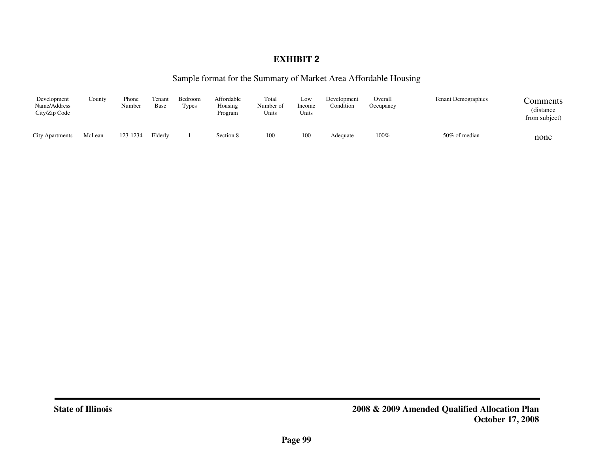# **EXHIBIT 2**

#### Sample format for the Summary of Market Area Affordable Housing

| Development<br>Name/Address<br>City/Zip Code | County | Phone<br>Number | Tenant<br>Base | Bedroom<br>Types | Affordable<br>Housing<br>Program | Total<br>Number of<br>Units | Low<br>Income<br>Units | Development<br>Condition | Overall<br>Occupancy | <b>Tenant Demographics</b> | Comments<br>(distance)<br>from subject) |
|----------------------------------------------|--------|-----------------|----------------|------------------|----------------------------------|-----------------------------|------------------------|--------------------------|----------------------|----------------------------|-----------------------------------------|
| <b>City Apartments</b>                       | McLean | 123-1234        | Elderly        |                  | Section 8                        | 100                         | 100                    | Adequate                 | 100%                 | 50% of median              | none                                    |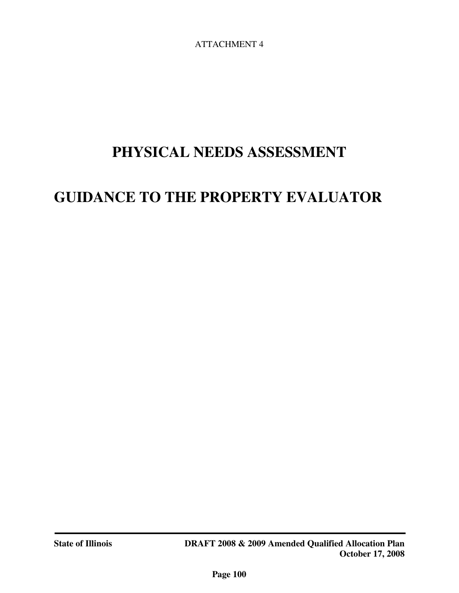ATTACHMENT 4

# **PHYSICAL NEEDS ASSESSMENT**

# **GUIDANCE TO THE PROPERTY EVALUATOR**

j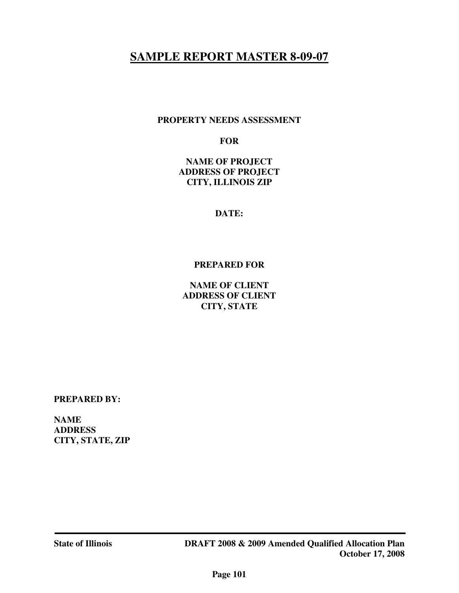# **SAMPLE REPORT MASTER 8-09-07**

#### **PROPERTY NEEDS ASSESSMENT**

#### **FOR**

**NAME OF PROJECT ADDRESS OF PROJECT CITY, ILLINOIS ZIP** 

**DATE:** 

#### **PREPARED FOR**

**NAME OF CLIENT ADDRESS OF CLIENT CITY, STATE** 

**PREPARED BY:** 

**NAME ADDRESS CITY, STATE, ZIP**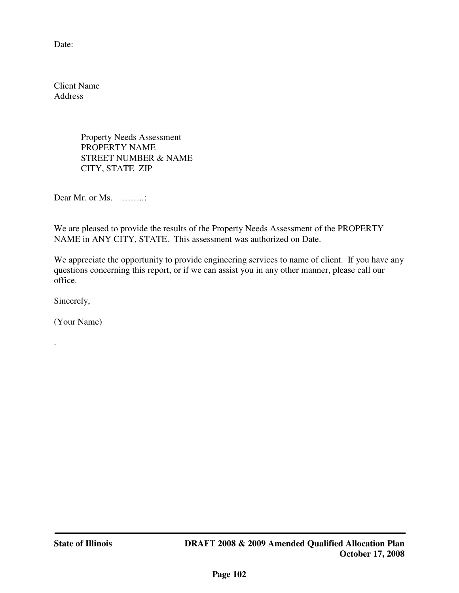Date:

Client Name Address

> Property Needs Assessment PROPERTY NAME STREET NUMBER & NAME CITY, STATE ZIP

Dear Mr. or Ms. ……..

We are pleased to provide the results of the Property Needs Assessment of the PROPERTY NAME in ANY CITY, STATE. This assessment was authorized on Date.

We appreciate the opportunity to provide engineering services to name of client. If you have any questions concerning this report, or if we can assist you in any other manner, please call our office.

Sincerely,

.

(Your Name)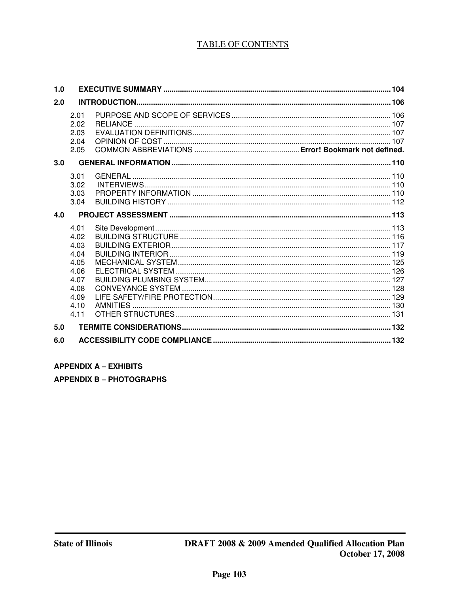# **TABLE OF CONTENTS**

| 1.0 |                                                                                      |  |
|-----|--------------------------------------------------------------------------------------|--|
| 2.0 |                                                                                      |  |
|     | 2.01<br>2.02<br>2.03<br>2.04<br>2.05                                                 |  |
| 3.0 |                                                                                      |  |
|     | 3.01<br>3.02<br>3.03<br>3.04                                                         |  |
| 4.0 |                                                                                      |  |
|     | 4.01<br>4.02<br>4.03<br>4.04<br>4.05<br>4.06<br>4.07<br>4.08<br>4.09<br>4.10<br>4.11 |  |
| 5.0 |                                                                                      |  |
| 6.0 |                                                                                      |  |

#### **APPENDIX A - EXHIBITS**

**APPENDIX B - PHOTOGRAPHS**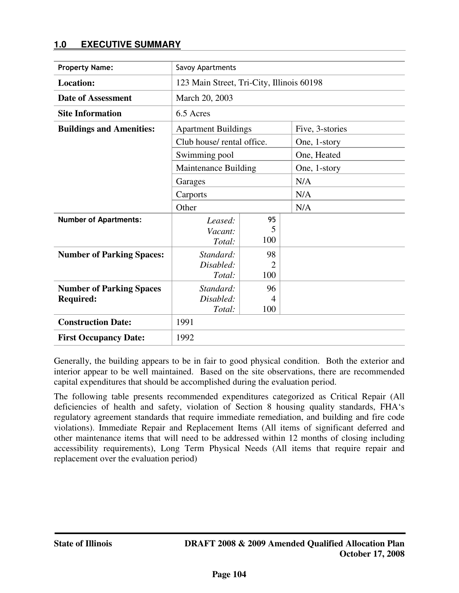# **1.0 EXECUTIVE SUMMARY**

| <b>Property Name:</b>            | Savoy Apartments                          |                |                 |  |  |  |  |
|----------------------------------|-------------------------------------------|----------------|-----------------|--|--|--|--|
| <b>Location:</b>                 | 123 Main Street, Tri-City, Illinois 60198 |                |                 |  |  |  |  |
| <b>Date of Assessment</b>        | March 20, 2003                            |                |                 |  |  |  |  |
| <b>Site Information</b>          | 6.5 Acres                                 |                |                 |  |  |  |  |
| <b>Buildings and Amenities:</b>  | <b>Apartment Buildings</b>                |                | Five, 3-stories |  |  |  |  |
|                                  | Club house/ rental office.                |                | One, 1-story    |  |  |  |  |
|                                  | Swimming pool                             |                | One, Heated     |  |  |  |  |
|                                  | Maintenance Building                      |                | One, 1-story    |  |  |  |  |
|                                  | Garages                                   |                | N/A             |  |  |  |  |
|                                  | Carports                                  |                | N/A             |  |  |  |  |
|                                  | Other                                     |                | N/A             |  |  |  |  |
| <b>Number of Apartments:</b>     | Leased:<br>Vacant:<br>Total:              | 95<br>5<br>100 |                 |  |  |  |  |
| <b>Number of Parking Spaces:</b> | Standard:                                 | 98             |                 |  |  |  |  |
|                                  | Disabled:                                 | 2              |                 |  |  |  |  |
|                                  | Total:                                    | 100            |                 |  |  |  |  |
| <b>Number of Parking Spaces</b>  | Standard:                                 | 96             |                 |  |  |  |  |
| <b>Required:</b>                 | Disabled:                                 | $\overline{4}$ |                 |  |  |  |  |
|                                  | Total:                                    | 100            |                 |  |  |  |  |
| <b>Construction Date:</b>        | 1991                                      |                |                 |  |  |  |  |
| <b>First Occupancy Date:</b>     | 1992                                      |                |                 |  |  |  |  |

Generally, the building appears to be in fair to good physical condition. Both the exterior and interior appear to be well maintained. Based on the site observations, there are recommended capital expenditures that should be accomplished during the evaluation period.

The following table presents recommended expenditures categorized as Critical Repair (All deficiencies of health and safety, violation of Section 8 housing quality standards, FHA's regulatory agreement standards that require immediate remediation, and building and fire code violations). Immediate Repair and Replacement Items (All items of significant deferred and other maintenance items that will need to be addressed within 12 months of closing including accessibility requirements), Long Term Physical Needs (All items that require repair and replacement over the evaluation period)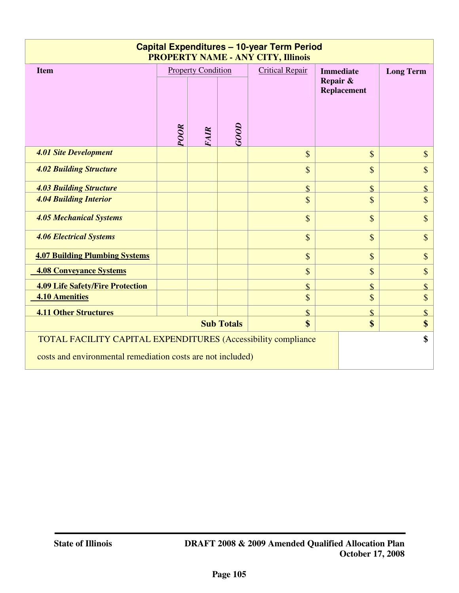| <b>Capital Expenditures - 10-year Term Period</b><br><b>PROPERTY NAME - ANY CITY, Illinois</b>                                       |             |                                          |                   |                                                    |                    |                    |  |  |  |
|--------------------------------------------------------------------------------------------------------------------------------------|-------------|------------------------------------------|-------------------|----------------------------------------------------|--------------------|--------------------|--|--|--|
| <b>Item</b>                                                                                                                          | <b>POOR</b> | <b>Property Condition</b><br><b>FAIR</b> | GOOD              | <b>Immediate</b><br>Repair &<br><b>Replacement</b> | <b>Long Term</b>   |                    |  |  |  |
| <b>4.01 Site Development</b>                                                                                                         |             |                                          |                   | \$                                                 | $\mathbb{S}$       | \$                 |  |  |  |
| <b>4.02 Building Structure</b>                                                                                                       |             |                                          |                   | \$                                                 | $\mathbb{S}$       | \$                 |  |  |  |
| <b>4.03 Building Structure</b>                                                                                                       |             |                                          |                   | \$                                                 | $\mathbb{S}$       | $\mathbf{\hat{S}}$ |  |  |  |
| <b>4.04 Building Interior</b>                                                                                                        |             |                                          |                   | \$                                                 | $\mathbb{S}$       | \$                 |  |  |  |
| <b>4.05 Mechanical Systems</b>                                                                                                       |             |                                          |                   | \$                                                 | $\mathbb{S}$       | \$                 |  |  |  |
| <b>4.06 Electrical Systems</b>                                                                                                       |             |                                          |                   | \$                                                 | $\mathbb{S}$       | \$                 |  |  |  |
| <b>4.07 Building Plumbing Systems</b>                                                                                                |             |                                          |                   | \$                                                 | $\mathcal{S}$      | \$                 |  |  |  |
| <b>4.08 Conveyance Systems</b>                                                                                                       |             |                                          |                   | \$                                                 | $\mathbb{S}$       | \$                 |  |  |  |
| <b>4.09 Life Safety/Fire Protection</b>                                                                                              |             |                                          |                   | \$                                                 | \$                 | $\mathbf{\hat{S}}$ |  |  |  |
| <b>4.10 Amenities</b>                                                                                                                |             |                                          |                   | \$                                                 | \$                 | \$                 |  |  |  |
| <b>4.11 Other Structures</b>                                                                                                         |             |                                          |                   | \$                                                 | $\mathbf{\hat{S}}$ | $\mathbf{\hat{S}}$ |  |  |  |
|                                                                                                                                      |             |                                          | <b>Sub Totals</b> | $\mathbf{\$}$                                      | \$                 | \$                 |  |  |  |
| <b>TOTAL FACILITY CAPITAL EXPENDITURES (Accessibility compliance)</b><br>costs and environmental remediation costs are not included) |             |                                          |                   |                                                    |                    |                    |  |  |  |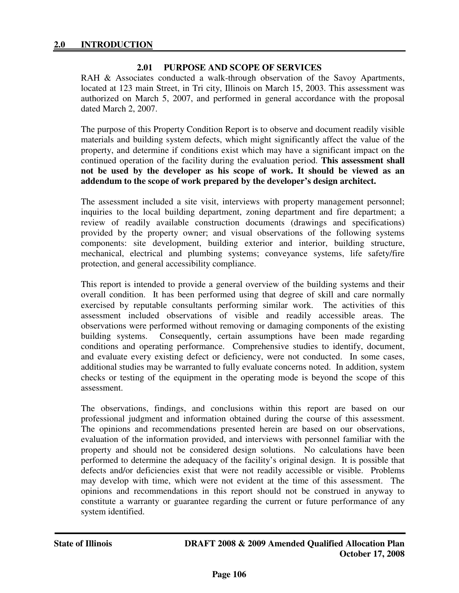#### **2.01 PURPOSE AND SCOPE OF SERVICES**

RAH & Associates conducted a walk-through observation of the Savoy Apartments, located at 123 main Street, in Tri city, Illinois on March 15, 2003. This assessment was authorized on March 5, 2007, and performed in general accordance with the proposal dated March 2, 2007.

The purpose of this Property Condition Report is to observe and document readily visible materials and building system defects, which might significantly affect the value of the property, and determine if conditions exist which may have a significant impact on the continued operation of the facility during the evaluation period. **This assessment shall not be used by the developer as his scope of work. It should be viewed as an addendum to the scope of work prepared by the developer's design architect.** 

The assessment included a site visit, interviews with property management personnel; inquiries to the local building department, zoning department and fire department; a review of readily available construction documents (drawings and specifications) provided by the property owner; and visual observations of the following systems components: site development, building exterior and interior, building structure, mechanical, electrical and plumbing systems; conveyance systems, life safety/fire protection, and general accessibility compliance.

This report is intended to provide a general overview of the building systems and their overall condition. It has been performed using that degree of skill and care normally exercised by reputable consultants performing similar work. The activities of this assessment included observations of visible and readily accessible areas. The observations were performed without removing or damaging components of the existing building systems. Consequently, certain assumptions have been made regarding conditions and operating performance. Comprehensive studies to identify, document, and evaluate every existing defect or deficiency, were not conducted. In some cases, additional studies may be warranted to fully evaluate concerns noted. In addition, system checks or testing of the equipment in the operating mode is beyond the scope of this assessment.

The observations, findings, and conclusions within this report are based on our professional judgment and information obtained during the course of this assessment. The opinions and recommendations presented herein are based on our observations, evaluation of the information provided, and interviews with personnel familiar with the property and should not be considered design solutions. No calculations have been performed to determine the adequacy of the facility's original design. It is possible that defects and/or deficiencies exist that were not readily accessible or visible. Problems may develop with time, which were not evident at the time of this assessment. The opinions and recommendations in this report should not be construed in anyway to constitute a warranty or guarantee regarding the current or future performance of any system identified.

j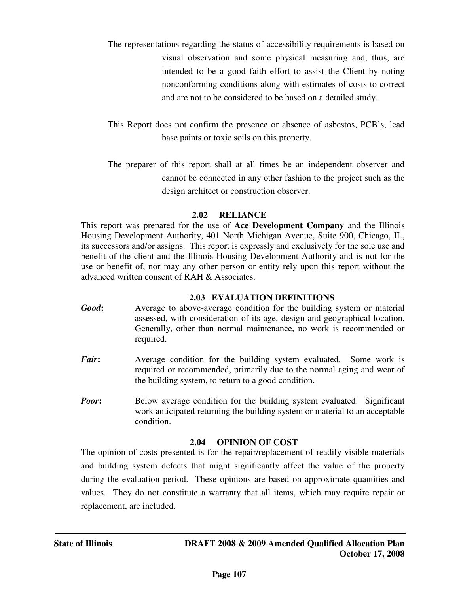- The representations regarding the status of accessibility requirements is based on visual observation and some physical measuring and, thus, are intended to be a good faith effort to assist the Client by noting nonconforming conditions along with estimates of costs to correct and are not to be considered to be based on a detailed study.
- This Report does not confirm the presence or absence of asbestos, PCB's, lead base paints or toxic soils on this property.
- The preparer of this report shall at all times be an independent observer and cannot be connected in any other fashion to the project such as the design architect or construction observer.

## **2.02 RELIANCE**

This report was prepared for the use of **Ace Development Company** and the Illinois Housing Development Authority, 401 North Michigan Avenue, Suite 900, Chicago, IL, its successors and/or assigns. This report is expressly and exclusively for the sole use and benefit of the client and the Illinois Housing Development Authority and is not for the use or benefit of, nor may any other person or entity rely upon this report without the advanced written consent of RAH & Associates.

 **2.03 EVALUATION DEFINITIONS** 

- *Good***:** Average to above-average condition for the building system or material assessed, with consideration of its age, design and geographical location. Generally, other than normal maintenance, no work is recommended or required.
- *Fair*: Average condition for the building system evaluated. Some work is required or recommended, primarily due to the normal aging and wear of the building system, to return to a good condition.
- *Poor***:** Below average condition for the building system evaluated. Significant work anticipated returning the building system or material to an acceptable condition.

## **2.04 OPINION OF COST**

The opinion of costs presented is for the repair/replacement of readily visible materials and building system defects that might significantly affect the value of the property during the evaluation period. These opinions are based on approximate quantities and values. They do not constitute a warranty that all items, which may require repair or replacement, are included.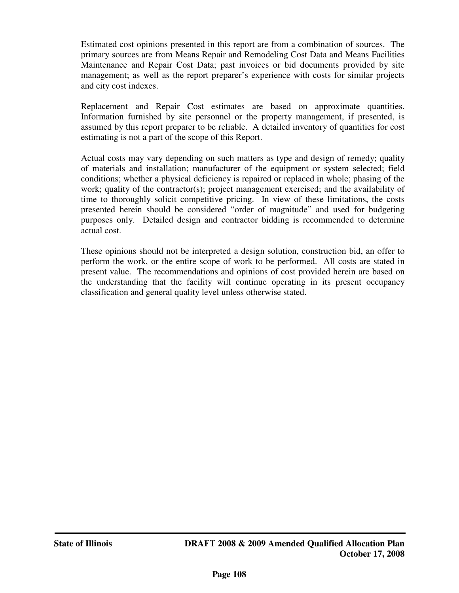Estimated cost opinions presented in this report are from a combination of sources. The primary sources are from Means Repair and Remodeling Cost Data and Means Facilities Maintenance and Repair Cost Data; past invoices or bid documents provided by site management; as well as the report preparer's experience with costs for similar projects and city cost indexes.

Replacement and Repair Cost estimates are based on approximate quantities. Information furnished by site personnel or the property management, if presented, is assumed by this report preparer to be reliable. A detailed inventory of quantities for cost estimating is not a part of the scope of this Report.

Actual costs may vary depending on such matters as type and design of remedy; quality of materials and installation; manufacturer of the equipment or system selected; field conditions; whether a physical deficiency is repaired or replaced in whole; phasing of the work; quality of the contractor(s); project management exercised; and the availability of time to thoroughly solicit competitive pricing. In view of these limitations, the costs presented herein should be considered "order of magnitude" and used for budgeting purposes only. Detailed design and contractor bidding is recommended to determine actual cost.

These opinions should not be interpreted a design solution, construction bid, an offer to perform the work, or the entire scope of work to be performed. All costs are stated in present value. The recommendations and opinions of cost provided herein are based on the understanding that the facility will continue operating in its present occupancy classification and general quality level unless otherwise stated.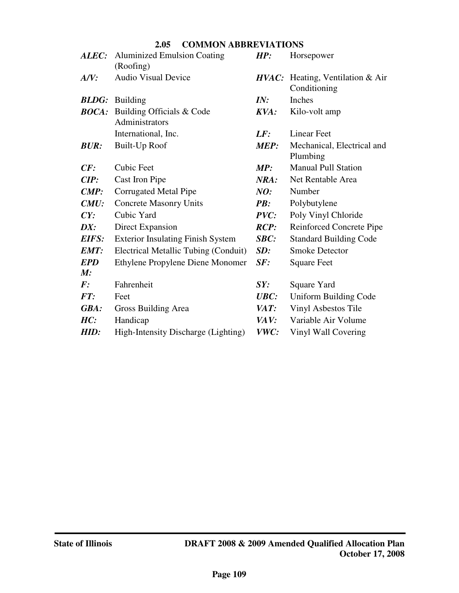| 2.05 | <b>COMMON ABBREVIATIONS</b> |
|------|-----------------------------|
|------|-----------------------------|

|                    | <b>ALEC:</b> Aluminized Emulsion Coating<br>(Roofing)    | HP:         | Horsepower                                       |
|--------------------|----------------------------------------------------------|-------------|--------------------------------------------------|
| A/V:               | <b>Audio Visual Device</b>                               |             | HVAC: Heating, Ventilation & Air<br>Conditioning |
|                    | <b>BLDG</b> : Building                                   | IN:         | Inches                                           |
|                    | <b>BOCA:</b> Building Officials & Code<br>Administrators | KVA:        | Kilo-volt amp                                    |
|                    | International, Inc.                                      | LF:         | Linear Feet                                      |
| <b>BUR:</b>        | <b>Built-Up Roof</b>                                     | <b>MEP:</b> | Mechanical, Electrical and<br>Plumbing           |
| CF:                | <b>Cubic Feet</b>                                        | MP:         | <b>Manual Pull Station</b>                       |
| CIP:               | Cast Iron Pipe                                           | NRA:        | Net Rentable Area                                |
| $\mathbf{CMP:}$    | Corrugated Metal Pipe                                    | NO:         | Number                                           |
| CMU:               | <b>Concrete Masonry Units</b>                            | PB:         | Polybutylene                                     |
| CY:                | Cubic Yard                                               | PVC:        | Poly Vinyl Chloride                              |
| DX:                | Direct Expansion                                         | RCP:        | <b>Reinforced Concrete Pipe</b>                  |
| <b>EIFS:</b>       | <b>Exterior Insulating Finish System</b>                 | SBC:        | <b>Standard Building Code</b>                    |
| EMT:               | Electrical Metallic Tubing (Conduit)                     | SD:         | <b>Smoke Detector</b>                            |
| <b>EPD</b>         | Ethylene Propylene Diene Monomer                         | SF:         | <b>Square Feet</b>                               |
| M:                 |                                                          |             |                                                  |
| $\boldsymbol{F}$ : | Fahrenheit                                               | SY:         | Square Yard                                      |
| FT:                | Feet                                                     | UBC:        | Uniform Building Code                            |
| GBA:               | Gross Building Area                                      | VAT:        | Vinyl Asbestos Tile                              |
| HC:                | Handicap                                                 | VAV:        | Variable Air Volume                              |
| HID:               | High-Intensity Discharge (Lighting)                      | VWC:        | Vinyl Wall Covering                              |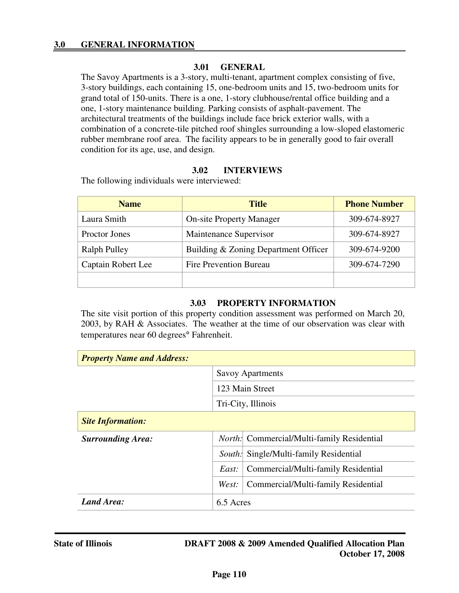#### **3.01 GENERAL**

The Savoy Apartments is a 3-story, multi-tenant, apartment complex consisting of five, 3-story buildings, each containing 15, one-bedroom units and 15, two-bedroom units for grand total of 150-units. There is a one, 1-story clubhouse/rental office building and a one, 1-story maintenance building. Parking consists of asphalt-pavement. The architectural treatments of the buildings include face brick exterior walls, with a combination of a concrete-tile pitched roof shingles surrounding a low-sloped elastomeric rubber membrane roof area. The facility appears to be in generally good to fair overall condition for its age, use, and design.

#### **3.02 INTERVIEWS**

The following individuals were interviewed:

| <b>Name</b>                             | <b>Title</b>                         | <b>Phone Number</b> |
|-----------------------------------------|--------------------------------------|---------------------|
| Laura Smith                             | <b>On-site Property Manager</b>      | 309-674-8927        |
| Maintenance Supervisor<br>Proctor Jones |                                      | 309-674-8927        |
| Ralph Pulley                            | Building & Zoning Department Officer | 309-674-9200        |
| Captain Robert Lee                      | <b>Fire Prevention Bureau</b>        | 309-674-7290        |
|                                         |                                      |                     |

#### **3.03 PROPERTY INFORMATION**

The site visit portion of this property condition assessment was performed on March 20, 2003, by RAH & Associates. The weather at the time of our observation was clear with temperatures near 60 degrees° Fahrenheit.

| <b>Property Name and Address:</b> |                         |                                                   |  |
|-----------------------------------|-------------------------|---------------------------------------------------|--|
|                                   | <b>Savoy Apartments</b> |                                                   |  |
|                                   | 123 Main Street         |                                                   |  |
|                                   | Tri-City, Illinois      |                                                   |  |
| <b>Site Information:</b>          |                         |                                                   |  |
| <b>Surrounding Area:</b>          |                         | <i>North:</i> Commercial/Multi-family Residential |  |
|                                   |                         | <i>South:</i> Single/Multi-family Residential     |  |
|                                   | East:                   | Commercial/Multi-family Residential               |  |
|                                   | West:                   | Commercial/Multi-family Residential               |  |
| Land Area:                        | 6.5 Acres               |                                                   |  |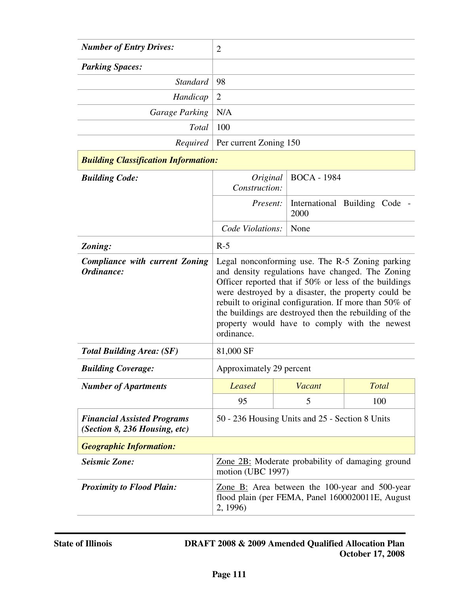| <b>Number of Entry Drives:</b>                                      | $\overline{2}$                                                                                                                                                                                                                                                                                                                                                                                         |        |                               |
|---------------------------------------------------------------------|--------------------------------------------------------------------------------------------------------------------------------------------------------------------------------------------------------------------------------------------------------------------------------------------------------------------------------------------------------------------------------------------------------|--------|-------------------------------|
| <b>Parking Spaces:</b>                                              |                                                                                                                                                                                                                                                                                                                                                                                                        |        |                               |
| <b>Standard</b>                                                     | 98                                                                                                                                                                                                                                                                                                                                                                                                     |        |                               |
| Handicap                                                            | $\overline{2}$                                                                                                                                                                                                                                                                                                                                                                                         |        |                               |
| <b>Garage Parking</b>                                               | N/A                                                                                                                                                                                                                                                                                                                                                                                                    |        |                               |
| <b>Total</b>                                                        | 100                                                                                                                                                                                                                                                                                                                                                                                                    |        |                               |
|                                                                     | <i>Required</i>   Per current Zoning 150                                                                                                                                                                                                                                                                                                                                                               |        |                               |
| <b>Building Classification Information:</b>                         |                                                                                                                                                                                                                                                                                                                                                                                                        |        |                               |
| <b>Building Code:</b>                                               | <b>BOCA - 1984</b><br>Original<br>Construction:                                                                                                                                                                                                                                                                                                                                                        |        |                               |
|                                                                     | Present:                                                                                                                                                                                                                                                                                                                                                                                               | 2000   | International Building Code - |
|                                                                     | Code Violations:                                                                                                                                                                                                                                                                                                                                                                                       | None   |                               |
| Zoning:                                                             | $R-5$                                                                                                                                                                                                                                                                                                                                                                                                  |        |                               |
| <b>Compliance with current Zoning</b><br>Ordinance:                 | Legal nonconforming use. The R-5 Zoning parking<br>and density regulations have changed. The Zoning<br>Officer reported that if 50% or less of the buildings<br>were destroyed by a disaster, the property could be<br>rebuilt to original configuration. If more than 50% of<br>the buildings are destroyed then the rebuilding of the<br>property would have to comply with the newest<br>ordinance. |        |                               |
| <b>Total Building Area: (SF)</b>                                    | 81,000 SF                                                                                                                                                                                                                                                                                                                                                                                              |        |                               |
| <b>Building Coverage:</b>                                           | Approximately 29 percent                                                                                                                                                                                                                                                                                                                                                                               |        |                               |
| <b>Number of Apartments</b>                                         | <b>Leased</b>                                                                                                                                                                                                                                                                                                                                                                                          | Vacant | <b>Total</b>                  |
|                                                                     | 95                                                                                                                                                                                                                                                                                                                                                                                                     | 5      | 100                           |
| <b>Financial Assisted Programs</b><br>(Section 8, 236 Housing, etc) | 50 - 236 Housing Units and 25 - Section 8 Units                                                                                                                                                                                                                                                                                                                                                        |        |                               |
| <b>Geographic Information:</b>                                      |                                                                                                                                                                                                                                                                                                                                                                                                        |        |                               |
| <b>Seismic Zone:</b>                                                | Zone 2B: Moderate probability of damaging ground<br>motion (UBC 1997)                                                                                                                                                                                                                                                                                                                                  |        |                               |
| <b>Proximity to Flood Plain:</b>                                    | Zone B: Area between the 100-year and 500-year<br>flood plain (per FEMA, Panel 1600020011E, August<br>2, 1996)                                                                                                                                                                                                                                                                                         |        |                               |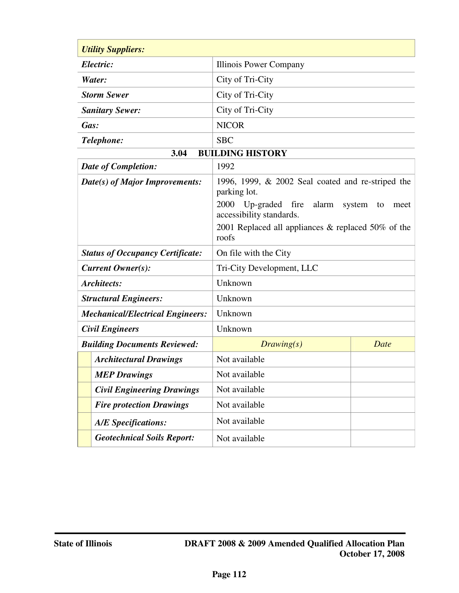| <b>Utility Suppliers:</b>                         |                                                                                                                                |      |  |
|---------------------------------------------------|--------------------------------------------------------------------------------------------------------------------------------|------|--|
| Electric:                                         | Illinois Power Company                                                                                                         |      |  |
| Water:                                            | City of Tri-City                                                                                                               |      |  |
| <b>Storm Sewer</b>                                | City of Tri-City                                                                                                               |      |  |
| <b>Sanitary Sewer:</b>                            | City of Tri-City                                                                                                               |      |  |
| Gas:                                              | <b>NICOR</b>                                                                                                                   |      |  |
| Telephone:                                        | <b>SBC</b>                                                                                                                     |      |  |
| 3.04                                              | <b>BUILDING HISTORY</b>                                                                                                        |      |  |
| <b>Date of Completion:</b>                        | 1992                                                                                                                           |      |  |
| Date(s) of Major Improvements:                    | 1996, 1999, $& 2002$ Seal coated and re-striped the<br>parking lot.<br>Up-graded fire<br>2000<br>alarm<br>system<br>to<br>meet |      |  |
|                                                   | accessibility standards.                                                                                                       |      |  |
|                                                   | 2001 Replaced all appliances $\&$ replaced 50% of the<br>roofs                                                                 |      |  |
| <b>Status of Occupancy Certificate:</b>           | On file with the City                                                                                                          |      |  |
| <b>Current Owner(s):</b>                          | Tri-City Development, LLC                                                                                                      |      |  |
| <b>Architects:</b>                                | Unknown                                                                                                                        |      |  |
| <b>Structural Engineers:</b>                      | Unknown                                                                                                                        |      |  |
| <b>Mechanical/Electrical Engineers:</b>           | Unknown                                                                                                                        |      |  |
| <b>Civil Engineers</b>                            | Unknown                                                                                                                        |      |  |
| <b>Building Documents Reviewed:</b><br>Drawing(s) |                                                                                                                                | Date |  |
| <b>Architectural Drawings</b>                     | Not available                                                                                                                  |      |  |
| <b>MEP Drawings</b>                               | Not available                                                                                                                  |      |  |
| <b>Civil Engineering Drawings</b>                 | Not available                                                                                                                  |      |  |
| <b>Fire protection Drawings</b>                   | Not available                                                                                                                  |      |  |
| <b>A/E</b> Specifications:                        | Not available                                                                                                                  |      |  |
| <b>Geotechnical Soils Report:</b>                 | Not available                                                                                                                  |      |  |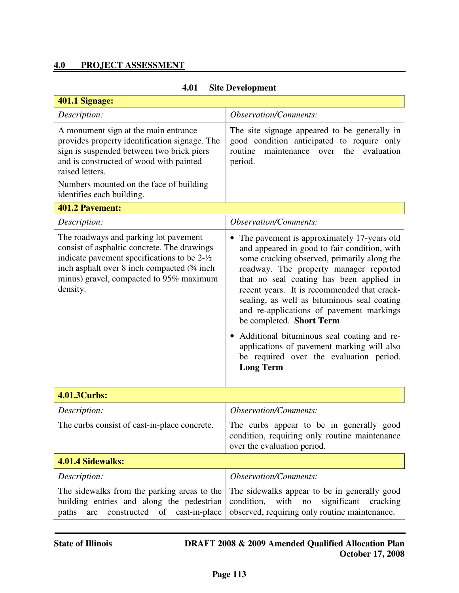# **4.0 PROJECT ASSESSMENT**

| 401.1 Signage:                                                                                                                                                                                                                                       |                                                                                                                                                                                                                                                                                                                                                                                                                                                                                                                                                                  |  |  |
|------------------------------------------------------------------------------------------------------------------------------------------------------------------------------------------------------------------------------------------------------|------------------------------------------------------------------------------------------------------------------------------------------------------------------------------------------------------------------------------------------------------------------------------------------------------------------------------------------------------------------------------------------------------------------------------------------------------------------------------------------------------------------------------------------------------------------|--|--|
| Description:                                                                                                                                                                                                                                         | <b>Observation/Comments:</b>                                                                                                                                                                                                                                                                                                                                                                                                                                                                                                                                     |  |  |
| A monument sign at the main entrance<br>provides property identification signage. The<br>sign is suspended between two brick piers<br>and is constructed of wood with painted<br>raised letters.<br>Numbers mounted on the face of building          | The site signage appeared to be generally in<br>good condition anticipated to require only<br>maintenance over<br>evaluation<br>routine<br>the<br>period.                                                                                                                                                                                                                                                                                                                                                                                                        |  |  |
| identifies each building.                                                                                                                                                                                                                            |                                                                                                                                                                                                                                                                                                                                                                                                                                                                                                                                                                  |  |  |
| 401.2 Pavement:                                                                                                                                                                                                                                      |                                                                                                                                                                                                                                                                                                                                                                                                                                                                                                                                                                  |  |  |
| Description:                                                                                                                                                                                                                                         | <b>Observation/Comments:</b>                                                                                                                                                                                                                                                                                                                                                                                                                                                                                                                                     |  |  |
| The roadways and parking lot pavement<br>consist of asphaltic concrete. The drawings<br>indicate pavement specifications to be $2-\frac{1}{2}$<br>inch asphalt over 8 inch compacted (34 inch<br>minus) gravel, compacted to 95% maximum<br>density. | The pavement is approximately 17-years old<br>and appeared in good to fair condition, with<br>some cracking observed, primarily along the<br>roadway. The property manager reported<br>that no seal coating has been applied in<br>recent years. It is recommended that crack-<br>sealing, as well as bituminous seal coating<br>and re-applications of pavement markings<br>be completed. Short Term<br>Additional bituminous seal coating and re-<br>applications of pavement marking will also<br>be required over the evaluation period.<br><b>Long Term</b> |  |  |
| 4.01.3Curbs:                                                                                                                                                                                                                                         |                                                                                                                                                                                                                                                                                                                                                                                                                                                                                                                                                                  |  |  |
| Description:                                                                                                                                                                                                                                         | <b>Observation/Comments:</b>                                                                                                                                                                                                                                                                                                                                                                                                                                                                                                                                     |  |  |
| The curbs consist of cast-in-place concrete.                                                                                                                                                                                                         | The curbs appear to be in generally good<br>condition, requiring only routine maintenance<br>over the evaluation period.                                                                                                                                                                                                                                                                                                                                                                                                                                         |  |  |
| 4.01.4 Sidewalks:                                                                                                                                                                                                                                    |                                                                                                                                                                                                                                                                                                                                                                                                                                                                                                                                                                  |  |  |
| Description:                                                                                                                                                                                                                                         | <b>Observation/Comments:</b>                                                                                                                                                                                                                                                                                                                                                                                                                                                                                                                                     |  |  |
| The sidewalks from the parking areas to the<br>building entries and along the pedestrian<br>constructed<br>of<br>cast-in-place<br>paths<br>are                                                                                                       | The sidewalks appear to be in generally good<br>with<br>significant<br>condition,<br>no<br>cracking<br>observed, requiring only routine maintenance.                                                                                                                                                                                                                                                                                                                                                                                                             |  |  |

# **4.01 Site Development**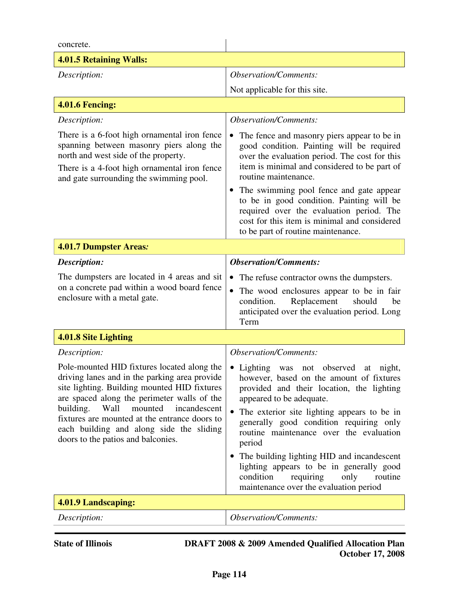| concrete.                                                                                                                                                                                                                                                                                                                                                                      |                                                                                                                                                                                                                                                                                                                                                                                  |  |
|--------------------------------------------------------------------------------------------------------------------------------------------------------------------------------------------------------------------------------------------------------------------------------------------------------------------------------------------------------------------------------|----------------------------------------------------------------------------------------------------------------------------------------------------------------------------------------------------------------------------------------------------------------------------------------------------------------------------------------------------------------------------------|--|
| <b>4.01.5 Retaining Walls:</b>                                                                                                                                                                                                                                                                                                                                                 |                                                                                                                                                                                                                                                                                                                                                                                  |  |
| Description:                                                                                                                                                                                                                                                                                                                                                                   | <b>Observation/Comments:</b>                                                                                                                                                                                                                                                                                                                                                     |  |
|                                                                                                                                                                                                                                                                                                                                                                                | Not applicable for this site.                                                                                                                                                                                                                                                                                                                                                    |  |
| <b>4.01.6 Fencing:</b>                                                                                                                                                                                                                                                                                                                                                         |                                                                                                                                                                                                                                                                                                                                                                                  |  |
| Description:                                                                                                                                                                                                                                                                                                                                                                   | <b>Observation/Comments:</b>                                                                                                                                                                                                                                                                                                                                                     |  |
| There is a 6-foot high ornamental iron fence<br>spanning between masonry piers along the<br>north and west side of the property.<br>There is a 4-foot high ornamental iron fence<br>and gate surrounding the swimming pool.                                                                                                                                                    | The fence and masonry piers appear to be in<br>good condition. Painting will be required<br>over the evaluation period. The cost for this<br>item is minimal and considered to be part of<br>routine maintenance.                                                                                                                                                                |  |
|                                                                                                                                                                                                                                                                                                                                                                                | • The swimming pool fence and gate appear<br>to be in good condition. Painting will be<br>required over the evaluation period. The<br>cost for this item is minimal and considered<br>to be part of routine maintenance.                                                                                                                                                         |  |
| 4.01.7 Dumpster Areas:                                                                                                                                                                                                                                                                                                                                                         |                                                                                                                                                                                                                                                                                                                                                                                  |  |
| Description:                                                                                                                                                                                                                                                                                                                                                                   | <b>Observation/Comments:</b>                                                                                                                                                                                                                                                                                                                                                     |  |
| The dumpsters are located in 4 areas and sit<br>on a concrete pad within a wood board fence<br>enclosure with a metal gate.                                                                                                                                                                                                                                                    | The refuse contractor owns the dumpsters.<br>$\bullet$<br>The wood enclosures appear to be in fair<br>condition.<br>Replacement<br>should<br>be<br>anticipated over the evaluation period. Long<br>Term                                                                                                                                                                          |  |
| 4.01.8 Site Lighting                                                                                                                                                                                                                                                                                                                                                           |                                                                                                                                                                                                                                                                                                                                                                                  |  |
| Description:                                                                                                                                                                                                                                                                                                                                                                   | <b>Observation/Comments:</b>                                                                                                                                                                                                                                                                                                                                                     |  |
| Pole-mounted HID fixtures located along the<br>driving lanes and in the parking area provide<br>site lighting. Building mounted HID fixtures<br>are spaced along the perimeter walls of the<br>building.<br>Wall<br>mounted<br>incandescent<br>fixtures are mounted at the entrance doors to<br>each building and along side the sliding<br>doors to the patios and balconies. | • Lighting<br>not observed<br>night,<br>was<br>at<br>however, based on the amount of fixtures<br>provided and their location, the lighting<br>appeared to be adequate.<br>The exterior site lighting appears to be in<br>generally good condition requiring only<br>routine maintenance over the evaluation<br>period<br>The building lighting HID and incandescent<br>$\bullet$ |  |
|                                                                                                                                                                                                                                                                                                                                                                                | lighting appears to be in generally good<br>condition<br>requiring<br>only<br>routine<br>maintenance over the evaluation period                                                                                                                                                                                                                                                  |  |
| 4.01.9 Landscaping:                                                                                                                                                                                                                                                                                                                                                            |                                                                                                                                                                                                                                                                                                                                                                                  |  |
| Description:                                                                                                                                                                                                                                                                                                                                                                   | <b>Observation/Comments:</b>                                                                                                                                                                                                                                                                                                                                                     |  |
| <b>State of Illinois</b><br><b>DRAFT 2008 &amp; 2009 Amended Qualified Allocation Plan</b>                                                                                                                                                                                                                                                                                     |                                                                                                                                                                                                                                                                                                                                                                                  |  |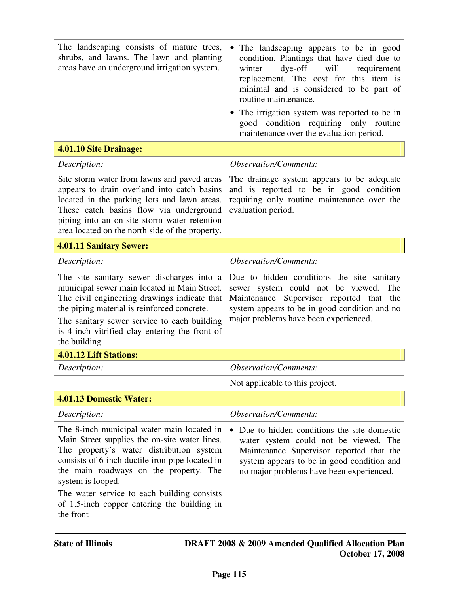| The landscaping consists of mature trees,<br>shrubs, and lawns. The lawn and planting<br>areas have an underground irrigation system.                                                                                                                                                                                                                                | The landscaping appears to be in good<br>condition. Plantings that have died due to<br>dye-off<br>will<br>winter<br>requirement<br>replacement. The cost for this item is<br>minimal and is considered to be part of<br>routine maintenance.<br>• The irrigation system was reported to be in<br>good condition requiring only routine |  |
|----------------------------------------------------------------------------------------------------------------------------------------------------------------------------------------------------------------------------------------------------------------------------------------------------------------------------------------------------------------------|----------------------------------------------------------------------------------------------------------------------------------------------------------------------------------------------------------------------------------------------------------------------------------------------------------------------------------------|--|
|                                                                                                                                                                                                                                                                                                                                                                      | maintenance over the evaluation period.                                                                                                                                                                                                                                                                                                |  |
| 4.01.10 Site Drainage:                                                                                                                                                                                                                                                                                                                                               |                                                                                                                                                                                                                                                                                                                                        |  |
| Description:                                                                                                                                                                                                                                                                                                                                                         | <b>Observation/Comments:</b>                                                                                                                                                                                                                                                                                                           |  |
| Site storm water from lawns and paved areas<br>appears to drain overland into catch basins<br>located in the parking lots and lawn areas.<br>These catch basins flow via underground<br>piping into an on-site storm water retention<br>area located on the north side of the property.                                                                              | The drainage system appears to be adequate<br>and is reported to be in good condition<br>requiring only routine maintenance over the<br>evaluation period.                                                                                                                                                                             |  |
| <b>4.01.11 Sanitary Sewer:</b>                                                                                                                                                                                                                                                                                                                                       |                                                                                                                                                                                                                                                                                                                                        |  |
| Description:                                                                                                                                                                                                                                                                                                                                                         | <b>Observation/Comments:</b>                                                                                                                                                                                                                                                                                                           |  |
| The site sanitary sewer discharges into a<br>municipal sewer main located in Main Street.<br>The civil engineering drawings indicate that<br>the piping material is reinforced concrete.<br>The sanitary sewer service to each building<br>is 4-inch vitrified clay entering the front of<br>the building.                                                           | Due to hidden conditions the site sanitary<br>sewer system could not be viewed. The<br>Maintenance Supervisor reported that the<br>system appears to be in good condition and no<br>major problems have been experienced.                                                                                                              |  |
| 4.01.12 Lift Stations:                                                                                                                                                                                                                                                                                                                                               |                                                                                                                                                                                                                                                                                                                                        |  |
| Description:                                                                                                                                                                                                                                                                                                                                                         | <b>Observation/Comments:</b>                                                                                                                                                                                                                                                                                                           |  |
|                                                                                                                                                                                                                                                                                                                                                                      | Not applicable to this project.                                                                                                                                                                                                                                                                                                        |  |
| 4.01.13 Domestic Water:                                                                                                                                                                                                                                                                                                                                              |                                                                                                                                                                                                                                                                                                                                        |  |
| Description:                                                                                                                                                                                                                                                                                                                                                         | <b>Observation/Comments:</b>                                                                                                                                                                                                                                                                                                           |  |
| The 8-inch municipal water main located in<br>Main Street supplies the on-site water lines.<br>The property's water distribution system<br>consists of 6-inch ductile iron pipe located in<br>the main roadways on the property. The<br>system is looped.<br>The water service to each building consists<br>of 1.5-inch copper entering the building in<br>the front | Due to hidden conditions the site domestic<br>water system could not be viewed. The<br>Maintenance Supervisor reported that the<br>system appears to be in good condition and<br>no major problems have been experienced.                                                                                                              |  |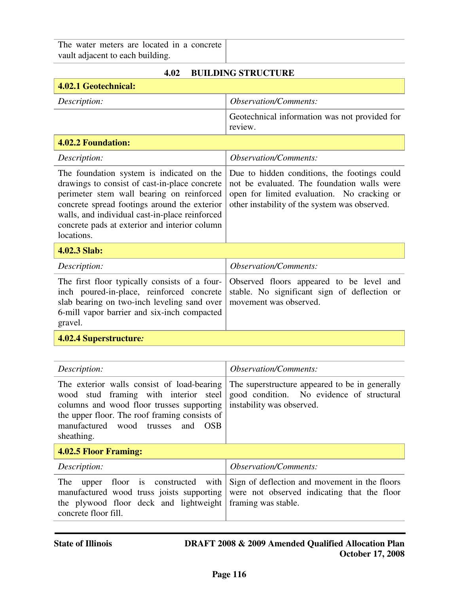The water meters are located in a concrete vault adjacent to each building.

| <b>BUILDING STRUCTURE</b><br>4.02                                                                                                                                                                                                                                                                        |                                                                                                                                                                                             |  |
|----------------------------------------------------------------------------------------------------------------------------------------------------------------------------------------------------------------------------------------------------------------------------------------------------------|---------------------------------------------------------------------------------------------------------------------------------------------------------------------------------------------|--|
| 4.02.1 Geotechnical:                                                                                                                                                                                                                                                                                     |                                                                                                                                                                                             |  |
| Description:                                                                                                                                                                                                                                                                                             | <b>Observation/Comments:</b>                                                                                                                                                                |  |
|                                                                                                                                                                                                                                                                                                          | Geotechnical information was not provided for<br>review.                                                                                                                                    |  |
| 4.02.2 Foundation:                                                                                                                                                                                                                                                                                       |                                                                                                                                                                                             |  |
| Description:                                                                                                                                                                                                                                                                                             | <b>Observation/Comments:</b>                                                                                                                                                                |  |
| The foundation system is indicated on the<br>drawings to consist of cast-in-place concrete<br>perimeter stem wall bearing on reinforced<br>concrete spread footings around the exterior<br>walls, and individual cast-in-place reinforced<br>concrete pads at exterior and interior column<br>locations. | Due to hidden conditions, the footings could<br>not be evaluated. The foundation walls were<br>open for limited evaluation. No cracking or<br>other instability of the system was observed. |  |
| 4.02.3 Slab:                                                                                                                                                                                                                                                                                             |                                                                                                                                                                                             |  |
| Description:                                                                                                                                                                                                                                                                                             | <b>Observation/Comments:</b>                                                                                                                                                                |  |
| The first floor typically consists of a four-<br>inch poured-in-place, reinforced concrete<br>slab bearing on two-inch leveling sand over<br>6-mill vapor barrier and six-inch compacted<br>gravel.                                                                                                      | Observed floors appeared to be level and<br>stable. No significant sign of deflection or<br>movement was observed.                                                                          |  |
| 4.02.4 Superstructure:                                                                                                                                                                                                                                                                                   |                                                                                                                                                                                             |  |
|                                                                                                                                                                                                                                                                                                          |                                                                                                                                                                                             |  |
| Description:                                                                                                                                                                                                                                                                                             | <b>Observation/Comments:</b>                                                                                                                                                                |  |
| The exterior walls consist of load-bearing<br>wood stud framing with interior<br>steel<br>columns and wood floor trusses supporting<br>the upper floor. The roof framing consists of<br>manufactured<br>wood<br>trusses<br>and<br><b>OSB</b><br>sheathing.                                               | The superstructure appeared to be in generally<br>good condition. No evidence of structural<br>instability was observed.                                                                    |  |
| <b>4.02.5 Floor Framing:</b>                                                                                                                                                                                                                                                                             |                                                                                                                                                                                             |  |
| Description:                                                                                                                                                                                                                                                                                             | <b>Observation/Comments:</b>                                                                                                                                                                |  |
| The<br>floor<br>is<br>constructed<br>with<br>upper<br>manufactured wood truss joists supporting<br>the plywood floor deck and lightweight<br>concrete floor fill.                                                                                                                                        | Sign of deflection and movement in the floors<br>were not observed indicating that the floor<br>framing was stable.                                                                         |  |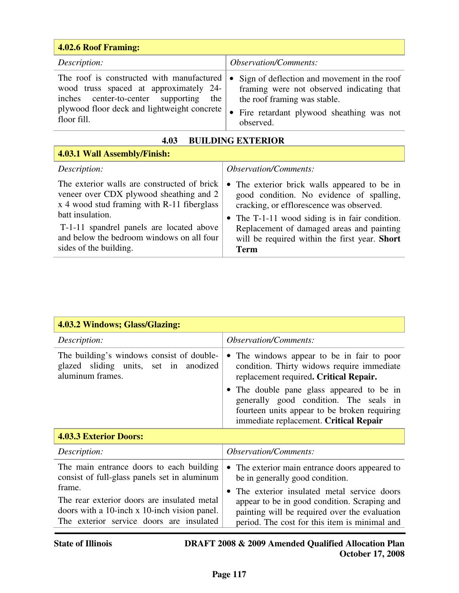| <b>4.02.6 Roof Framing:</b>                                                                                                                                                                    |                                                                                                                                                                                                             |  |  |
|------------------------------------------------------------------------------------------------------------------------------------------------------------------------------------------------|-------------------------------------------------------------------------------------------------------------------------------------------------------------------------------------------------------------|--|--|
| Description:                                                                                                                                                                                   | <i><b>Observation/Comments:</b></i>                                                                                                                                                                         |  |  |
| The roof is constructed with manufactured<br>wood truss spaced at approximately 24-<br>inches center-to-center supporting<br>the<br>plywood floor deck and lightweight concrete<br>floor fill. | Sign of deflection and movement in the roof<br>$\bullet$<br>framing were not observed indicating that<br>the roof framing was stable.<br>Fire retardant plywood sheathing was not<br>$\bullet$<br>observed. |  |  |

| <b>BUILDING EXTERIOR</b><br>4.03                                                                                                                                                                                                                                            |                                                                                                                                                                                                                                                                                                         |  |
|-----------------------------------------------------------------------------------------------------------------------------------------------------------------------------------------------------------------------------------------------------------------------------|---------------------------------------------------------------------------------------------------------------------------------------------------------------------------------------------------------------------------------------------------------------------------------------------------------|--|
| 4.03.1 Wall Assembly/Finish:                                                                                                                                                                                                                                                |                                                                                                                                                                                                                                                                                                         |  |
| Description:                                                                                                                                                                                                                                                                | Observation/Comments:                                                                                                                                                                                                                                                                                   |  |
| The exterior walls are constructed of brick<br>veneer over CDX plywood sheathing and 2<br>x 4 wood stud framing with R-11 fiberglass<br>batt insulation.<br>T-1-11 spandrel panels are located above<br>and below the bedroom windows on all four<br>sides of the building. | The exterior brick walls appeared to be in<br>$\bullet$<br>good condition. No evidence of spalling,<br>cracking, or efflorescence was observed.<br>• The T-1-11 wood siding is in fair condition.<br>Replacement of damaged areas and painting<br>will be required within the first year. Short<br>Term |  |

| 4.03.2 Windows; Glass/Glazing:                                                                                                                    |                                                                                                                                                                                              |
|---------------------------------------------------------------------------------------------------------------------------------------------------|----------------------------------------------------------------------------------------------------------------------------------------------------------------------------------------------|
| Description:                                                                                                                                      | <i>Observation/Comments:</i>                                                                                                                                                                 |
| The building's windows consist of double-<br>glazed sliding units, set in anodized<br>aluminum frames.                                            | The windows appear to be in fair to poor<br>$\bullet$<br>condition. Thirty widows require immediate<br>replacement required. Critical Repair.                                                |
|                                                                                                                                                   | The double pane glass appeared to be in<br>generally good condition. The seals in<br>fourteen units appear to be broken requiring<br>immediate replacement. Critical Repair                  |
| <b>4.03.3 Exterior Doors:</b>                                                                                                                     |                                                                                                                                                                                              |
| Description:                                                                                                                                      | <i><b>Observation/Comments:</b></i>                                                                                                                                                          |
| The main entrance doors to each building<br>consist of full-glass panels set in aluminum                                                          | The exterior main entrance doors appeared to<br>be in generally good condition.                                                                                                              |
| frame.<br>The rear exterior doors are insulated metal<br>doors with a 10-inch x 10-inch vision panel.<br>The exterior service doors are insulated | The exterior insulated metal service doors<br>appear to be in good condition. Scraping and<br>painting will be required over the evaluation<br>period. The cost for this item is minimal and |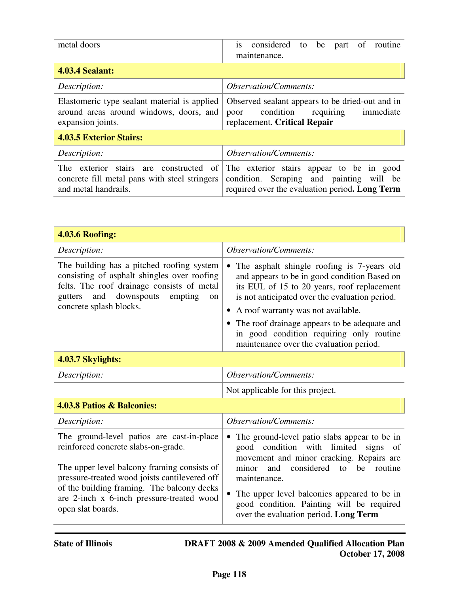| metal doors                                                                                                     | considered<br>be part of<br>routine<br>to<br>$\overline{1}S$<br>maintenance.                                                              |
|-----------------------------------------------------------------------------------------------------------------|-------------------------------------------------------------------------------------------------------------------------------------------|
| <b>4.03.4 Sealant:</b>                                                                                          |                                                                                                                                           |
| Description:                                                                                                    | <i>Observation/Comments:</i>                                                                                                              |
| Elastomeric type sealant material is applied<br>around areas around windows, doors, and<br>expansion joints.    | Observed sealant appears to be dried-out and in<br>condition<br>requiring<br>immediate<br>poor<br>replacement. Critical Repair            |
| <b>4.03.5 Exterior Stairs:</b>                                                                                  |                                                                                                                                           |
| Description:                                                                                                    | <i><b>Observation/Comments:</b></i>                                                                                                       |
| The exterior stairs are constructed of<br>concrete fill metal pans with steel stringers<br>and metal handrails. | The exterior stairs appear to be in good<br>Scraping and painting will be<br>condition.<br>required over the evaluation period. Long Term |

| <b>4.03.6 Roofing:</b>                                                                                                                                                                                                                                                                           |                                                                                                                                                                                                                                                                                                                                                                                           |
|--------------------------------------------------------------------------------------------------------------------------------------------------------------------------------------------------------------------------------------------------------------------------------------------------|-------------------------------------------------------------------------------------------------------------------------------------------------------------------------------------------------------------------------------------------------------------------------------------------------------------------------------------------------------------------------------------------|
| Description:                                                                                                                                                                                                                                                                                     | <b>Observation/Comments:</b>                                                                                                                                                                                                                                                                                                                                                              |
| The building has a pitched roofing system<br>consisting of asphalt shingles over roofing<br>felts. The roof drainage consists of metal<br>downspouts<br>and<br>empting<br>gutters<br><sub>on</sub><br>concrete splash blocks.                                                                    | The asphalt shingle roofing is 7-years old<br>$\bullet$<br>and appears to be in good condition Based on<br>its EUL of 15 to 20 years, roof replacement<br>is not anticipated over the evaluation period.<br>• A roof warranty was not available.<br>• The roof drainage appears to be adequate and<br>in good condition requiring only routine<br>maintenance over the evaluation period. |
| 4.03.7 Skylights:                                                                                                                                                                                                                                                                                |                                                                                                                                                                                                                                                                                                                                                                                           |
| Description:                                                                                                                                                                                                                                                                                     | <b>Observation/Comments:</b>                                                                                                                                                                                                                                                                                                                                                              |
|                                                                                                                                                                                                                                                                                                  | Not applicable for this project.                                                                                                                                                                                                                                                                                                                                                          |
| 4.03.8 Patios & Balconies:                                                                                                                                                                                                                                                                       |                                                                                                                                                                                                                                                                                                                                                                                           |
| Description:                                                                                                                                                                                                                                                                                     | <b>Observation/Comments:</b>                                                                                                                                                                                                                                                                                                                                                              |
| The ground-level patios are cast-in-place<br>reinforced concrete slabs-on-grade.<br>The upper level balcony framing consists of<br>pressure-treated wood joists cantilevered off<br>of the building framing. The balcony decks<br>are 2-inch x 6-inch pressure-treated wood<br>open slat boards. | The ground-level patio slabs appear to be in<br>$\bullet$<br>good condition with limited signs<br>of<br>movement and minor cracking. Repairs are<br>considered<br>minor<br>and<br>be<br>routine<br>to<br>maintenance.<br>The upper level balconies appeared to be in<br>good condition. Painting will be required<br>over the evaluation period. Long Term                                |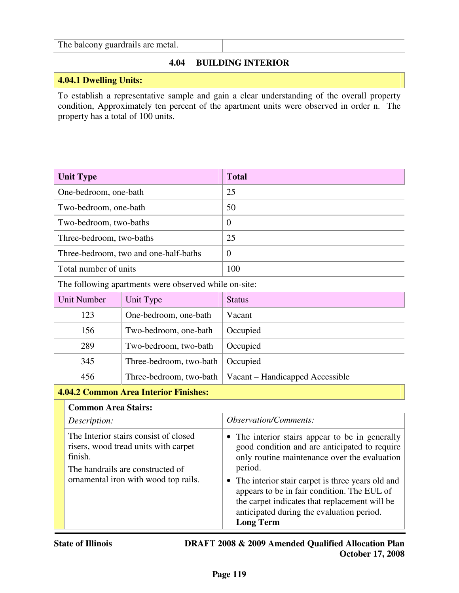#### The balcony guardrails are metal.

# **4.04 BUILDING INTERIOR**

# **4.04.1 Dwelling Units:**

To establish a representative sample and gain a clear understanding of the overall property condition, Approximately ten percent of the apartment units were observed in order n. The property has a total of 100 units.

| <b>Unit Type</b>                      | <b>Total</b> |
|---------------------------------------|--------------|
| One-bedroom, one-bath                 | 25           |
| Two-bedroom, one-bath                 | 50           |
| Two-bedroom, two-baths                | $\theta$     |
| Three-bedroom, two-baths              | 25           |
| Three-bedroom, two and one-half-baths | $\Omega$     |
| Total number of units                 | 100          |

The following apartments were observed while on-site:

| Unit Number | Unit Type               | <b>Status</b>                   |
|-------------|-------------------------|---------------------------------|
| 123         | One-bedroom, one-bath   | Vacant                          |
| 156         | Two-bedroom, one-bath   | Occupied                        |
| 289         | Two-bedroom, two-bath   | Occupied                        |
| 345         | Three-bedroom, two-bath | Occupied                        |
| 456         | Three-bedroom, two-bath | Vacant – Handicapped Accessible |

#### **4.04.2 Common Area Interior Finishes:**

#### **Common Area Stairs:**

| Description:                                                                                                                 | <i><b>Observation/Comments:</b></i>                                                                                                                                                                                 |
|------------------------------------------------------------------------------------------------------------------------------|---------------------------------------------------------------------------------------------------------------------------------------------------------------------------------------------------------------------|
| The Interior stairs consist of closed<br>risers, wood tread units with carpet<br>finish.<br>The handrails are constructed of | • The interior stairs appear to be in generally<br>good condition and are anticipated to require<br>only routine maintenance over the evaluation<br>period.                                                         |
| ornamental iron with wood top rails.                                                                                         | • The interior stair carpet is three years old and<br>appears to be in fair condition. The EUL of<br>the carpet indicates that replacement will be<br>anticipated during the evaluation period.<br><b>Long Term</b> |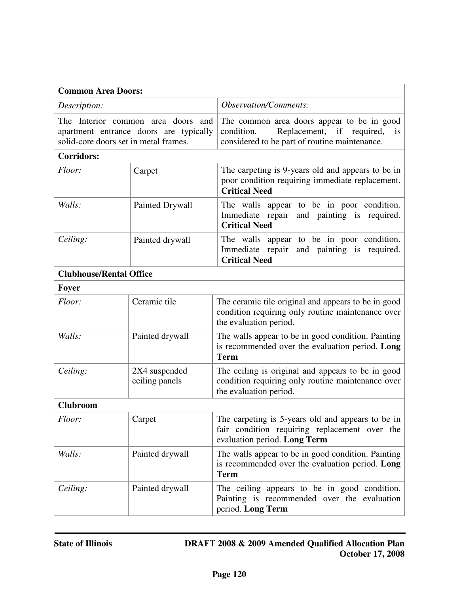| <b>Common Area Doors:</b>                                                                                             |                                 |                                                                                                                                              |
|-----------------------------------------------------------------------------------------------------------------------|---------------------------------|----------------------------------------------------------------------------------------------------------------------------------------------|
| Description:                                                                                                          |                                 | <b>Observation/Comments:</b>                                                                                                                 |
| The Interior common area doors and<br>apartment entrance doors are typically<br>solid-core doors set in metal frames. |                                 | The common area doors appear to be in good<br>Replacement, if required,<br>condition.<br>is<br>considered to be part of routine maintenance. |
| <b>Corridors:</b>                                                                                                     |                                 |                                                                                                                                              |
| Floor:                                                                                                                | Carpet                          | The carpeting is 9-years old and appears to be in<br>poor condition requiring immediate replacement.<br><b>Critical Need</b>                 |
| Walls:                                                                                                                | Painted Drywall                 | The walls appear to be in poor condition.<br>Immediate repair and painting is required.<br><b>Critical Need</b>                              |
| Ceiling:                                                                                                              | Painted drywall                 | The walls appear to be in poor condition.<br>Immediate repair<br>and painting is required.<br><b>Critical Need</b>                           |
| <b>Clubhouse/Rental Office</b>                                                                                        |                                 |                                                                                                                                              |
| Foyer                                                                                                                 |                                 |                                                                                                                                              |
| Floor:                                                                                                                | Ceramic tile                    | The ceramic tile original and appears to be in good<br>condition requiring only routine maintenance over<br>the evaluation period.           |
| Walls:                                                                                                                | Painted drywall                 | The walls appear to be in good condition. Painting<br>is recommended over the evaluation period. Long<br><b>Term</b>                         |
| Ceiling:                                                                                                              | 2X4 suspended<br>ceiling panels | The ceiling is original and appears to be in good<br>condition requiring only routine maintenance over<br>the evaluation period.             |
| <b>Clubroom</b>                                                                                                       |                                 |                                                                                                                                              |
| Floor:                                                                                                                | Carpet                          | The carpeting is 5-years old and appears to be in<br>fair condition requiring replacement over the<br>evaluation period. Long Term           |
| Walls:                                                                                                                | Painted drywall                 | The walls appear to be in good condition. Painting<br>is recommended over the evaluation period. Long<br><b>Term</b>                         |
| Ceiling:                                                                                                              | Painted drywall                 | The ceiling appears to be in good condition.<br>Painting is recommended over the evaluation<br>period. Long Term                             |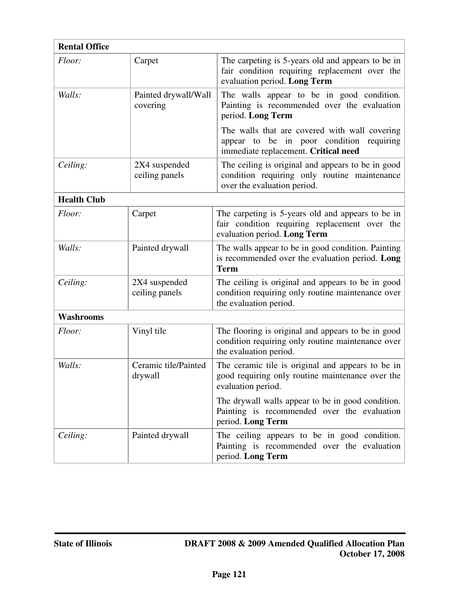| <b>Rental Office</b> |                                  |                                                                                                                                         |
|----------------------|----------------------------------|-----------------------------------------------------------------------------------------------------------------------------------------|
| Floor:               | Carpet                           | The carpeting is 5-years old and appears to be in<br>fair condition requiring replacement over the<br>evaluation period. Long Term      |
| Walls:               | Painted drywall/Wall<br>covering | The walls appear to be in good condition.<br>Painting is recommended over the evaluation<br>period. Long Term                           |
|                      |                                  | The walls that are covered with wall covering<br>to be in poor condition<br>requiring<br>appear<br>immediate replacement. Critical need |
| Ceiling:             | 2X4 suspended<br>ceiling panels  | The ceiling is original and appears to be in good<br>condition requiring only routine maintenance<br>over the evaluation period.        |
| <b>Health Club</b>   |                                  |                                                                                                                                         |
| Floor:               | Carpet                           | The carpeting is 5-years old and appears to be in<br>fair condition requiring replacement over the<br>evaluation period. Long Term      |
| Walls:               | Painted drywall                  | The walls appear to be in good condition. Painting<br>is recommended over the evaluation period. Long<br><b>Term</b>                    |
| Ceiling:             | 2X4 suspended<br>ceiling panels  | The ceiling is original and appears to be in good<br>condition requiring only routine maintenance over<br>the evaluation period.        |
| Washrooms            |                                  |                                                                                                                                         |
| Floor:               | Vinyl tile                       | The flooring is original and appears to be in good<br>condition requiring only routine maintenance over<br>the evaluation period.       |
| Walls:               | Ceramic tile/Painted<br>drywall  | The ceramic tile is original and appears to be in<br>good requiring only routine maintenance over the<br>evaluation period.             |
|                      |                                  | The drywall walls appear to be in good condition.<br>Painting is recommended over the evaluation<br>period. Long Term                   |
| Ceiling:             | Painted drywall                  | The ceiling appears to be in good condition.<br>Painting is recommended over the evaluation<br>period. Long Term                        |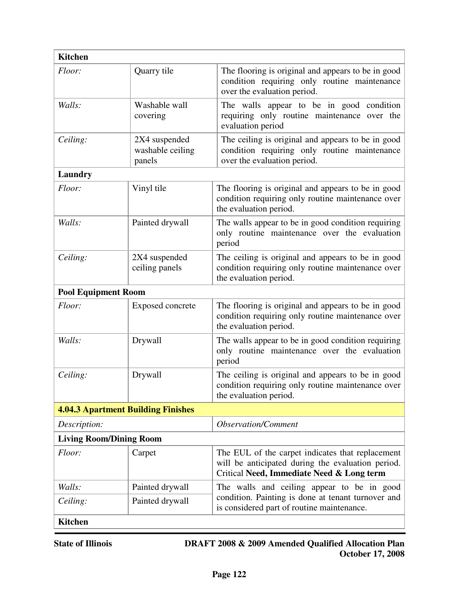| <b>Kitchen</b>                 |                                             |                                                                                                                                                    |
|--------------------------------|---------------------------------------------|----------------------------------------------------------------------------------------------------------------------------------------------------|
| Floor:                         | Quarry tile                                 | The flooring is original and appears to be in good<br>condition requiring only routine maintenance<br>over the evaluation period.                  |
| Walls:                         | Washable wall<br>covering                   | The walls appear to be in good condition<br>requiring only routine maintenance over the<br>evaluation period                                       |
| Ceiling:                       | 2X4 suspended<br>washable ceiling<br>panels | The ceiling is original and appears to be in good<br>condition requiring only routine maintenance<br>over the evaluation period.                   |
| Laundry                        |                                             |                                                                                                                                                    |
| Floor:                         | Vinyl tile                                  | The flooring is original and appears to be in good<br>condition requiring only routine maintenance over<br>the evaluation period.                  |
| Walls:                         | Painted drywall                             | The walls appear to be in good condition requiring<br>only routine maintenance over the evaluation<br>period                                       |
| Ceiling:                       | 2X4 suspended<br>ceiling panels             | The ceiling is original and appears to be in good<br>condition requiring only routine maintenance over<br>the evaluation period.                   |
| <b>Pool Equipment Room</b>     |                                             |                                                                                                                                                    |
| Floor:                         | <b>Exposed concrete</b>                     | The flooring is original and appears to be in good<br>condition requiring only routine maintenance over<br>the evaluation period.                  |
| Walls:                         | Drywall                                     | The walls appear to be in good condition requiring<br>only routine maintenance over the evaluation<br>period                                       |
| Ceiling:                       | Drywall                                     | The ceiling is original and appears to be in good<br>condition requiring only routine maintenance over<br>the evaluation period.                   |
|                                | <b>4.04.3 Apartment Building Finishes</b>   |                                                                                                                                                    |
| Description:                   | <b>Observation/Comment</b>                  |                                                                                                                                                    |
| <b>Living Room/Dining Room</b> |                                             |                                                                                                                                                    |
| Floor:                         | Carpet                                      | The EUL of the carpet indicates that replacement<br>will be anticipated during the evaluation period.<br>Critical Need, Immediate Need & Long term |
| Walls:                         | Painted drywall                             | The walls and ceiling appear to be in good                                                                                                         |
| Ceiling:                       | Painted drywall                             | condition. Painting is done at tenant turnover and<br>is considered part of routine maintenance.                                                   |
| <b>Kitchen</b>                 |                                             |                                                                                                                                                    |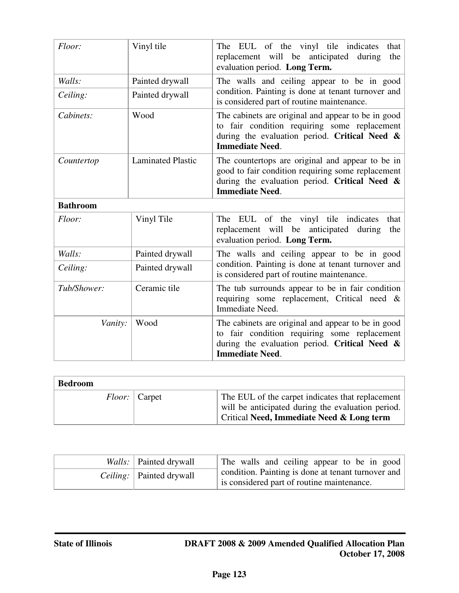| Floor:          | Vinyl tile               | The EUL of the vinyl tile indicates<br>that<br>replacement will be anticipated<br>during<br>the<br>evaluation period. Long Term.                                                    |
|-----------------|--------------------------|-------------------------------------------------------------------------------------------------------------------------------------------------------------------------------------|
| Walls:          | Painted drywall          | The walls and ceiling appear to be in good                                                                                                                                          |
| Ceiling:        | Painted drywall          | condition. Painting is done at tenant turnover and<br>is considered part of routine maintenance.                                                                                    |
| Cabinets:       | Wood                     | The cabinets are original and appear to be in good<br>to fair condition requiring some replacement<br>during the evaluation period. Critical Need &<br><b>Immediate Need.</b>       |
| Countertop      | <b>Laminated Plastic</b> | The countertops are original and appear to be in<br>good to fair condition requiring some replacement<br>during the evaluation period. Critical Need $\&$<br><b>Immediate Need.</b> |
| <b>Bathroom</b> |                          |                                                                                                                                                                                     |
| Floor:          | Vinyl Tile               | The EUL of the vinyl tile indicates<br>that<br>replacement will be anticipated<br>during<br>the<br>evaluation period. Long Term.                                                    |
| Walls:          | Painted drywall          | The walls and ceiling appear to be in good                                                                                                                                          |
| Ceiling:        | Painted drywall          | condition. Painting is done at tenant turnover and<br>is considered part of routine maintenance.                                                                                    |
| Tub/Shower:     | Ceramic tile             | The tub surrounds appear to be in fair condition<br>requiring some replacement, Critical need &<br>Immediate Need.                                                                  |
| Vanity:         | Wood                     | The cabinets are original and appear to be in good<br>to fair condition requiring some replacement<br>during the evaluation period. Critical Need $\&$<br><b>Immediate Need.</b>    |

| <b>Bedroom</b> |                        |                                                                                                                                                               |
|----------------|------------------------|---------------------------------------------------------------------------------------------------------------------------------------------------------------|
|                | <i>Floor:</i>   Carpet | The EUL of the carpet indicates that replacement<br>will be anticipated during the evaluation period.<br><b>Critical Need, Immediate Need &amp; Long term</b> |

| <i>Walls:</i> Painted drywall     | The walls and ceiling appear to be in good                                                       |
|-----------------------------------|--------------------------------------------------------------------------------------------------|
| <i>Ceiling:</i>   Painted drywall | condition. Painting is done at tenant turnover and<br>is considered part of routine maintenance. |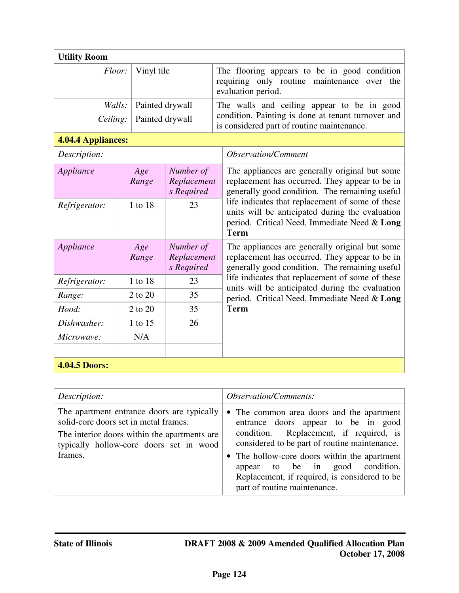| <b>Utility Room</b>  |                 |                                        |                                                                                                  |                                                                                                                                                                    |
|----------------------|-----------------|----------------------------------------|--------------------------------------------------------------------------------------------------|--------------------------------------------------------------------------------------------------------------------------------------------------------------------|
| Vinyl tile<br>Floor: |                 |                                        |                                                                                                  | The flooring appears to be in good condition<br>requiring only routine maintenance over the<br>evaluation period.                                                  |
| Walls:               |                 | Painted drywall                        |                                                                                                  | The walls and ceiling appear to be in good                                                                                                                         |
| Ceiling:             | Painted drywall |                                        | condition. Painting is done at tenant turnover and<br>is considered part of routine maintenance. |                                                                                                                                                                    |
| 4.04.4 Appliances:   |                 |                                        |                                                                                                  |                                                                                                                                                                    |
| Description:         |                 |                                        |                                                                                                  | <b>Observation/Comment</b>                                                                                                                                         |
| Appliance            | Age<br>Range    | Number of<br>Replacement<br>s Required |                                                                                                  | The appliances are generally original but some<br>replacement has occurred. They appear to be in<br>generally good condition. The remaining useful                 |
| Refrigerator:        | 1 to 18         | 23                                     |                                                                                                  | life indicates that replacement of some of these<br>units will be anticipated during the evaluation<br>period. Critical Need, Immediate Need & Long<br><b>Term</b> |
| Appliance            | Age<br>Range    | Number of<br>Replacement<br>s Required |                                                                                                  | The appliances are generally original but some<br>replacement has occurred. They appear to be in<br>generally good condition. The remaining useful                 |
| Refrigerator:        | 1 to 18         | 23                                     |                                                                                                  | life indicates that replacement of some of these<br>units will be anticipated during the evaluation                                                                |
| Range:               | 2 to 20         | 35                                     |                                                                                                  | period. Critical Need, Immediate Need & Long                                                                                                                       |
| Hood:                | 2 to 20         | 35                                     |                                                                                                  | <b>Term</b>                                                                                                                                                        |
| Dishwasher:          | 1 to 15         | 26                                     |                                                                                                  |                                                                                                                                                                    |
| Microwave:           | N/A             |                                        |                                                                                                  |                                                                                                                                                                    |
| <b>4.04.5 Doors:</b> |                 |                                        |                                                                                                  |                                                                                                                                                                    |

| Description:                                                                                                                                                                              | <i><b>Observation/Comments:</b></i>                                                                                                                                                                                                                                                                                                              |
|-------------------------------------------------------------------------------------------------------------------------------------------------------------------------------------------|--------------------------------------------------------------------------------------------------------------------------------------------------------------------------------------------------------------------------------------------------------------------------------------------------------------------------------------------------|
| The apartment entrance doors are typically<br>solid-core doors set in metal frames.<br>The interior doors within the apartments are<br>typically hollow-core doors set in wood<br>frames. | • The common area doors and the apartment<br>entrance doors appear to be in good<br>condition. Replacement, if required, is<br>considered to be part of routine maintenance.<br>• The hollow-core doors within the apartment<br>appear to be in good condition.<br>Replacement, if required, is considered to be<br>part of routine maintenance. |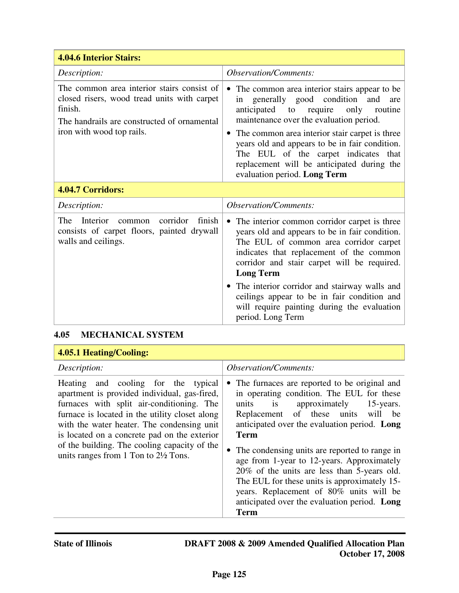| <b>4.04.6 Interior Stairs:</b>                                                                                                                                                   |                                                                                                                                                                                                                                                                                                                                                                                                                          |  |
|----------------------------------------------------------------------------------------------------------------------------------------------------------------------------------|--------------------------------------------------------------------------------------------------------------------------------------------------------------------------------------------------------------------------------------------------------------------------------------------------------------------------------------------------------------------------------------------------------------------------|--|
| Description:                                                                                                                                                                     | <b>Observation/Comments:</b>                                                                                                                                                                                                                                                                                                                                                                                             |  |
| The common area interior stairs consist of<br>closed risers, wood tread units with carpet<br>finish.<br>The handrails are constructed of ornamental<br>iron with wood top rails. | The common area interior stairs appear to be<br>in generally good condition and<br>are<br>anticipated to<br>only<br>require<br>routine<br>maintenance over the evaluation period.<br>The common area interior stair carpet is three<br>$\bullet$<br>years old and appears to be in fair condition.<br>The EUL of the carpet indicates that<br>replacement will be anticipated during the<br>evaluation period. Long Term |  |
| 4.04.7 Corridors:                                                                                                                                                                |                                                                                                                                                                                                                                                                                                                                                                                                                          |  |
| Description:                                                                                                                                                                     | <b>Observation/Comments:</b>                                                                                                                                                                                                                                                                                                                                                                                             |  |
| corridor<br>finish<br>The<br>Interior<br>common<br>consists of carpet floors, painted drywall<br>walls and ceilings.                                                             | The interior common corridor carpet is three<br>$\bullet$<br>years old and appears to be in fair condition.<br>The EUL of common area corridor carpet<br>indicates that replacement of the common<br>corridor and stair carpet will be required.<br><b>Long Term</b>                                                                                                                                                     |  |
|                                                                                                                                                                                  | • The interior corridor and stairway walls and<br>ceilings appear to be in fair condition and<br>will require painting during the evaluation<br>period. Long Term                                                                                                                                                                                                                                                        |  |

# **4.05 MECHANICAL SYSTEM**

| 4.05.1 Heating/Cooling:                                                                                                                                                                                                                                                                                                                                                             |                                                                                                                                                                                                                                                                                                                                                                                                                                                                                                                                                        |
|-------------------------------------------------------------------------------------------------------------------------------------------------------------------------------------------------------------------------------------------------------------------------------------------------------------------------------------------------------------------------------------|--------------------------------------------------------------------------------------------------------------------------------------------------------------------------------------------------------------------------------------------------------------------------------------------------------------------------------------------------------------------------------------------------------------------------------------------------------------------------------------------------------------------------------------------------------|
| Description:                                                                                                                                                                                                                                                                                                                                                                        | <i><b>Observation/Comments:</b></i>                                                                                                                                                                                                                                                                                                                                                                                                                                                                                                                    |
| Heating and cooling for the typical<br>apartment is provided individual, gas-fired,<br>furnaces with split air-conditioning. The<br>furnace is located in the utility closet along<br>with the water heater. The condensing unit<br>is located on a concrete pad on the exterior<br>of the building. The cooling capacity of the<br>units ranges from 1 Ton to $2\frac{1}{2}$ Tons. | The furnaces are reported to be original and<br>in operating condition. The EUL for these<br>units is<br>approximately<br>15-years.<br>Replacement of these units<br>be<br>will<br>anticipated over the evaluation period. Long<br><b>Term</b><br>The condensing units are reported to range in<br>age from 1-year to 12-years. Approximately<br>20% of the units are less than 5-years old.<br>The EUL for these units is approximately 15-<br>years. Replacement of 80% units will be<br>anticipated over the evaluation period. Long<br><b>Term</b> |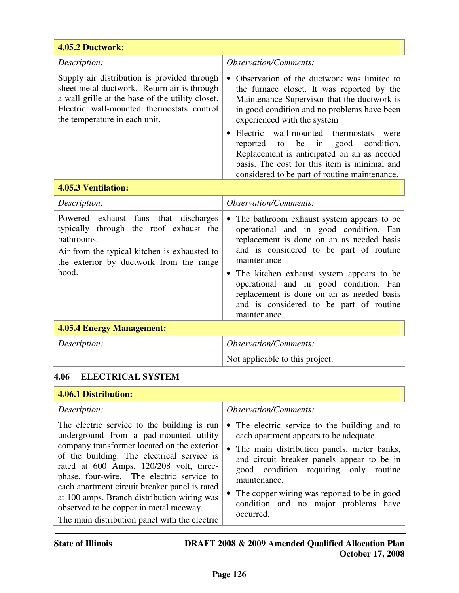| 4.05.2 Ductwork:                                                                                                                                                                                                             |                                                                                                                                                                                                                                                                                                                                                                                                                                                                                    |  |
|------------------------------------------------------------------------------------------------------------------------------------------------------------------------------------------------------------------------------|------------------------------------------------------------------------------------------------------------------------------------------------------------------------------------------------------------------------------------------------------------------------------------------------------------------------------------------------------------------------------------------------------------------------------------------------------------------------------------|--|
| Description:                                                                                                                                                                                                                 | <b>Observation/Comments:</b>                                                                                                                                                                                                                                                                                                                                                                                                                                                       |  |
| Supply air distribution is provided through<br>sheet metal ductwork. Return air is through<br>a wall grille at the base of the utility closet.<br>Electric wall-mounted thermostats control<br>the temperature in each unit. | Observation of the ductwork was limited to<br>$\bullet$<br>the furnace closet. It was reported by the<br>Maintenance Supervisor that the ductwork is<br>in good condition and no problems have been<br>experienced with the system<br>Electric wall-mounted thermostats<br>were<br>be<br>in<br>good<br>condition.<br>reported<br>to<br>Replacement is anticipated on an as needed<br>basis. The cost for this item is minimal and<br>considered to be part of routine maintenance. |  |
| <b>4.05.3 Ventilation:</b>                                                                                                                                                                                                   |                                                                                                                                                                                                                                                                                                                                                                                                                                                                                    |  |
| Description:                                                                                                                                                                                                                 | <i><b>Observation/Comments:</b></i>                                                                                                                                                                                                                                                                                                                                                                                                                                                |  |
| fans that discharges<br>Powered exhaust<br>typically through the roof exhaust the<br>bathrooms.<br>Air from the typical kitchen is exhausted to<br>the exterior by ductwork from the range<br>hood.                          | The bathroom exhaust system appears to be<br>operational and in good condition. Fan<br>replacement is done on an as needed basis<br>and is considered to be part of routine<br>maintenance<br>The kitchen exhaust system appears to be<br>$\bullet$<br>operational and in good condition. Fan<br>replacement is done on an as needed basis<br>and is considered to be part of routine<br>maintenance.                                                                              |  |

# **4.05.4 Energy Management:**

| Description: | <i><b>Observation/Comments:</b></i> |
|--------------|-------------------------------------|
|              | Not applicable to this project.     |

# **4.06 ELECTRICAL SYSTEM**

# **4.06.1 Distribution:**

| Description:                                                                                                                                                                                                                                                                                                                                                                                                                                                           | <i><b>Observation/Comments:</b></i>                                                                                                                                                                                                                                                                                                                   |
|------------------------------------------------------------------------------------------------------------------------------------------------------------------------------------------------------------------------------------------------------------------------------------------------------------------------------------------------------------------------------------------------------------------------------------------------------------------------|-------------------------------------------------------------------------------------------------------------------------------------------------------------------------------------------------------------------------------------------------------------------------------------------------------------------------------------------------------|
| The electric service to the building is run<br>underground from a pad-mounted utility<br>company transformer located on the exterior<br>of the building. The electrical service is<br>rated at 600 Amps, 120/208 volt, three-<br>phase, four-wire. The electric service to<br>each apartment circuit breaker panel is rated<br>at 100 amps. Branch distribution wiring was<br>observed to be copper in metal raceway.<br>The main distribution panel with the electric | • The electric service to the building and to<br>each apartment appears to be adequate.<br>• The main distribution panels, meter banks,<br>and circuit breaker panels appear to be in<br>good condition requiring only routine<br>maintenance.<br>• The copper wiring was reported to be in good<br>condition and no major problems have<br>occurred. |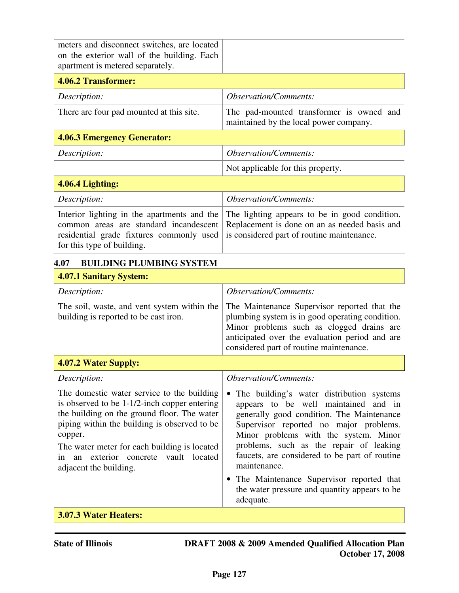| meters and disconnect switches, are located<br>on the exterior wall of the building. Each<br>apartment is metered separately.                                                                                                                                                                                                 |                                                                                                                                                                                                                                                                                                                                                                                                                                                                   |  |  |
|-------------------------------------------------------------------------------------------------------------------------------------------------------------------------------------------------------------------------------------------------------------------------------------------------------------------------------|-------------------------------------------------------------------------------------------------------------------------------------------------------------------------------------------------------------------------------------------------------------------------------------------------------------------------------------------------------------------------------------------------------------------------------------------------------------------|--|--|
| 4.06.2 Transformer:                                                                                                                                                                                                                                                                                                           |                                                                                                                                                                                                                                                                                                                                                                                                                                                                   |  |  |
| Description:                                                                                                                                                                                                                                                                                                                  | <b>Observation/Comments:</b>                                                                                                                                                                                                                                                                                                                                                                                                                                      |  |  |
| There are four pad mounted at this site.                                                                                                                                                                                                                                                                                      | The pad-mounted transformer is owned and<br>maintained by the local power company.                                                                                                                                                                                                                                                                                                                                                                                |  |  |
| <b>4.06.3 Emergency Generator:</b>                                                                                                                                                                                                                                                                                            |                                                                                                                                                                                                                                                                                                                                                                                                                                                                   |  |  |
| Description:                                                                                                                                                                                                                                                                                                                  | <b>Observation/Comments:</b>                                                                                                                                                                                                                                                                                                                                                                                                                                      |  |  |
|                                                                                                                                                                                                                                                                                                                               | Not applicable for this property.                                                                                                                                                                                                                                                                                                                                                                                                                                 |  |  |
| 4.06.4 Lighting:                                                                                                                                                                                                                                                                                                              |                                                                                                                                                                                                                                                                                                                                                                                                                                                                   |  |  |
| Description:                                                                                                                                                                                                                                                                                                                  | <b>Observation/Comments:</b>                                                                                                                                                                                                                                                                                                                                                                                                                                      |  |  |
| Interior lighting in the apartments and the<br>common areas are standard incandescent<br>residential grade fixtures commonly used<br>for this type of building.                                                                                                                                                               | The lighting appears to be in good condition.<br>Replacement is done on an as needed basis and<br>is considered part of routine maintenance.                                                                                                                                                                                                                                                                                                                      |  |  |
| <b>BUILDING PLUMBING SYSTEM</b><br>4.07                                                                                                                                                                                                                                                                                       |                                                                                                                                                                                                                                                                                                                                                                                                                                                                   |  |  |
| 4.07.1 Sanitary System:                                                                                                                                                                                                                                                                                                       |                                                                                                                                                                                                                                                                                                                                                                                                                                                                   |  |  |
| Description:                                                                                                                                                                                                                                                                                                                  | <i><b>Observation/Comments:</b></i>                                                                                                                                                                                                                                                                                                                                                                                                                               |  |  |
| The soil, waste, and vent system within the<br>building is reported to be cast iron.                                                                                                                                                                                                                                          | The Maintenance Supervisor reported that the<br>plumbing system is in good operating condition.<br>Minor problems such as clogged drains are<br>anticipated over the evaluation period and are<br>considered part of routine maintenance.                                                                                                                                                                                                                         |  |  |
| 4.07.2 Water Supply:                                                                                                                                                                                                                                                                                                          |                                                                                                                                                                                                                                                                                                                                                                                                                                                                   |  |  |
| Description:                                                                                                                                                                                                                                                                                                                  | <b>Observation/Comments:</b>                                                                                                                                                                                                                                                                                                                                                                                                                                      |  |  |
| The domestic water service to the building<br>is observed to be $1-1/2$ -inch copper entering<br>the building on the ground floor. The water<br>piping within the building is observed to be<br>copper.<br>The water meter for each building is located<br>an exterior concrete vault located<br>1n<br>adjacent the building. | The building's water distribution systems<br>$\bullet$<br>appears to be well maintained and in<br>generally good condition. The Maintenance<br>Supervisor reported no major problems.<br>Minor problems with the system. Minor<br>problems, such as the repair of leaking<br>faucets, are considered to be part of routine<br>maintenance.<br>The Maintenance Supervisor reported that<br>$\bullet$<br>the water pressure and quantity appears to be<br>adequate. |  |  |
| 3.07.3 Water Heaters:                                                                                                                                                                                                                                                                                                         |                                                                                                                                                                                                                                                                                                                                                                                                                                                                   |  |  |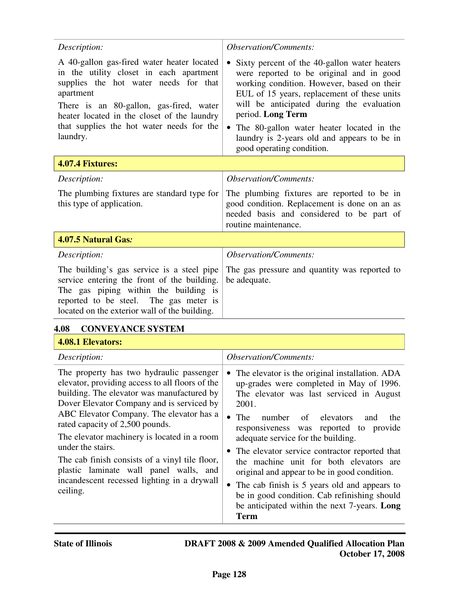| Description:                                                                                                                                                                                                                                                                                   | <b>Observation/Comments:</b>                                                                                                                                                                                                                                                                                                                                                                  |  |  |
|------------------------------------------------------------------------------------------------------------------------------------------------------------------------------------------------------------------------------------------------------------------------------------------------|-----------------------------------------------------------------------------------------------------------------------------------------------------------------------------------------------------------------------------------------------------------------------------------------------------------------------------------------------------------------------------------------------|--|--|
| A 40-gallon gas-fired water heater located<br>in the utility closet in each apartment<br>supplies the hot water needs for that<br>apartment<br>There is an 80-gallon, gas-fired, water<br>heater located in the closet of the laundry<br>that supplies the hot water needs for the<br>laundry. | Sixty percent of the 40-gallon water heaters<br>$\bullet$<br>were reported to be original and in good<br>working condition. However, based on their<br>EUL of 15 years, replacement of these units<br>will be anticipated during the evaluation<br>period. Long Term<br>The 80-gallon water heater located in the<br>laundry is 2-years old and appears to be in<br>good operating condition. |  |  |
| <b>4.07.4 Fixtures:</b>                                                                                                                                                                                                                                                                        |                                                                                                                                                                                                                                                                                                                                                                                               |  |  |
| Description:                                                                                                                                                                                                                                                                                   | <b>Observation/Comments:</b>                                                                                                                                                                                                                                                                                                                                                                  |  |  |
| The plumbing fixtures are standard type for<br>this type of application.                                                                                                                                                                                                                       | The plumbing fixtures are reported to be in<br>good condition. Replacement is done on an as<br>needed basis and considered to be part of<br>routine maintenance.                                                                                                                                                                                                                              |  |  |
| 4.07.5 Natural Gas:                                                                                                                                                                                                                                                                            |                                                                                                                                                                                                                                                                                                                                                                                               |  |  |
| Description:                                                                                                                                                                                                                                                                                   | <b>Observation/Comments:</b>                                                                                                                                                                                                                                                                                                                                                                  |  |  |
| The building's gas service is a steel pipe<br>service entering the front of the building.<br>The gas piping within the building is<br>reported to be steel. The gas meter is<br>located on the exterior wall of the building.                                                                  | The gas pressure and quantity was reported to<br>be adequate.                                                                                                                                                                                                                                                                                                                                 |  |  |

#### **4.08 CONVEYANCE SYSTEM**

# **4.08.1 Elevators:**

| Description:                                                                                                                                                                                                                                                                                                                                                                                                                                                                                     | <i><b>Observation/Comments:</b></i>                                                                                                                                                                                                                                                                                                                                                                                                                                                                                                                                                                             |
|--------------------------------------------------------------------------------------------------------------------------------------------------------------------------------------------------------------------------------------------------------------------------------------------------------------------------------------------------------------------------------------------------------------------------------------------------------------------------------------------------|-----------------------------------------------------------------------------------------------------------------------------------------------------------------------------------------------------------------------------------------------------------------------------------------------------------------------------------------------------------------------------------------------------------------------------------------------------------------------------------------------------------------------------------------------------------------------------------------------------------------|
| The property has two hydraulic passenger<br>elevator, providing access to all floors of the<br>building. The elevator was manufactured by<br>Dover Elevator Company and is serviced by<br>ABC Elevator Company. The elevator has a<br>rated capacity of 2,500 pounds.<br>The elevator machinery is located in a room<br>under the stairs.<br>The cab finish consists of a vinyl tile floor,<br>plastic laminate wall panel walls, and<br>incandescent recessed lighting in a drywall<br>ceiling. | The elevator is the original installation. ADA<br>٠<br>up-grades were completed in May of 1996.<br>The elevator was last serviced in August<br>2001.<br>The<br>number<br>of elevators<br>$\bullet$<br>and<br>the<br>responsiveness was reported to provide<br>adequate service for the building.<br>• The elevator service contractor reported that<br>the machine unit for both elevators are<br>original and appear to be in good condition.<br>• The cab finish is 5 years old and appears to<br>be in good condition. Cab refinishing should<br>be anticipated within the next 7-years. Long<br><b>Term</b> |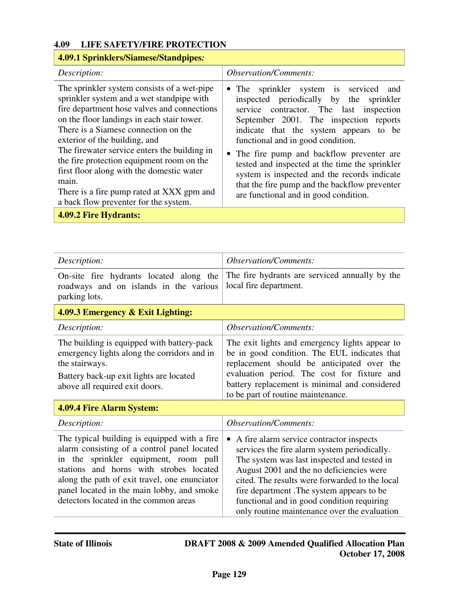# **4.09 LIFE SAFETY/FIRE PROTECTION**

# **4.09.1 Sprinklers/Siamese/Standpipes***:*

| Description:                                                                                                                                                                                                                                                                                                                                                                                                                                                                                            | <b>Observation/Comments:</b>                                                                                                                                                                                                                                                                                                                                                                                                                                                                    |
|---------------------------------------------------------------------------------------------------------------------------------------------------------------------------------------------------------------------------------------------------------------------------------------------------------------------------------------------------------------------------------------------------------------------------------------------------------------------------------------------------------|-------------------------------------------------------------------------------------------------------------------------------------------------------------------------------------------------------------------------------------------------------------------------------------------------------------------------------------------------------------------------------------------------------------------------------------------------------------------------------------------------|
| The sprinkler system consists of a wet-pipe<br>sprinkler system and a wet standpipe with<br>fire department hose valves and connections<br>on the floor landings in each stair tower.<br>There is a Siamese connection on the<br>exterior of the building, and<br>The firewater service enters the building in<br>the fire protection equipment room on the<br>first floor along with the domestic water<br>main.<br>There is a fire pump rated at XXX gpm and<br>a back flow preventer for the system. | • The sprinkler system is serviced and<br>inspected periodically by the sprinkler<br>service contractor. The last inspection<br>September 2001. The inspection reports<br>indicate that the system appears to be<br>functional and in good condition.<br>• The fire pump and backflow preventer are<br>tested and inspected at the time the sprinkler<br>system is inspected and the records indicate<br>that the fire pump and the backflow preventer<br>are functional and in good condition. |
| <b>4.09.2 Fire Hydrants:</b>                                                                                                                                                                                                                                                                                                                                                                                                                                                                            |                                                                                                                                                                                                                                                                                                                                                                                                                                                                                                 |

| Description:                                                                                                                                                                                                                                                                                                             | <i><b>Observation/Comments:</b></i>                                                                                                                                                                                                                                                                                                                                              |  |
|--------------------------------------------------------------------------------------------------------------------------------------------------------------------------------------------------------------------------------------------------------------------------------------------------------------------------|----------------------------------------------------------------------------------------------------------------------------------------------------------------------------------------------------------------------------------------------------------------------------------------------------------------------------------------------------------------------------------|--|
| On-site fire hydrants located along the<br>roadways and on islands in the various<br>parking lots.                                                                                                                                                                                                                       | The fire hydrants are serviced annually by the<br>local fire department.                                                                                                                                                                                                                                                                                                         |  |
| 4.09.3 Emergency & Exit Lighting:                                                                                                                                                                                                                                                                                        |                                                                                                                                                                                                                                                                                                                                                                                  |  |
| Description:                                                                                                                                                                                                                                                                                                             | <i><b>Observation/Comments:</b></i>                                                                                                                                                                                                                                                                                                                                              |  |
| The building is equipped with battery-pack<br>emergency lights along the corridors and in<br>the stairways.<br>Battery back-up exit lights are located<br>above all required exit doors.                                                                                                                                 | The exit lights and emergency lights appear to<br>be in good condition. The EUL indicates that<br>replacement should be anticipated over the<br>evaluation period. The cost for fixture and<br>battery replacement is minimal and considered<br>to be part of routine maintenance.                                                                                               |  |
| 4.09.4 Fire Alarm System:                                                                                                                                                                                                                                                                                                |                                                                                                                                                                                                                                                                                                                                                                                  |  |
| Description:                                                                                                                                                                                                                                                                                                             | <b>Observation/Comments:</b>                                                                                                                                                                                                                                                                                                                                                     |  |
| The typical building is equipped with a fire.<br>alarm consisting of a control panel located<br>in the sprinkler equipment, room pull<br>stations and horns with strobes located<br>along the path of exit travel, one enunciator<br>panel located in the main lobby, and smoke<br>detectors located in the common areas | A fire alarm service contractor inspects<br>services the fire alarm system periodically.<br>The system was last inspected and tested in<br>August 2001 and the no deficiencies were<br>cited. The results were forwarded to the local<br>fire department. The system appears to be<br>functional and in good condition requiring<br>only routine maintenance over the evaluation |  |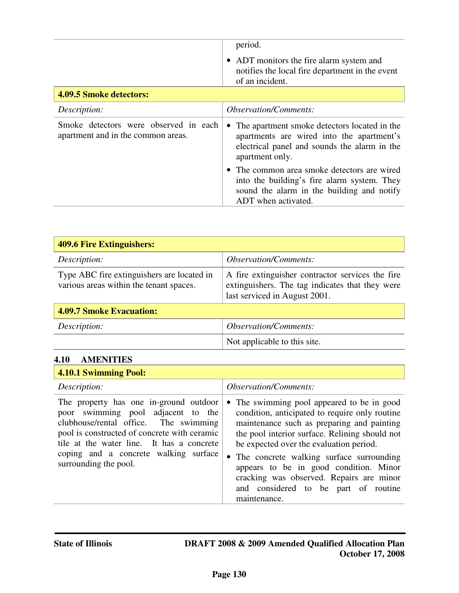|                                                                             | period.<br>• ADT monitors the fire alarm system and<br>notifies the local fire department in the event<br>of an incident.                                                 |  |
|-----------------------------------------------------------------------------|---------------------------------------------------------------------------------------------------------------------------------------------------------------------------|--|
| <b>4.09.5 Smoke detectors:</b>                                              |                                                                                                                                                                           |  |
| Description:                                                                | <i>Observation/Comments:</i>                                                                                                                                              |  |
| Smoke detectors were observed in each<br>apartment and in the common areas. | The apartment smoke detectors located in the<br>$\bullet$<br>apartments are wired into the apartment's<br>electrical panel and sounds the alarm in the<br>apartment only. |  |
|                                                                             | • The common area smoke detectors are wired<br>into the building's fire alarm system. They<br>sound the alarm in the building and notify<br>ADT when activated.           |  |

| <b>409.6 Fire Extinguishers:</b>                                                      |                                                                                                                                      |  |  |  |  |
|---------------------------------------------------------------------------------------|--------------------------------------------------------------------------------------------------------------------------------------|--|--|--|--|
| Description:                                                                          | <i><b>Observation/Comments:</b></i>                                                                                                  |  |  |  |  |
| Type ABC fire extinguishers are located in<br>various areas within the tenant spaces. | A fire extinguisher contractor services the fire<br>extinguishers. The tag indicates that they were<br>last serviced in August 2001. |  |  |  |  |
| <b>4.09.7 Smoke Evacuation:</b>                                                       |                                                                                                                                      |  |  |  |  |
| Description:                                                                          | <i><b>Observation/Comments:</b></i>                                                                                                  |  |  |  |  |
|                                                                                       | Not applicable to this site.                                                                                                         |  |  |  |  |

# **4.10 AMENITIES**

| <b>4.10.1 Swimming Pool:</b>                                                                                                                                                                                                                                                         |                                                                                                                                                                                                                                                                                                                                                                                                                                                |
|--------------------------------------------------------------------------------------------------------------------------------------------------------------------------------------------------------------------------------------------------------------------------------------|------------------------------------------------------------------------------------------------------------------------------------------------------------------------------------------------------------------------------------------------------------------------------------------------------------------------------------------------------------------------------------------------------------------------------------------------|
| Description:                                                                                                                                                                                                                                                                         | <i><b>Observation/Comments:</b></i>                                                                                                                                                                                                                                                                                                                                                                                                            |
| The property has one in-ground outdoor<br>poor swimming pool adjacent to the<br>clubhouse/rental office. The swimming<br>pool is constructed of concrete with ceramic<br>tile at the water line. It has a concrete<br>coping and a concrete walking surface<br>surrounding the pool. | The swimming pool appeared to be in good<br>$\bullet$<br>condition, anticipated to require only routine<br>maintenance such as preparing and painting<br>the pool interior surface. Relining should not<br>be expected over the evaluation period.<br>• The concrete walking surface surrounding<br>appears to be in good condition. Minor<br>cracking was observed. Repairs are minor<br>and considered to be part of routine<br>maintenance. |

h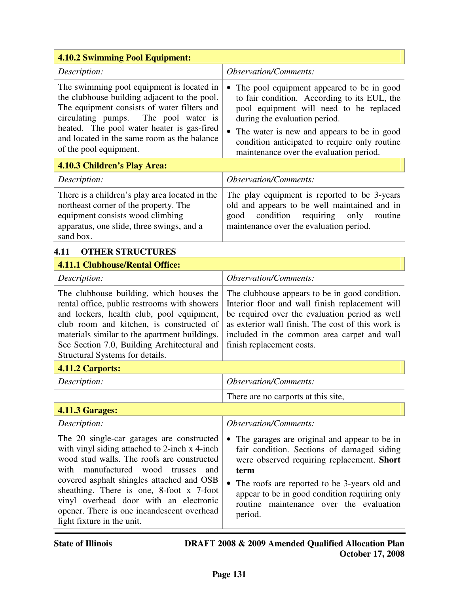| <b>4.10.2 Swimming Pool Equipment:</b>                                                                                                                                                                                                                                                                                                                                                                    |                                                                                                                                                                                                                                                                                                                 |  |  |  |  |
|-----------------------------------------------------------------------------------------------------------------------------------------------------------------------------------------------------------------------------------------------------------------------------------------------------------------------------------------------------------------------------------------------------------|-----------------------------------------------------------------------------------------------------------------------------------------------------------------------------------------------------------------------------------------------------------------------------------------------------------------|--|--|--|--|
| Description:                                                                                                                                                                                                                                                                                                                                                                                              | <b>Observation/Comments:</b>                                                                                                                                                                                                                                                                                    |  |  |  |  |
| The swimming pool equipment is located in<br>the clubhouse building adjacent to the pool.<br>The equipment consists of water filters and<br>circulating pumps.<br>The pool water is<br>heated. The pool water heater is gas-fired<br>and located in the same room as the balance<br>of the pool equipment.                                                                                                | The pool equipment appeared to be in good<br>to fair condition. According to its EUL, the<br>pool equipment will need to be replaced<br>during the evaluation period.<br>The water is new and appears to be in good<br>condition anticipated to require only routine<br>maintenance over the evaluation period. |  |  |  |  |
| 4.10.3 Children's Play Area:                                                                                                                                                                                                                                                                                                                                                                              |                                                                                                                                                                                                                                                                                                                 |  |  |  |  |
| Description:                                                                                                                                                                                                                                                                                                                                                                                              | <b>Observation/Comments:</b>                                                                                                                                                                                                                                                                                    |  |  |  |  |
| There is a children's play area located in the<br>northeast corner of the property. The<br>equipment consists wood climbing<br>apparatus, one slide, three swings, and a<br>sand box.                                                                                                                                                                                                                     | The play equipment is reported to be 3-years<br>old and appears to be well maintained and in<br>condition<br>requiring<br>only<br>good<br>routine<br>maintenance over the evaluation period.                                                                                                                    |  |  |  |  |
| <b>OTHER STRUCTURES</b><br>4.11                                                                                                                                                                                                                                                                                                                                                                           |                                                                                                                                                                                                                                                                                                                 |  |  |  |  |
| <b>4.11.1 Clubhouse/Rental Office:</b>                                                                                                                                                                                                                                                                                                                                                                    |                                                                                                                                                                                                                                                                                                                 |  |  |  |  |
| Description:                                                                                                                                                                                                                                                                                                                                                                                              | <b>Observation/Comments:</b>                                                                                                                                                                                                                                                                                    |  |  |  |  |
| The clubhouse building, which houses the<br>rental office, public restrooms with showers<br>and lockers, health club, pool equipment,<br>club room and kitchen, is constructed of<br>materials similar to the apartment buildings.<br>See Section 7.0, Building Architectural and<br>Structural Systems for details.                                                                                      | The clubhouse appears to be in good condition.<br>Interior floor and wall finish replacement will<br>be required over the evaluation period as well<br>as exterior wall finish. The cost of this work is<br>included in the common area carpet and wall<br>finish replacement costs.                            |  |  |  |  |
| 4.11.2 Carports:                                                                                                                                                                                                                                                                                                                                                                                          |                                                                                                                                                                                                                                                                                                                 |  |  |  |  |
| Description:                                                                                                                                                                                                                                                                                                                                                                                              | <b>Observation/Comments:</b>                                                                                                                                                                                                                                                                                    |  |  |  |  |
|                                                                                                                                                                                                                                                                                                                                                                                                           | There are no carports at this site,                                                                                                                                                                                                                                                                             |  |  |  |  |
| <b>4.11.3 Garages:</b>                                                                                                                                                                                                                                                                                                                                                                                    |                                                                                                                                                                                                                                                                                                                 |  |  |  |  |
| Description:                                                                                                                                                                                                                                                                                                                                                                                              | <b>Observation/Comments:</b>                                                                                                                                                                                                                                                                                    |  |  |  |  |
| The 20 single-car garages are constructed<br>with vinyl siding attached to 2-inch x 4-inch<br>wood stud walls. The roofs are constructed<br>manufactured<br>wood<br>with<br>trusses<br>and<br>covered asphalt shingles attached and OSB<br>sheathing. There is one, 8-foot x 7-foot<br>vinyl overhead door with an electronic<br>opener. There is one incandescent overhead<br>light fixture in the unit. | The garages are original and appear to be in<br>fair condition. Sections of damaged siding<br>were observed requiring replacement. Short<br>term<br>The roofs are reported to be 3-years old and<br>appear to be in good condition requiring only<br>routine maintenance over the evaluation<br>period.         |  |  |  |  |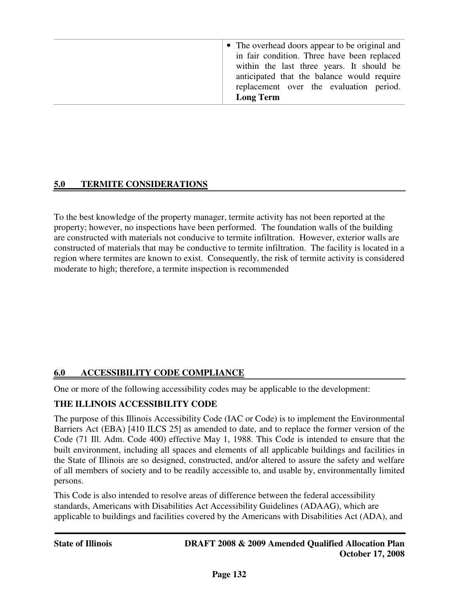# **5.0 TERMITE CONSIDERATIONS**

To the best knowledge of the property manager, termite activity has not been reported at the property; however, no inspections have been performed. The foundation walls of the building are constructed with materials not conducive to termite infiltration. However, exterior walls are constructed of materials that may be conductive to termite infiltration. The facility is located in a region where termites are known to exist. Consequently, the risk of termite activity is considered moderate to high; therefore, a termite inspection is recommended

# **6.0 ACCESSIBILITY CODE COMPLIANCE**

One or more of the following accessibility codes may be applicable to the development:

# **THE ILLINOIS ACCESSIBILITY CODE**

The purpose of this Illinois Accessibility Code (IAC or Code) is to implement the Environmental Barriers Act (EBA) [410 ILCS 25] as amended to date, and to replace the former version of the Code (71 Ill. Adm. Code 400) effective May 1, 1988. This Code is intended to ensure that the built environment, including all spaces and elements of all applicable buildings and facilities in the State of Illinois are so designed, constructed, and/or altered to assure the safety and welfare of all members of society and to be readily accessible to, and usable by, environmentally limited persons.

This Code is also intended to resolve areas of difference between the federal accessibility standards, Americans with Disabilities Act Accessibility Guidelines (ADAAG), which are applicable to buildings and facilities covered by the Americans with Disabilities Act (ADA), and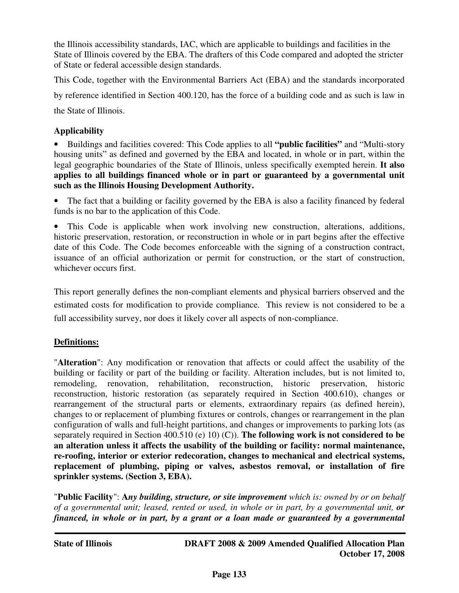the Illinois accessibility standards, IAC, which are applicable to buildings and facilities in the State of Illinois covered by the EBA. The drafters of this Code compared and adopted the stricter of State or federal accessible design standards.

This Code, together with the Environmental Barriers Act (EBA) and the standards incorporated by reference identified in Section 400.120, has the force of a building code and as such is law in the State of Illinois.

# **Applicability**

• Buildings and facilities covered: This Code applies to all **"public facilities"** and "Multi-story housing units" as defined and governed by the EBA and located, in whole or in part, within the legal geographic boundaries of the State of Illinois, unless specifically exempted herein. **It also applies to all buildings financed whole or in part or guaranteed by a governmental unit such as the Illinois Housing Development Authority.** 

The fact that a building or facility governed by the EBA is also a facility financed by federal funds is no bar to the application of this Code.

• This Code is applicable when work involving new construction, alterations, additions, historic preservation, restoration, or reconstruction in whole or in part begins after the effective date of this Code. The Code becomes enforceable with the signing of a construction contract, issuance of an official authorization or permit for construction, or the start of construction, whichever occurs first.

This report generally defines the non-compliant elements and physical barriers observed and the estimated costs for modification to provide compliance. This review is not considered to be a full accessibility survey, nor does it likely cover all aspects of non-compliance.

# **Definitions:**

"**Alteration**": Any modification or renovation that affects or could affect the usability of the building or facility or part of the building or facility. Alteration includes, but is not limited to, remodeling, renovation, rehabilitation, reconstruction, historic preservation, historic reconstruction, historic restoration (as separately required in Section 400.610), changes or rearrangement of the structural parts or elements, extraordinary repairs (as defined herein), changes to or replacement of plumbing fixtures or controls, changes or rearrangement in the plan configuration of walls and full-height partitions, and changes or improvements to parking lots (as separately required in Section 400.510 (e) 10) (C)). **The following work is not considered to be an alteration unless it affects the usability of the building or facility: normal maintenance, re-roofing, interior or exterior redecoration, changes to mechanical and electrical systems, replacement of plumbing, piping or valves, asbestos removal, or installation of fire sprinkler systems. (Section 3, EBA).** 

"**Public Facility**": **A***ny building, structure, or site improvement which is: owned by or on behalf of a governmental unit; leased, rented or used, in whole or in part, by a governmental unit, or financed, in whole or in part, by a grant or a loan made or guaranteed by a governmental*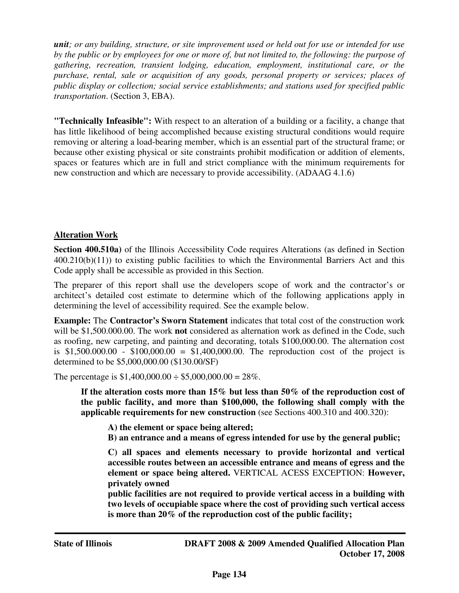*unit; or any building, structure, or site improvement used or held out for use or intended for use by the public or by employees for one or more of, but not limited to, the following: the purpose of gathering, recreation, transient lodging, education, employment, institutional care, or the purchase, rental, sale or acquisition of any goods, personal property or services; places of public display or collection; social service establishments; and stations used for specified public transportation*. (Section 3, EBA).

**"Technically Infeasible":** With respect to an alteration of a building or a facility, a change that has little likelihood of being accomplished because existing structural conditions would require removing or altering a load-bearing member, which is an essential part of the structural frame; or because other existing physical or site constraints prohibit modification or addition of elements, spaces or features which are in full and strict compliance with the minimum requirements for new construction and which are necessary to provide accessibility. (ADAAG 4.1.6)

# **Alteration Work**

**Section 400.510a)** of the Illinois Accessibility Code requires Alterations (as defined in Section 400.210(b)(11)) to existing public facilities to which the Environmental Barriers Act and this Code apply shall be accessible as provided in this Section.

The preparer of this report shall use the developers scope of work and the contractor's or architect's detailed cost estimate to determine which of the following applications apply in determining the level of accessibility required. See the example below.

**Example:** The **Contractor's Sworn Statement** indicates that total cost of the construction work will be \$1,500.000.00. The work **not** considered as alternation work as defined in the Code, such as roofing, new carpeting, and painting and decorating, totals \$100,000.00. The alternation cost is \$1,500,000.00 - \$100,000.00 = \$1,400,000.00. The reproduction cost of the project is determined to be \$5,000,000.00 (\$130.00/SF)

The percentage is  $$1,400,000.00 \div $5,000,000.00 = 28\%$ .

**If the alteration costs more than 15% but less than 50% of the reproduction cost of the public facility, and more than \$100,000, the following shall comply with the applicable requirements for new construction** (see Sections 400.310 and 400.320):

**A) the element or space being altered;** 

**B) an entrance and a means of egress intended for use by the general public;**

**C) all spaces and elements necessary to provide horizontal and vertical accessible routes between an accessible entrance and means of egress and the element or space being altered.** VERTICAL ACESS EXCEPTION: **However, privately owned** 

**public facilities are not required to provide vertical access in a building with two levels of occupiable space where the cost of providing such vertical access is more than 20% of the reproduction cost of the public facility;**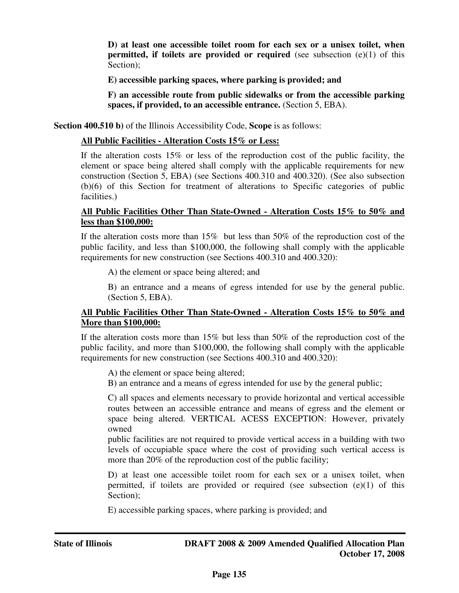**D) at least one accessible toilet room for each sex or a unisex toilet, when permitted, if toilets are provided or required** (see subsection (e)(1) of this Section);

**E) accessible parking spaces, where parking is provided; and** 

**F) an accessible route from public sidewalks or from the accessible parking spaces, if provided, to an accessible entrance.** (Section 5, EBA).

**Section 400.510 b)** of the Illinois Accessibility Code, **Scope** is as follows:

#### **All Public Facilities - Alteration Costs 15% or Less:**

If the alteration costs 15% or less of the reproduction cost of the public facility, the element or space being altered shall comply with the applicable requirements for new construction (Section 5, EBA) (see Sections 400.310 and 400.320). (See also subsection (b)(6) of this Section for treatment of alterations to Specific categories of public facilities.)

#### **All Public Facilities Other Than State-Owned - Alteration Costs 15% to 50% and less than \$100,000:**

If the alteration costs more than 15% but less than 50% of the reproduction cost of the public facility, and less than \$100,000, the following shall comply with the applicable requirements for new construction (see Sections 400.310 and 400.320):

A) the element or space being altered; and

B) an entrance and a means of egress intended for use by the general public. (Section 5, EBA).

#### **All Public Facilities Other Than State-Owned - Alteration Costs 15% to 50% and More than \$100,000:**

If the alteration costs more than 15% but less than 50% of the reproduction cost of the public facility, and more than \$100,000, the following shall comply with the applicable requirements for new construction (see Sections 400.310 and 400.320):

A) the element or space being altered;

B) an entrance and a means of egress intended for use by the general public;

C) all spaces and elements necessary to provide horizontal and vertical accessible routes between an accessible entrance and means of egress and the element or space being altered. VERTICAL ACESS EXCEPTION: However, privately owned

public facilities are not required to provide vertical access in a building with two levels of occupiable space where the cost of providing such vertical access is more than 20% of the reproduction cost of the public facility;

D) at least one accessible toilet room for each sex or a unisex toilet, when permitted, if toilets are provided or required (see subsection (e)(1) of this Section):

E) accessible parking spaces, where parking is provided; and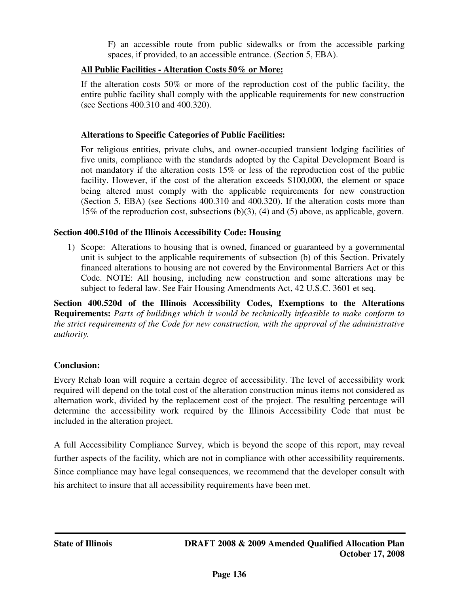F) an accessible route from public sidewalks or from the accessible parking spaces, if provided, to an accessible entrance. (Section 5, EBA).

# **All Public Facilities - Alteration Costs 50% or More:**

If the alteration costs 50% or more of the reproduction cost of the public facility, the entire public facility shall comply with the applicable requirements for new construction (see Sections 400.310 and 400.320).

## **Alterations to Specific Categories of Public Facilities:**

For religious entities, private clubs, and owner-occupied transient lodging facilities of five units, compliance with the standards adopted by the Capital Development Board is not mandatory if the alteration costs 15% or less of the reproduction cost of the public facility. However, if the cost of the alteration exceeds \$100,000, the element or space being altered must comply with the applicable requirements for new construction (Section 5, EBA) (see Sections 400.310 and 400.320). If the alteration costs more than 15% of the reproduction cost, subsections (b)(3), (4) and (5) above, as applicable, govern.

# **Section 400.510d of the Illinois Accessibility Code: Housing**

1) Scope: Alterations to housing that is owned, financed or guaranteed by a governmental unit is subject to the applicable requirements of subsection (b) of this Section. Privately financed alterations to housing are not covered by the Environmental Barriers Act or this Code. NOTE: All housing, including new construction and some alterations may be subject to federal law. See Fair Housing Amendments Act, 42 U.S.C. 3601 et seq.

**Section 400.520d of the Illinois Accessibility Codes, Exemptions to the Alterations Requirements:** *Parts of buildings which it would be technically infeasible to make conform to the strict requirements of the Code for new construction, with the approval of the administrative authority.*

# **Conclusion:**

Every Rehab loan will require a certain degree of accessibility. The level of accessibility work required will depend on the total cost of the alteration construction minus items not considered as alternation work, divided by the replacement cost of the project. The resulting percentage will determine the accessibility work required by the Illinois Accessibility Code that must be included in the alteration project.

A full Accessibility Compliance Survey, which is beyond the scope of this report, may reveal further aspects of the facility, which are not in compliance with other accessibility requirements. Since compliance may have legal consequences, we recommend that the developer consult with his architect to insure that all accessibility requirements have been met.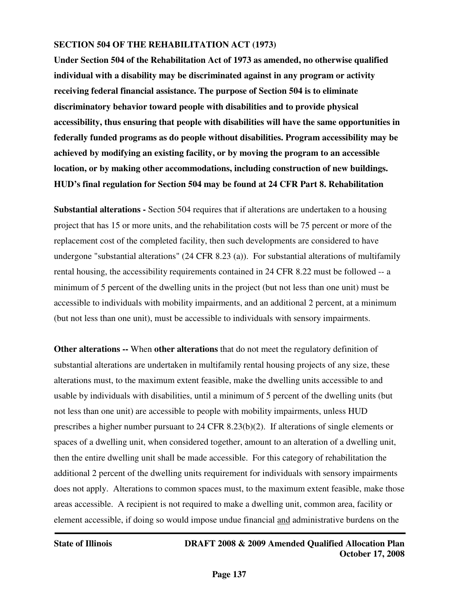#### **SECTION 504 OF THE REHABILITATION ACT (1973)**

**Under Section 504 of the Rehabilitation Act of 1973 as amended, no otherwise qualified individual with a disability may be discriminated against in any program or activity receiving federal financial assistance. The purpose of Section 504 is to eliminate discriminatory behavior toward people with disabilities and to provide physical accessibility, thus ensuring that people with disabilities will have the same opportunities in federally funded programs as do people without disabilities. Program accessibility may be achieved by modifying an existing facility, or by moving the program to an accessible location, or by making other accommodations, including construction of new buildings. HUD's final regulation for Section 504 may be found at 24 CFR Part 8. Rehabilitation**

**Substantial alterations -** Section 504 requires that if alterations are undertaken to a housing project that has 15 or more units, and the rehabilitation costs will be 75 percent or more of the replacement cost of the completed facility, then such developments are considered to have undergone "substantial alterations" (24 CFR 8.23 (a)). For substantial alterations of multifamily rental housing, the accessibility requirements contained in 24 CFR 8.22 must be followed -- a minimum of 5 percent of the dwelling units in the project (but not less than one unit) must be accessible to individuals with mobility impairments, and an additional 2 percent, at a minimum (but not less than one unit), must be accessible to individuals with sensory impairments.

**Other alterations --** When **other alterations** that do not meet the regulatory definition of substantial alterations are undertaken in multifamily rental housing projects of any size, these alterations must, to the maximum extent feasible, make the dwelling units accessible to and usable by individuals with disabilities, until a minimum of 5 percent of the dwelling units (but not less than one unit) are accessible to people with mobility impairments, unless HUD prescribes a higher number pursuant to 24 CFR 8.23(b)(2). If alterations of single elements or spaces of a dwelling unit, when considered together, amount to an alteration of a dwelling unit, then the entire dwelling unit shall be made accessible. For this category of rehabilitation the additional 2 percent of the dwelling units requirement for individuals with sensory impairments does not apply. Alterations to common spaces must, to the maximum extent feasible, make those areas accessible. A recipient is not required to make a dwelling unit, common area, facility or element accessible, if doing so would impose undue financial and administrative burdens on the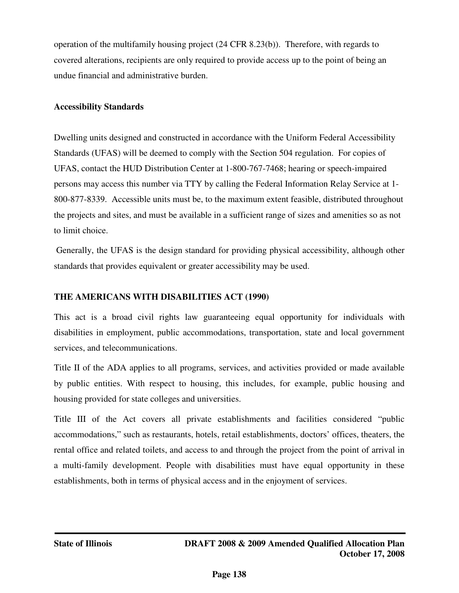operation of the multifamily housing project (24 CFR 8.23(b)). Therefore, with regards to covered alterations, recipients are only required to provide access up to the point of being an undue financial and administrative burden.

### **Accessibility Standards**

Dwelling units designed and constructed in accordance with the Uniform Federal Accessibility Standards (UFAS) will be deemed to comply with the Section 504 regulation. For copies of UFAS, contact the HUD Distribution Center at 1-800-767-7468; hearing or speech-impaired persons may access this number via TTY by calling the Federal Information Relay Service at 1- 800-877-8339. Accessible units must be, to the maximum extent feasible, distributed throughout the projects and sites, and must be available in a sufficient range of sizes and amenities so as not to limit choice.

 Generally, the UFAS is the design standard for providing physical accessibility, although other standards that provides equivalent or greater accessibility may be used.

# **THE AMERICANS WITH DISABILITIES ACT (1990)**

This act is a broad civil rights law guaranteeing equal opportunity for individuals with disabilities in employment, public accommodations, transportation, state and local government services, and telecommunications.

Title II of the ADA applies to all programs, services, and activities provided or made available by public entities. With respect to housing, this includes, for example, public housing and housing provided for state colleges and universities.

Title III of the Act covers all private establishments and facilities considered "public accommodations," such as restaurants, hotels, retail establishments, doctors' offices, theaters, the rental office and related toilets, and access to and through the project from the point of arrival in a multi-family development. People with disabilities must have equal opportunity in these establishments, both in terms of physical access and in the enjoyment of services.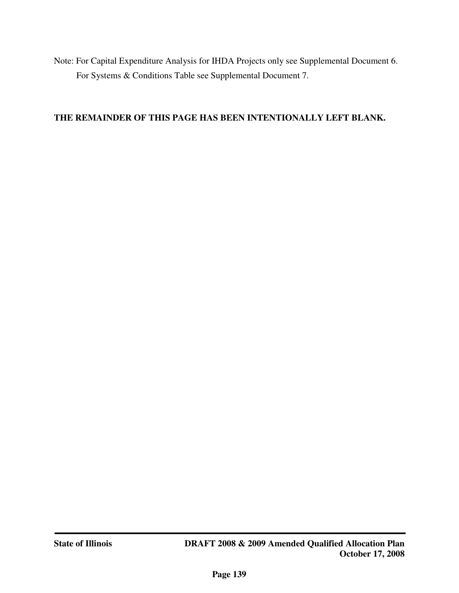Note: For Capital Expenditure Analysis for IHDA Projects only see Supplemental Document 6. For Systems & Conditions Table see Supplemental Document 7.

#### **THE REMAINDER OF THIS PAGE HAS BEEN INTENTIONALLY LEFT BLANK.**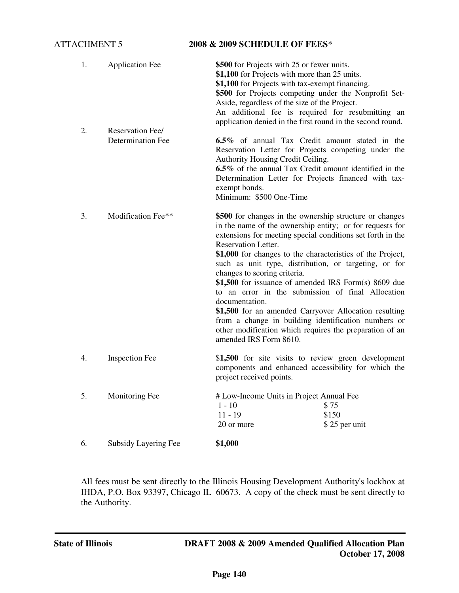#### ATTACHMENT 5 **2008 & 2009 SCHEDULE OF FEES**\*

| 1. | <b>Application Fee</b>                       | \$500 for Projects with 25 or fewer units.<br>\$1,100 for Projects with more than 25 units.<br>\$1,100 for Projects with tax-exempt financing.<br>\$500 for Projects competing under the Nonprofit Set-<br>Aside, regardless of the size of the Project.<br>An additional fee is required for resubmitting an                                                                                                                                                                                                                                                                                                                                                                                        |  |  |  |  |
|----|----------------------------------------------|------------------------------------------------------------------------------------------------------------------------------------------------------------------------------------------------------------------------------------------------------------------------------------------------------------------------------------------------------------------------------------------------------------------------------------------------------------------------------------------------------------------------------------------------------------------------------------------------------------------------------------------------------------------------------------------------------|--|--|--|--|
| 2. | Reservation Fee/<br><b>Determination Fee</b> | application denied in the first round in the second round.<br>6.5% of annual Tax Credit amount stated in the<br>Reservation Letter for Projects competing under the<br>Authority Housing Credit Ceiling.<br>6.5% of the annual Tax Credit amount identified in the<br>Determination Letter for Projects financed with tax-<br>exempt bonds.<br>Minimum: \$500 One-Time                                                                                                                                                                                                                                                                                                                               |  |  |  |  |
| 3. | Modification Fee**                           | \$500 for changes in the ownership structure or changes<br>in the name of the ownership entity; or for requests for<br>extensions for meeting special conditions set forth in the<br>Reservation Letter.<br>\$1,000 for changes to the characteristics of the Project,<br>such as unit type, distribution, or targeting, or for<br>changes to scoring criteria.<br>$$1,500$ for issuance of amended IRS Form(s) 8609 due<br>to an error in the submission of final Allocation<br>documentation.<br>\$1,500 for an amended Carryover Allocation resulting<br>from a change in building identification numbers or<br>other modification which requires the preparation of an<br>amended IRS Form 8610. |  |  |  |  |
| 4. | <b>Inspection Fee</b>                        | \$1,500 for site visits to review green development<br>components and enhanced accessibility for which the<br>project received points.                                                                                                                                                                                                                                                                                                                                                                                                                                                                                                                                                               |  |  |  |  |
| 5. | Monitoring Fee                               | # Low-Income Units in Project Annual Fee<br>\$75<br>$1 - 10$<br>$11 - 19$<br>\$150<br>20 or more<br>\$25 per unit                                                                                                                                                                                                                                                                                                                                                                                                                                                                                                                                                                                    |  |  |  |  |
| 6. | Subsidy Layering Fee                         | \$1,000                                                                                                                                                                                                                                                                                                                                                                                                                                                                                                                                                                                                                                                                                              |  |  |  |  |

All fees must be sent directly to the Illinois Housing Development Authority's lockbox at IHDA, P.O. Box 93397, Chicago IL 60673. A copy of the check must be sent directly to the Authority.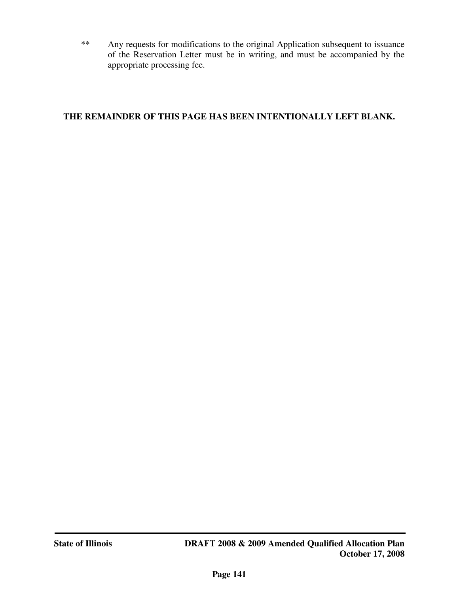\*\* Any requests for modifications to the original Application subsequent to issuance of the Reservation Letter must be in writing, and must be accompanied by the appropriate processing fee.

## **THE REMAINDER OF THIS PAGE HAS BEEN INTENTIONALLY LEFT BLANK.**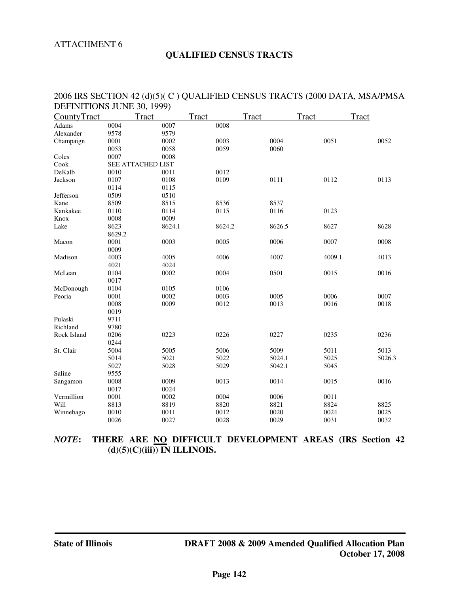#### ATTACHMENT 6

#### **QUALIFIED CENSUS TRACTS**

| $PLI$ INTERCAND JOINE 50, 1777 |        |                   |        |        |        |              |
|--------------------------------|--------|-------------------|--------|--------|--------|--------------|
| CountyTract                    |        | Tract             | Tract  | Tract  | Tract  | <b>Tract</b> |
| Adams                          | 0004   | 0007              | 0008   |        |        |              |
| Alexander                      | 9578   | 9579              |        |        |        |              |
| Champaign                      | 0001   | 0002              | 0003   | 0004   | 0051   | 0052         |
|                                | 0053   | 0058              | 0059   | 0060   |        |              |
| Coles                          | 0007   | 0008              |        |        |        |              |
| Cook                           |        | SEE ATTACHED LIST |        |        |        |              |
| DeKalb                         | 0010   | 0011              | 0012   |        |        |              |
| Jackson                        | 0107   | 0108              | 0109   | 0111   | 0112   | 0113         |
|                                | 0114   | 0115              |        |        |        |              |
| Jefferson                      | 0509   | 0510              |        |        |        |              |
| Kane                           | 8509   | 8515              | 8536   | 8537   |        |              |
| Kankakee                       | 0110   | 0114              | 0115   | 0116   | 0123   |              |
| Knox                           | 0008   | 0009              |        |        |        |              |
| Lake                           | 8623   | 8624.1            | 8624.2 | 8626.5 | 8627   | 8628         |
|                                | 8629.2 |                   |        |        |        |              |
| Macon                          | 0001   | 0003              | 0005   | 0006   | 0007   | 0008         |
|                                | 0009   |                   |        |        |        |              |
| Madison                        | 4003   | 4005              | 4006   | 4007   | 4009.1 | 4013         |
|                                | 4021   | 4024              |        |        |        |              |
| McLean                         | 0104   | 0002              | 0004   | 0501   | 0015   | 0016         |
|                                | 0017   |                   |        |        |        |              |
| McDonough                      | 0104   | 0105              | 0106   |        |        |              |
| Peoria                         | 0001   | 0002              | 0003   | 0005   | 0006   | 0007         |
|                                | 0008   | 0009              | 0012   | 0013   | 0016   | 0018         |
|                                | 0019   |                   |        |        |        |              |
| Pulaski                        | 9711   |                   |        |        |        |              |
| Richland                       | 9780   |                   |        |        |        |              |
| Rock Island                    | 0206   | 0223              | 0226   | 0227   | 0235   | 0236         |
|                                | 0244   |                   |        |        |        |              |
| St. Clair                      | 5004   | 5005              | 5006   | 5009   | 5011   | 5013         |
|                                | 5014   | 5021              | 5022   | 5024.1 | 5025   | 5026.3       |
|                                | 5027   | 5028              | 5029   | 5042.1 | 5045   |              |
| Saline                         | 9555   |                   |        |        |        |              |
| Sangamon                       | 0008   | 0009              | 0013   | 0014   | 0015   | 0016         |
|                                | 0017   | 0024              |        |        |        |              |
| Vermillion                     | 0001   | 0002              | 0004   | 0006   | 0011   |              |
| Will                           | 8813   | 8819              | 8820   | 8821   | 8824   | 8825         |
| Winnebago                      | 0010   | 0011              | 0012   | 0020   | 0024   | 0025         |
|                                | 0026   | 0027              | 0028   | 0029   | 0031   | 0032         |

### 2006 IRS SECTION 42 (d)(5)( C ) QUALIFIED CENSUS TRACTS (2000 DATA, MSA/PMSA DEFINITIONS JUNE 30, 1999)

### *NOTE***: THERE ARE NO DIFFICULT DEVELOPMENT AREAS (IRS Section 42 (d)(5)(C)(iii)) IN ILLINOIS.**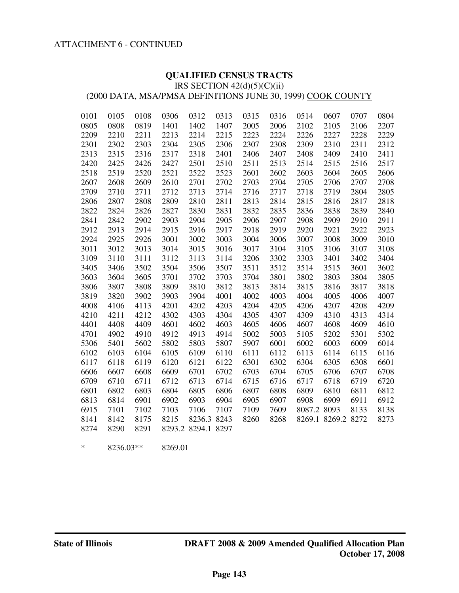#### ATTACHMENT 6 - CONTINUED

#### **QUALIFIED CENSUS TRACTS**

IRS SECTION  $42(d)(5)(C)(ii)$ 

(2000 DATA, MSA/PMSA DEFINITIONS JUNE 30, 1999) COOK COUNTY

| 0101 | 0105 | 0108 | 0306 | 0312               | 0313 | 0315 | 0316 | 0514        | 0607               | 0707 | 0804 |
|------|------|------|------|--------------------|------|------|------|-------------|--------------------|------|------|
| 0805 | 0808 | 0819 | 1401 | 1402               | 1407 | 2005 | 2006 | 2102        | 2105               | 2106 | 2207 |
| 2209 | 2210 | 2211 | 2213 | 2214               | 2215 | 2223 | 2224 | 2226        | 2227               | 2228 | 2229 |
| 2301 | 2302 | 2303 | 2304 | 2305               | 2306 | 2307 | 2308 | 2309        | 2310               | 2311 | 2312 |
| 2313 | 2315 | 2316 | 2317 | 2318               | 2401 | 2406 | 2407 | 2408        | 2409               | 2410 | 2411 |
| 2420 | 2425 | 2426 | 2427 | 2501               | 2510 | 2511 | 2513 | 2514        | 2515               | 2516 | 2517 |
| 2518 | 2519 | 2520 | 2521 | 2522               | 2523 | 2601 | 2602 | 2603        | 2604               | 2605 | 2606 |
| 2607 | 2608 | 2609 | 2610 | 2701               | 2702 | 2703 | 2704 | 2705        | 2706               | 2707 | 2708 |
| 2709 | 2710 | 2711 | 2712 | 2713               | 2714 | 2716 | 2717 | 2718        | 2719               | 2804 | 2805 |
| 2806 | 2807 | 2808 | 2809 | 2810               | 2811 | 2813 | 2814 | 2815        | 2816               | 2817 | 2818 |
| 2822 | 2824 | 2826 | 2827 | 2830               | 2831 | 2832 | 2835 | 2836        | 2838               | 2839 | 2840 |
| 2841 | 2842 | 2902 | 2903 | 2904               | 2905 | 2906 | 2907 | 2908        | 2909               | 2910 | 2911 |
| 2912 | 2913 | 2914 | 2915 | 2916               | 2917 | 2918 | 2919 | 2920        | 2921               | 2922 | 2923 |
| 2924 | 2925 | 2926 | 3001 | 3002               | 3003 | 3004 | 3006 | 3007        | 3008               | 3009 | 3010 |
| 3011 | 3012 | 3013 | 3014 | 3015               | 3016 | 3017 | 3104 | 3105        | 3106               | 3107 | 3108 |
| 3109 | 3110 | 3111 | 3112 | 3113               | 3114 | 3206 | 3302 | 3303        | 3401               | 3402 | 3404 |
| 3405 | 3406 | 3502 | 3504 | 3506               | 3507 | 3511 | 3512 | 3514        | 3515               | 3601 | 3602 |
| 3603 | 3604 | 3605 | 3701 | 3702               | 3703 | 3704 | 3801 | 3802        | 3803               | 3804 | 3805 |
| 3806 | 3807 | 3808 | 3809 | 3810               | 3812 | 3813 | 3814 | 3815        | 3816               | 3817 | 3818 |
| 3819 | 3820 | 3902 | 3903 | 3904               | 4001 | 4002 | 4003 | 4004        | 4005               | 4006 | 4007 |
| 4008 | 4106 | 4113 | 4201 | 4202               | 4203 | 4204 | 4205 | 4206        | 4207               | 4208 | 4209 |
| 4210 | 4211 | 4212 | 4302 | 4303               | 4304 | 4305 | 4307 | 4309        | 4310               | 4313 | 4314 |
| 4401 | 4408 | 4409 | 4601 | 4602               | 4603 | 4605 | 4606 | 4607        | 4608               | 4609 | 4610 |
| 4701 | 4902 | 4910 | 4912 | 4913               | 4914 | 5002 | 5003 | 5105        | 5202               | 5301 | 5302 |
| 5306 | 5401 | 5602 | 5802 | 5803               | 5807 | 5907 | 6001 | 6002        | 6003               | 6009 | 6014 |
| 6102 | 6103 | 6104 | 6105 | 6109               | 6110 | 6111 | 6112 | 6113        | 6114               | 6115 | 6116 |
| 6117 | 6118 | 6119 | 6120 | 6121               | 6122 | 6301 | 6302 | 6304        | 6305               | 6308 | 6601 |
| 6606 | 6607 | 6608 | 6609 | 6701               | 6702 | 6703 | 6704 | 6705        | 6706               | 6707 | 6708 |
| 6709 | 6710 | 6711 | 6712 | 6713               | 6714 | 6715 | 6716 | 6717        | 6718               | 6719 | 6720 |
| 6801 | 6802 | 6803 | 6804 | 6805               | 6806 | 6807 | 6808 | 6809        | 6810               | 6811 | 6812 |
| 6813 | 6814 | 6901 | 6902 | 6903               | 6904 | 6905 | 6907 | 6908        | 6909               | 6911 | 6912 |
| 6915 | 7101 | 7102 | 7103 | 7106               | 7107 | 7109 | 7609 | 8087.2 8093 |                    | 8133 | 8138 |
| 8141 | 8142 | 8175 | 8215 | 8236.3 8243        |      | 8260 | 8268 |             | 8269.1 8269.2 8272 |      | 8273 |
| 8274 | 8290 | 8291 |      | 8293.2 8294.1 8297 |      |      |      |             |                    |      |      |
|      |      |      |      |                    |      |      |      |             |                    |      |      |

\* 8236.03\*\* 8269.01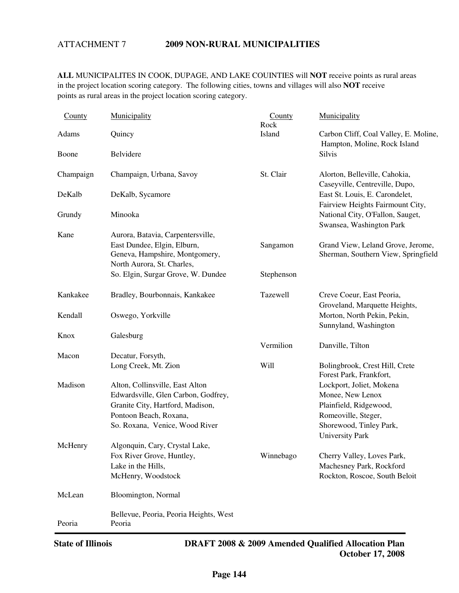#### ATTACHMENT 7 **2009 NON-RURAL MUNICIPALITIES**

**ALL** MUNICIPALITES IN COOK, DUPAGE, AND LAKE COUINTIES will **NOT** receive points as rural areas in the project location scoring category. The following cities, towns and villages will also **NOT** receive points as rural areas in the project location scoring category.

| County    | Municipality                                                 | County<br>Rock | Municipality                                                          |
|-----------|--------------------------------------------------------------|----------------|-----------------------------------------------------------------------|
| Adams     | Quincy                                                       | Island         | Carbon Cliff, Coal Valley, E. Moline,<br>Hampton, Moline, Rock Island |
| Boone     | Belvidere                                                    |                | <b>Silvis</b>                                                         |
| Champaign | Champaign, Urbana, Savoy                                     | St. Clair      | Alorton, Belleville, Cahokia,<br>Caseyville, Centreville, Dupo,       |
| DeKalb    | DeKalb, Sycamore                                             |                | East St. Louis, E. Carondelet,<br>Fairview Heights Fairmount City,    |
| Grundy    | Minooka                                                      |                | National City, O'Fallon, Sauget,<br>Swansea, Washington Park          |
| Kane      | Aurora, Batavia, Carpentersville,                            |                |                                                                       |
|           | East Dundee, Elgin, Elburn,                                  | Sangamon       | Grand View, Leland Grove, Jerome,                                     |
|           | Geneva, Hampshire, Montgomery,<br>North Aurora, St. Charles, |                | Sherman, Southern View, Springfield                                   |
|           | So. Elgin, Surgar Grove, W. Dundee                           | Stephenson     |                                                                       |
|           |                                                              |                |                                                                       |
| Kankakee  | Bradley, Bourbonnais, Kankakee                               | Tazewell       | Creve Coeur, East Peoria,                                             |
|           |                                                              |                | Groveland, Marquette Heights,                                         |
| Kendall   | Oswego, Yorkville                                            |                | Morton, North Pekin, Pekin,                                           |
|           |                                                              |                | Sunnyland, Washington                                                 |
| Knox      | Galesburg                                                    |                |                                                                       |
|           |                                                              | Vermilion      | Danville, Tilton                                                      |
| Macon     | Decatur, Forsyth,                                            |                |                                                                       |
|           | Long Creek, Mt. Zion                                         | Will           | Bolingbrook, Crest Hill, Crete<br>Forest Park, Frankfort,             |
| Madison   | Alton, Collinsville, East Alton                              |                | Lockport, Joliet, Mokena                                              |
|           | Edwardsville, Glen Carbon, Godfrey,                          |                | Monee, New Lenox                                                      |
|           | Granite City, Hartford, Madison,                             |                | Plainfield, Ridgewood,                                                |
|           | Pontoon Beach, Roxana,                                       |                | Romeoville, Steger,                                                   |
|           | So. Roxana, Venice, Wood River                               |                | Shorewood, Tinley Park,<br><b>University Park</b>                     |
| McHenry   | Algonquin, Cary, Crystal Lake,                               |                |                                                                       |
|           | Fox River Grove, Huntley,                                    | Winnebago      | Cherry Valley, Loves Park,                                            |
|           | Lake in the Hills,                                           |                | Machesney Park, Rockford                                              |
|           | McHenry, Woodstock                                           |                | Rockton, Roscoe, South Beloit                                         |
| McLean    | Bloomington, Normal                                          |                |                                                                       |
| Peoria    | Bellevue, Peoria, Peoria Heights, West<br>Peoria             |                |                                                                       |
|           |                                                              |                |                                                                       |

j

**State of Illinois DRAFT 2008 & 2009 Amended Qualified Allocation Plan October 17, 2008**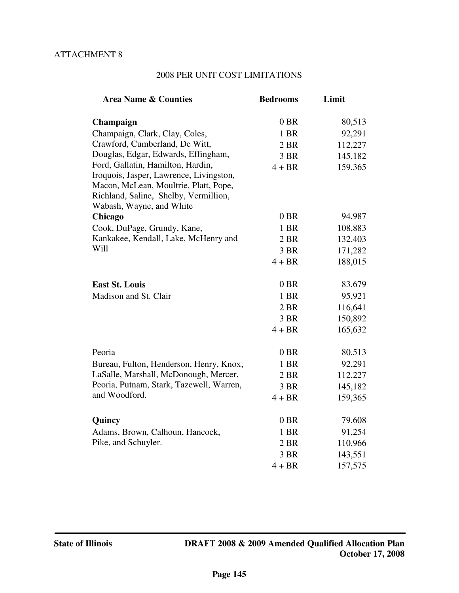## 2008 PER UNIT COST LIMITATIONS

| 0 <sub>BR</sub><br>Champaign<br>Champaign, Clark, Clay, Coles,<br>1 BR<br>Crawford, Cumberland, De Witt,<br>2 BR<br>Douglas, Edgar, Edwards, Effingham,<br>3 BR<br>Ford, Gallatin, Hamilton, Hardin,<br>$4 + BR$<br>Iroquois, Jasper, Lawrence, Livingston,<br>Macon, McLean, Moultrie, Platt, Pope,<br>Richland, Saline, Shelby, Vermillion, | <b>Area Name &amp; Counties</b> | <b>Bedrooms</b> | Limit   |
|-----------------------------------------------------------------------------------------------------------------------------------------------------------------------------------------------------------------------------------------------------------------------------------------------------------------------------------------------|---------------------------------|-----------------|---------|
|                                                                                                                                                                                                                                                                                                                                               |                                 |                 |         |
|                                                                                                                                                                                                                                                                                                                                               |                                 |                 | 80,513  |
|                                                                                                                                                                                                                                                                                                                                               |                                 |                 | 92,291  |
|                                                                                                                                                                                                                                                                                                                                               |                                 |                 | 112,227 |
|                                                                                                                                                                                                                                                                                                                                               |                                 |                 | 145,182 |
|                                                                                                                                                                                                                                                                                                                                               |                                 |                 | 159,365 |
|                                                                                                                                                                                                                                                                                                                                               |                                 |                 |         |
|                                                                                                                                                                                                                                                                                                                                               |                                 |                 |         |
| Wabash, Wayne, and White                                                                                                                                                                                                                                                                                                                      |                                 |                 |         |
| $0$ BR<br>Chicago                                                                                                                                                                                                                                                                                                                             |                                 |                 | 94,987  |
| Cook, DuPage, Grundy, Kane,<br>1 BR                                                                                                                                                                                                                                                                                                           |                                 |                 | 108,883 |
| Kankakee, Kendall, Lake, McHenry and<br>2 BR                                                                                                                                                                                                                                                                                                  |                                 |                 | 132,403 |
| Will<br>3 BR                                                                                                                                                                                                                                                                                                                                  |                                 |                 | 171,282 |
| $4 + BR$                                                                                                                                                                                                                                                                                                                                      |                                 |                 | 188,015 |
|                                                                                                                                                                                                                                                                                                                                               |                                 |                 |         |
| $0$ BR<br><b>East St. Louis</b>                                                                                                                                                                                                                                                                                                               |                                 |                 | 83,679  |
| Madison and St. Clair<br>1 BR                                                                                                                                                                                                                                                                                                                 |                                 |                 | 95,921  |
| 2 BR                                                                                                                                                                                                                                                                                                                                          |                                 |                 | 116,641 |
| 3 BR                                                                                                                                                                                                                                                                                                                                          |                                 |                 | 150,892 |
| $4 + BR$                                                                                                                                                                                                                                                                                                                                      |                                 |                 | 165,632 |
|                                                                                                                                                                                                                                                                                                                                               |                                 |                 |         |
| Peoria<br>$0$ BR                                                                                                                                                                                                                                                                                                                              |                                 |                 | 80,513  |
| Bureau, Fulton, Henderson, Henry, Knox,<br>1 BR                                                                                                                                                                                                                                                                                               |                                 |                 | 92,291  |
| LaSalle, Marshall, McDonough, Mercer,<br>2 BR                                                                                                                                                                                                                                                                                                 |                                 |                 | 112,227 |
| Peoria, Putnam, Stark, Tazewell, Warren,<br>3 BR<br>and Woodford.                                                                                                                                                                                                                                                                             |                                 |                 | 145,182 |
| $4 + BR$                                                                                                                                                                                                                                                                                                                                      |                                 |                 | 159,365 |
| 0 <sub>BR</sub><br>Quincy                                                                                                                                                                                                                                                                                                                     |                                 |                 | 79,608  |
| Adams, Brown, Calhoun, Hancock,<br>1 BR                                                                                                                                                                                                                                                                                                       |                                 |                 | 91,254  |
| Pike, and Schuyler.<br>2 BR                                                                                                                                                                                                                                                                                                                   |                                 |                 | 110,966 |
| 3 BR                                                                                                                                                                                                                                                                                                                                          |                                 |                 | 143,551 |
| $4 + BR$                                                                                                                                                                                                                                                                                                                                      |                                 |                 | 157,575 |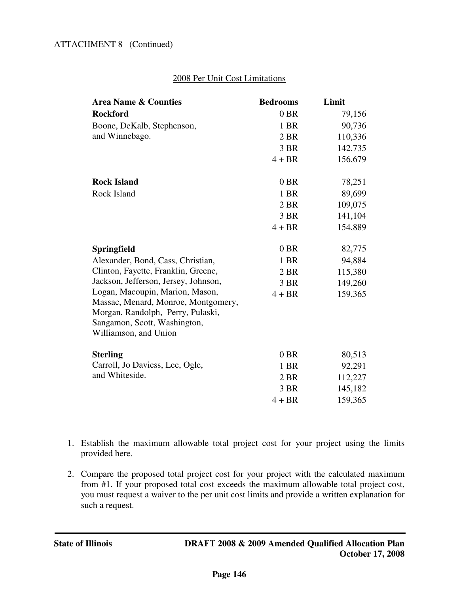## 2008 Per Unit Cost Limitations

| <b>Area Name &amp; Counties</b>      | <b>Bedrooms</b> | Limit   |
|--------------------------------------|-----------------|---------|
| <b>Rockford</b>                      | $0$ BR          | 79,156  |
| Boone, DeKalb, Stephenson,           | 1 BR            | 90,736  |
| and Winnebago.                       | 2 BR            | 110,336 |
|                                      | 3 BR            | 142,735 |
|                                      | $4 + BR$        | 156,679 |
| <b>Rock Island</b>                   | $0$ BR          | 78,251  |
| Rock Island                          | 1 BR            | 89,699  |
|                                      | 2 BR            | 109,075 |
|                                      | 3 BR            | 141,104 |
|                                      | $4 + BR$        |         |
|                                      |                 | 154,889 |
| Springfield                          | $0$ BR          | 82,775  |
| Alexander, Bond, Cass, Christian,    | 1 BR            | 94,884  |
| Clinton, Fayette, Franklin, Greene,  | 2 BR            | 115,380 |
| Jackson, Jefferson, Jersey, Johnson, | 3 BR            | 149,260 |
| Logan, Macoupin, Marion, Mason,      | $4 + BR$        | 159,365 |
| Massac, Menard, Monroe, Montgomery,  |                 |         |
| Morgan, Randolph, Perry, Pulaski,    |                 |         |
| Sangamon, Scott, Washington,         |                 |         |
| Williamson, and Union                |                 |         |
| <b>Sterling</b>                      | $0$ BR          | 80,513  |
| Carroll, Jo Daviess, Lee, Ogle,      | 1 BR            | 92,291  |
| and Whiteside.                       | 2 BR            | 112,227 |
|                                      | 3 BR            | 145,182 |
|                                      | $4 + BR$        | 159,365 |

- 1. Establish the maximum allowable total project cost for your project using the limits provided here.
- 2. Compare the proposed total project cost for your project with the calculated maximum from #1. If your proposed total cost exceeds the maximum allowable total project cost, you must request a waiver to the per unit cost limits and provide a written explanation for such a request.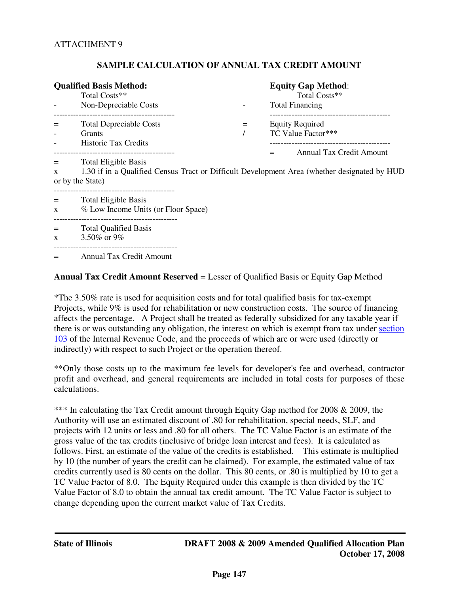#### **SAMPLE CALCULATION OF ANNUAL TAX CREDIT AMOUNT**

|                                                                                                                                                                                         | <b>Qualified Basis Method:</b><br>Total Costs**<br>Non-Depreciable Costs |  | <b>Equity Gap Method:</b><br>Total Costs**<br><b>Total Financing</b>            |  |  |  |  |
|-----------------------------------------------------------------------------------------------------------------------------------------------------------------------------------------|--------------------------------------------------------------------------|--|---------------------------------------------------------------------------------|--|--|--|--|
|                                                                                                                                                                                         | <b>Total Depreciable Costs</b><br>Grants<br><b>Historic Tax Credits</b>  |  | <b>Equity Required</b><br>TC Value Factor***<br>Annual Tax Credit Amount<br>$=$ |  |  |  |  |
| <b>Total Eligible Basis</b><br>1.30 if in a Qualified Census Tract or Difficult Development Area (whether designated by HUD<br>X<br>or by the State)<br>------------------------------- |                                                                          |  |                                                                                 |  |  |  |  |
| $=$<br>X                                                                                                                                                                                | <b>Total Eligible Basis</b><br>% Low Income Units (or Floor Space)       |  |                                                                                 |  |  |  |  |
| $\mathbf{x}$                                                                                                                                                                            | <b>Total Qualified Basis</b><br>3.50% or 9%                              |  |                                                                                 |  |  |  |  |
|                                                                                                                                                                                         | <b>Annual Tax Credit Amount</b>                                          |  |                                                                                 |  |  |  |  |

#### **Annual Tax Credit Amount Reserved** = Lesser of Qualified Basis or Equity Gap Method

\*The 3.50% rate is used for acquisition costs and for total qualified basis for tax-exempt Projects, while 9% is used for rehabilitation or new construction costs. The source of financing affects the percentage. A Project shall be treated as federally subsidized for any taxable year if there is or was outstanding any obligation, the interest on which is exempt from tax under section 103 of the Internal Revenue Code, and the proceeds of which are or were used (directly or indirectly) with respect to such Project or the operation thereof.

\*\*Only those costs up to the maximum fee levels for developer's fee and overhead, contractor profit and overhead, and general requirements are included in total costs for purposes of these calculations.

\*\*\* In calculating the Tax Credit amount through Equity Gap method for 2008 & 2009, the Authority will use an estimated discount of .80 for rehabilitation, special needs, SLF, and projects with 12 units or less and .80 for all others. The TC Value Factor is an estimate of the gross value of the tax credits (inclusive of bridge loan interest and fees). It is calculated as follows. First, an estimate of the value of the credits is established. This estimate is multiplied by 10 (the number of years the credit can be claimed). For example, the estimated value of tax credits currently used is 80 cents on the dollar. This 80 cents, or .80 is multiplied by 10 to get a TC Value Factor of 8.0. The Equity Required under this example is then divided by the TC Value Factor of 8.0 to obtain the annual tax credit amount. The TC Value Factor is subject to change depending upon the current market value of Tax Credits.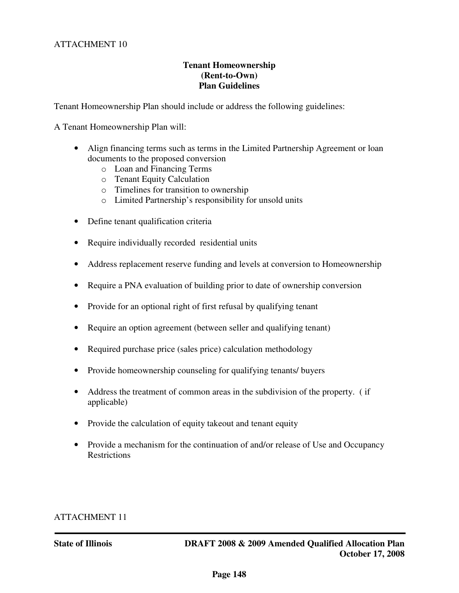## **Tenant Homeownership (Rent-to-Own) Plan Guidelines**

Tenant Homeownership Plan should include or address the following guidelines:

A Tenant Homeownership Plan will:

- Align financing terms such as terms in the Limited Partnership Agreement or loan documents to the proposed conversion
	- o Loan and Financing Terms
	- o Tenant Equity Calculation
	- o Timelines for transition to ownership
	- o Limited Partnership's responsibility for unsold units
- Define tenant qualification criteria
- Require individually recorded residential units
- Address replacement reserve funding and levels at conversion to Homeownership
- Require a PNA evaluation of building prior to date of ownership conversion
- Provide for an optional right of first refusal by qualifying tenant
- Require an option agreement (between seller and qualifying tenant)
- Required purchase price (sales price) calculation methodology
- Provide homeownership counseling for qualifying tenants/ buyers
- Address the treatment of common areas in the subdivision of the property. (if applicable)
- Provide the calculation of equity takeout and tenant equity
- Provide a mechanism for the continuation of and/or release of Use and Occupancy **Restrictions**

## ATTACHMENT 11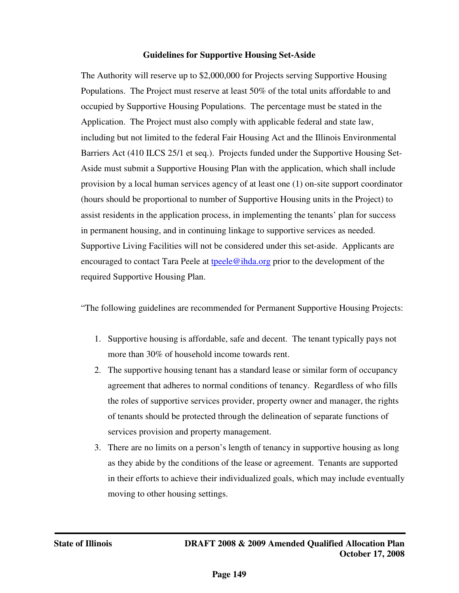### **Guidelines for Supportive Housing Set-Aside**

The Authority will reserve up to \$2,000,000 for Projects serving Supportive Housing Populations. The Project must reserve at least 50% of the total units affordable to and occupied by Supportive Housing Populations. The percentage must be stated in the Application. The Project must also comply with applicable federal and state law, including but not limited to the federal Fair Housing Act and the Illinois Environmental Barriers Act (410 ILCS 25/1 et seq.). Projects funded under the Supportive Housing Set-Aside must submit a Supportive Housing Plan with the application, which shall include provision by a local human services agency of at least one (1) on-site support coordinator (hours should be proportional to number of Supportive Housing units in the Project) to assist residents in the application process, in implementing the tenants' plan for success in permanent housing, and in continuing linkage to supportive services as needed. Supportive Living Facilities will not be considered under this set-aside. Applicants are encouraged to contact Tara Peele at  $teele@ihda.org prior to the development of the$ </u> required Supportive Housing Plan.

"The following guidelines are recommended for Permanent Supportive Housing Projects:

- 1. Supportive housing is affordable, safe and decent. The tenant typically pays not more than 30% of household income towards rent.
- 2. The supportive housing tenant has a standard lease or similar form of occupancy agreement that adheres to normal conditions of tenancy. Regardless of who fills the roles of supportive services provider, property owner and manager, the rights of tenants should be protected through the delineation of separate functions of services provision and property management.
- 3. There are no limits on a person's length of tenancy in supportive housing as long as they abide by the conditions of the lease or agreement. Tenants are supported in their efforts to achieve their individualized goals, which may include eventually moving to other housing settings.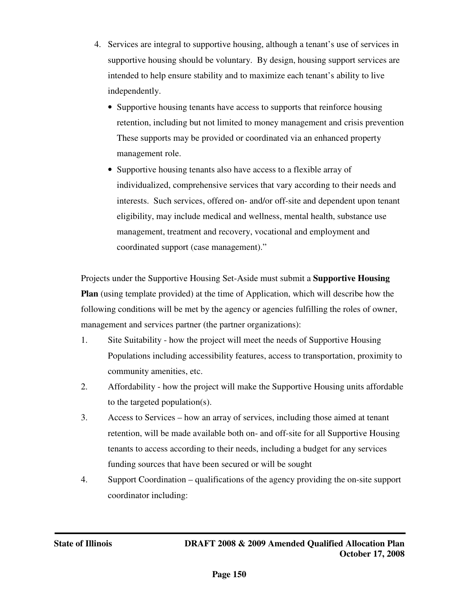- 4. Services are integral to supportive housing, although a tenant's use of services in supportive housing should be voluntary. By design, housing support services are intended to help ensure stability and to maximize each tenant's ability to live independently.
	- Supportive housing tenants have access to supports that reinforce housing retention, including but not limited to money management and crisis prevention These supports may be provided or coordinated via an enhanced property management role.
	- Supportive housing tenants also have access to a flexible array of individualized, comprehensive services that vary according to their needs and interests. Such services, offered on- and/or off-site and dependent upon tenant eligibility, may include medical and wellness, mental health, substance use management, treatment and recovery, vocational and employment and coordinated support (case management)."

Projects under the Supportive Housing Set-Aside must submit a **Supportive Housing Plan** (using template provided) at the time of Application, which will describe how the following conditions will be met by the agency or agencies fulfilling the roles of owner, management and services partner (the partner organizations):

- 1. Site Suitability how the project will meet the needs of Supportive Housing Populations including accessibility features, access to transportation, proximity to community amenities, etc.
- 2. Affordability how the project will make the Supportive Housing units affordable to the targeted population(s).
- 3. Access to Services how an array of services, including those aimed at tenant retention, will be made available both on- and off-site for all Supportive Housing tenants to access according to their needs, including a budget for any services funding sources that have been secured or will be sought
- 4. Support Coordination qualifications of the agency providing the on-site support coordinator including: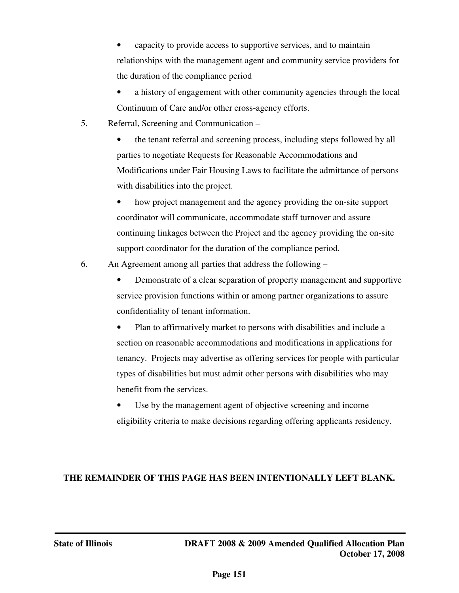• capacity to provide access to supportive services, and to maintain relationships with the management agent and community service providers for the duration of the compliance period

- a history of engagement with other community agencies through the local Continuum of Care and/or other cross-agency efforts.
- 5. Referral, Screening and Communication –

• the tenant referral and screening process, including steps followed by all parties to negotiate Requests for Reasonable Accommodations and Modifications under Fair Housing Laws to facilitate the admittance of persons with disabilities into the project.

• how project management and the agency providing the on-site support coordinator will communicate, accommodate staff turnover and assure continuing linkages between the Project and the agency providing the on-site support coordinator for the duration of the compliance period.

6. An Agreement among all parties that address the following –

• Demonstrate of a clear separation of property management and supportive service provision functions within or among partner organizations to assure confidentiality of tenant information.

• Plan to affirmatively market to persons with disabilities and include a section on reasonable accommodations and modifications in applications for tenancy. Projects may advertise as offering services for people with particular types of disabilities but must admit other persons with disabilities who may benefit from the services.

Use by the management agent of objective screening and income eligibility criteria to make decisions regarding offering applicants residency.

# **THE REMAINDER OF THIS PAGE HAS BEEN INTENTIONALLY LEFT BLANK.**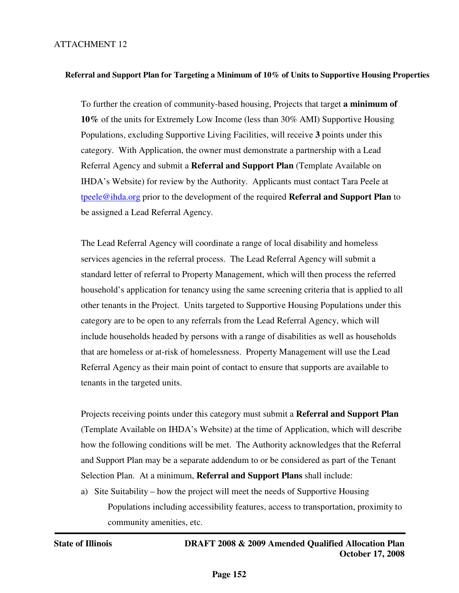## ATTACHMENT 12

#### **Referral and Support Plan for Targeting a Minimum of 10% of Units to Supportive Housing Properties**

To further the creation of community-based housing, Projects that target **a minimum of 10%** of the units for Extremely Low Income (less than 30% AMI) Supportive Housing Populations, excluding Supportive Living Facilities, will receive **3** points under this category. With Application, the owner must demonstrate a partnership with a Lead Referral Agency and submit a **Referral and Support Plan** (Template Available on IHDA's Website) for review by the Authority. Applicants must contact Tara Peele at tpeele@ihda.org prior to the development of the required **Referral and Support Plan** to be assigned a Lead Referral Agency.

The Lead Referral Agency will coordinate a range of local disability and homeless services agencies in the referral process. The Lead Referral Agency will submit a standard letter of referral to Property Management, which will then process the referred household's application for tenancy using the same screening criteria that is applied to all other tenants in the Project. Units targeted to Supportive Housing Populations under this category are to be open to any referrals from the Lead Referral Agency, which will include households headed by persons with a range of disabilities as well as households that are homeless or at-risk of homelessness. Property Management will use the Lead Referral Agency as their main point of contact to ensure that supports are available to tenants in the targeted units.

Projects receiving points under this category must submit a **Referral and Support Plan** (Template Available on IHDA's Website) at the time of Application, which will describe how the following conditions will be met. The Authority acknowledges that the Referral and Support Plan may be a separate addendum to or be considered as part of the Tenant Selection Plan. At a minimum, **Referral and Support Plans** shall include:

a) Site Suitability – how the project will meet the needs of Supportive Housing Populations including accessibility features, access to transportation, proximity to community amenities, etc.